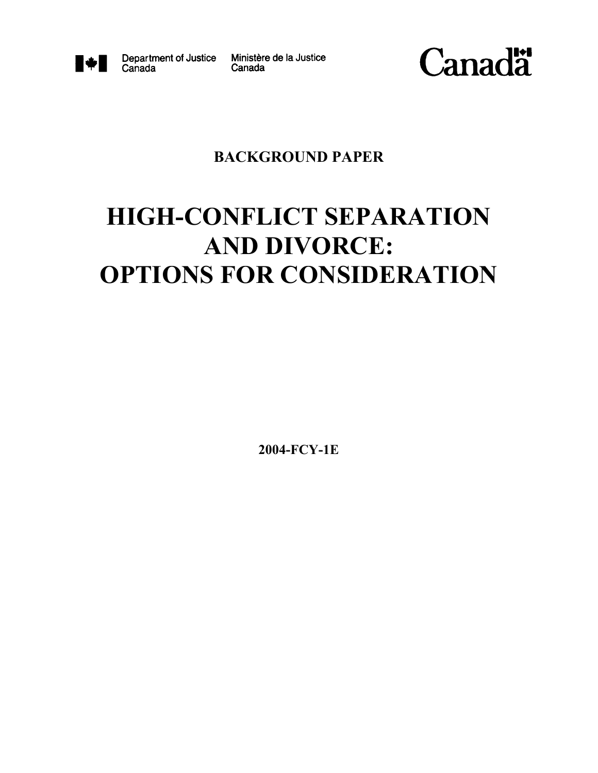

Canada

Department of Justice Ministère de la Justice Canada



# **BACKGROUND PAPER**

# **HIGH-CONFLICT SEPARATION AND DIVORCE: OPTIONS FOR CONSIDERATION**

**2004-FCY-1E**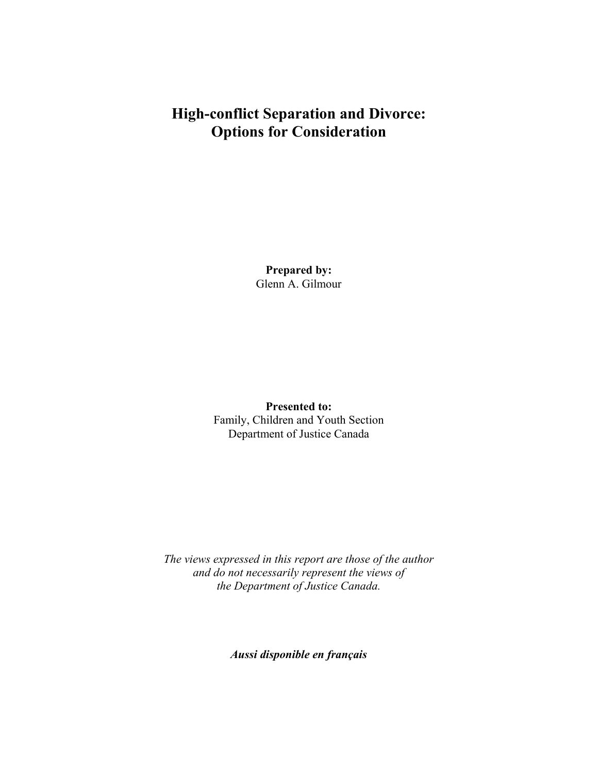# **High-conflict Separation and Divorce: Options for Consideration**

**Prepared by:** Glenn A. Gilmour

**Presented to:**  Family, Children and Youth Section Department of Justice Canada

*The views expressed in this report are those of the author and do not necessarily represent the views of the Department of Justice Canada.* 

*Aussi disponible en français*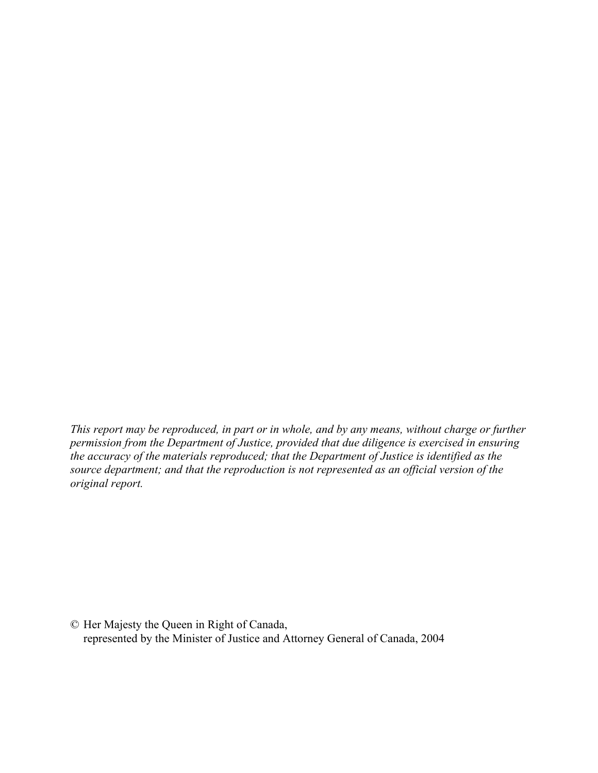*This report may be reproduced, in part or in whole, and by any means, without charge or further permission from the Department of Justice, provided that due diligence is exercised in ensuring the accuracy of the materials reproduced; that the Department of Justice is identified as the source department; and that the reproduction is not represented as an official version of the original report.* 

© Her Majesty the Queen in Right of Canada, represented by the Minister of Justice and Attorney General of Canada, 2004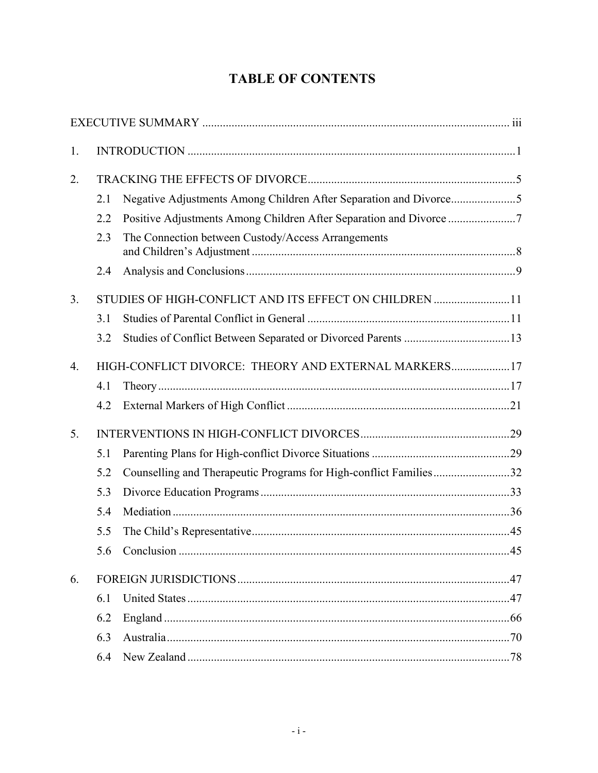# **TABLE OF CONTENTS**

| 1. |                                                        |                                                                   |     |  |
|----|--------------------------------------------------------|-------------------------------------------------------------------|-----|--|
| 2. |                                                        |                                                                   |     |  |
|    | 2.1                                                    |                                                                   |     |  |
|    | 2.2                                                    |                                                                   |     |  |
|    | 2.3                                                    | The Connection between Custody/Access Arrangements                |     |  |
|    | 2.4                                                    |                                                                   |     |  |
| 3. | STUDIES OF HIGH-CONFLICT AND ITS EFFECT ON CHILDREN 11 |                                                                   |     |  |
|    | 3.1                                                    |                                                                   |     |  |
|    | 3.2                                                    |                                                                   |     |  |
| 4. | HIGH-CONFLICT DIVORCE: THEORY AND EXTERNAL MARKERS17   |                                                                   |     |  |
|    | 4.1                                                    |                                                                   |     |  |
|    | 4.2                                                    |                                                                   |     |  |
| 5. |                                                        |                                                                   |     |  |
|    | 5.1                                                    |                                                                   |     |  |
|    | 5.2                                                    | Counselling and Therapeutic Programs for High-conflict Families32 |     |  |
|    | 5.3                                                    |                                                                   |     |  |
|    | 5.4                                                    |                                                                   |     |  |
|    | 5.5                                                    |                                                                   |     |  |
|    | 5.6                                                    |                                                                   |     |  |
| 6. |                                                        |                                                                   | 47  |  |
|    | 6.1                                                    |                                                                   |     |  |
|    | 6.2                                                    |                                                                   |     |  |
|    | 6.3                                                    |                                                                   |     |  |
|    | 6.4                                                    |                                                                   | .78 |  |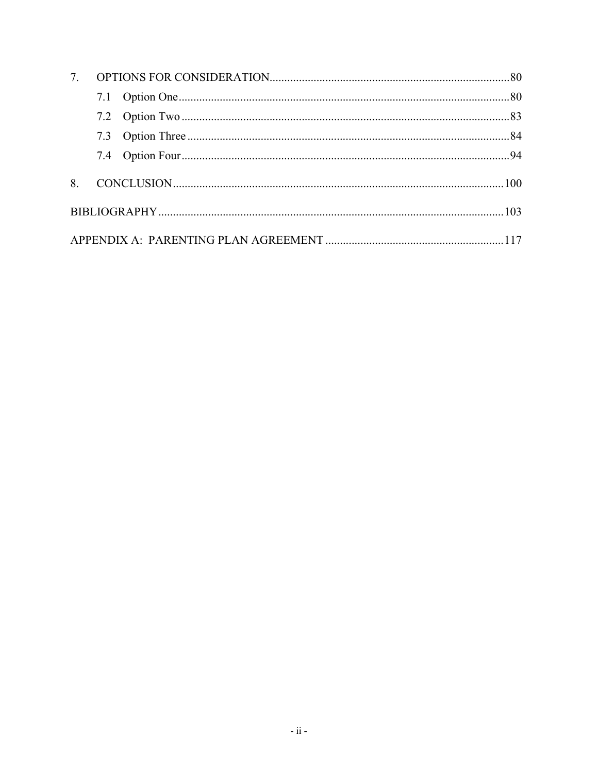| 7. |  |  |  |  |
|----|--|--|--|--|
|    |  |  |  |  |
|    |  |  |  |  |
|    |  |  |  |  |
|    |  |  |  |  |
| 8  |  |  |  |  |
|    |  |  |  |  |
|    |  |  |  |  |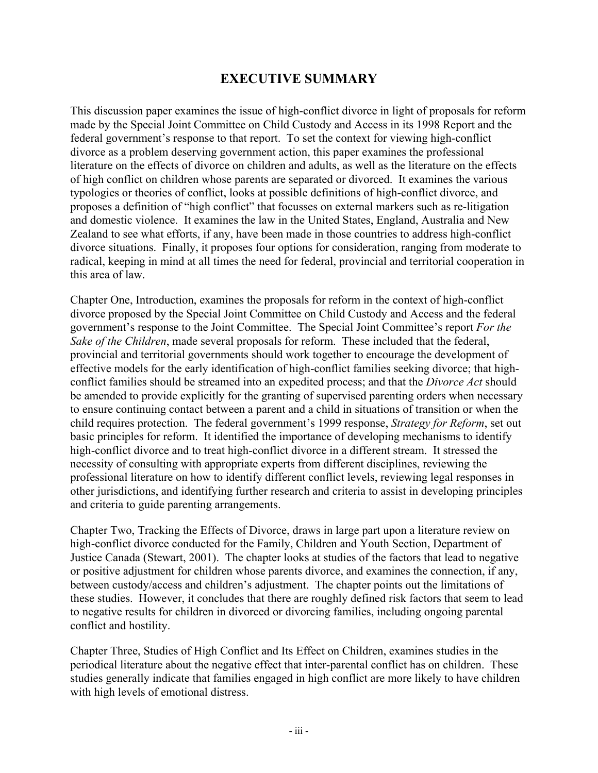## **EXECUTIVE SUMMARY**

This discussion paper examines the issue of high-conflict divorce in light of proposals for reform made by the Special Joint Committee on Child Custody and Access in its 1998 Report and the federal government's response to that report. To set the context for viewing high-conflict divorce as a problem deserving government action, this paper examines the professional literature on the effects of divorce on children and adults, as well as the literature on the effects of high conflict on children whose parents are separated or divorced. It examines the various typologies or theories of conflict, looks at possible definitions of high-conflict divorce, and proposes a definition of "high conflict" that focusses on external markers such as re-litigation and domestic violence. It examines the law in the United States, England, Australia and New Zealand to see what efforts, if any, have been made in those countries to address high-conflict divorce situations. Finally, it proposes four options for consideration, ranging from moderate to radical, keeping in mind at all times the need for federal, provincial and territorial cooperation in this area of law.

Chapter One, Introduction, examines the proposals for reform in the context of high-conflict divorce proposed by the Special Joint Committee on Child Custody and Access and the federal government's response to the Joint Committee. The Special Joint Committee's report *For the Sake of the Children*, made several proposals for reform. These included that the federal, provincial and territorial governments should work together to encourage the development of effective models for the early identification of high-conflict families seeking divorce; that highconflict families should be streamed into an expedited process; and that the *Divorce Act* should be amended to provide explicitly for the granting of supervised parenting orders when necessary to ensure continuing contact between a parent and a child in situations of transition or when the child requires protection. The federal government's 1999 response, *Strategy for Reform*, set out basic principles for reform. It identified the importance of developing mechanisms to identify high-conflict divorce and to treat high-conflict divorce in a different stream. It stressed the necessity of consulting with appropriate experts from different disciplines, reviewing the professional literature on how to identify different conflict levels, reviewing legal responses in other jurisdictions, and identifying further research and criteria to assist in developing principles and criteria to guide parenting arrangements.

Chapter Two, Tracking the Effects of Divorce, draws in large part upon a literature review on high-conflict divorce conducted for the Family, Children and Youth Section, Department of Justice Canada (Stewart, 2001). The chapter looks at studies of the factors that lead to negative or positive adjustment for children whose parents divorce, and examines the connection, if any, between custody/access and children's adjustment. The chapter points out the limitations of these studies. However, it concludes that there are roughly defined risk factors that seem to lead to negative results for children in divorced or divorcing families, including ongoing parental conflict and hostility.

Chapter Three, Studies of High Conflict and Its Effect on Children, examines studies in the periodical literature about the negative effect that inter-parental conflict has on children. These studies generally indicate that families engaged in high conflict are more likely to have children with high levels of emotional distress.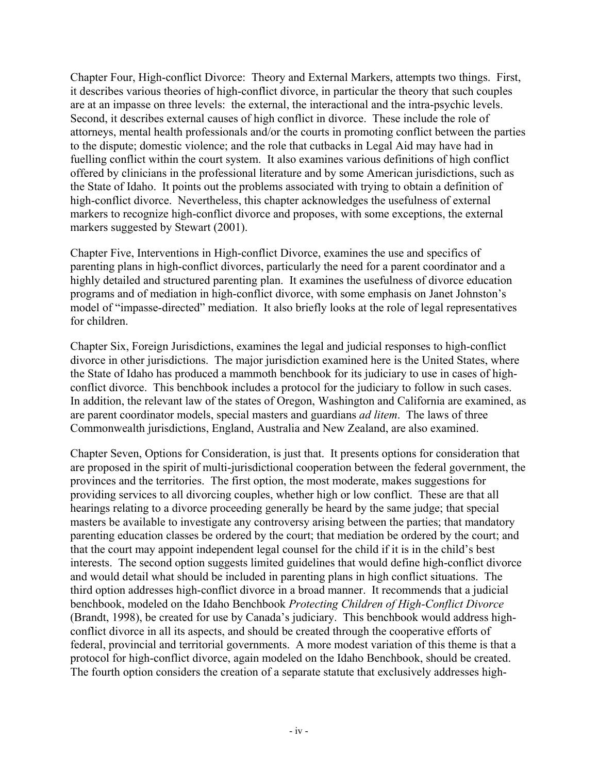Chapter Four, High-conflict Divorce: Theory and External Markers, attempts two things. First, it describes various theories of high-conflict divorce, in particular the theory that such couples are at an impasse on three levels: the external, the interactional and the intra-psychic levels. Second, it describes external causes of high conflict in divorce. These include the role of attorneys, mental health professionals and/or the courts in promoting conflict between the parties to the dispute; domestic violence; and the role that cutbacks in Legal Aid may have had in fuelling conflict within the court system. It also examines various definitions of high conflict offered by clinicians in the professional literature and by some American jurisdictions, such as the State of Idaho. It points out the problems associated with trying to obtain a definition of high-conflict divorce. Nevertheless, this chapter acknowledges the usefulness of external markers to recognize high-conflict divorce and proposes, with some exceptions, the external markers suggested by Stewart (2001).

Chapter Five, Interventions in High-conflict Divorce, examines the use and specifics of parenting plans in high-conflict divorces, particularly the need for a parent coordinator and a highly detailed and structured parenting plan. It examines the usefulness of divorce education programs and of mediation in high-conflict divorce, with some emphasis on Janet Johnston's model of "impasse-directed" mediation. It also briefly looks at the role of legal representatives for children.

Chapter Six, Foreign Jurisdictions, examines the legal and judicial responses to high-conflict divorce in other jurisdictions. The major jurisdiction examined here is the United States, where the State of Idaho has produced a mammoth benchbook for its judiciary to use in cases of highconflict divorce. This benchbook includes a protocol for the judiciary to follow in such cases. In addition, the relevant law of the states of Oregon, Washington and California are examined, as are parent coordinator models, special masters and guardians *ad litem*. The laws of three Commonwealth jurisdictions, England, Australia and New Zealand, are also examined.

Chapter Seven, Options for Consideration, is just that. It presents options for consideration that are proposed in the spirit of multi-jurisdictional cooperation between the federal government, the provinces and the territories. The first option, the most moderate, makes suggestions for providing services to all divorcing couples, whether high or low conflict. These are that all hearings relating to a divorce proceeding generally be heard by the same judge; that special masters be available to investigate any controversy arising between the parties; that mandatory parenting education classes be ordered by the court; that mediation be ordered by the court; and that the court may appoint independent legal counsel for the child if it is in the child's best interests. The second option suggests limited guidelines that would define high-conflict divorce and would detail what should be included in parenting plans in high conflict situations. The third option addresses high-conflict divorce in a broad manner. It recommends that a judicial benchbook, modeled on the Idaho Benchbook *Protecting Children of High-Conflict Divorce* (Brandt, 1998), be created for use by Canada's judiciary. This benchbook would address highconflict divorce in all its aspects, and should be created through the cooperative efforts of federal, provincial and territorial governments. A more modest variation of this theme is that a protocol for high-conflict divorce, again modeled on the Idaho Benchbook, should be created. The fourth option considers the creation of a separate statute that exclusively addresses high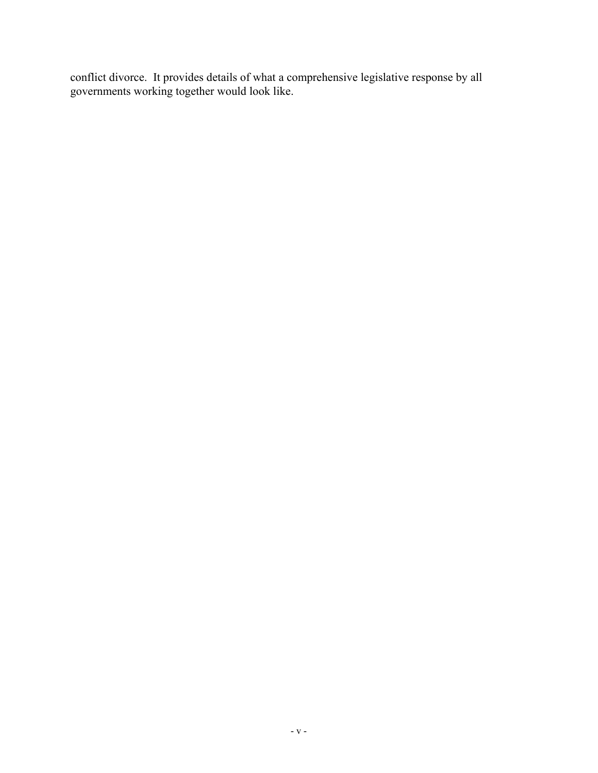conflict divorce. It provides details of what a comprehensive legislative response by all governments working together would look like.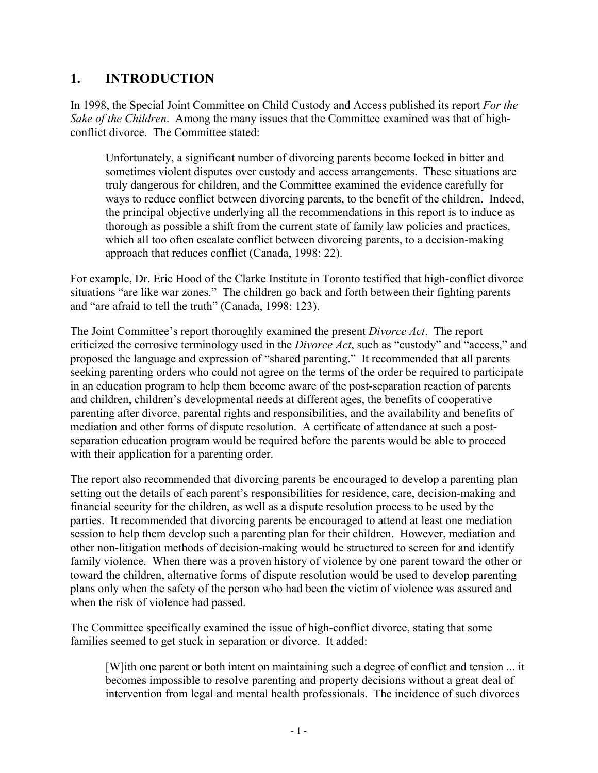## **1. INTRODUCTION**

In 1998, the Special Joint Committee on Child Custody and Access published its report *For the Sake of the Children*. Among the many issues that the Committee examined was that of highconflict divorce. The Committee stated:

Unfortunately, a significant number of divorcing parents become locked in bitter and sometimes violent disputes over custody and access arrangements. These situations are truly dangerous for children, and the Committee examined the evidence carefully for ways to reduce conflict between divorcing parents, to the benefit of the children. Indeed, the principal objective underlying all the recommendations in this report is to induce as thorough as possible a shift from the current state of family law policies and practices, which all too often escalate conflict between divorcing parents, to a decision-making approach that reduces conflict (Canada, 1998: 22).

For example, Dr. Eric Hood of the Clarke Institute in Toronto testified that high-conflict divorce situations "are like war zones." The children go back and forth between their fighting parents and "are afraid to tell the truth" (Canada, 1998: 123).

The Joint Committee's report thoroughly examined the present *Divorce Act*. The report criticized the corrosive terminology used in the *Divorce Act*, such as "custody" and "access," and proposed the language and expression of "shared parenting." It recommended that all parents seeking parenting orders who could not agree on the terms of the order be required to participate in an education program to help them become aware of the post-separation reaction of parents and children, children's developmental needs at different ages, the benefits of cooperative parenting after divorce, parental rights and responsibilities, and the availability and benefits of mediation and other forms of dispute resolution. A certificate of attendance at such a postseparation education program would be required before the parents would be able to proceed with their application for a parenting order.

The report also recommended that divorcing parents be encouraged to develop a parenting plan setting out the details of each parent's responsibilities for residence, care, decision-making and financial security for the children, as well as a dispute resolution process to be used by the parties. It recommended that divorcing parents be encouraged to attend at least one mediation session to help them develop such a parenting plan for their children. However, mediation and other non-litigation methods of decision-making would be structured to screen for and identify family violence. When there was a proven history of violence by one parent toward the other or toward the children, alternative forms of dispute resolution would be used to develop parenting plans only when the safety of the person who had been the victim of violence was assured and when the risk of violence had passed.

The Committee specifically examined the issue of high-conflict divorce, stating that some families seemed to get stuck in separation or divorce. It added:

[W]ith one parent or both intent on maintaining such a degree of conflict and tension ... it becomes impossible to resolve parenting and property decisions without a great deal of intervention from legal and mental health professionals. The incidence of such divorces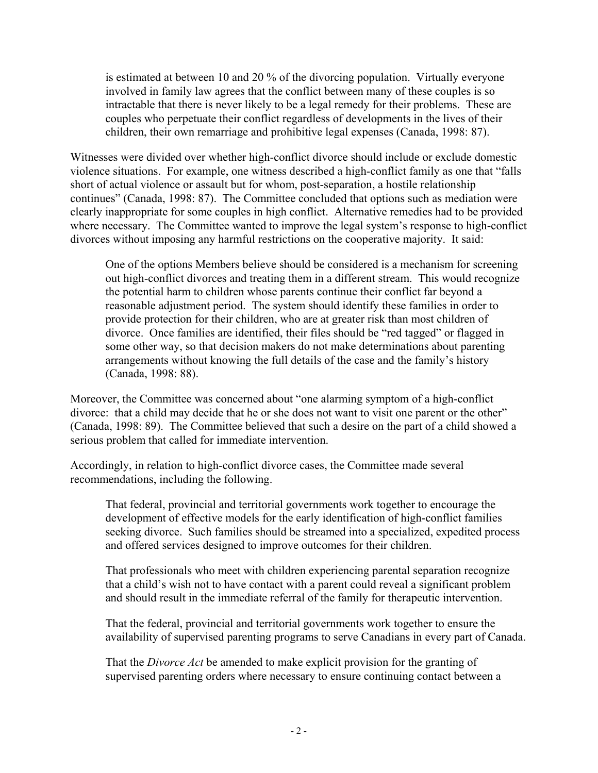is estimated at between 10 and 20 % of the divorcing population. Virtually everyone involved in family law agrees that the conflict between many of these couples is so intractable that there is never likely to be a legal remedy for their problems. These are couples who perpetuate their conflict regardless of developments in the lives of their children, their own remarriage and prohibitive legal expenses (Canada, 1998: 87).

Witnesses were divided over whether high-conflict divorce should include or exclude domestic violence situations. For example, one witness described a high-conflict family as one that "falls short of actual violence or assault but for whom, post-separation, a hostile relationship continues" (Canada, 1998: 87). The Committee concluded that options such as mediation were clearly inappropriate for some couples in high conflict. Alternative remedies had to be provided where necessary. The Committee wanted to improve the legal system's response to high-conflict divorces without imposing any harmful restrictions on the cooperative majority. It said:

One of the options Members believe should be considered is a mechanism for screening out high-conflict divorces and treating them in a different stream. This would recognize the potential harm to children whose parents continue their conflict far beyond a reasonable adjustment period. The system should identify these families in order to provide protection for their children, who are at greater risk than most children of divorce. Once families are identified, their files should be "red tagged" or flagged in some other way, so that decision makers do not make determinations about parenting arrangements without knowing the full details of the case and the family's history (Canada, 1998: 88).

Moreover, the Committee was concerned about "one alarming symptom of a high-conflict divorce: that a child may decide that he or she does not want to visit one parent or the other" (Canada, 1998: 89). The Committee believed that such a desire on the part of a child showed a serious problem that called for immediate intervention.

Accordingly, in relation to high-conflict divorce cases, the Committee made several recommendations, including the following.

That federal, provincial and territorial governments work together to encourage the development of effective models for the early identification of high-conflict families seeking divorce. Such families should be streamed into a specialized, expedited process and offered services designed to improve outcomes for their children.

That professionals who meet with children experiencing parental separation recognize that a child's wish not to have contact with a parent could reveal a significant problem and should result in the immediate referral of the family for therapeutic intervention.

That the federal, provincial and territorial governments work together to ensure the availability of supervised parenting programs to serve Canadians in every part of Canada.

That the *Divorce Act* be amended to make explicit provision for the granting of supervised parenting orders where necessary to ensure continuing contact between a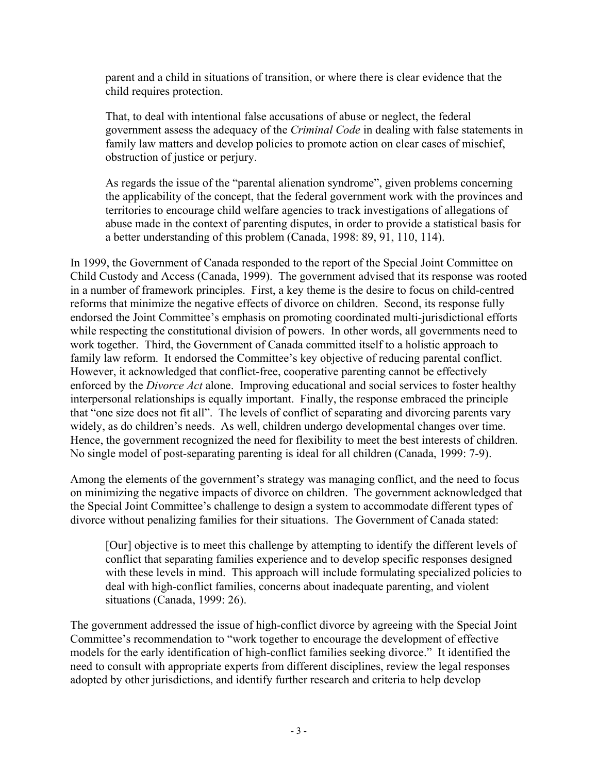parent and a child in situations of transition, or where there is clear evidence that the child requires protection.

That, to deal with intentional false accusations of abuse or neglect, the federal government assess the adequacy of the *Criminal Code* in dealing with false statements in family law matters and develop policies to promote action on clear cases of mischief, obstruction of justice or perjury.

As regards the issue of the "parental alienation syndrome", given problems concerning the applicability of the concept, that the federal government work with the provinces and territories to encourage child welfare agencies to track investigations of allegations of abuse made in the context of parenting disputes, in order to provide a statistical basis for a better understanding of this problem (Canada, 1998: 89, 91, 110, 114).

In 1999, the Government of Canada responded to the report of the Special Joint Committee on Child Custody and Access (Canada, 1999). The government advised that its response was rooted in a number of framework principles. First, a key theme is the desire to focus on child-centred reforms that minimize the negative effects of divorce on children. Second, its response fully endorsed the Joint Committee's emphasis on promoting coordinated multi-jurisdictional efforts while respecting the constitutional division of powers. In other words, all governments need to work together. Third, the Government of Canada committed itself to a holistic approach to family law reform. It endorsed the Committee's key objective of reducing parental conflict. However, it acknowledged that conflict-free, cooperative parenting cannot be effectively enforced by the *Divorce Act* alone. Improving educational and social services to foster healthy interpersonal relationships is equally important. Finally, the response embraced the principle that "one size does not fit all". The levels of conflict of separating and divorcing parents vary widely, as do children's needs. As well, children undergo developmental changes over time. Hence, the government recognized the need for flexibility to meet the best interests of children. No single model of post-separating parenting is ideal for all children (Canada, 1999: 7-9).

Among the elements of the government's strategy was managing conflict, and the need to focus on minimizing the negative impacts of divorce on children. The government acknowledged that the Special Joint Committee's challenge to design a system to accommodate different types of divorce without penalizing families for their situations. The Government of Canada stated:

[Our] objective is to meet this challenge by attempting to identify the different levels of conflict that separating families experience and to develop specific responses designed with these levels in mind. This approach will include formulating specialized policies to deal with high-conflict families, concerns about inadequate parenting, and violent situations (Canada, 1999: 26).

The government addressed the issue of high-conflict divorce by agreeing with the Special Joint Committee's recommendation to "work together to encourage the development of effective models for the early identification of high-conflict families seeking divorce." It identified the need to consult with appropriate experts from different disciplines, review the legal responses adopted by other jurisdictions, and identify further research and criteria to help develop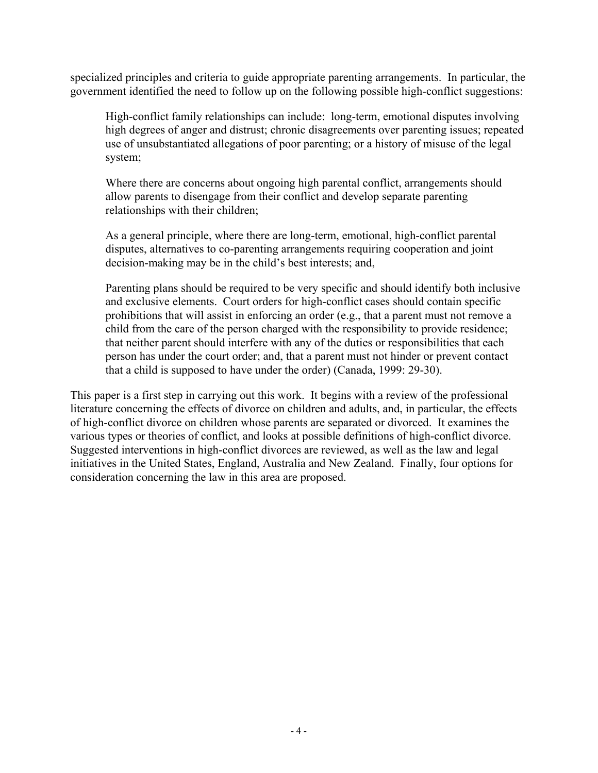specialized principles and criteria to guide appropriate parenting arrangements. In particular, the government identified the need to follow up on the following possible high-conflict suggestions:

High-conflict family relationships can include: long-term, emotional disputes involving high degrees of anger and distrust; chronic disagreements over parenting issues; repeated use of unsubstantiated allegations of poor parenting; or a history of misuse of the legal system;

Where there are concerns about ongoing high parental conflict, arrangements should allow parents to disengage from their conflict and develop separate parenting relationships with their children;

As a general principle, where there are long-term, emotional, high-conflict parental disputes, alternatives to co-parenting arrangements requiring cooperation and joint decision-making may be in the child's best interests; and,

Parenting plans should be required to be very specific and should identify both inclusive and exclusive elements. Court orders for high-conflict cases should contain specific prohibitions that will assist in enforcing an order (e.g., that a parent must not remove a child from the care of the person charged with the responsibility to provide residence; that neither parent should interfere with any of the duties or responsibilities that each person has under the court order; and, that a parent must not hinder or prevent contact that a child is supposed to have under the order) (Canada, 1999: 29-30).

This paper is a first step in carrying out this work. It begins with a review of the professional literature concerning the effects of divorce on children and adults, and, in particular, the effects of high-conflict divorce on children whose parents are separated or divorced. It examines the various types or theories of conflict, and looks at possible definitions of high-conflict divorce. Suggested interventions in high-conflict divorces are reviewed, as well as the law and legal initiatives in the United States, England, Australia and New Zealand. Finally, four options for consideration concerning the law in this area are proposed.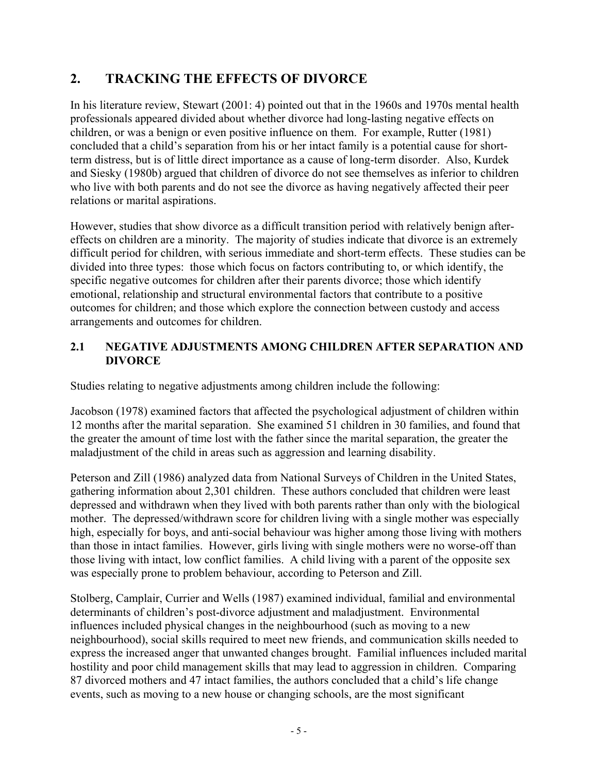# **2. TRACKING THE EFFECTS OF DIVORCE**

In his literature review, Stewart (2001: 4) pointed out that in the 1960s and 1970s mental health professionals appeared divided about whether divorce had long-lasting negative effects on children, or was a benign or even positive influence on them. For example, Rutter (1981) concluded that a child's separation from his or her intact family is a potential cause for shortterm distress, but is of little direct importance as a cause of long-term disorder. Also, Kurdek and Siesky (1980b) argued that children of divorce do not see themselves as inferior to children who live with both parents and do not see the divorce as having negatively affected their peer relations or marital aspirations.

However, studies that show divorce as a difficult transition period with relatively benign aftereffects on children are a minority. The majority of studies indicate that divorce is an extremely difficult period for children, with serious immediate and short-term effects. These studies can be divided into three types: those which focus on factors contributing to, or which identify, the specific negative outcomes for children after their parents divorce; those which identify emotional, relationship and structural environmental factors that contribute to a positive outcomes for children; and those which explore the connection between custody and access arrangements and outcomes for children.

#### **2.1 NEGATIVE ADJUSTMENTS AMONG CHILDREN AFTER SEPARATION AND DIVORCE**

Studies relating to negative adjustments among children include the following:

Jacobson (1978) examined factors that affected the psychological adjustment of children within 12 months after the marital separation. She examined 51 children in 30 families, and found that the greater the amount of time lost with the father since the marital separation, the greater the maladjustment of the child in areas such as aggression and learning disability.

Peterson and Zill (1986) analyzed data from National Surveys of Children in the United States, gathering information about 2,301 children. These authors concluded that children were least depressed and withdrawn when they lived with both parents rather than only with the biological mother. The depressed/withdrawn score for children living with a single mother was especially high, especially for boys, and anti-social behaviour was higher among those living with mothers than those in intact families. However, girls living with single mothers were no worse-off than those living with intact, low conflict families. A child living with a parent of the opposite sex was especially prone to problem behaviour, according to Peterson and Zill.

Stolberg, Camplair, Currier and Wells (1987) examined individual, familial and environmental determinants of children's post-divorce adjustment and maladjustment. Environmental influences included physical changes in the neighbourhood (such as moving to a new neighbourhood), social skills required to meet new friends, and communication skills needed to express the increased anger that unwanted changes brought. Familial influences included marital hostility and poor child management skills that may lead to aggression in children. Comparing 87 divorced mothers and 47 intact families, the authors concluded that a child's life change events, such as moving to a new house or changing schools, are the most significant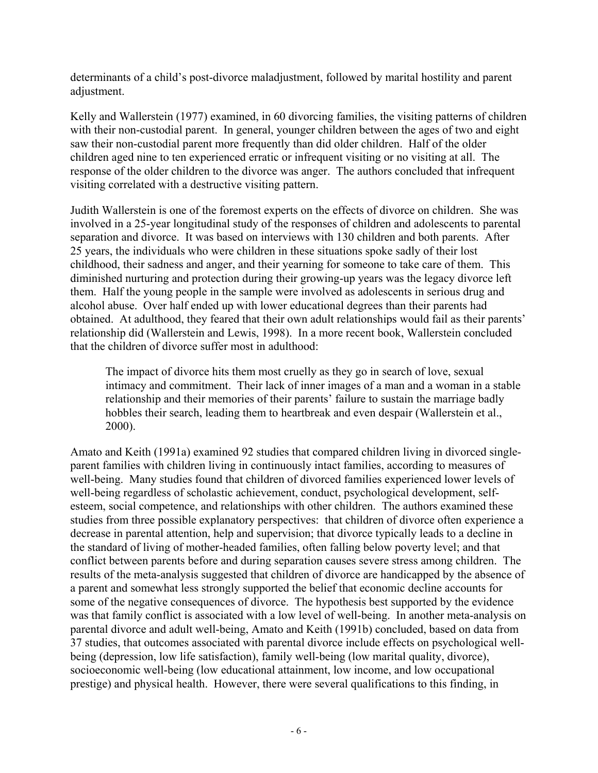determinants of a child's post-divorce maladjustment, followed by marital hostility and parent adjustment.

Kelly and Wallerstein (1977) examined, in 60 divorcing families, the visiting patterns of children with their non-custodial parent. In general, younger children between the ages of two and eight saw their non-custodial parent more frequently than did older children. Half of the older children aged nine to ten experienced erratic or infrequent visiting or no visiting at all. The response of the older children to the divorce was anger. The authors concluded that infrequent visiting correlated with a destructive visiting pattern.

Judith Wallerstein is one of the foremost experts on the effects of divorce on children. She was involved in a 25-year longitudinal study of the responses of children and adolescents to parental separation and divorce. It was based on interviews with 130 children and both parents. After 25 years, the individuals who were children in these situations spoke sadly of their lost childhood, their sadness and anger, and their yearning for someone to take care of them. This diminished nurturing and protection during their growing-up years was the legacy divorce left them. Half the young people in the sample were involved as adolescents in serious drug and alcohol abuse. Over half ended up with lower educational degrees than their parents had obtained. At adulthood, they feared that their own adult relationships would fail as their parents' relationship did (Wallerstein and Lewis, 1998). In a more recent book, Wallerstein concluded that the children of divorce suffer most in adulthood:

The impact of divorce hits them most cruelly as they go in search of love, sexual intimacy and commitment. Their lack of inner images of a man and a woman in a stable relationship and their memories of their parents' failure to sustain the marriage badly hobbles their search, leading them to heartbreak and even despair (Wallerstein et al., 2000).

Amato and Keith (1991a) examined 92 studies that compared children living in divorced singleparent families with children living in continuously intact families, according to measures of well-being. Many studies found that children of divorced families experienced lower levels of well-being regardless of scholastic achievement, conduct, psychological development, selfesteem, social competence, and relationships with other children. The authors examined these studies from three possible explanatory perspectives: that children of divorce often experience a decrease in parental attention, help and supervision; that divorce typically leads to a decline in the standard of living of mother-headed families, often falling below poverty level; and that conflict between parents before and during separation causes severe stress among children. The results of the meta-analysis suggested that children of divorce are handicapped by the absence of a parent and somewhat less strongly supported the belief that economic decline accounts for some of the negative consequences of divorce. The hypothesis best supported by the evidence was that family conflict is associated with a low level of well-being. In another meta-analysis on parental divorce and adult well-being, Amato and Keith (1991b) concluded, based on data from 37 studies, that outcomes associated with parental divorce include effects on psychological wellbeing (depression, low life satisfaction), family well-being (low marital quality, divorce), socioeconomic well-being (low educational attainment, low income, and low occupational prestige) and physical health. However, there were several qualifications to this finding, in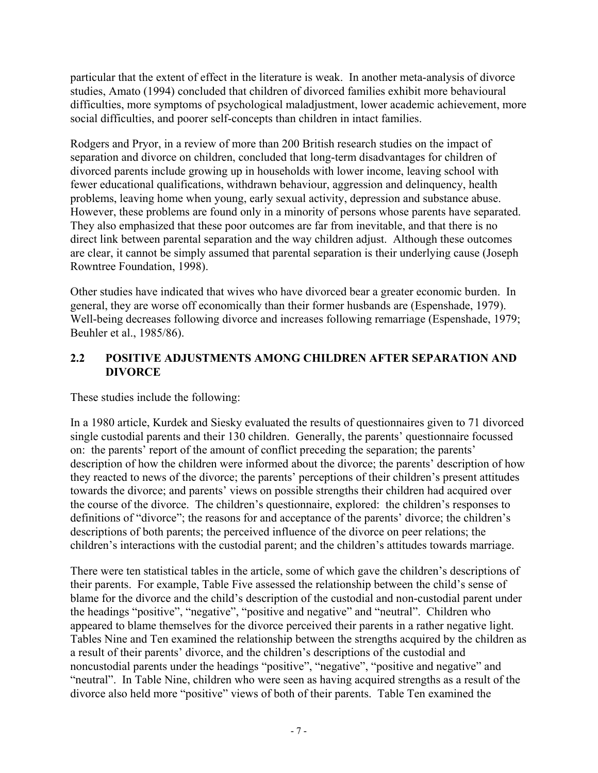particular that the extent of effect in the literature is weak. In another meta-analysis of divorce studies, Amato (1994) concluded that children of divorced families exhibit more behavioural difficulties, more symptoms of psychological maladjustment, lower academic achievement, more social difficulties, and poorer self-concepts than children in intact families.

Rodgers and Pryor, in a review of more than 200 British research studies on the impact of separation and divorce on children, concluded that long-term disadvantages for children of divorced parents include growing up in households with lower income, leaving school with fewer educational qualifications, withdrawn behaviour, aggression and delinquency, health problems, leaving home when young, early sexual activity, depression and substance abuse. However, these problems are found only in a minority of persons whose parents have separated. They also emphasized that these poor outcomes are far from inevitable, and that there is no direct link between parental separation and the way children adjust. Although these outcomes are clear, it cannot be simply assumed that parental separation is their underlying cause (Joseph Rowntree Foundation, 1998).

Other studies have indicated that wives who have divorced bear a greater economic burden. In general, they are worse off economically than their former husbands are (Espenshade, 1979). Well-being decreases following divorce and increases following remarriage (Espenshade, 1979; Beuhler et al., 1985/86).

#### **2.2 POSITIVE ADJUSTMENTS AMONG CHILDREN AFTER SEPARATION AND DIVORCE**

These studies include the following:

In a 1980 article, Kurdek and Siesky evaluated the results of questionnaires given to 71 divorced single custodial parents and their 130 children. Generally, the parents' questionnaire focussed on: the parents' report of the amount of conflict preceding the separation; the parents' description of how the children were informed about the divorce; the parents' description of how they reacted to news of the divorce; the parents' perceptions of their children's present attitudes towards the divorce; and parents' views on possible strengths their children had acquired over the course of the divorce. The children's questionnaire, explored: the children's responses to definitions of "divorce"; the reasons for and acceptance of the parents' divorce; the children's descriptions of both parents; the perceived influence of the divorce on peer relations; the children's interactions with the custodial parent; and the children's attitudes towards marriage.

There were ten statistical tables in the article, some of which gave the children's descriptions of their parents. For example, Table Five assessed the relationship between the child's sense of blame for the divorce and the child's description of the custodial and non-custodial parent under the headings "positive", "negative", "positive and negative" and "neutral". Children who appeared to blame themselves for the divorce perceived their parents in a rather negative light. Tables Nine and Ten examined the relationship between the strengths acquired by the children as a result of their parents' divorce, and the children's descriptions of the custodial and noncustodial parents under the headings "positive", "negative", "positive and negative" and "neutral". In Table Nine, children who were seen as having acquired strengths as a result of the divorce also held more "positive" views of both of their parents. Table Ten examined the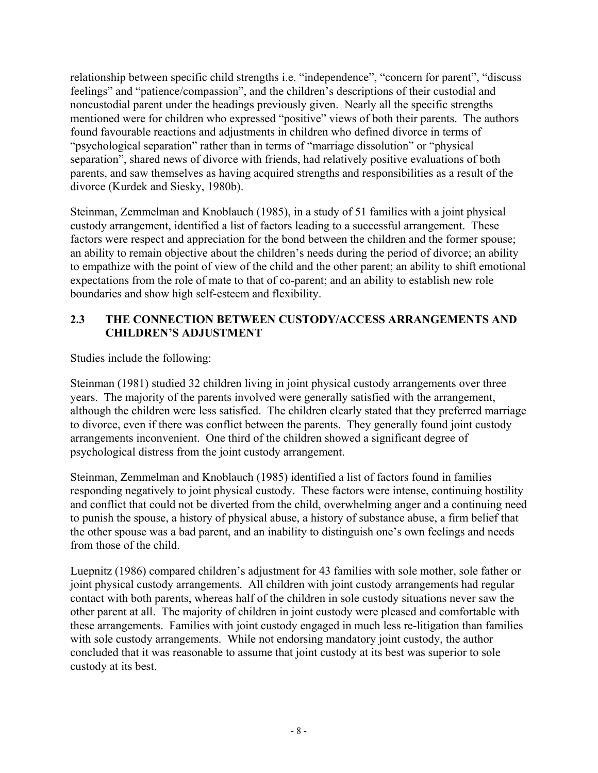relationship between specific child strengths i.e. "independence", "concern for parent", "discuss feelings" and "patience/compassion", and the children's descriptions of their custodial and noncustodial parent under the headings previously given. Nearly all the specific strengths mentioned were for children who expressed "positive" views of both their parents. The authors found favourable reactions and adjustments in children who defined divorce in terms of "psychological separation" rather than in terms of "marriage dissolution" or "physical separation", shared news of divorce with friends, had relatively positive evaluations of both parents, and saw themselves as having acquired strengths and responsibilities as a result of the divorce (Kurdek and Siesky, 1980b).

Steinman, Zemmelman and Knoblauch (1985), in a study of 51 families with a joint physical custody arrangement, identified a list of factors leading to a successful arrangement. These factors were respect and appreciation for the bond between the children and the former spouse; an ability to remain objective about the children's needs during the period of divorce; an ability to empathize with the point of view of the child and the other parent; an ability to shift emotional expectations from the role of mate to that of co-parent; and an ability to establish new role boundaries and show high self-esteem and flexibility.

#### **2.3 THE CONNECTION BETWEEN CUSTODY/ACCESS ARRANGEMENTS AND CHILDREN'S ADJUSTMENT**

Studies include the following:

Steinman (1981) studied 32 children living in joint physical custody arrangements over three years. The majority of the parents involved were generally satisfied with the arrangement, although the children were less satisfied. The children clearly stated that they preferred marriage to divorce, even if there was conflict between the parents. They generally found joint custody arrangements inconvenient. One third of the children showed a significant degree of psychological distress from the joint custody arrangement.

Steinman, Zemmelman and Knoblauch (1985) identified a list of factors found in families responding negatively to joint physical custody. These factors were intense, continuing hostility and conflict that could not be diverted from the child, overwhelming anger and a continuing need to punish the spouse, a history of physical abuse, a history of substance abuse, a firm belief that the other spouse was a bad parent, and an inability to distinguish one's own feelings and needs from those of the child.

Luepnitz (1986) compared children's adjustment for 43 families with sole mother, sole father or joint physical custody arrangements. All children with joint custody arrangements had regular contact with both parents, whereas half of the children in sole custody situations never saw the other parent at all. The majority of children in joint custody were pleased and comfortable with these arrangements. Families with joint custody engaged in much less re-litigation than families with sole custody arrangements. While not endorsing mandatory joint custody, the author concluded that it was reasonable to assume that joint custody at its best was superior to sole custody at its best.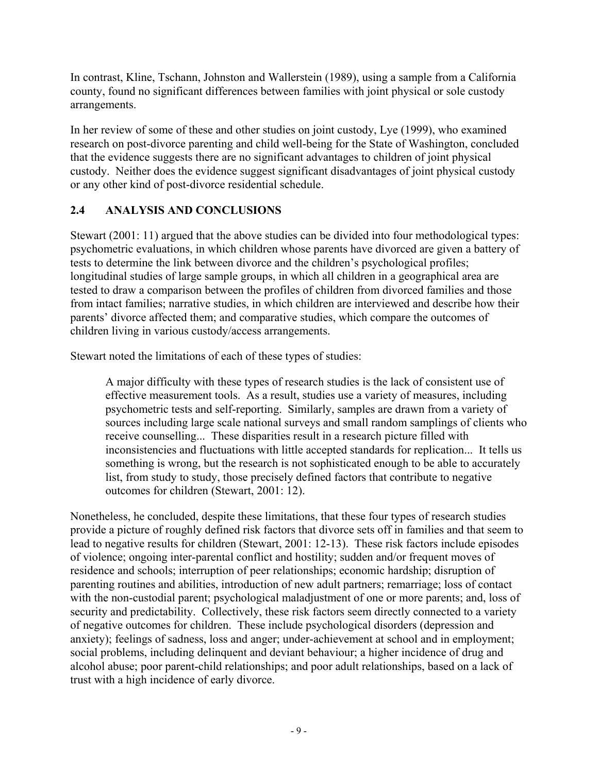In contrast, Kline, Tschann, Johnston and Wallerstein (1989), using a sample from a California county, found no significant differences between families with joint physical or sole custody arrangements.

In her review of some of these and other studies on joint custody, Lye (1999), who examined research on post-divorce parenting and child well-being for the State of Washington, concluded that the evidence suggests there are no significant advantages to children of joint physical custody. Neither does the evidence suggest significant disadvantages of joint physical custody or any other kind of post-divorce residential schedule.

#### **2.4 ANALYSIS AND CONCLUSIONS**

Stewart (2001: 11) argued that the above studies can be divided into four methodological types: psychometric evaluations, in which children whose parents have divorced are given a battery of tests to determine the link between divorce and the children's psychological profiles; longitudinal studies of large sample groups, in which all children in a geographical area are tested to draw a comparison between the profiles of children from divorced families and those from intact families; narrative studies, in which children are interviewed and describe how their parents' divorce affected them; and comparative studies, which compare the outcomes of children living in various custody/access arrangements.

Stewart noted the limitations of each of these types of studies:

A major difficulty with these types of research studies is the lack of consistent use of effective measurement tools. As a result, studies use a variety of measures, including psychometric tests and self-reporting. Similarly, samples are drawn from a variety of sources including large scale national surveys and small random samplings of clients who receive counselling... These disparities result in a research picture filled with inconsistencies and fluctuations with little accepted standards for replication... It tells us something is wrong, but the research is not sophisticated enough to be able to accurately list, from study to study, those precisely defined factors that contribute to negative outcomes for children (Stewart, 2001: 12).

Nonetheless, he concluded, despite these limitations, that these four types of research studies provide a picture of roughly defined risk factors that divorce sets off in families and that seem to lead to negative results for children (Stewart, 2001: 12-13). These risk factors include episodes of violence; ongoing inter-parental conflict and hostility; sudden and/or frequent moves of residence and schools; interruption of peer relationships; economic hardship; disruption of parenting routines and abilities, introduction of new adult partners; remarriage; loss of contact with the non-custodial parent; psychological maladjustment of one or more parents; and, loss of security and predictability. Collectively, these risk factors seem directly connected to a variety of negative outcomes for children. These include psychological disorders (depression and anxiety); feelings of sadness, loss and anger; under-achievement at school and in employment; social problems, including delinquent and deviant behaviour; a higher incidence of drug and alcohol abuse; poor parent-child relationships; and poor adult relationships, based on a lack of trust with a high incidence of early divorce.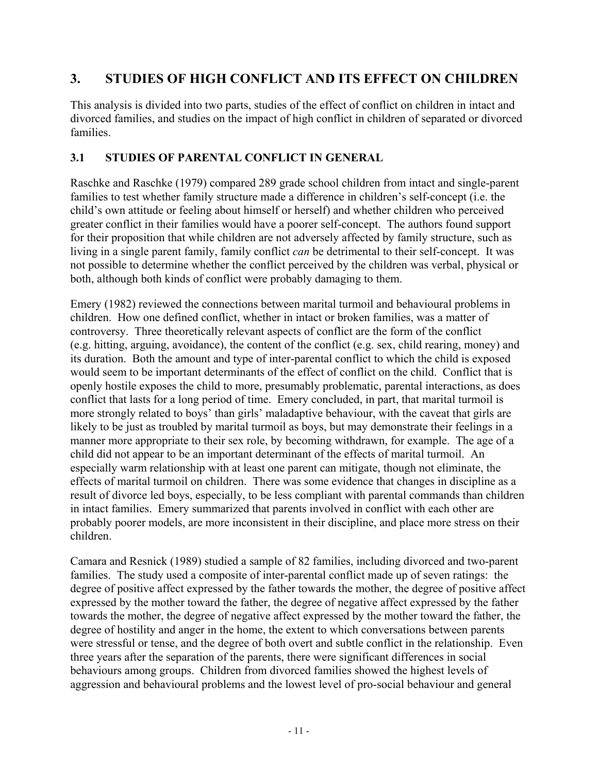# **3. STUDIES OF HIGH CONFLICT AND ITS EFFECT ON CHILDREN**

This analysis is divided into two parts, studies of the effect of conflict on children in intact and divorced families, and studies on the impact of high conflict in children of separated or divorced families.

#### **3.1 STUDIES OF PARENTAL CONFLICT IN GENERAL**

Raschke and Raschke (1979) compared 289 grade school children from intact and single-parent families to test whether family structure made a difference in children's self-concept (i.e. the child's own attitude or feeling about himself or herself) and whether children who perceived greater conflict in their families would have a poorer self-concept. The authors found support for their proposition that while children are not adversely affected by family structure, such as living in a single parent family, family conflict *can* be detrimental to their self-concept. It was not possible to determine whether the conflict perceived by the children was verbal, physical or both, although both kinds of conflict were probably damaging to them.

Emery (1982) reviewed the connections between marital turmoil and behavioural problems in children. How one defined conflict, whether in intact or broken families, was a matter of controversy. Three theoretically relevant aspects of conflict are the form of the conflict (e.g. hitting, arguing, avoidance), the content of the conflict (e.g. sex, child rearing, money) and its duration. Both the amount and type of inter-parental conflict to which the child is exposed would seem to be important determinants of the effect of conflict on the child. Conflict that is openly hostile exposes the child to more, presumably problematic, parental interactions, as does conflict that lasts for a long period of time. Emery concluded, in part, that marital turmoil is more strongly related to boys' than girls' maladaptive behaviour, with the caveat that girls are likely to be just as troubled by marital turmoil as boys, but may demonstrate their feelings in a manner more appropriate to their sex role, by becoming withdrawn, for example. The age of a child did not appear to be an important determinant of the effects of marital turmoil. An especially warm relationship with at least one parent can mitigate, though not eliminate, the effects of marital turmoil on children. There was some evidence that changes in discipline as a result of divorce led boys, especially, to be less compliant with parental commands than children in intact families. Emery summarized that parents involved in conflict with each other are probably poorer models, are more inconsistent in their discipline, and place more stress on their children.

Camara and Resnick (1989) studied a sample of 82 families, including divorced and two-parent families. The study used a composite of inter-parental conflict made up of seven ratings: the degree of positive affect expressed by the father towards the mother, the degree of positive affect expressed by the mother toward the father, the degree of negative affect expressed by the father towards the mother, the degree of negative affect expressed by the mother toward the father, the degree of hostility and anger in the home, the extent to which conversations between parents were stressful or tense, and the degree of both overt and subtle conflict in the relationship. Even three years after the separation of the parents, there were significant differences in social behaviours among groups. Children from divorced families showed the highest levels of aggression and behavioural problems and the lowest level of pro-social behaviour and general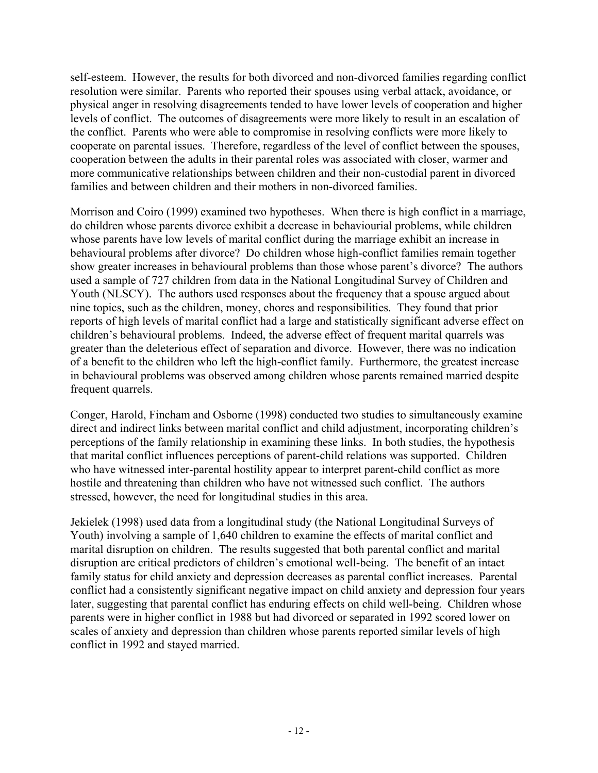self-esteem. However, the results for both divorced and non-divorced families regarding conflict resolution were similar. Parents who reported their spouses using verbal attack, avoidance, or physical anger in resolving disagreements tended to have lower levels of cooperation and higher levels of conflict. The outcomes of disagreements were more likely to result in an escalation of the conflict. Parents who were able to compromise in resolving conflicts were more likely to cooperate on parental issues. Therefore, regardless of the level of conflict between the spouses, cooperation between the adults in their parental roles was associated with closer, warmer and more communicative relationships between children and their non-custodial parent in divorced families and between children and their mothers in non-divorced families.

Morrison and Coiro (1999) examined two hypotheses. When there is high conflict in a marriage, do children whose parents divorce exhibit a decrease in behaviourial problems, while children whose parents have low levels of marital conflict during the marriage exhibit an increase in behavioural problems after divorce? Do children whose high-conflict families remain together show greater increases in behavioural problems than those whose parent's divorce? The authors used a sample of 727 children from data in the National Longitudinal Survey of Children and Youth (NLSCY). The authors used responses about the frequency that a spouse argued about nine topics, such as the children, money, chores and responsibilities. They found that prior reports of high levels of marital conflict had a large and statistically significant adverse effect on children's behavioural problems. Indeed, the adverse effect of frequent marital quarrels was greater than the deleterious effect of separation and divorce. However, there was no indication of a benefit to the children who left the high-conflict family. Furthermore, the greatest increase in behavioural problems was observed among children whose parents remained married despite frequent quarrels.

Conger, Harold, Fincham and Osborne (1998) conducted two studies to simultaneously examine direct and indirect links between marital conflict and child adjustment, incorporating children's perceptions of the family relationship in examining these links. In both studies, the hypothesis that marital conflict influences perceptions of parent-child relations was supported. Children who have witnessed inter-parental hostility appear to interpret parent-child conflict as more hostile and threatening than children who have not witnessed such conflict. The authors stressed, however, the need for longitudinal studies in this area.

Jekielek (1998) used data from a longitudinal study (the National Longitudinal Surveys of Youth) involving a sample of 1,640 children to examine the effects of marital conflict and marital disruption on children. The results suggested that both parental conflict and marital disruption are critical predictors of children's emotional well-being. The benefit of an intact family status for child anxiety and depression decreases as parental conflict increases. Parental conflict had a consistently significant negative impact on child anxiety and depression four years later, suggesting that parental conflict has enduring effects on child well-being. Children whose parents were in higher conflict in 1988 but had divorced or separated in 1992 scored lower on scales of anxiety and depression than children whose parents reported similar levels of high conflict in 1992 and stayed married.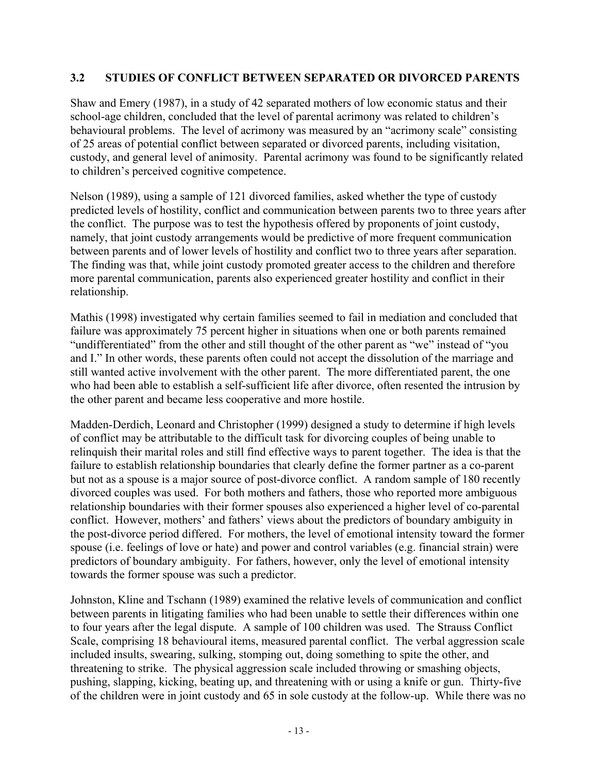#### **3.2 STUDIES OF CONFLICT BETWEEN SEPARATED OR DIVORCED PARENTS**

Shaw and Emery (1987), in a study of 42 separated mothers of low economic status and their school-age children, concluded that the level of parental acrimony was related to children's behavioural problems. The level of acrimony was measured by an "acrimony scale" consisting of 25 areas of potential conflict between separated or divorced parents, including visitation, custody, and general level of animosity. Parental acrimony was found to be significantly related to children's perceived cognitive competence.

Nelson (1989), using a sample of 121 divorced families, asked whether the type of custody predicted levels of hostility, conflict and communication between parents two to three years after the conflict. The purpose was to test the hypothesis offered by proponents of joint custody, namely, that joint custody arrangements would be predictive of more frequent communication between parents and of lower levels of hostility and conflict two to three years after separation. The finding was that, while joint custody promoted greater access to the children and therefore more parental communication, parents also experienced greater hostility and conflict in their relationship.

Mathis (1998) investigated why certain families seemed to fail in mediation and concluded that failure was approximately 75 percent higher in situations when one or both parents remained "undifferentiated" from the other and still thought of the other parent as "we" instead of "you and I." In other words, these parents often could not accept the dissolution of the marriage and still wanted active involvement with the other parent. The more differentiated parent, the one who had been able to establish a self-sufficient life after divorce, often resented the intrusion by the other parent and became less cooperative and more hostile.

Madden-Derdich, Leonard and Christopher (1999) designed a study to determine if high levels of conflict may be attributable to the difficult task for divorcing couples of being unable to relinquish their marital roles and still find effective ways to parent together. The idea is that the failure to establish relationship boundaries that clearly define the former partner as a co-parent but not as a spouse is a major source of post-divorce conflict. A random sample of 180 recently divorced couples was used. For both mothers and fathers, those who reported more ambiguous relationship boundaries with their former spouses also experienced a higher level of co-parental conflict. However, mothers' and fathers' views about the predictors of boundary ambiguity in the post-divorce period differed. For mothers, the level of emotional intensity toward the former spouse (i.e. feelings of love or hate) and power and control variables (e.g. financial strain) were predictors of boundary ambiguity. For fathers, however, only the level of emotional intensity towards the former spouse was such a predictor.

Johnston, Kline and Tschann (1989) examined the relative levels of communication and conflict between parents in litigating families who had been unable to settle their differences within one to four years after the legal dispute. A sample of 100 children was used. The Strauss Conflict Scale, comprising 18 behavioural items, measured parental conflict. The verbal aggression scale included insults, swearing, sulking, stomping out, doing something to spite the other, and threatening to strike. The physical aggression scale included throwing or smashing objects, pushing, slapping, kicking, beating up, and threatening with or using a knife or gun. Thirty-five of the children were in joint custody and 65 in sole custody at the follow-up. While there was no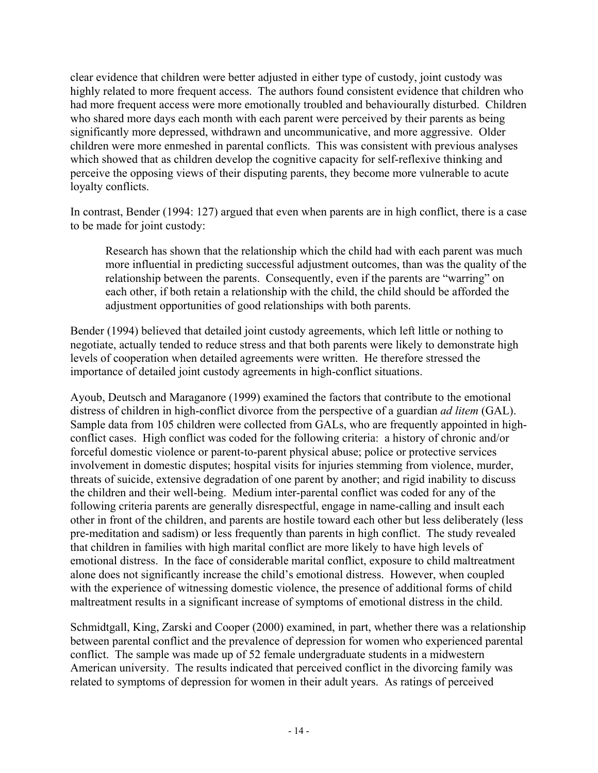clear evidence that children were better adjusted in either type of custody, joint custody was highly related to more frequent access. The authors found consistent evidence that children who had more frequent access were more emotionally troubled and behaviourally disturbed. Children who shared more days each month with each parent were perceived by their parents as being significantly more depressed, withdrawn and uncommunicative, and more aggressive. Older children were more enmeshed in parental conflicts. This was consistent with previous analyses which showed that as children develop the cognitive capacity for self-reflexive thinking and perceive the opposing views of their disputing parents, they become more vulnerable to acute loyalty conflicts.

In contrast, Bender (1994: 127) argued that even when parents are in high conflict, there is a case to be made for joint custody:

Research has shown that the relationship which the child had with each parent was much more influential in predicting successful adjustment outcomes, than was the quality of the relationship between the parents. Consequently, even if the parents are "warring" on each other, if both retain a relationship with the child, the child should be afforded the adjustment opportunities of good relationships with both parents.

Bender (1994) believed that detailed joint custody agreements, which left little or nothing to negotiate, actually tended to reduce stress and that both parents were likely to demonstrate high levels of cooperation when detailed agreements were written. He therefore stressed the importance of detailed joint custody agreements in high-conflict situations.

Ayoub, Deutsch and Maraganore (1999) examined the factors that contribute to the emotional distress of children in high-conflict divorce from the perspective of a guardian *ad litem* (GAL). Sample data from 105 children were collected from GALs, who are frequently appointed in highconflict cases. High conflict was coded for the following criteria: a history of chronic and/or forceful domestic violence or parent-to-parent physical abuse; police or protective services involvement in domestic disputes; hospital visits for injuries stemming from violence, murder, threats of suicide, extensive degradation of one parent by another; and rigid inability to discuss the children and their well-being. Medium inter-parental conflict was coded for any of the following criteria parents are generally disrespectful, engage in name-calling and insult each other in front of the children, and parents are hostile toward each other but less deliberately (less pre-meditation and sadism) or less frequently than parents in high conflict. The study revealed that children in families with high marital conflict are more likely to have high levels of emotional distress. In the face of considerable marital conflict, exposure to child maltreatment alone does not significantly increase the child's emotional distress. However, when coupled with the experience of witnessing domestic violence, the presence of additional forms of child maltreatment results in a significant increase of symptoms of emotional distress in the child.

Schmidtgall, King, Zarski and Cooper (2000) examined, in part, whether there was a relationship between parental conflict and the prevalence of depression for women who experienced parental conflict. The sample was made up of 52 female undergraduate students in a midwestern American university. The results indicated that perceived conflict in the divorcing family was related to symptoms of depression for women in their adult years. As ratings of perceived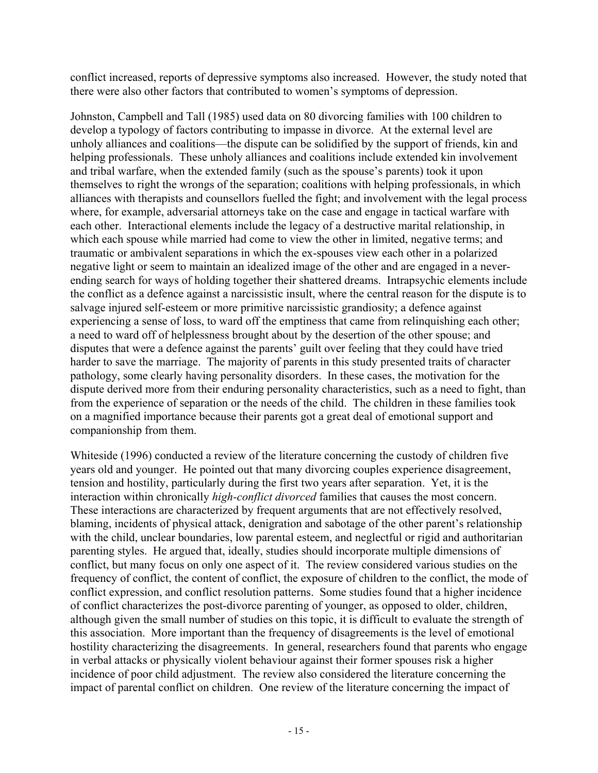conflict increased, reports of depressive symptoms also increased. However, the study noted that there were also other factors that contributed to women's symptoms of depression.

Johnston, Campbell and Tall (1985) used data on 80 divorcing families with 100 children to develop a typology of factors contributing to impasse in divorce. At the external level are unholy alliances and coalitions—the dispute can be solidified by the support of friends, kin and helping professionals. These unholy alliances and coalitions include extended kin involvement and tribal warfare, when the extended family (such as the spouse's parents) took it upon themselves to right the wrongs of the separation; coalitions with helping professionals, in which alliances with therapists and counsellors fuelled the fight; and involvement with the legal process where, for example, adversarial attorneys take on the case and engage in tactical warfare with each other. Interactional elements include the legacy of a destructive marital relationship, in which each spouse while married had come to view the other in limited, negative terms; and traumatic or ambivalent separations in which the ex-spouses view each other in a polarized negative light or seem to maintain an idealized image of the other and are engaged in a neverending search for ways of holding together their shattered dreams. Intrapsychic elements include the conflict as a defence against a narcissistic insult, where the central reason for the dispute is to salvage injured self-esteem or more primitive narcissistic grandiosity; a defence against experiencing a sense of loss, to ward off the emptiness that came from relinquishing each other; a need to ward off of helplessness brought about by the desertion of the other spouse; and disputes that were a defence against the parents' guilt over feeling that they could have tried harder to save the marriage. The majority of parents in this study presented traits of character pathology, some clearly having personality disorders. In these cases, the motivation for the dispute derived more from their enduring personality characteristics, such as a need to fight, than from the experience of separation or the needs of the child. The children in these families took on a magnified importance because their parents got a great deal of emotional support and companionship from them.

Whiteside (1996) conducted a review of the literature concerning the custody of children five years old and younger. He pointed out that many divorcing couples experience disagreement, tension and hostility, particularly during the first two years after separation. Yet, it is the interaction within chronically *high-conflict divorced* families that causes the most concern. These interactions are characterized by frequent arguments that are not effectively resolved, blaming, incidents of physical attack, denigration and sabotage of the other parent's relationship with the child, unclear boundaries, low parental esteem, and neglectful or rigid and authoritarian parenting styles. He argued that, ideally, studies should incorporate multiple dimensions of conflict, but many focus on only one aspect of it. The review considered various studies on the frequency of conflict, the content of conflict, the exposure of children to the conflict, the mode of conflict expression, and conflict resolution patterns. Some studies found that a higher incidence of conflict characterizes the post-divorce parenting of younger, as opposed to older, children, although given the small number of studies on this topic, it is difficult to evaluate the strength of this association. More important than the frequency of disagreements is the level of emotional hostility characterizing the disagreements. In general, researchers found that parents who engage in verbal attacks or physically violent behaviour against their former spouses risk a higher incidence of poor child adjustment. The review also considered the literature concerning the impact of parental conflict on children. One review of the literature concerning the impact of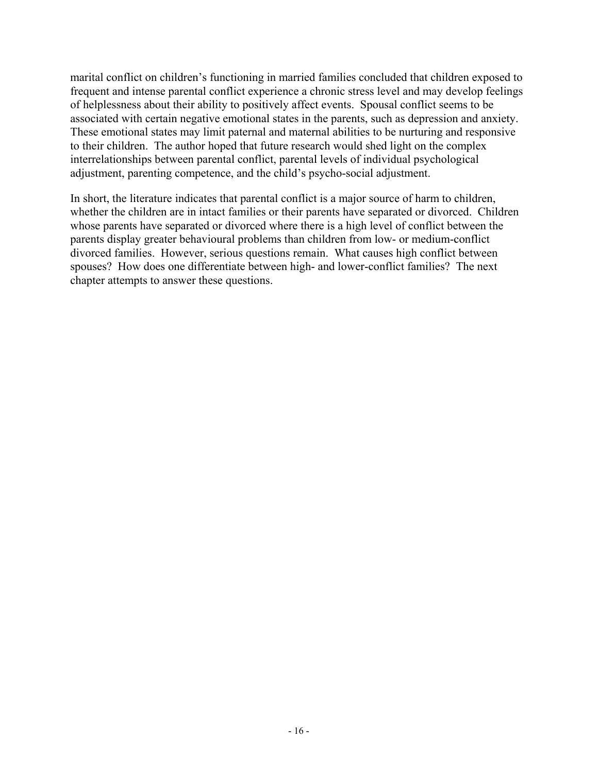marital conflict on children's functioning in married families concluded that children exposed to frequent and intense parental conflict experience a chronic stress level and may develop feelings of helplessness about their ability to positively affect events. Spousal conflict seems to be associated with certain negative emotional states in the parents, such as depression and anxiety. These emotional states may limit paternal and maternal abilities to be nurturing and responsive to their children. The author hoped that future research would shed light on the complex interrelationships between parental conflict, parental levels of individual psychological adjustment, parenting competence, and the child's psycho-social adjustment.

In short, the literature indicates that parental conflict is a major source of harm to children, whether the children are in intact families or their parents have separated or divorced. Children whose parents have separated or divorced where there is a high level of conflict between the parents display greater behavioural problems than children from low- or medium-conflict divorced families. However, serious questions remain. What causes high conflict between spouses? How does one differentiate between high- and lower-conflict families? The next chapter attempts to answer these questions.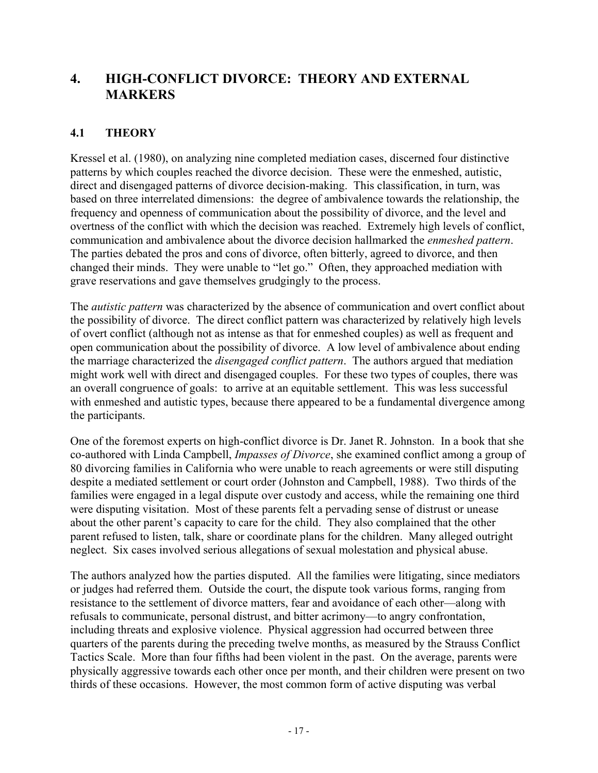# **4. HIGH-CONFLICT DIVORCE: THEORY AND EXTERNAL MARKERS**

#### **4.1 THEORY**

Kressel et al. (1980), on analyzing nine completed mediation cases, discerned four distinctive patterns by which couples reached the divorce decision. These were the enmeshed, autistic, direct and disengaged patterns of divorce decision-making. This classification, in turn, was based on three interrelated dimensions: the degree of ambivalence towards the relationship, the frequency and openness of communication about the possibility of divorce, and the level and overtness of the conflict with which the decision was reached. Extremely high levels of conflict, communication and ambivalence about the divorce decision hallmarked the *enmeshed pattern*. The parties debated the pros and cons of divorce, often bitterly, agreed to divorce, and then changed their minds. They were unable to "let go." Often, they approached mediation with grave reservations and gave themselves grudgingly to the process.

The *autistic pattern* was characterized by the absence of communication and overt conflict about the possibility of divorce. The direct conflict pattern was characterized by relatively high levels of overt conflict (although not as intense as that for enmeshed couples) as well as frequent and open communication about the possibility of divorce. A low level of ambivalence about ending the marriage characterized the *disengaged conflict pattern*. The authors argued that mediation might work well with direct and disengaged couples. For these two types of couples, there was an overall congruence of goals: to arrive at an equitable settlement. This was less successful with enmeshed and autistic types, because there appeared to be a fundamental divergence among the participants.

One of the foremost experts on high-conflict divorce is Dr. Janet R. Johnston. In a book that she co-authored with Linda Campbell, *Impasses of Divorce*, she examined conflict among a group of 80 divorcing families in California who were unable to reach agreements or were still disputing despite a mediated settlement or court order (Johnston and Campbell, 1988). Two thirds of the families were engaged in a legal dispute over custody and access, while the remaining one third were disputing visitation. Most of these parents felt a pervading sense of distrust or unease about the other parent's capacity to care for the child. They also complained that the other parent refused to listen, talk, share or coordinate plans for the children. Many alleged outright neglect. Six cases involved serious allegations of sexual molestation and physical abuse.

The authors analyzed how the parties disputed. All the families were litigating, since mediators or judges had referred them. Outside the court, the dispute took various forms, ranging from resistance to the settlement of divorce matters, fear and avoidance of each other—along with refusals to communicate, personal distrust, and bitter acrimony—to angry confrontation, including threats and explosive violence. Physical aggression had occurred between three quarters of the parents during the preceding twelve months, as measured by the Strauss Conflict Tactics Scale. More than four fifths had been violent in the past. On the average, parents were physically aggressive towards each other once per month, and their children were present on two thirds of these occasions. However, the most common form of active disputing was verbal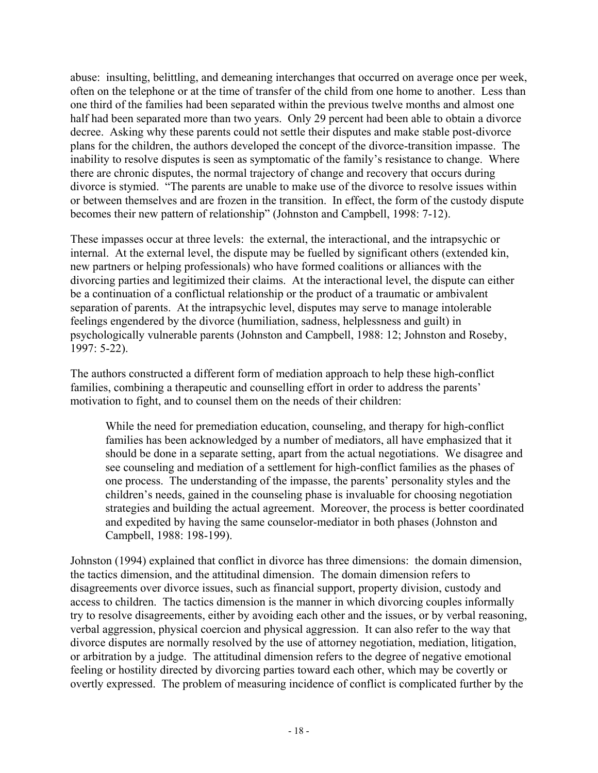abuse: insulting, belittling, and demeaning interchanges that occurred on average once per week, often on the telephone or at the time of transfer of the child from one home to another. Less than one third of the families had been separated within the previous twelve months and almost one half had been separated more than two years. Only 29 percent had been able to obtain a divorce decree. Asking why these parents could not settle their disputes and make stable post-divorce plans for the children, the authors developed the concept of the divorce-transition impasse. The inability to resolve disputes is seen as symptomatic of the family's resistance to change. Where there are chronic disputes, the normal trajectory of change and recovery that occurs during divorce is stymied. "The parents are unable to make use of the divorce to resolve issues within or between themselves and are frozen in the transition. In effect, the form of the custody dispute becomes their new pattern of relationship" (Johnston and Campbell, 1998: 7-12).

These impasses occur at three levels: the external, the interactional, and the intrapsychic or internal. At the external level, the dispute may be fuelled by significant others (extended kin, new partners or helping professionals) who have formed coalitions or alliances with the divorcing parties and legitimized their claims. At the interactional level, the dispute can either be a continuation of a conflictual relationship or the product of a traumatic or ambivalent separation of parents. At the intrapsychic level, disputes may serve to manage intolerable feelings engendered by the divorce (humiliation, sadness, helplessness and guilt) in psychologically vulnerable parents (Johnston and Campbell, 1988: 12; Johnston and Roseby, 1997: 5-22).

The authors constructed a different form of mediation approach to help these high-conflict families, combining a therapeutic and counselling effort in order to address the parents' motivation to fight, and to counsel them on the needs of their children:

While the need for premediation education, counseling, and therapy for high-conflict families has been acknowledged by a number of mediators, all have emphasized that it should be done in a separate setting, apart from the actual negotiations. We disagree and see counseling and mediation of a settlement for high-conflict families as the phases of one process. The understanding of the impasse, the parents' personality styles and the children's needs, gained in the counseling phase is invaluable for choosing negotiation strategies and building the actual agreement. Moreover, the process is better coordinated and expedited by having the same counselor-mediator in both phases (Johnston and Campbell, 1988: 198-199).

Johnston (1994) explained that conflict in divorce has three dimensions: the domain dimension, the tactics dimension, and the attitudinal dimension. The domain dimension refers to disagreements over divorce issues, such as financial support, property division, custody and access to children. The tactics dimension is the manner in which divorcing couples informally try to resolve disagreements, either by avoiding each other and the issues, or by verbal reasoning, verbal aggression, physical coercion and physical aggression. It can also refer to the way that divorce disputes are normally resolved by the use of attorney negotiation, mediation, litigation, or arbitration by a judge. The attitudinal dimension refers to the degree of negative emotional feeling or hostility directed by divorcing parties toward each other, which may be covertly or overtly expressed. The problem of measuring incidence of conflict is complicated further by the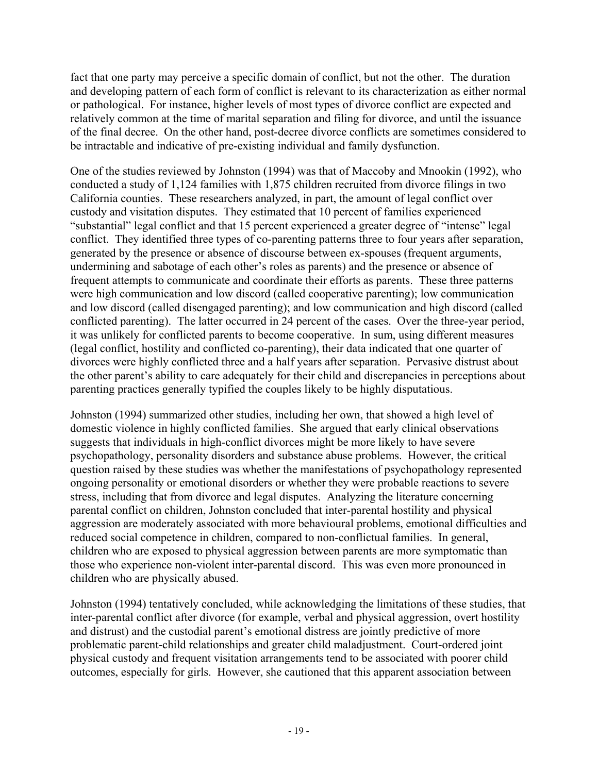fact that one party may perceive a specific domain of conflict, but not the other. The duration and developing pattern of each form of conflict is relevant to its characterization as either normal or pathological. For instance, higher levels of most types of divorce conflict are expected and relatively common at the time of marital separation and filing for divorce, and until the issuance of the final decree. On the other hand, post-decree divorce conflicts are sometimes considered to be intractable and indicative of pre-existing individual and family dysfunction.

One of the studies reviewed by Johnston (1994) was that of Maccoby and Mnookin (1992), who conducted a study of 1,124 families with 1,875 children recruited from divorce filings in two California counties. These researchers analyzed, in part, the amount of legal conflict over custody and visitation disputes. They estimated that 10 percent of families experienced "substantial" legal conflict and that 15 percent experienced a greater degree of "intense" legal conflict. They identified three types of co-parenting patterns three to four years after separation, generated by the presence or absence of discourse between ex-spouses (frequent arguments, undermining and sabotage of each other's roles as parents) and the presence or absence of frequent attempts to communicate and coordinate their efforts as parents. These three patterns were high communication and low discord (called cooperative parenting); low communication and low discord (called disengaged parenting); and low communication and high discord (called conflicted parenting). The latter occurred in 24 percent of the cases. Over the three-year period, it was unlikely for conflicted parents to become cooperative. In sum, using different measures (legal conflict, hostility and conflicted co-parenting), their data indicated that one quarter of divorces were highly conflicted three and a half years after separation. Pervasive distrust about the other parent's ability to care adequately for their child and discrepancies in perceptions about parenting practices generally typified the couples likely to be highly disputatious.

Johnston (1994) summarized other studies, including her own, that showed a high level of domestic violence in highly conflicted families. She argued that early clinical observations suggests that individuals in high-conflict divorces might be more likely to have severe psychopathology, personality disorders and substance abuse problems. However, the critical question raised by these studies was whether the manifestations of psychopathology represented ongoing personality or emotional disorders or whether they were probable reactions to severe stress, including that from divorce and legal disputes. Analyzing the literature concerning parental conflict on children, Johnston concluded that inter-parental hostility and physical aggression are moderately associated with more behavioural problems, emotional difficulties and reduced social competence in children, compared to non-conflictual families. In general, children who are exposed to physical aggression between parents are more symptomatic than those who experience non-violent inter-parental discord. This was even more pronounced in children who are physically abused.

Johnston (1994) tentatively concluded, while acknowledging the limitations of these studies, that inter-parental conflict after divorce (for example, verbal and physical aggression, overt hostility and distrust) and the custodial parent's emotional distress are jointly predictive of more problematic parent-child relationships and greater child maladjustment. Court-ordered joint physical custody and frequent visitation arrangements tend to be associated with poorer child outcomes, especially for girls. However, she cautioned that this apparent association between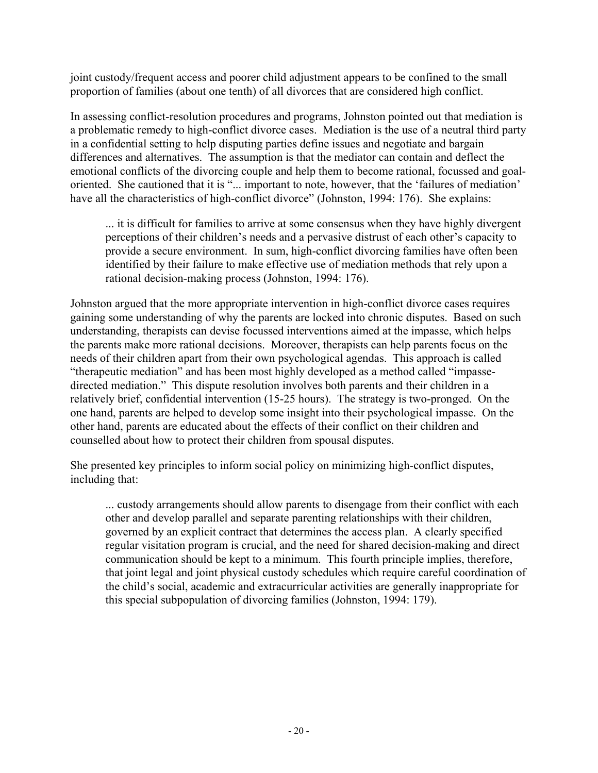joint custody/frequent access and poorer child adjustment appears to be confined to the small proportion of families (about one tenth) of all divorces that are considered high conflict.

In assessing conflict-resolution procedures and programs, Johnston pointed out that mediation is a problematic remedy to high-conflict divorce cases. Mediation is the use of a neutral third party in a confidential setting to help disputing parties define issues and negotiate and bargain differences and alternatives. The assumption is that the mediator can contain and deflect the emotional conflicts of the divorcing couple and help them to become rational, focussed and goaloriented. She cautioned that it is "... important to note, however, that the 'failures of mediation' have all the characteristics of high-conflict divorce" (Johnston, 1994: 176). She explains:

... it is difficult for families to arrive at some consensus when they have highly divergent perceptions of their children's needs and a pervasive distrust of each other's capacity to provide a secure environment. In sum, high-conflict divorcing families have often been identified by their failure to make effective use of mediation methods that rely upon a rational decision-making process (Johnston, 1994: 176).

Johnston argued that the more appropriate intervention in high-conflict divorce cases requires gaining some understanding of why the parents are locked into chronic disputes. Based on such understanding, therapists can devise focussed interventions aimed at the impasse, which helps the parents make more rational decisions. Moreover, therapists can help parents focus on the needs of their children apart from their own psychological agendas. This approach is called "therapeutic mediation" and has been most highly developed as a method called "impassedirected mediation." This dispute resolution involves both parents and their children in a relatively brief, confidential intervention (15-25 hours). The strategy is two-pronged. On the one hand, parents are helped to develop some insight into their psychological impasse. On the other hand, parents are educated about the effects of their conflict on their children and counselled about how to protect their children from spousal disputes.

She presented key principles to inform social policy on minimizing high-conflict disputes, including that:

... custody arrangements should allow parents to disengage from their conflict with each other and develop parallel and separate parenting relationships with their children, governed by an explicit contract that determines the access plan. A clearly specified regular visitation program is crucial, and the need for shared decision-making and direct communication should be kept to a minimum. This fourth principle implies, therefore, that joint legal and joint physical custody schedules which require careful coordination of the child's social, academic and extracurricular activities are generally inappropriate for this special subpopulation of divorcing families (Johnston, 1994: 179).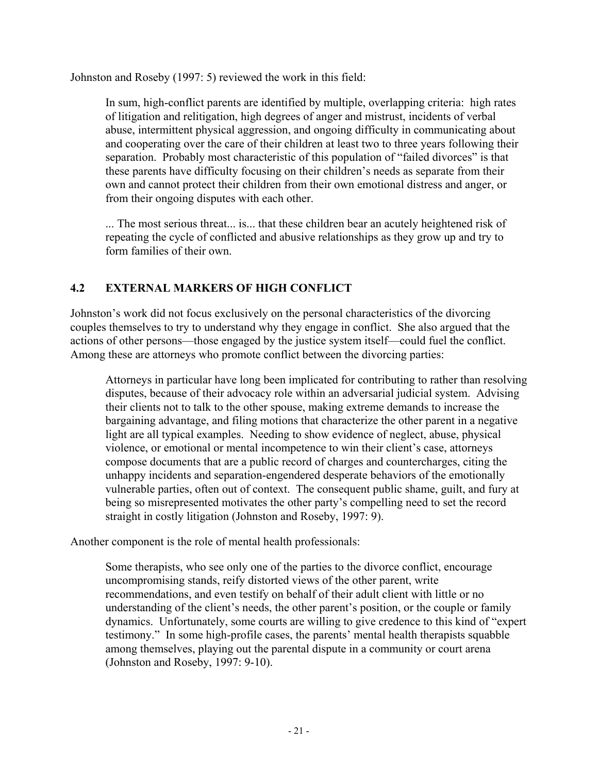Johnston and Roseby (1997: 5) reviewed the work in this field:

In sum, high-conflict parents are identified by multiple, overlapping criteria: high rates of litigation and relitigation, high degrees of anger and mistrust, incidents of verbal abuse, intermittent physical aggression, and ongoing difficulty in communicating about and cooperating over the care of their children at least two to three years following their separation. Probably most characteristic of this population of "failed divorces" is that these parents have difficulty focusing on their children's needs as separate from their own and cannot protect their children from their own emotional distress and anger, or from their ongoing disputes with each other.

... The most serious threat... is... that these children bear an acutely heightened risk of repeating the cycle of conflicted and abusive relationships as they grow up and try to form families of their own.

#### **4.2 EXTERNAL MARKERS OF HIGH CONFLICT**

Johnston's work did not focus exclusively on the personal characteristics of the divorcing couples themselves to try to understand why they engage in conflict. She also argued that the actions of other persons—those engaged by the justice system itself—could fuel the conflict. Among these are attorneys who promote conflict between the divorcing parties:

Attorneys in particular have long been implicated for contributing to rather than resolving disputes, because of their advocacy role within an adversarial judicial system. Advising their clients not to talk to the other spouse, making extreme demands to increase the bargaining advantage, and filing motions that characterize the other parent in a negative light are all typical examples. Needing to show evidence of neglect, abuse, physical violence, or emotional or mental incompetence to win their client's case, attorneys compose documents that are a public record of charges and countercharges, citing the unhappy incidents and separation-engendered desperate behaviors of the emotionally vulnerable parties, often out of context. The consequent public shame, guilt, and fury at being so misrepresented motivates the other party's compelling need to set the record straight in costly litigation (Johnston and Roseby, 1997: 9).

Another component is the role of mental health professionals:

Some therapists, who see only one of the parties to the divorce conflict, encourage uncompromising stands, reify distorted views of the other parent, write recommendations, and even testify on behalf of their adult client with little or no understanding of the client's needs, the other parent's position, or the couple or family dynamics. Unfortunately, some courts are willing to give credence to this kind of "expert testimony." In some high-profile cases, the parents' mental health therapists squabble among themselves, playing out the parental dispute in a community or court arena (Johnston and Roseby, 1997: 9-10).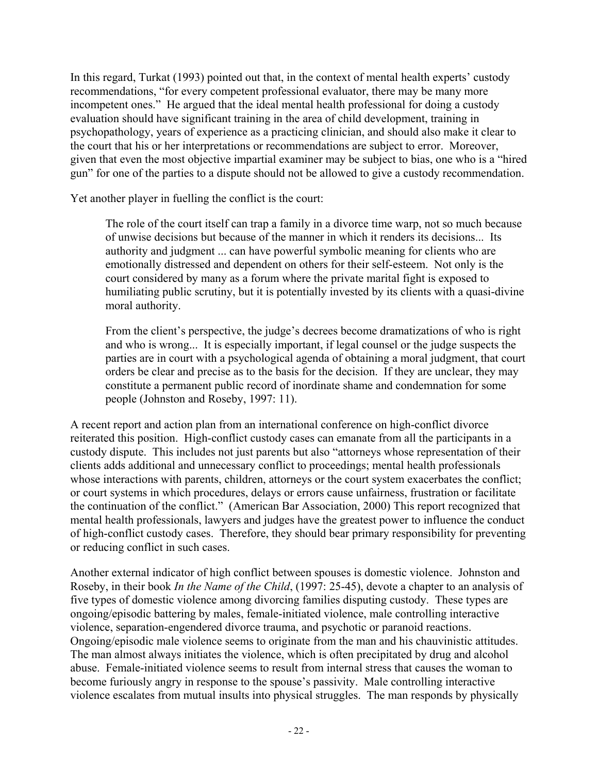In this regard, Turkat (1993) pointed out that, in the context of mental health experts' custody recommendations, "for every competent professional evaluator, there may be many more incompetent ones." He argued that the ideal mental health professional for doing a custody evaluation should have significant training in the area of child development, training in psychopathology, years of experience as a practicing clinician, and should also make it clear to the court that his or her interpretations or recommendations are subject to error. Moreover, given that even the most objective impartial examiner may be subject to bias, one who is a "hired gun" for one of the parties to a dispute should not be allowed to give a custody recommendation.

Yet another player in fuelling the conflict is the court:

The role of the court itself can trap a family in a divorce time warp, not so much because of unwise decisions but because of the manner in which it renders its decisions... Its authority and judgment ... can have powerful symbolic meaning for clients who are emotionally distressed and dependent on others for their self-esteem. Not only is the court considered by many as a forum where the private marital fight is exposed to humiliating public scrutiny, but it is potentially invested by its clients with a quasi-divine moral authority.

From the client's perspective, the judge's decrees become dramatizations of who is right and who is wrong... It is especially important, if legal counsel or the judge suspects the parties are in court with a psychological agenda of obtaining a moral judgment, that court orders be clear and precise as to the basis for the decision. If they are unclear, they may constitute a permanent public record of inordinate shame and condemnation for some people (Johnston and Roseby, 1997: 11).

A recent report and action plan from an international conference on high-conflict divorce reiterated this position. High-conflict custody cases can emanate from all the participants in a custody dispute. This includes not just parents but also "attorneys whose representation of their clients adds additional and unnecessary conflict to proceedings; mental health professionals whose interactions with parents, children, attorneys or the court system exacerbates the conflict; or court systems in which procedures, delays or errors cause unfairness, frustration or facilitate the continuation of the conflict." (American Bar Association, 2000) This report recognized that mental health professionals, lawyers and judges have the greatest power to influence the conduct of high-conflict custody cases. Therefore, they should bear primary responsibility for preventing or reducing conflict in such cases.

Another external indicator of high conflict between spouses is domestic violence. Johnston and Roseby, in their book *In the Name of the Child*, (1997: 25-45), devote a chapter to an analysis of five types of domestic violence among divorcing families disputing custody. These types are ongoing/episodic battering by males, female-initiated violence, male controlling interactive violence, separation-engendered divorce trauma, and psychotic or paranoid reactions. Ongoing/episodic male violence seems to originate from the man and his chauvinistic attitudes. The man almost always initiates the violence, which is often precipitated by drug and alcohol abuse. Female-initiated violence seems to result from internal stress that causes the woman to become furiously angry in response to the spouse's passivity. Male controlling interactive violence escalates from mutual insults into physical struggles. The man responds by physically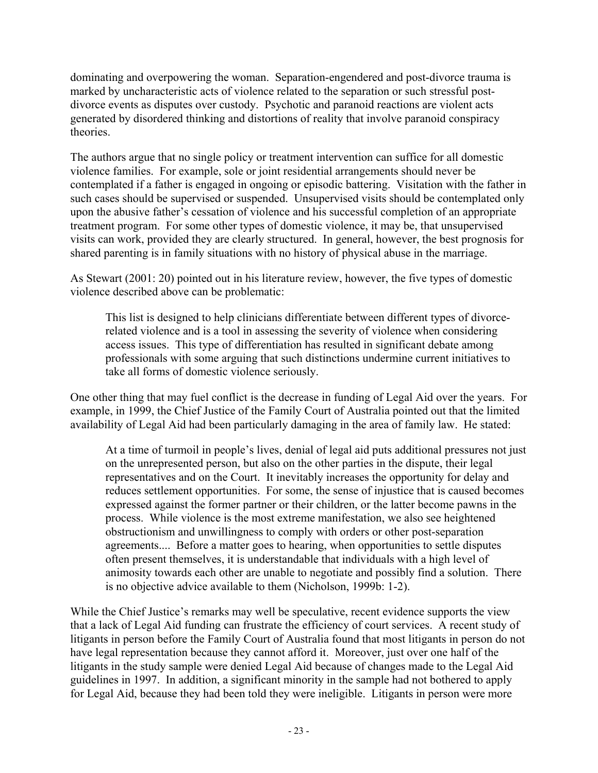dominating and overpowering the woman. Separation-engendered and post-divorce trauma is marked by uncharacteristic acts of violence related to the separation or such stressful postdivorce events as disputes over custody. Psychotic and paranoid reactions are violent acts generated by disordered thinking and distortions of reality that involve paranoid conspiracy theories.

The authors argue that no single policy or treatment intervention can suffice for all domestic violence families. For example, sole or joint residential arrangements should never be contemplated if a father is engaged in ongoing or episodic battering. Visitation with the father in such cases should be supervised or suspended. Unsupervised visits should be contemplated only upon the abusive father's cessation of violence and his successful completion of an appropriate treatment program. For some other types of domestic violence, it may be, that unsupervised visits can work, provided they are clearly structured. In general, however, the best prognosis for shared parenting is in family situations with no history of physical abuse in the marriage.

As Stewart (2001: 20) pointed out in his literature review, however, the five types of domestic violence described above can be problematic:

This list is designed to help clinicians differentiate between different types of divorcerelated violence and is a tool in assessing the severity of violence when considering access issues. This type of differentiation has resulted in significant debate among professionals with some arguing that such distinctions undermine current initiatives to take all forms of domestic violence seriously.

One other thing that may fuel conflict is the decrease in funding of Legal Aid over the years. For example, in 1999, the Chief Justice of the Family Court of Australia pointed out that the limited availability of Legal Aid had been particularly damaging in the area of family law. He stated:

At a time of turmoil in people's lives, denial of legal aid puts additional pressures not just on the unrepresented person, but also on the other parties in the dispute, their legal representatives and on the Court. It inevitably increases the opportunity for delay and reduces settlement opportunities. For some, the sense of injustice that is caused becomes expressed against the former partner or their children, or the latter become pawns in the process. While violence is the most extreme manifestation, we also see heightened obstructionism and unwillingness to comply with orders or other post-separation agreements.... Before a matter goes to hearing, when opportunities to settle disputes often present themselves, it is understandable that individuals with a high level of animosity towards each other are unable to negotiate and possibly find a solution. There is no objective advice available to them (Nicholson, 1999b: 1-2).

While the Chief Justice's remarks may well be speculative, recent evidence supports the view that a lack of Legal Aid funding can frustrate the efficiency of court services. A recent study of litigants in person before the Family Court of Australia found that most litigants in person do not have legal representation because they cannot afford it. Moreover, just over one half of the litigants in the study sample were denied Legal Aid because of changes made to the Legal Aid guidelines in 1997. In addition, a significant minority in the sample had not bothered to apply for Legal Aid, because they had been told they were ineligible. Litigants in person were more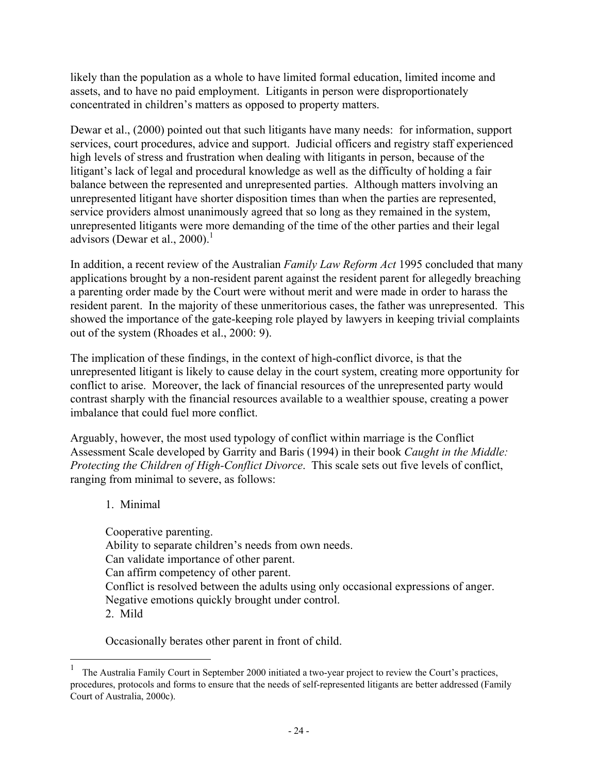likely than the population as a whole to have limited formal education, limited income and assets, and to have no paid employment. Litigants in person were disproportionately concentrated in children's matters as opposed to property matters.

Dewar et al., (2000) pointed out that such litigants have many needs: for information, support services, court procedures, advice and support. Judicial officers and registry staff experienced high levels of stress and frustration when dealing with litigants in person, because of the litigant's lack of legal and procedural knowledge as well as the difficulty of holding a fair balance between the represented and unrepresented parties. Although matters involving an unrepresented litigant have shorter disposition times than when the parties are represented, service providers almost unanimously agreed that so long as they remained in the system, unrepresented litigants were more demanding of the time of the other parties and their legal advisors (Dewar et al., 2000).<sup>1</sup>

In addition, a recent review of the Australian *Family Law Reform Act* 1995 concluded that many applications brought by a non-resident parent against the resident parent for allegedly breaching a parenting order made by the Court were without merit and were made in order to harass the resident parent. In the majority of these unmeritorious cases, the father was unrepresented. This showed the importance of the gate-keeping role played by lawyers in keeping trivial complaints out of the system (Rhoades et al., 2000: 9).

The implication of these findings, in the context of high-conflict divorce, is that the unrepresented litigant is likely to cause delay in the court system, creating more opportunity for conflict to arise. Moreover, the lack of financial resources of the unrepresented party would contrast sharply with the financial resources available to a wealthier spouse, creating a power imbalance that could fuel more conflict.

Arguably, however, the most used typology of conflict within marriage is the Conflict Assessment Scale developed by Garrity and Baris (1994) in their book *Caught in the Middle: Protecting the Children of High-Conflict Divorce*. This scale sets out five levels of conflict, ranging from minimal to severe, as follows:

1. Minimal

 $\overline{a}$ 

Cooperative parenting. Ability to separate children's needs from own needs. Can validate importance of other parent. Can affirm competency of other parent. Conflict is resolved between the adults using only occasional expressions of anger. Negative emotions quickly brought under control. 2. Mild

Occasionally berates other parent in front of child.

<sup>&</sup>lt;sup>1</sup> The Australia Family Court in September 2000 initiated a two-year project to review the Court's practices, procedures, protocols and forms to ensure that the needs of self-represented litigants are better addressed (Family Court of Australia, 2000c).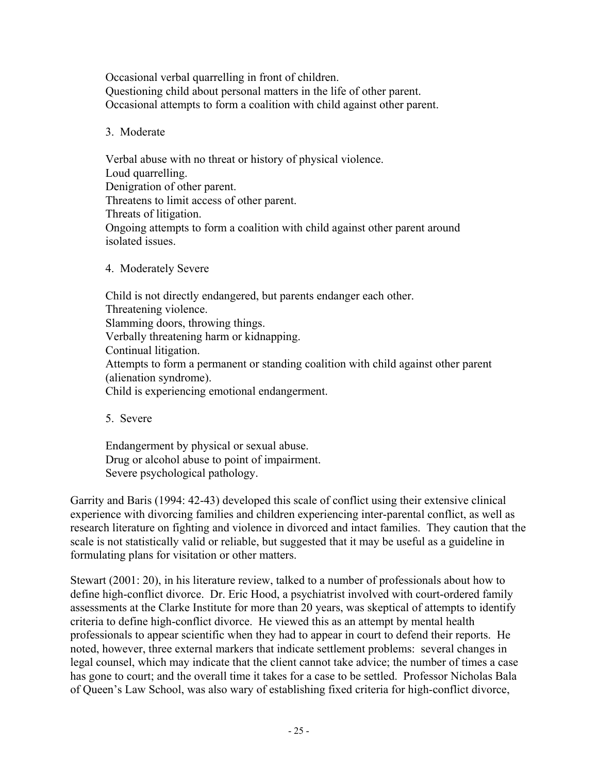Occasional verbal quarrelling in front of children. Questioning child about personal matters in the life of other parent. Occasional attempts to form a coalition with child against other parent.

#### 3. Moderate

Verbal abuse with no threat or history of physical violence. Loud quarrelling. Denigration of other parent. Threatens to limit access of other parent. Threats of litigation. Ongoing attempts to form a coalition with child against other parent around isolated issues.

4. Moderately Severe

Child is not directly endangered, but parents endanger each other. Threatening violence. Slamming doors, throwing things. Verbally threatening harm or kidnapping. Continual litigation. Attempts to form a permanent or standing coalition with child against other parent (alienation syndrome). Child is experiencing emotional endangerment.

5. Severe

Endangerment by physical or sexual abuse. Drug or alcohol abuse to point of impairment. Severe psychological pathology.

Garrity and Baris (1994: 42-43) developed this scale of conflict using their extensive clinical experience with divorcing families and children experiencing inter-parental conflict, as well as research literature on fighting and violence in divorced and intact families. They caution that the scale is not statistically valid or reliable, but suggested that it may be useful as a guideline in formulating plans for visitation or other matters.

Stewart (2001: 20), in his literature review, talked to a number of professionals about how to define high-conflict divorce. Dr. Eric Hood, a psychiatrist involved with court-ordered family assessments at the Clarke Institute for more than 20 years, was skeptical of attempts to identify criteria to define high-conflict divorce. He viewed this as an attempt by mental health professionals to appear scientific when they had to appear in court to defend their reports. He noted, however, three external markers that indicate settlement problems: several changes in legal counsel, which may indicate that the client cannot take advice; the number of times a case has gone to court; and the overall time it takes for a case to be settled. Professor Nicholas Bala of Queen's Law School, was also wary of establishing fixed criteria for high-conflict divorce,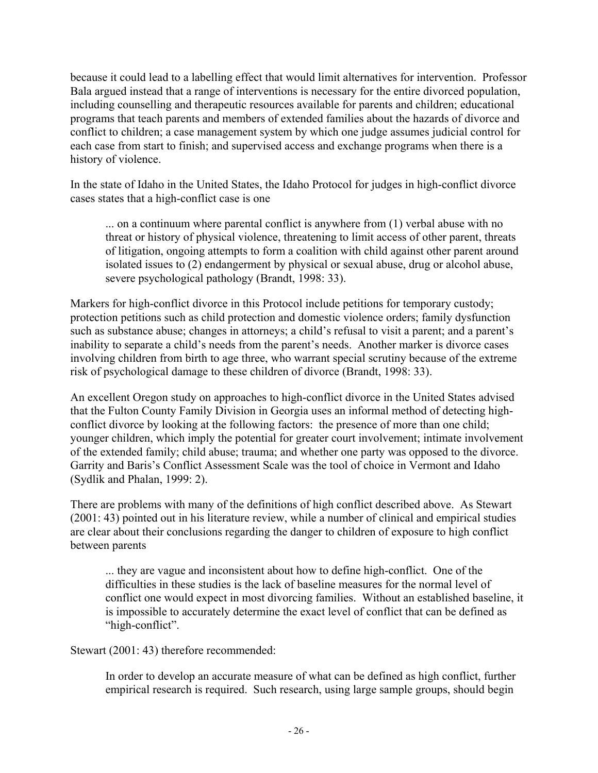because it could lead to a labelling effect that would limit alternatives for intervention. Professor Bala argued instead that a range of interventions is necessary for the entire divorced population, including counselling and therapeutic resources available for parents and children; educational programs that teach parents and members of extended families about the hazards of divorce and conflict to children; a case management system by which one judge assumes judicial control for each case from start to finish; and supervised access and exchange programs when there is a history of violence.

In the state of Idaho in the United States, the Idaho Protocol for judges in high-conflict divorce cases states that a high-conflict case is one

... on a continuum where parental conflict is anywhere from (1) verbal abuse with no threat or history of physical violence, threatening to limit access of other parent, threats of litigation, ongoing attempts to form a coalition with child against other parent around isolated issues to (2) endangerment by physical or sexual abuse, drug or alcohol abuse, severe psychological pathology (Brandt, 1998: 33).

Markers for high-conflict divorce in this Protocol include petitions for temporary custody; protection petitions such as child protection and domestic violence orders; family dysfunction such as substance abuse; changes in attorneys; a child's refusal to visit a parent; and a parent's inability to separate a child's needs from the parent's needs. Another marker is divorce cases involving children from birth to age three, who warrant special scrutiny because of the extreme risk of psychological damage to these children of divorce (Brandt, 1998: 33).

An excellent Oregon study on approaches to high-conflict divorce in the United States advised that the Fulton County Family Division in Georgia uses an informal method of detecting highconflict divorce by looking at the following factors: the presence of more than one child; younger children, which imply the potential for greater court involvement; intimate involvement of the extended family; child abuse; trauma; and whether one party was opposed to the divorce. Garrity and Baris's Conflict Assessment Scale was the tool of choice in Vermont and Idaho (Sydlik and Phalan, 1999: 2).

There are problems with many of the definitions of high conflict described above. As Stewart (2001: 43) pointed out in his literature review, while a number of clinical and empirical studies are clear about their conclusions regarding the danger to children of exposure to high conflict between parents

... they are vague and inconsistent about how to define high-conflict. One of the difficulties in these studies is the lack of baseline measures for the normal level of conflict one would expect in most divorcing families. Without an established baseline, it is impossible to accurately determine the exact level of conflict that can be defined as "high-conflict".

Stewart (2001: 43) therefore recommended:

In order to develop an accurate measure of what can be defined as high conflict, further empirical research is required. Such research, using large sample groups, should begin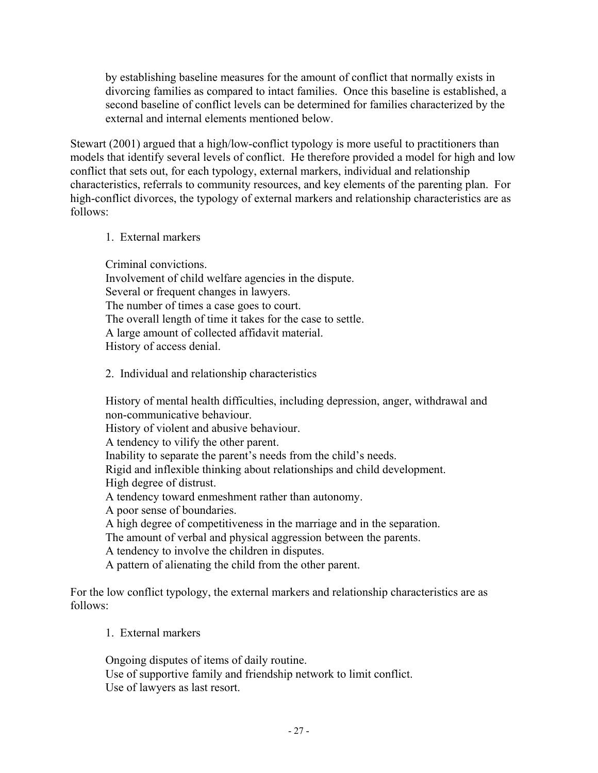by establishing baseline measures for the amount of conflict that normally exists in divorcing families as compared to intact families. Once this baseline is established, a second baseline of conflict levels can be determined for families characterized by the external and internal elements mentioned below.

Stewart (2001) argued that a high/low-conflict typology is more useful to practitioners than models that identify several levels of conflict. He therefore provided a model for high and low conflict that sets out, for each typology, external markers, individual and relationship characteristics, referrals to community resources, and key elements of the parenting plan. For high-conflict divorces, the typology of external markers and relationship characteristics are as follows:

#### 1. External markers

Criminal convictions. Involvement of child welfare agencies in the dispute. Several or frequent changes in lawyers. The number of times a case goes to court. The overall length of time it takes for the case to settle. A large amount of collected affidavit material. History of access denial.

2. Individual and relationship characteristics

History of mental health difficulties, including depression, anger, withdrawal and non-communicative behaviour. History of violent and abusive behaviour. A tendency to vilify the other parent. Inability to separate the parent's needs from the child's needs. Rigid and inflexible thinking about relationships and child development. High degree of distrust. A tendency toward enmeshment rather than autonomy. A poor sense of boundaries. A high degree of competitiveness in the marriage and in the separation. The amount of verbal and physical aggression between the parents. A tendency to involve the children in disputes. A pattern of alienating the child from the other parent.

For the low conflict typology, the external markers and relationship characteristics are as follows:

1. External markers

Ongoing disputes of items of daily routine. Use of supportive family and friendship network to limit conflict. Use of lawyers as last resort.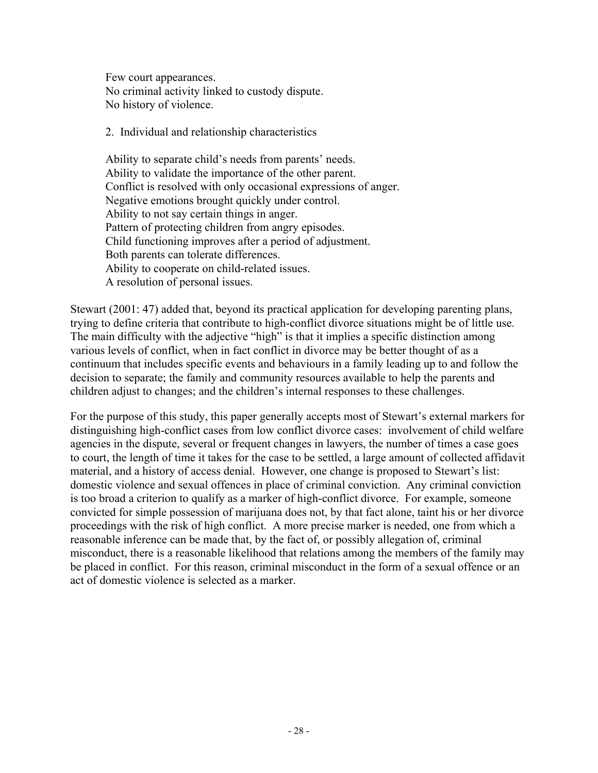Few court appearances. No criminal activity linked to custody dispute. No history of violence.

2. Individual and relationship characteristics

Ability to separate child's needs from parents' needs. Ability to validate the importance of the other parent. Conflict is resolved with only occasional expressions of anger. Negative emotions brought quickly under control. Ability to not say certain things in anger. Pattern of protecting children from angry episodes. Child functioning improves after a period of adjustment. Both parents can tolerate differences. Ability to cooperate on child-related issues. A resolution of personal issues.

Stewart (2001: 47) added that, beyond its practical application for developing parenting plans, trying to define criteria that contribute to high-conflict divorce situations might be of little use. The main difficulty with the adjective "high" is that it implies a specific distinction among various levels of conflict, when in fact conflict in divorce may be better thought of as a continuum that includes specific events and behaviours in a family leading up to and follow the decision to separate; the family and community resources available to help the parents and children adjust to changes; and the children's internal responses to these challenges.

For the purpose of this study, this paper generally accepts most of Stewart's external markers for distinguishing high-conflict cases from low conflict divorce cases: involvement of child welfare agencies in the dispute, several or frequent changes in lawyers, the number of times a case goes to court, the length of time it takes for the case to be settled, a large amount of collected affidavit material, and a history of access denial. However, one change is proposed to Stewart's list: domestic violence and sexual offences in place of criminal conviction. Any criminal conviction is too broad a criterion to qualify as a marker of high-conflict divorce. For example, someone convicted for simple possession of marijuana does not, by that fact alone, taint his or her divorce proceedings with the risk of high conflict. A more precise marker is needed, one from which a reasonable inference can be made that, by the fact of, or possibly allegation of, criminal misconduct, there is a reasonable likelihood that relations among the members of the family may be placed in conflict. For this reason, criminal misconduct in the form of a sexual offence or an act of domestic violence is selected as a marker.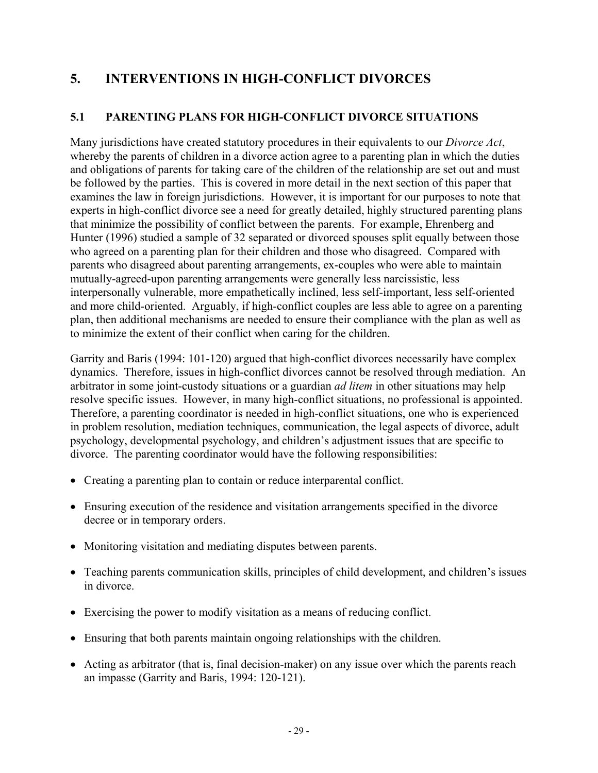# **5. INTERVENTIONS IN HIGH-CONFLICT DIVORCES**

## **5.1 PARENTING PLANS FOR HIGH-CONFLICT DIVORCE SITUATIONS**

Many jurisdictions have created statutory procedures in their equivalents to our *Divorce Act*, whereby the parents of children in a divorce action agree to a parenting plan in which the duties and obligations of parents for taking care of the children of the relationship are set out and must be followed by the parties. This is covered in more detail in the next section of this paper that examines the law in foreign jurisdictions. However, it is important for our purposes to note that experts in high-conflict divorce see a need for greatly detailed, highly structured parenting plans that minimize the possibility of conflict between the parents. For example, Ehrenberg and Hunter (1996) studied a sample of 32 separated or divorced spouses split equally between those who agreed on a parenting plan for their children and those who disagreed. Compared with parents who disagreed about parenting arrangements, ex-couples who were able to maintain mutually-agreed-upon parenting arrangements were generally less narcissistic, less interpersonally vulnerable, more empathetically inclined, less self-important, less self-oriented and more child-oriented. Arguably, if high-conflict couples are less able to agree on a parenting plan, then additional mechanisms are needed to ensure their compliance with the plan as well as to minimize the extent of their conflict when caring for the children.

Garrity and Baris (1994: 101-120) argued that high-conflict divorces necessarily have complex dynamics. Therefore, issues in high-conflict divorces cannot be resolved through mediation. An arbitrator in some joint-custody situations or a guardian *ad litem* in other situations may help resolve specific issues. However, in many high-conflict situations, no professional is appointed. Therefore, a parenting coordinator is needed in high-conflict situations, one who is experienced in problem resolution, mediation techniques, communication, the legal aspects of divorce, adult psychology, developmental psychology, and children's adjustment issues that are specific to divorce. The parenting coordinator would have the following responsibilities:

- Creating a parenting plan to contain or reduce interparental conflict.
- Ensuring execution of the residence and visitation arrangements specified in the divorce decree or in temporary orders.
- Monitoring visitation and mediating disputes between parents.
- Teaching parents communication skills, principles of child development, and children's issues in divorce.
- Exercising the power to modify visitation as a means of reducing conflict.
- Ensuring that both parents maintain ongoing relationships with the children.
- Acting as arbitrator (that is, final decision-maker) on any issue over which the parents reach an impasse (Garrity and Baris, 1994: 120-121).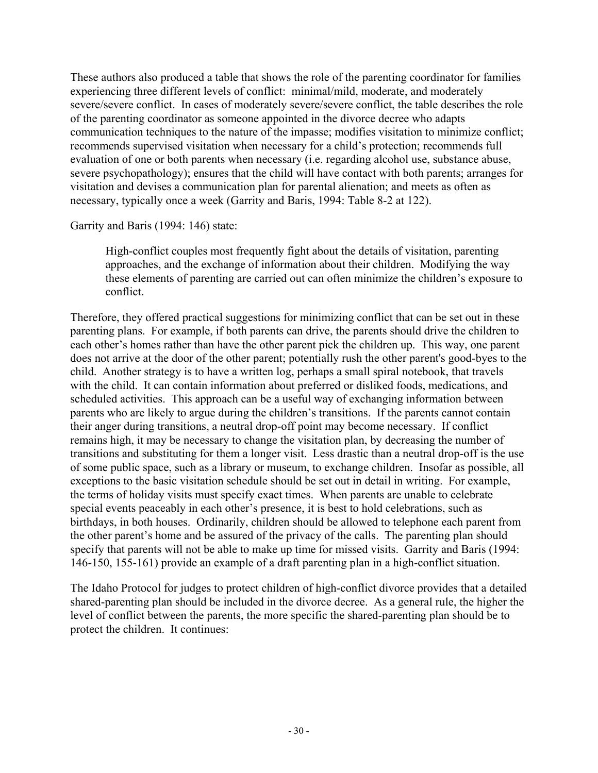These authors also produced a table that shows the role of the parenting coordinator for families experiencing three different levels of conflict: minimal/mild, moderate, and moderately severe/severe conflict. In cases of moderately severe/severe conflict, the table describes the role of the parenting coordinator as someone appointed in the divorce decree who adapts communication techniques to the nature of the impasse; modifies visitation to minimize conflict; recommends supervised visitation when necessary for a child's protection; recommends full evaluation of one or both parents when necessary (i.e. regarding alcohol use, substance abuse, severe psychopathology); ensures that the child will have contact with both parents; arranges for visitation and devises a communication plan for parental alienation; and meets as often as necessary, typically once a week (Garrity and Baris, 1994: Table 8-2 at 122).

Garrity and Baris (1994: 146) state:

High-conflict couples most frequently fight about the details of visitation, parenting approaches, and the exchange of information about their children. Modifying the way these elements of parenting are carried out can often minimize the children's exposure to conflict.

Therefore, they offered practical suggestions for minimizing conflict that can be set out in these parenting plans. For example, if both parents can drive, the parents should drive the children to each other's homes rather than have the other parent pick the children up. This way, one parent does not arrive at the door of the other parent; potentially rush the other parent's good-byes to the child. Another strategy is to have a written log, perhaps a small spiral notebook, that travels with the child. It can contain information about preferred or disliked foods, medications, and scheduled activities. This approach can be a useful way of exchanging information between parents who are likely to argue during the children's transitions. If the parents cannot contain their anger during transitions, a neutral drop-off point may become necessary. If conflict remains high, it may be necessary to change the visitation plan, by decreasing the number of transitions and substituting for them a longer visit. Less drastic than a neutral drop-off is the use of some public space, such as a library or museum, to exchange children. Insofar as possible, all exceptions to the basic visitation schedule should be set out in detail in writing. For example, the terms of holiday visits must specify exact times. When parents are unable to celebrate special events peaceably in each other's presence, it is best to hold celebrations, such as birthdays, in both houses. Ordinarily, children should be allowed to telephone each parent from the other parent's home and be assured of the privacy of the calls. The parenting plan should specify that parents will not be able to make up time for missed visits. Garrity and Baris (1994: 146-150, 155-161) provide an example of a draft parenting plan in a high-conflict situation.

The Idaho Protocol for judges to protect children of high-conflict divorce provides that a detailed shared-parenting plan should be included in the divorce decree. As a general rule, the higher the level of conflict between the parents, the more specific the shared-parenting plan should be to protect the children. It continues: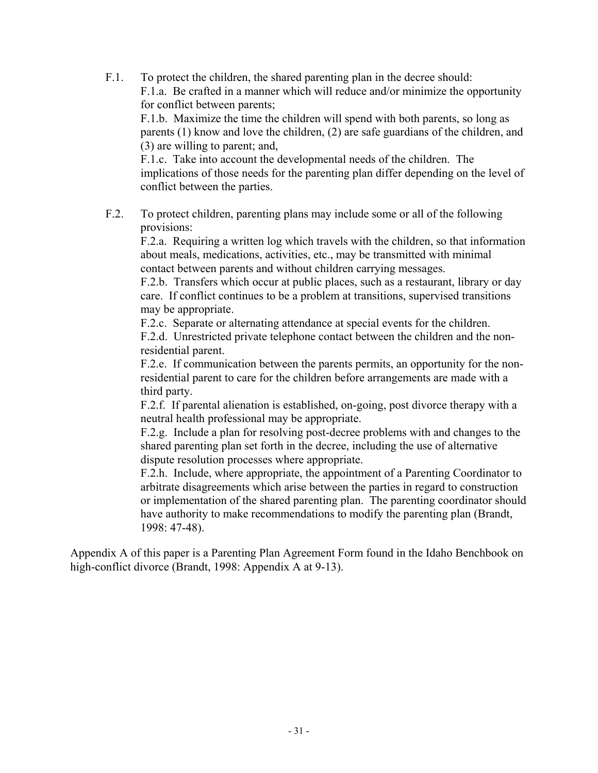F.1. To protect the children, the shared parenting plan in the decree should: F.1.a. Be crafted in a manner which will reduce and/or minimize the opportunity for conflict between parents;

 F.1.b. Maximize the time the children will spend with both parents, so long as parents (1) know and love the children, (2) are safe guardians of the children, and (3) are willing to parent; and,

 F.1.c. Take into account the developmental needs of the children. The implications of those needs for the parenting plan differ depending on the level of conflict between the parties.

F.2. To protect children, parenting plans may include some or all of the following provisions:

 F.2.a. Requiring a written log which travels with the children, so that information about meals, medications, activities, etc., may be transmitted with minimal contact between parents and without children carrying messages.

 F.2.b. Transfers which occur at public places, such as a restaurant, library or day care. If conflict continues to be a problem at transitions, supervised transitions may be appropriate.

F.2.c. Separate or alternating attendance at special events for the children.

 F.2.d. Unrestricted private telephone contact between the children and the non residential parent.

 F.2.e. If communication between the parents permits, an opportunity for the non residential parent to care for the children before arrangements are made with a third party.

 F.2.f. If parental alienation is established, on-going, post divorce therapy with a neutral health professional may be appropriate.

 F.2.g. Include a plan for resolving post-decree problems with and changes to the shared parenting plan set forth in the decree, including the use of alternative dispute resolution processes where appropriate.

 F.2.h. Include, where appropriate, the appointment of a Parenting Coordinator to arbitrate disagreements which arise between the parties in regard to construction or implementation of the shared parenting plan. The parenting coordinator should have authority to make recommendations to modify the parenting plan (Brandt, 1998: 47-48).

Appendix A of this paper is a Parenting Plan Agreement Form found in the Idaho Benchbook on high-conflict divorce (Brandt, 1998: Appendix A at 9-13).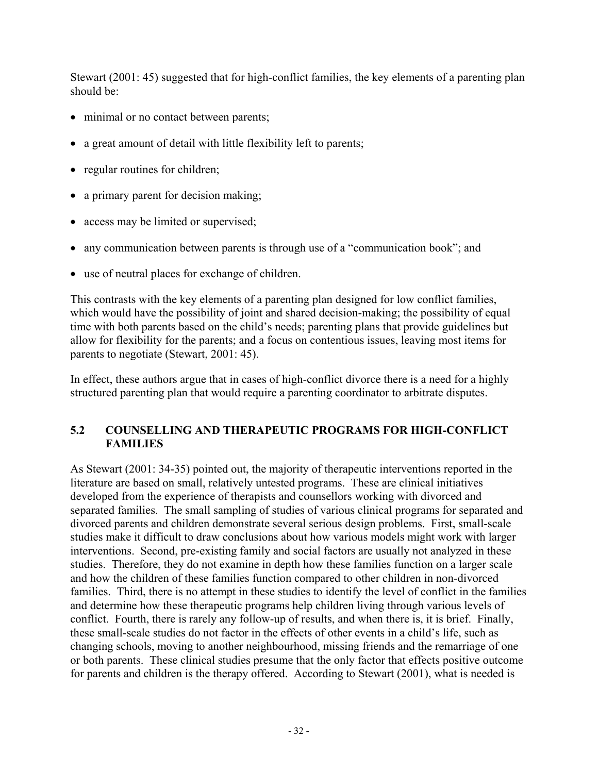Stewart (2001: 45) suggested that for high-conflict families, the key elements of a parenting plan should be:

- minimal or no contact between parents;
- a great amount of detail with little flexibility left to parents;
- regular routines for children;
- a primary parent for decision making;
- access may be limited or supervised;
- any communication between parents is through use of a "communication book"; and
- use of neutral places for exchange of children.

This contrasts with the key elements of a parenting plan designed for low conflict families, which would have the possibility of joint and shared decision-making; the possibility of equal time with both parents based on the child's needs; parenting plans that provide guidelines but allow for flexibility for the parents; and a focus on contentious issues, leaving most items for parents to negotiate (Stewart, 2001: 45).

In effect, these authors argue that in cases of high-conflict divorce there is a need for a highly structured parenting plan that would require a parenting coordinator to arbitrate disputes.

### **5.2 COUNSELLING AND THERAPEUTIC PROGRAMS FOR HIGH-CONFLICT FAMILIES**

As Stewart (2001: 34-35) pointed out, the majority of therapeutic interventions reported in the literature are based on small, relatively untested programs. These are clinical initiatives developed from the experience of therapists and counsellors working with divorced and separated families. The small sampling of studies of various clinical programs for separated and divorced parents and children demonstrate several serious design problems. First, small-scale studies make it difficult to draw conclusions about how various models might work with larger interventions. Second, pre-existing family and social factors are usually not analyzed in these studies. Therefore, they do not examine in depth how these families function on a larger scale and how the children of these families function compared to other children in non-divorced families. Third, there is no attempt in these studies to identify the level of conflict in the families and determine how these therapeutic programs help children living through various levels of conflict. Fourth, there is rarely any follow-up of results, and when there is, it is brief. Finally, these small-scale studies do not factor in the effects of other events in a child's life, such as changing schools, moving to another neighbourhood, missing friends and the remarriage of one or both parents. These clinical studies presume that the only factor that effects positive outcome for parents and children is the therapy offered. According to Stewart (2001), what is needed is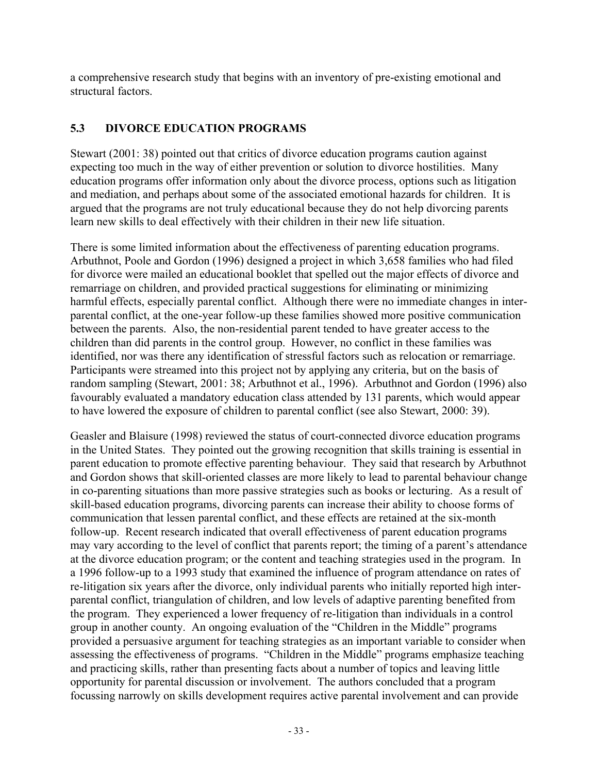a comprehensive research study that begins with an inventory of pre-existing emotional and structural factors.

## **5.3 DIVORCE EDUCATION PROGRAMS**

Stewart (2001: 38) pointed out that critics of divorce education programs caution against expecting too much in the way of either prevention or solution to divorce hostilities. Many education programs offer information only about the divorce process, options such as litigation and mediation, and perhaps about some of the associated emotional hazards for children. It is argued that the programs are not truly educational because they do not help divorcing parents learn new skills to deal effectively with their children in their new life situation.

There is some limited information about the effectiveness of parenting education programs. Arbuthnot, Poole and Gordon (1996) designed a project in which 3,658 families who had filed for divorce were mailed an educational booklet that spelled out the major effects of divorce and remarriage on children, and provided practical suggestions for eliminating or minimizing harmful effects, especially parental conflict. Although there were no immediate changes in interparental conflict, at the one-year follow-up these families showed more positive communication between the parents. Also, the non-residential parent tended to have greater access to the children than did parents in the control group. However, no conflict in these families was identified, nor was there any identification of stressful factors such as relocation or remarriage. Participants were streamed into this project not by applying any criteria, but on the basis of random sampling (Stewart, 2001: 38; Arbuthnot et al., 1996). Arbuthnot and Gordon (1996) also favourably evaluated a mandatory education class attended by 131 parents, which would appear to have lowered the exposure of children to parental conflict (see also Stewart, 2000: 39).

Geasler and Blaisure (1998) reviewed the status of court-connected divorce education programs in the United States. They pointed out the growing recognition that skills training is essential in parent education to promote effective parenting behaviour. They said that research by Arbuthnot and Gordon shows that skill-oriented classes are more likely to lead to parental behaviour change in co-parenting situations than more passive strategies such as books or lecturing. As a result of skill-based education programs, divorcing parents can increase their ability to choose forms of communication that lessen parental conflict, and these effects are retained at the six-month follow-up. Recent research indicated that overall effectiveness of parent education programs may vary according to the level of conflict that parents report; the timing of a parent's attendance at the divorce education program; or the content and teaching strategies used in the program. In a 1996 follow-up to a 1993 study that examined the influence of program attendance on rates of re-litigation six years after the divorce, only individual parents who initially reported high interparental conflict, triangulation of children, and low levels of adaptive parenting benefited from the program. They experienced a lower frequency of re-litigation than individuals in a control group in another county. An ongoing evaluation of the "Children in the Middle" programs provided a persuasive argument for teaching strategies as an important variable to consider when assessing the effectiveness of programs. "Children in the Middle" programs emphasize teaching and practicing skills, rather than presenting facts about a number of topics and leaving little opportunity for parental discussion or involvement. The authors concluded that a program focussing narrowly on skills development requires active parental involvement and can provide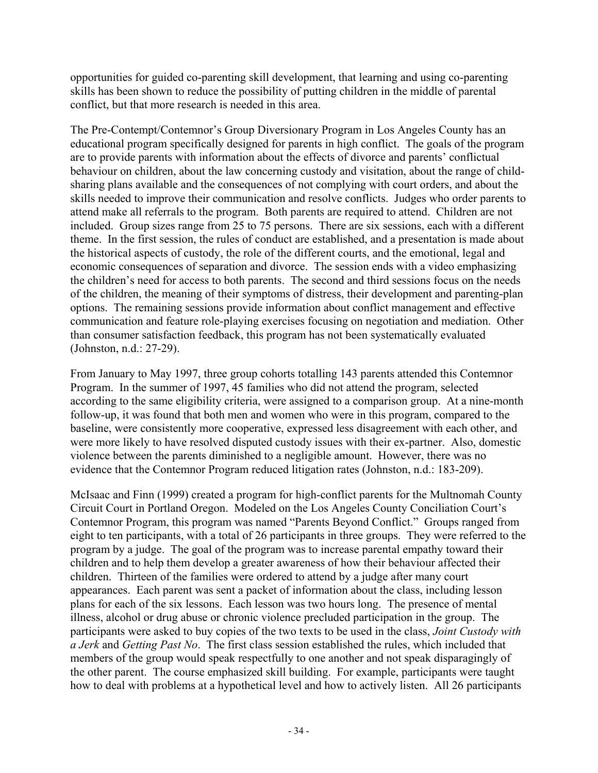opportunities for guided co-parenting skill development, that learning and using co-parenting skills has been shown to reduce the possibility of putting children in the middle of parental conflict, but that more research is needed in this area.

The Pre-Contempt/Contemnor's Group Diversionary Program in Los Angeles County has an educational program specifically designed for parents in high conflict. The goals of the program are to provide parents with information about the effects of divorce and parents' conflictual behaviour on children, about the law concerning custody and visitation, about the range of childsharing plans available and the consequences of not complying with court orders, and about the skills needed to improve their communication and resolve conflicts. Judges who order parents to attend make all referrals to the program. Both parents are required to attend. Children are not included. Group sizes range from 25 to 75 persons. There are six sessions, each with a different theme. In the first session, the rules of conduct are established, and a presentation is made about the historical aspects of custody, the role of the different courts, and the emotional, legal and economic consequences of separation and divorce. The session ends with a video emphasizing the children's need for access to both parents. The second and third sessions focus on the needs of the children, the meaning of their symptoms of distress, their development and parenting-plan options. The remaining sessions provide information about conflict management and effective communication and feature role-playing exercises focusing on negotiation and mediation. Other than consumer satisfaction feedback, this program has not been systematically evaluated (Johnston, n.d.: 27-29).

From January to May 1997, three group cohorts totalling 143 parents attended this Contemnor Program. In the summer of 1997, 45 families who did not attend the program, selected according to the same eligibility criteria, were assigned to a comparison group. At a nine-month follow-up, it was found that both men and women who were in this program, compared to the baseline, were consistently more cooperative, expressed less disagreement with each other, and were more likely to have resolved disputed custody issues with their ex-partner. Also, domestic violence between the parents diminished to a negligible amount. However, there was no evidence that the Contemnor Program reduced litigation rates (Johnston, n.d.: 183-209).

McIsaac and Finn (1999) created a program for high-conflict parents for the Multnomah County Circuit Court in Portland Oregon. Modeled on the Los Angeles County Conciliation Court's Contemnor Program, this program was named "Parents Beyond Conflict." Groups ranged from eight to ten participants, with a total of 26 participants in three groups. They were referred to the program by a judge. The goal of the program was to increase parental empathy toward their children and to help them develop a greater awareness of how their behaviour affected their children. Thirteen of the families were ordered to attend by a judge after many court appearances. Each parent was sent a packet of information about the class, including lesson plans for each of the six lessons. Each lesson was two hours long. The presence of mental illness, alcohol or drug abuse or chronic violence precluded participation in the group. The participants were asked to buy copies of the two texts to be used in the class, *Joint Custody with a Jerk* and *Getting Past No*. The first class session established the rules, which included that members of the group would speak respectfully to one another and not speak disparagingly of the other parent. The course emphasized skill building. For example, participants were taught how to deal with problems at a hypothetical level and how to actively listen. All 26 participants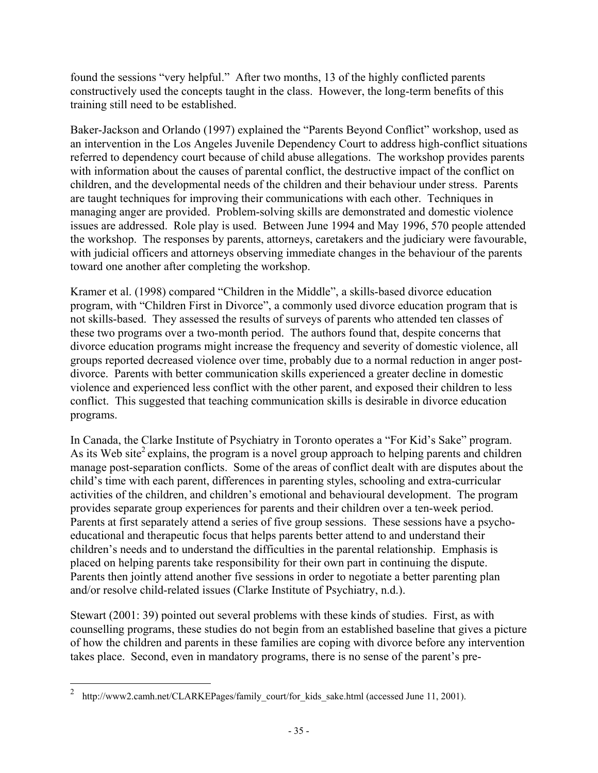found the sessions "very helpful." After two months, 13 of the highly conflicted parents constructively used the concepts taught in the class. However, the long-term benefits of this training still need to be established.

Baker-Jackson and Orlando (1997) explained the "Parents Beyond Conflict" workshop, used as an intervention in the Los Angeles Juvenile Dependency Court to address high-conflict situations referred to dependency court because of child abuse allegations. The workshop provides parents with information about the causes of parental conflict, the destructive impact of the conflict on children, and the developmental needs of the children and their behaviour under stress. Parents are taught techniques for improving their communications with each other. Techniques in managing anger are provided. Problem-solving skills are demonstrated and domestic violence issues are addressed. Role play is used. Between June 1994 and May 1996, 570 people attended the workshop. The responses by parents, attorneys, caretakers and the judiciary were favourable, with judicial officers and attorneys observing immediate changes in the behaviour of the parents toward one another after completing the workshop.

Kramer et al. (1998) compared "Children in the Middle", a skills-based divorce education program, with "Children First in Divorce", a commonly used divorce education program that is not skills-based. They assessed the results of surveys of parents who attended ten classes of these two programs over a two-month period. The authors found that, despite concerns that divorce education programs might increase the frequency and severity of domestic violence, all groups reported decreased violence over time, probably due to a normal reduction in anger postdivorce. Parents with better communication skills experienced a greater decline in domestic violence and experienced less conflict with the other parent, and exposed their children to less conflict. This suggested that teaching communication skills is desirable in divorce education programs.

In Canada, the Clarke Institute of Psychiatry in Toronto operates a "For Kid's Sake" program. As its Web site<sup>2</sup> explains, the program is a novel group approach to helping parents and children manage post-separation conflicts. Some of the areas of conflict dealt with are disputes about the child's time with each parent, differences in parenting styles, schooling and extra-curricular activities of the children, and children's emotional and behavioural development. The program provides separate group experiences for parents and their children over a ten-week period. Parents at first separately attend a series of five group sessions. These sessions have a psychoeducational and therapeutic focus that helps parents better attend to and understand their children's needs and to understand the difficulties in the parental relationship. Emphasis is placed on helping parents take responsibility for their own part in continuing the dispute. Parents then jointly attend another five sessions in order to negotiate a better parenting plan and/or resolve child-related issues (Clarke Institute of Psychiatry, n.d.).

Stewart (2001: 39) pointed out several problems with these kinds of studies. First, as with counselling programs, these studies do not begin from an established baseline that gives a picture of how the children and parents in these families are coping with divorce before any intervention takes place. Second, even in mandatory programs, there is no sense of the parent's pre-

 $\overline{a}$ 

<sup>&</sup>lt;sup>2</sup> http://www2.camh.net/CLARKEPages/family\_court/for\_kids\_sake.html (accessed June 11, 2001).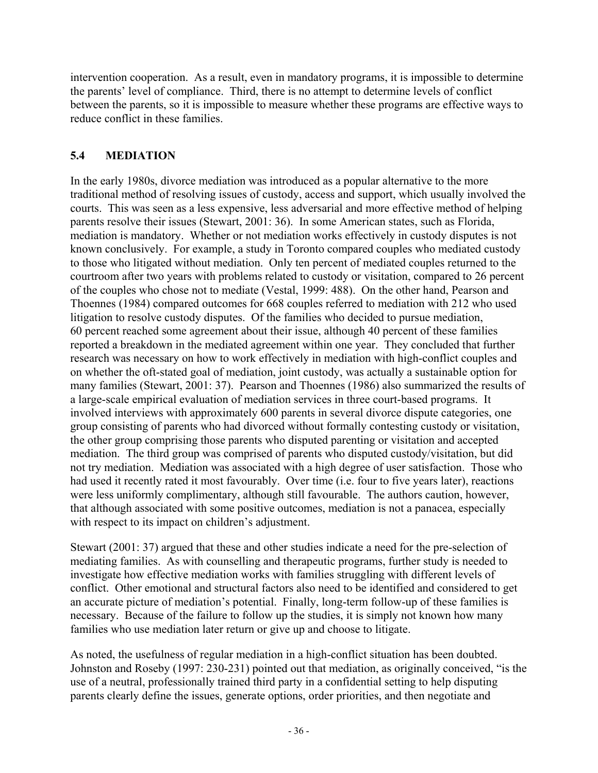intervention cooperation. As a result, even in mandatory programs, it is impossible to determine the parents' level of compliance. Third, there is no attempt to determine levels of conflict between the parents, so it is impossible to measure whether these programs are effective ways to reduce conflict in these families.

## **5.4 MEDIATION**

In the early 1980s, divorce mediation was introduced as a popular alternative to the more traditional method of resolving issues of custody, access and support, which usually involved the courts. This was seen as a less expensive, less adversarial and more effective method of helping parents resolve their issues (Stewart, 2001: 36). In some American states, such as Florida, mediation is mandatory. Whether or not mediation works effectively in custody disputes is not known conclusively. For example, a study in Toronto compared couples who mediated custody to those who litigated without mediation. Only ten percent of mediated couples returned to the courtroom after two years with problems related to custody or visitation, compared to 26 percent of the couples who chose not to mediate (Vestal, 1999: 488). On the other hand, Pearson and Thoennes (1984) compared outcomes for 668 couples referred to mediation with 212 who used litigation to resolve custody disputes. Of the families who decided to pursue mediation, 60 percent reached some agreement about their issue, although 40 percent of these families reported a breakdown in the mediated agreement within one year. They concluded that further research was necessary on how to work effectively in mediation with high-conflict couples and on whether the oft-stated goal of mediation, joint custody, was actually a sustainable option for many families (Stewart, 2001: 37). Pearson and Thoennes (1986) also summarized the results of a large-scale empirical evaluation of mediation services in three court-based programs. It involved interviews with approximately 600 parents in several divorce dispute categories, one group consisting of parents who had divorced without formally contesting custody or visitation, the other group comprising those parents who disputed parenting or visitation and accepted mediation. The third group was comprised of parents who disputed custody/visitation, but did not try mediation. Mediation was associated with a high degree of user satisfaction. Those who had used it recently rated it most favourably. Over time (i.e. four to five years later), reactions were less uniformly complimentary, although still favourable. The authors caution, however, that although associated with some positive outcomes, mediation is not a panacea, especially with respect to its impact on children's adjustment.

Stewart (2001: 37) argued that these and other studies indicate a need for the pre-selection of mediating families. As with counselling and therapeutic programs, further study is needed to investigate how effective mediation works with families struggling with different levels of conflict. Other emotional and structural factors also need to be identified and considered to get an accurate picture of mediation's potential. Finally, long-term follow-up of these families is necessary. Because of the failure to follow up the studies, it is simply not known how many families who use mediation later return or give up and choose to litigate.

As noted, the usefulness of regular mediation in a high-conflict situation has been doubted. Johnston and Roseby (1997: 230-231) pointed out that mediation, as originally conceived, "is the use of a neutral, professionally trained third party in a confidential setting to help disputing parents clearly define the issues, generate options, order priorities, and then negotiate and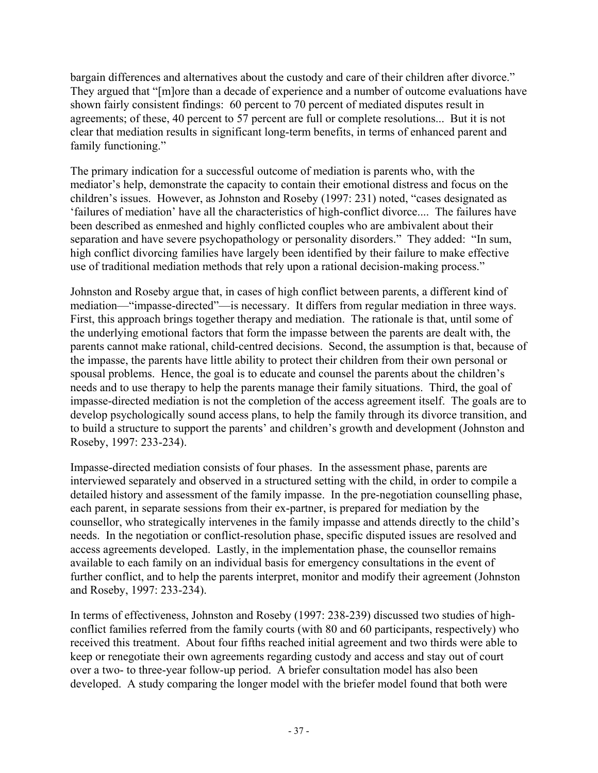bargain differences and alternatives about the custody and care of their children after divorce." They argued that "[m]ore than a decade of experience and a number of outcome evaluations have shown fairly consistent findings: 60 percent to 70 percent of mediated disputes result in agreements; of these, 40 percent to 57 percent are full or complete resolutions... But it is not clear that mediation results in significant long-term benefits, in terms of enhanced parent and family functioning."

The primary indication for a successful outcome of mediation is parents who, with the mediator's help, demonstrate the capacity to contain their emotional distress and focus on the children's issues. However, as Johnston and Roseby (1997: 231) noted, "cases designated as 'failures of mediation' have all the characteristics of high-conflict divorce.... The failures have been described as enmeshed and highly conflicted couples who are ambivalent about their separation and have severe psychopathology or personality disorders." They added: "In sum, high conflict divorcing families have largely been identified by their failure to make effective use of traditional mediation methods that rely upon a rational decision-making process."

Johnston and Roseby argue that, in cases of high conflict between parents, a different kind of mediation—"impasse-directed"—is necessary. It differs from regular mediation in three ways. First, this approach brings together therapy and mediation. The rationale is that, until some of the underlying emotional factors that form the impasse between the parents are dealt with, the parents cannot make rational, child-centred decisions. Second, the assumption is that, because of the impasse, the parents have little ability to protect their children from their own personal or spousal problems. Hence, the goal is to educate and counsel the parents about the children's needs and to use therapy to help the parents manage their family situations. Third, the goal of impasse-directed mediation is not the completion of the access agreement itself. The goals are to develop psychologically sound access plans, to help the family through its divorce transition, and to build a structure to support the parents' and children's growth and development (Johnston and Roseby, 1997: 233-234).

Impasse-directed mediation consists of four phases. In the assessment phase, parents are interviewed separately and observed in a structured setting with the child, in order to compile a detailed history and assessment of the family impasse. In the pre-negotiation counselling phase, each parent, in separate sessions from their ex-partner, is prepared for mediation by the counsellor, who strategically intervenes in the family impasse and attends directly to the child's needs. In the negotiation or conflict-resolution phase, specific disputed issues are resolved and access agreements developed. Lastly, in the implementation phase, the counsellor remains available to each family on an individual basis for emergency consultations in the event of further conflict, and to help the parents interpret, monitor and modify their agreement (Johnston and Roseby, 1997: 233-234).

In terms of effectiveness, Johnston and Roseby (1997: 238-239) discussed two studies of highconflict families referred from the family courts (with 80 and 60 participants, respectively) who received this treatment. About four fifths reached initial agreement and two thirds were able to keep or renegotiate their own agreements regarding custody and access and stay out of court over a two- to three-year follow-up period. A briefer consultation model has also been developed. A study comparing the longer model with the briefer model found that both were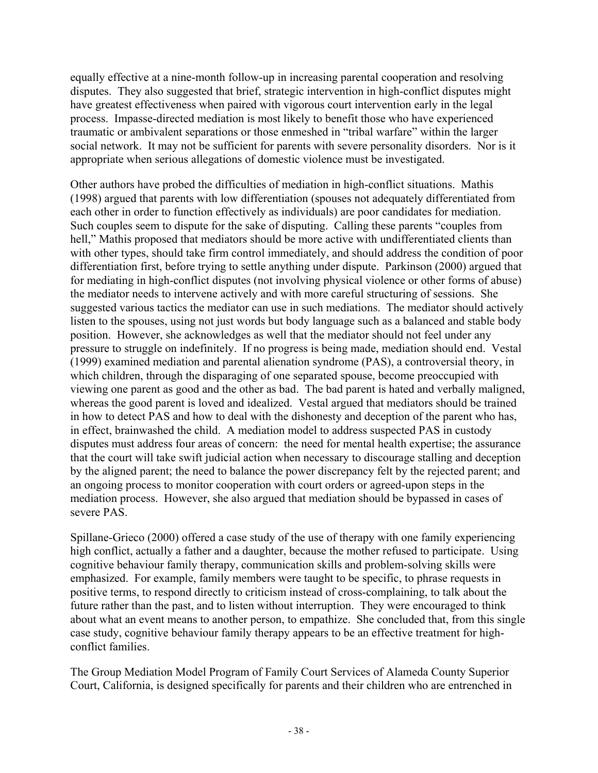equally effective at a nine-month follow-up in increasing parental cooperation and resolving disputes. They also suggested that brief, strategic intervention in high-conflict disputes might have greatest effectiveness when paired with vigorous court intervention early in the legal process. Impasse-directed mediation is most likely to benefit those who have experienced traumatic or ambivalent separations or those enmeshed in "tribal warfare" within the larger social network. It may not be sufficient for parents with severe personality disorders. Nor is it appropriate when serious allegations of domestic violence must be investigated.

Other authors have probed the difficulties of mediation in high-conflict situations. Mathis (1998) argued that parents with low differentiation (spouses not adequately differentiated from each other in order to function effectively as individuals) are poor candidates for mediation. Such couples seem to dispute for the sake of disputing. Calling these parents "couples from hell," Mathis proposed that mediators should be more active with undifferentiated clients than with other types, should take firm control immediately, and should address the condition of poor differentiation first, before trying to settle anything under dispute. Parkinson (2000) argued that for mediating in high-conflict disputes (not involving physical violence or other forms of abuse) the mediator needs to intervene actively and with more careful structuring of sessions. She suggested various tactics the mediator can use in such mediations. The mediator should actively listen to the spouses, using not just words but body language such as a balanced and stable body position. However, she acknowledges as well that the mediator should not feel under any pressure to struggle on indefinitely. If no progress is being made, mediation should end. Vestal (1999) examined mediation and parental alienation syndrome (PAS), a controversial theory, in which children, through the disparaging of one separated spouse, become preoccupied with viewing one parent as good and the other as bad. The bad parent is hated and verbally maligned, whereas the good parent is loved and idealized. Vestal argued that mediators should be trained in how to detect PAS and how to deal with the dishonesty and deception of the parent who has, in effect, brainwashed the child. A mediation model to address suspected PAS in custody disputes must address four areas of concern: the need for mental health expertise; the assurance that the court will take swift judicial action when necessary to discourage stalling and deception by the aligned parent; the need to balance the power discrepancy felt by the rejected parent; and an ongoing process to monitor cooperation with court orders or agreed-upon steps in the mediation process. However, she also argued that mediation should be bypassed in cases of severe PAS.

Spillane-Grieco (2000) offered a case study of the use of therapy with one family experiencing high conflict, actually a father and a daughter, because the mother refused to participate. Using cognitive behaviour family therapy, communication skills and problem-solving skills were emphasized. For example, family members were taught to be specific, to phrase requests in positive terms, to respond directly to criticism instead of cross-complaining, to talk about the future rather than the past, and to listen without interruption. They were encouraged to think about what an event means to another person, to empathize. She concluded that, from this single case study, cognitive behaviour family therapy appears to be an effective treatment for highconflict families.

The Group Mediation Model Program of Family Court Services of Alameda County Superior Court, California, is designed specifically for parents and their children who are entrenched in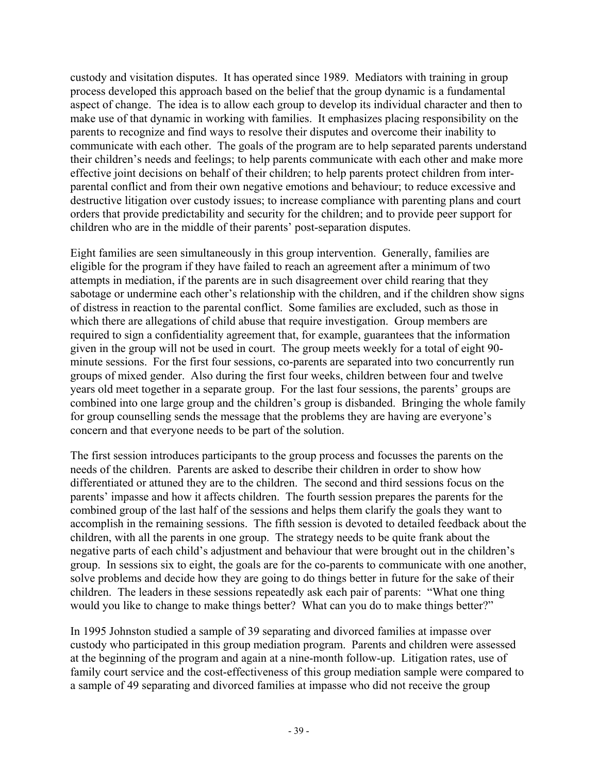custody and visitation disputes. It has operated since 1989. Mediators with training in group process developed this approach based on the belief that the group dynamic is a fundamental aspect of change. The idea is to allow each group to develop its individual character and then to make use of that dynamic in working with families. It emphasizes placing responsibility on the parents to recognize and find ways to resolve their disputes and overcome their inability to communicate with each other. The goals of the program are to help separated parents understand their children's needs and feelings; to help parents communicate with each other and make more effective joint decisions on behalf of their children; to help parents protect children from interparental conflict and from their own negative emotions and behaviour; to reduce excessive and destructive litigation over custody issues; to increase compliance with parenting plans and court orders that provide predictability and security for the children; and to provide peer support for children who are in the middle of their parents' post-separation disputes.

Eight families are seen simultaneously in this group intervention. Generally, families are eligible for the program if they have failed to reach an agreement after a minimum of two attempts in mediation, if the parents are in such disagreement over child rearing that they sabotage or undermine each other's relationship with the children, and if the children show signs of distress in reaction to the parental conflict. Some families are excluded, such as those in which there are allegations of child abuse that require investigation. Group members are required to sign a confidentiality agreement that, for example, guarantees that the information given in the group will not be used in court. The group meets weekly for a total of eight 90 minute sessions. For the first four sessions, co-parents are separated into two concurrently run groups of mixed gender. Also during the first four weeks, children between four and twelve years old meet together in a separate group. For the last four sessions, the parents' groups are combined into one large group and the children's group is disbanded. Bringing the whole family for group counselling sends the message that the problems they are having are everyone's concern and that everyone needs to be part of the solution.

The first session introduces participants to the group process and focusses the parents on the needs of the children. Parents are asked to describe their children in order to show how differentiated or attuned they are to the children. The second and third sessions focus on the parents' impasse and how it affects children. The fourth session prepares the parents for the combined group of the last half of the sessions and helps them clarify the goals they want to accomplish in the remaining sessions. The fifth session is devoted to detailed feedback about the children, with all the parents in one group. The strategy needs to be quite frank about the negative parts of each child's adjustment and behaviour that were brought out in the children's group. In sessions six to eight, the goals are for the co-parents to communicate with one another, solve problems and decide how they are going to do things better in future for the sake of their children. The leaders in these sessions repeatedly ask each pair of parents: "What one thing would you like to change to make things better? What can you do to make things better?"

In 1995 Johnston studied a sample of 39 separating and divorced families at impasse over custody who participated in this group mediation program. Parents and children were assessed at the beginning of the program and again at a nine-month follow-up. Litigation rates, use of family court service and the cost-effectiveness of this group mediation sample were compared to a sample of 49 separating and divorced families at impasse who did not receive the group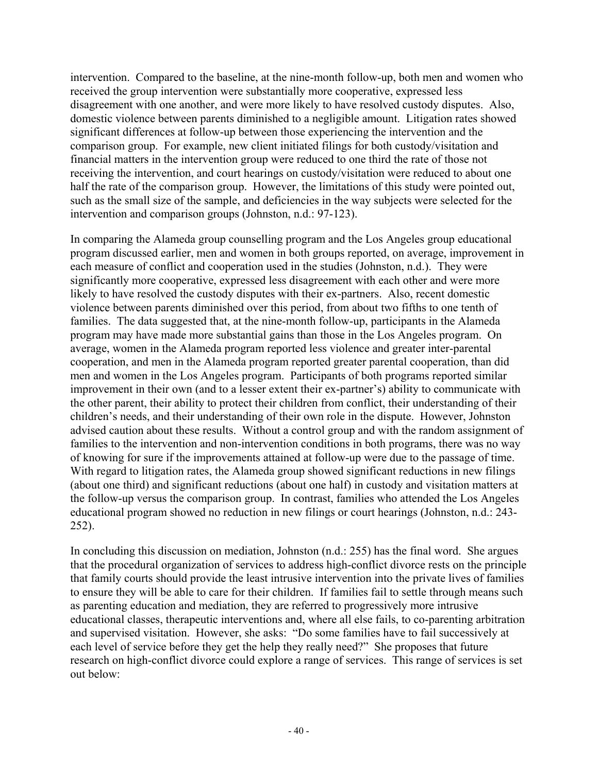intervention. Compared to the baseline, at the nine-month follow-up, both men and women who received the group intervention were substantially more cooperative, expressed less disagreement with one another, and were more likely to have resolved custody disputes. Also, domestic violence between parents diminished to a negligible amount. Litigation rates showed significant differences at follow-up between those experiencing the intervention and the comparison group. For example, new client initiated filings for both custody/visitation and financial matters in the intervention group were reduced to one third the rate of those not receiving the intervention, and court hearings on custody/visitation were reduced to about one half the rate of the comparison group. However, the limitations of this study were pointed out, such as the small size of the sample, and deficiencies in the way subjects were selected for the intervention and comparison groups (Johnston, n.d.: 97-123).

In comparing the Alameda group counselling program and the Los Angeles group educational program discussed earlier, men and women in both groups reported, on average, improvement in each measure of conflict and cooperation used in the studies (Johnston, n.d.). They were significantly more cooperative, expressed less disagreement with each other and were more likely to have resolved the custody disputes with their ex-partners. Also, recent domestic violence between parents diminished over this period, from about two fifths to one tenth of families. The data suggested that, at the nine-month follow-up, participants in the Alameda program may have made more substantial gains than those in the Los Angeles program. On average, women in the Alameda program reported less violence and greater inter-parental cooperation, and men in the Alameda program reported greater parental cooperation, than did men and women in the Los Angeles program. Participants of both programs reported similar improvement in their own (and to a lesser extent their ex-partner's) ability to communicate with the other parent, their ability to protect their children from conflict, their understanding of their children's needs, and their understanding of their own role in the dispute. However, Johnston advised caution about these results. Without a control group and with the random assignment of families to the intervention and non-intervention conditions in both programs, there was no way of knowing for sure if the improvements attained at follow-up were due to the passage of time. With regard to litigation rates, the Alameda group showed significant reductions in new filings (about one third) and significant reductions (about one half) in custody and visitation matters at the follow-up versus the comparison group. In contrast, families who attended the Los Angeles educational program showed no reduction in new filings or court hearings (Johnston, n.d.: 243- 252).

In concluding this discussion on mediation, Johnston (n.d.: 255) has the final word. She argues that the procedural organization of services to address high-conflict divorce rests on the principle that family courts should provide the least intrusive intervention into the private lives of families to ensure they will be able to care for their children. If families fail to settle through means such as parenting education and mediation, they are referred to progressively more intrusive educational classes, therapeutic interventions and, where all else fails, to co-parenting arbitration and supervised visitation. However, she asks: "Do some families have to fail successively at each level of service before they get the help they really need?" She proposes that future research on high-conflict divorce could explore a range of services. This range of services is set out below: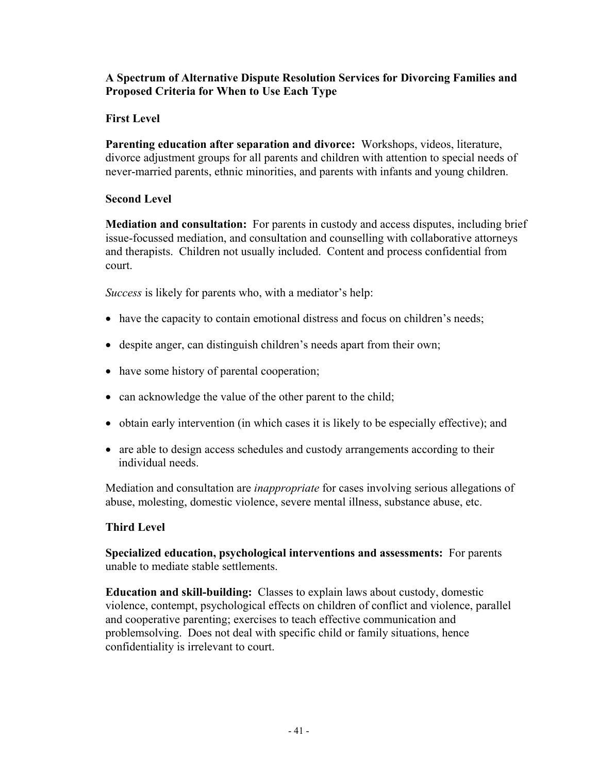#### **A Spectrum of Alternative Dispute Resolution Services for Divorcing Families and Proposed Criteria for When to Use Each Type**

### **First Level**

**Parenting education after separation and divorce:** Workshops, videos, literature, divorce adjustment groups for all parents and children with attention to special needs of never-married parents, ethnic minorities, and parents with infants and young children.

### **Second Level**

**Mediation and consultation:** For parents in custody and access disputes, including brief issue-focussed mediation, and consultation and counselling with collaborative attorneys and therapists. Children not usually included. Content and process confidential from court.

*Success* is likely for parents who, with a mediator's help:

- have the capacity to contain emotional distress and focus on children's needs;
- despite anger, can distinguish children's needs apart from their own;
- have some history of parental cooperation;
- can acknowledge the value of the other parent to the child;
- obtain early intervention (in which cases it is likely to be especially effective); and
- are able to design access schedules and custody arrangements according to their individual needs.

Mediation and consultation are *inappropriate* for cases involving serious allegations of abuse, molesting, domestic violence, severe mental illness, substance abuse, etc.

### **Third Level**

**Specialized education, psychological interventions and assessments:** For parents unable to mediate stable settlements.

**Education and skill-building:** Classes to explain laws about custody, domestic violence, contempt, psychological effects on children of conflict and violence, parallel and cooperative parenting; exercises to teach effective communication and problemsolving. Does not deal with specific child or family situations, hence confidentiality is irrelevant to court.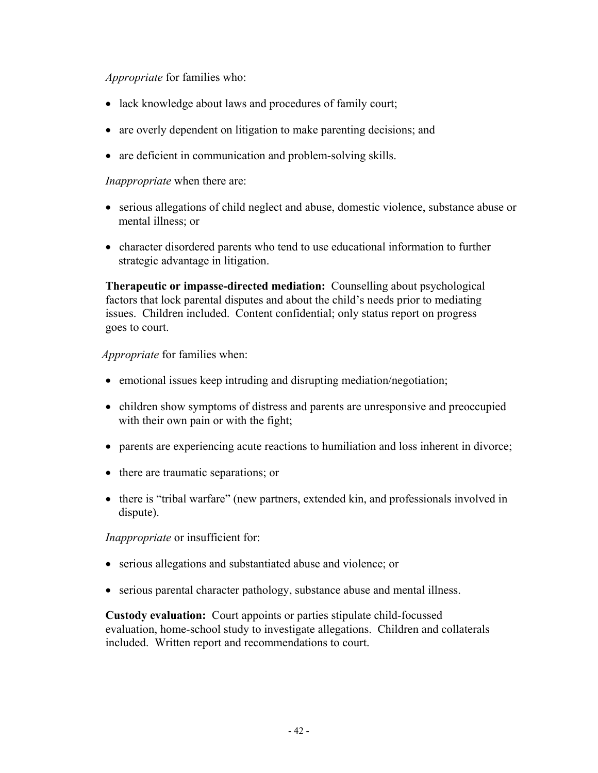*Appropriate* for families who:

- lack knowledge about laws and procedures of family court;
- are overly dependent on litigation to make parenting decisions; and
- are deficient in communication and problem-solving skills.

#### *Inappropriate* when there are:

- serious allegations of child neglect and abuse, domestic violence, substance abuse or mental illness; or
- character disordered parents who tend to use educational information to further strategic advantage in litigation.

**Therapeutic or impasse-directed mediation:** Counselling about psychological factors that lock parental disputes and about the child's needs prior to mediating issues. Children included. Content confidential; only status report on progress goes to court.

#### *Appropriate* for families when:

- emotional issues keep intruding and disrupting mediation/negotiation;
- children show symptoms of distress and parents are unresponsive and preoccupied with their own pain or with the fight;
- parents are experiencing acute reactions to humiliation and loss inherent in divorce;
- there are traumatic separations; or
- there is "tribal warfare" (new partners, extended kin, and professionals involved in dispute).

*Inappropriate* or insufficient for:

- serious allegations and substantiated abuse and violence; or
- serious parental character pathology, substance abuse and mental illness.

**Custody evaluation:** Court appoints or parties stipulate child-focussed evaluation, home-school study to investigate allegations. Children and collaterals included. Written report and recommendations to court.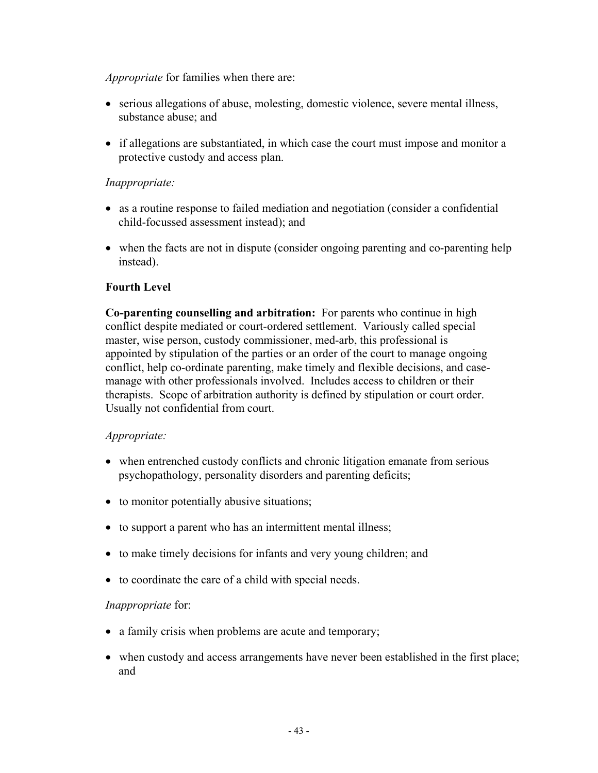*Appropriate* for families when there are:

- serious allegations of abuse, molesting, domestic violence, severe mental illness, substance abuse; and
- if allegations are substantiated, in which case the court must impose and monitor a protective custody and access plan.

#### *Inappropriate:*

- as a routine response to failed mediation and negotiation (consider a confidential child-focussed assessment instead); and
- when the facts are not in dispute (consider ongoing parenting and co-parenting help instead).

#### **Fourth Level**

**Co-parenting counselling and arbitration:** For parents who continue in high conflict despite mediated or court-ordered settlement. Variously called special master, wise person, custody commissioner, med-arb, this professional is appointed by stipulation of the parties or an order of the court to manage ongoing conflict, help co-ordinate parenting, make timely and flexible decisions, and casemanage with other professionals involved. Includes access to children or their therapists. Scope of arbitration authority is defined by stipulation or court order. Usually not confidential from court.

#### *Appropriate:*

- when entrenched custody conflicts and chronic litigation emanate from serious psychopathology, personality disorders and parenting deficits;
- to monitor potentially abusive situations;
- to support a parent who has an intermittent mental illness;
- to make timely decisions for infants and very young children; and
- to coordinate the care of a child with special needs.

#### *Inappropriate* for:

- a family crisis when problems are acute and temporary;
- when custody and access arrangements have never been established in the first place; and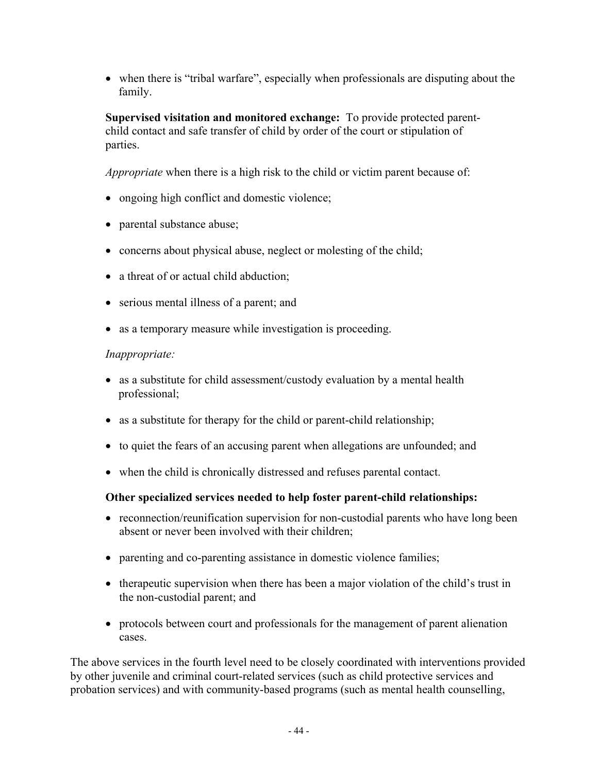• when there is "tribal warfare", especially when professionals are disputing about the family.

**Supervised visitation and monitored exchange:** To provide protected parentchild contact and safe transfer of child by order of the court or stipulation of parties.

*Appropriate* when there is a high risk to the child or victim parent because of:

- ongoing high conflict and domestic violence;
- parental substance abuse;
- concerns about physical abuse, neglect or molesting of the child;
- a threat of or actual child abduction;
- serious mental illness of a parent; and
- as a temporary measure while investigation is proceeding.

#### *Inappropriate:*

- as a substitute for child assessment/custody evaluation by a mental health professional;
- as a substitute for therapy for the child or parent-child relationship;
- to quiet the fears of an accusing parent when allegations are unfounded; and
- when the child is chronically distressed and refuses parental contact.

### **Other specialized services needed to help foster parent-child relationships:**

- reconnection/reunification supervision for non-custodial parents who have long been absent or never been involved with their children;
- parenting and co-parenting assistance in domestic violence families;
- therapeutic supervision when there has been a major violation of the child's trust in the non-custodial parent; and
- protocols between court and professionals for the management of parent alienation cases.

The above services in the fourth level need to be closely coordinated with interventions provided by other juvenile and criminal court-related services (such as child protective services and probation services) and with community-based programs (such as mental health counselling,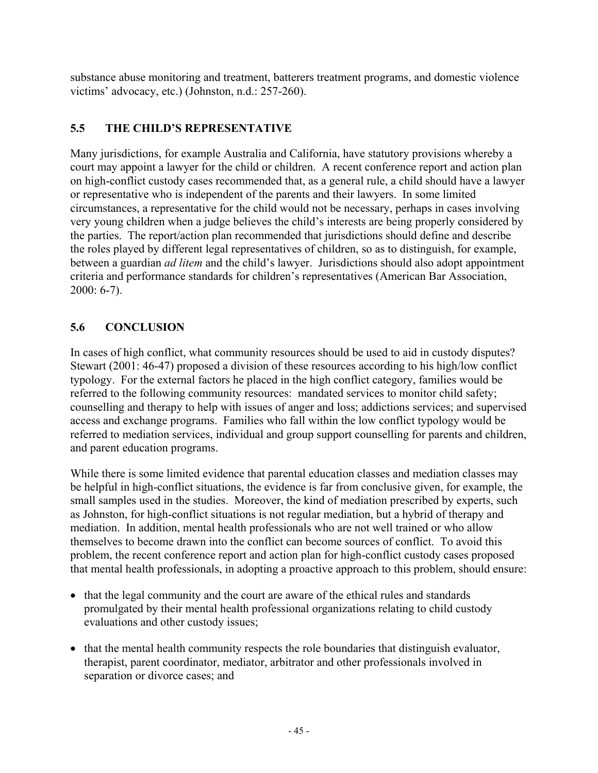substance abuse monitoring and treatment, batterers treatment programs, and domestic violence victims' advocacy, etc.) (Johnston, n.d.: 257-260).

## **5.5 THE CHILD'S REPRESENTATIVE**

Many jurisdictions, for example Australia and California, have statutory provisions whereby a court may appoint a lawyer for the child or children. A recent conference report and action plan on high-conflict custody cases recommended that, as a general rule, a child should have a lawyer or representative who is independent of the parents and their lawyers. In some limited circumstances, a representative for the child would not be necessary, perhaps in cases involving very young children when a judge believes the child's interests are being properly considered by the parties. The report/action plan recommended that jurisdictions should define and describe the roles played by different legal representatives of children, so as to distinguish, for example, between a guardian *ad litem* and the child's lawyer. Jurisdictions should also adopt appointment criteria and performance standards for children's representatives (American Bar Association, 2000: 6-7).

## **5.6 CONCLUSION**

In cases of high conflict, what community resources should be used to aid in custody disputes? Stewart (2001: 46-47) proposed a division of these resources according to his high/low conflict typology. For the external factors he placed in the high conflict category, families would be referred to the following community resources: mandated services to monitor child safety; counselling and therapy to help with issues of anger and loss; addictions services; and supervised access and exchange programs. Families who fall within the low conflict typology would be referred to mediation services, individual and group support counselling for parents and children, and parent education programs.

While there is some limited evidence that parental education classes and mediation classes may be helpful in high-conflict situations, the evidence is far from conclusive given, for example, the small samples used in the studies. Moreover, the kind of mediation prescribed by experts, such as Johnston, for high-conflict situations is not regular mediation, but a hybrid of therapy and mediation. In addition, mental health professionals who are not well trained or who allow themselves to become drawn into the conflict can become sources of conflict. To avoid this problem, the recent conference report and action plan for high-conflict custody cases proposed that mental health professionals, in adopting a proactive approach to this problem, should ensure:

- that the legal community and the court are aware of the ethical rules and standards promulgated by their mental health professional organizations relating to child custody evaluations and other custody issues;
- that the mental health community respects the role boundaries that distinguish evaluator, therapist, parent coordinator, mediator, arbitrator and other professionals involved in separation or divorce cases; and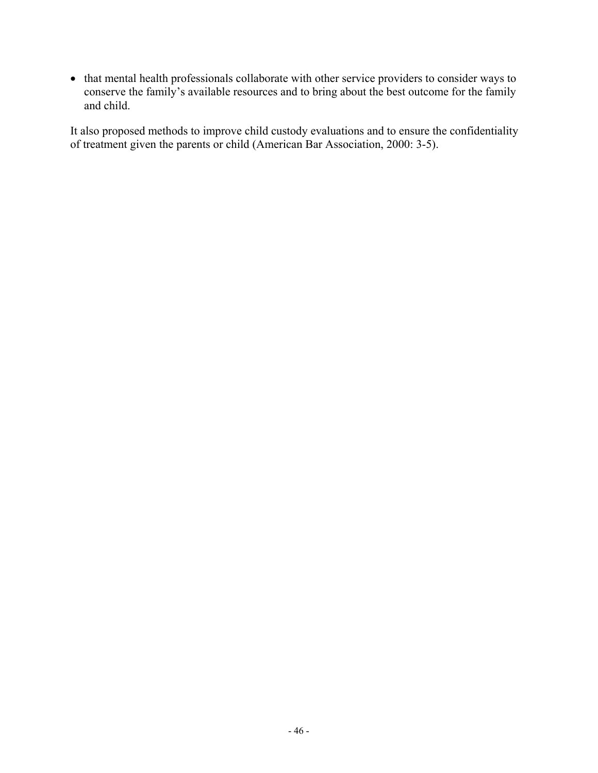• that mental health professionals collaborate with other service providers to consider ways to conserve the family's available resources and to bring about the best outcome for the family and child.

It also proposed methods to improve child custody evaluations and to ensure the confidentiality of treatment given the parents or child (American Bar Association, 2000: 3-5).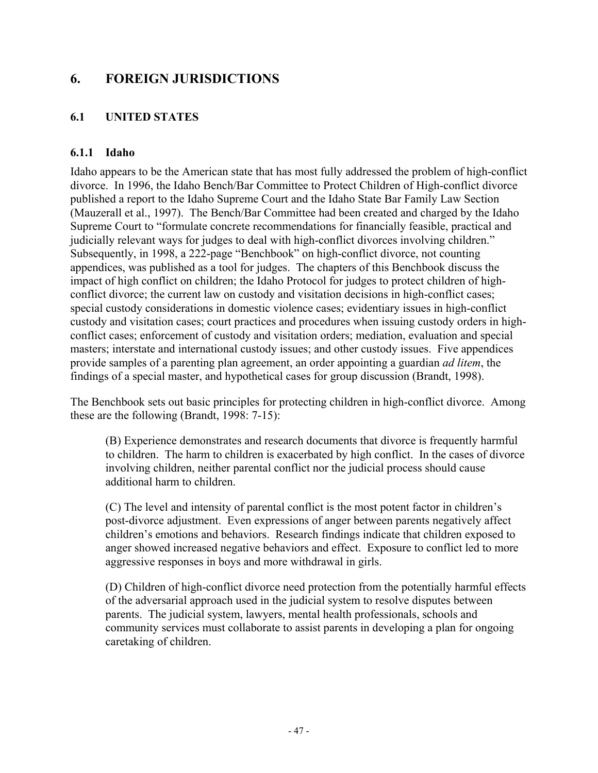## **6. FOREIGN JURISDICTIONS**

## **6.1 UNITED STATES**

#### **6.1.1 Idaho**

Idaho appears to be the American state that has most fully addressed the problem of high-conflict divorce. In 1996, the Idaho Bench/Bar Committee to Protect Children of High-conflict divorce published a report to the Idaho Supreme Court and the Idaho State Bar Family Law Section (Mauzerall et al., 1997). The Bench/Bar Committee had been created and charged by the Idaho Supreme Court to "formulate concrete recommendations for financially feasible, practical and judicially relevant ways for judges to deal with high-conflict divorces involving children." Subsequently, in 1998, a 222-page "Benchbook" on high-conflict divorce, not counting appendices, was published as a tool for judges. The chapters of this Benchbook discuss the impact of high conflict on children; the Idaho Protocol for judges to protect children of highconflict divorce; the current law on custody and visitation decisions in high-conflict cases; special custody considerations in domestic violence cases; evidentiary issues in high-conflict custody and visitation cases; court practices and procedures when issuing custody orders in highconflict cases; enforcement of custody and visitation orders; mediation, evaluation and special masters; interstate and international custody issues; and other custody issues. Five appendices provide samples of a parenting plan agreement, an order appointing a guardian *ad litem*, the findings of a special master, and hypothetical cases for group discussion (Brandt, 1998).

The Benchbook sets out basic principles for protecting children in high-conflict divorce. Among these are the following (Brandt, 1998: 7-15):

(B) Experience demonstrates and research documents that divorce is frequently harmful to children. The harm to children is exacerbated by high conflict. In the cases of divorce involving children, neither parental conflict nor the judicial process should cause additional harm to children.

(C) The level and intensity of parental conflict is the most potent factor in children's post-divorce adjustment. Even expressions of anger between parents negatively affect children's emotions and behaviors. Research findings indicate that children exposed to anger showed increased negative behaviors and effect. Exposure to conflict led to more aggressive responses in boys and more withdrawal in girls.

(D) Children of high-conflict divorce need protection from the potentially harmful effects of the adversarial approach used in the judicial system to resolve disputes between parents. The judicial system, lawyers, mental health professionals, schools and community services must collaborate to assist parents in developing a plan for ongoing caretaking of children.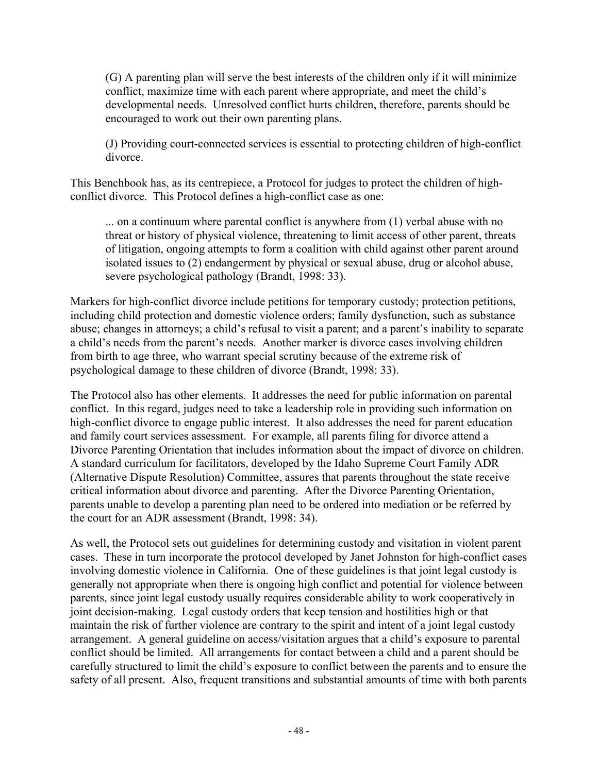(G) A parenting plan will serve the best interests of the children only if it will minimize conflict, maximize time with each parent where appropriate, and meet the child's developmental needs. Unresolved conflict hurts children, therefore, parents should be encouraged to work out their own parenting plans.

(J) Providing court-connected services is essential to protecting children of high-conflict divorce.

This Benchbook has, as its centrepiece, a Protocol for judges to protect the children of highconflict divorce. This Protocol defines a high-conflict case as one:

... on a continuum where parental conflict is anywhere from (1) verbal abuse with no threat or history of physical violence, threatening to limit access of other parent, threats of litigation, ongoing attempts to form a coalition with child against other parent around isolated issues to (2) endangerment by physical or sexual abuse, drug or alcohol abuse, severe psychological pathology (Brandt, 1998: 33).

Markers for high-conflict divorce include petitions for temporary custody; protection petitions, including child protection and domestic violence orders; family dysfunction, such as substance abuse; changes in attorneys; a child's refusal to visit a parent; and a parent's inability to separate a child's needs from the parent's needs. Another marker is divorce cases involving children from birth to age three, who warrant special scrutiny because of the extreme risk of psychological damage to these children of divorce (Brandt, 1998: 33).

The Protocol also has other elements. It addresses the need for public information on parental conflict. In this regard, judges need to take a leadership role in providing such information on high-conflict divorce to engage public interest. It also addresses the need for parent education and family court services assessment. For example, all parents filing for divorce attend a Divorce Parenting Orientation that includes information about the impact of divorce on children. A standard curriculum for facilitators, developed by the Idaho Supreme Court Family ADR (Alternative Dispute Resolution) Committee, assures that parents throughout the state receive critical information about divorce and parenting. After the Divorce Parenting Orientation, parents unable to develop a parenting plan need to be ordered into mediation or be referred by the court for an ADR assessment (Brandt, 1998: 34).

As well, the Protocol sets out guidelines for determining custody and visitation in violent parent cases. These in turn incorporate the protocol developed by Janet Johnston for high-conflict cases involving domestic violence in California. One of these guidelines is that joint legal custody is generally not appropriate when there is ongoing high conflict and potential for violence between parents, since joint legal custody usually requires considerable ability to work cooperatively in joint decision-making. Legal custody orders that keep tension and hostilities high or that maintain the risk of further violence are contrary to the spirit and intent of a joint legal custody arrangement. A general guideline on access/visitation argues that a child's exposure to parental conflict should be limited. All arrangements for contact between a child and a parent should be carefully structured to limit the child's exposure to conflict between the parents and to ensure the safety of all present. Also, frequent transitions and substantial amounts of time with both parents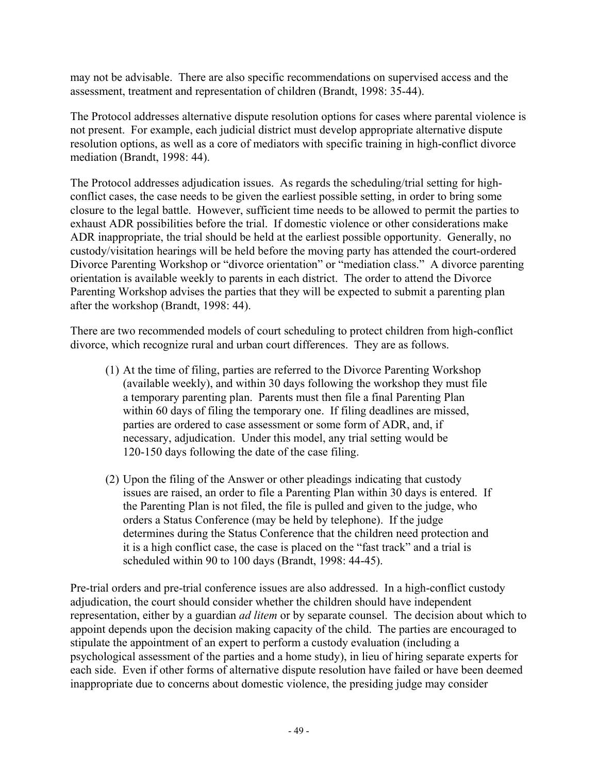may not be advisable. There are also specific recommendations on supervised access and the assessment, treatment and representation of children (Brandt, 1998: 35-44).

The Protocol addresses alternative dispute resolution options for cases where parental violence is not present. For example, each judicial district must develop appropriate alternative dispute resolution options, as well as a core of mediators with specific training in high-conflict divorce mediation (Brandt, 1998: 44).

The Protocol addresses adjudication issues. As regards the scheduling/trial setting for highconflict cases, the case needs to be given the earliest possible setting, in order to bring some closure to the legal battle. However, sufficient time needs to be allowed to permit the parties to exhaust ADR possibilities before the trial. If domestic violence or other considerations make ADR inappropriate, the trial should be held at the earliest possible opportunity. Generally, no custody/visitation hearings will be held before the moving party has attended the court-ordered Divorce Parenting Workshop or "divorce orientation" or "mediation class." A divorce parenting orientation is available weekly to parents in each district. The order to attend the Divorce Parenting Workshop advises the parties that they will be expected to submit a parenting plan after the workshop (Brandt, 1998: 44).

There are two recommended models of court scheduling to protect children from high-conflict divorce, which recognize rural and urban court differences. They are as follows.

- (1) At the time of filing, parties are referred to the Divorce Parenting Workshop (available weekly), and within 30 days following the workshop they must file a temporary parenting plan. Parents must then file a final Parenting Plan within 60 days of filing the temporary one. If filing deadlines are missed, parties are ordered to case assessment or some form of ADR, and, if necessary, adjudication. Under this model, any trial setting would be 120-150 days following the date of the case filing.
- (2) Upon the filing of the Answer or other pleadings indicating that custody issues are raised, an order to file a Parenting Plan within 30 days is entered. If the Parenting Plan is not filed, the file is pulled and given to the judge, who orders a Status Conference (may be held by telephone). If the judge determines during the Status Conference that the children need protection and it is a high conflict case, the case is placed on the "fast track" and a trial is scheduled within 90 to 100 days (Brandt, 1998: 44-45).

Pre-trial orders and pre-trial conference issues are also addressed. In a high-conflict custody adjudication, the court should consider whether the children should have independent representation, either by a guardian *ad litem* or by separate counsel. The decision about which to appoint depends upon the decision making capacity of the child. The parties are encouraged to stipulate the appointment of an expert to perform a custody evaluation (including a psychological assessment of the parties and a home study), in lieu of hiring separate experts for each side. Even if other forms of alternative dispute resolution have failed or have been deemed inappropriate due to concerns about domestic violence, the presiding judge may consider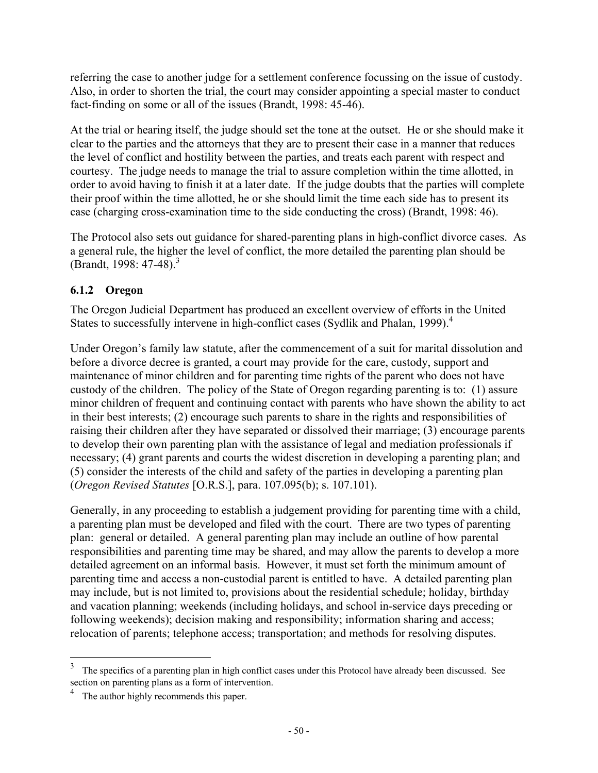referring the case to another judge for a settlement conference focussing on the issue of custody. Also, in order to shorten the trial, the court may consider appointing a special master to conduct fact-finding on some or all of the issues (Brandt, 1998: 45-46).

At the trial or hearing itself, the judge should set the tone at the outset. He or she should make it clear to the parties and the attorneys that they are to present their case in a manner that reduces the level of conflict and hostility between the parties, and treats each parent with respect and courtesy. The judge needs to manage the trial to assure completion within the time allotted, in order to avoid having to finish it at a later date. If the judge doubts that the parties will complete their proof within the time allotted, he or she should limit the time each side has to present its case (charging cross-examination time to the side conducting the cross) (Brandt, 1998: 46).

The Protocol also sets out guidance for shared-parenting plans in high-conflict divorce cases. As a general rule, the higher the level of conflict, the more detailed the parenting plan should be (Brandt, 1998: 47-48).<sup>3</sup>

## **6.1.2 Oregon**

The Oregon Judicial Department has produced an excellent overview of efforts in the United States to successfully intervene in high-conflict cases (Sydlik and Phalan, 1999).<sup>4</sup>

Under Oregon's family law statute, after the commencement of a suit for marital dissolution and before a divorce decree is granted, a court may provide for the care, custody, support and maintenance of minor children and for parenting time rights of the parent who does not have custody of the children. The policy of the State of Oregon regarding parenting is to: (1) assure minor children of frequent and continuing contact with parents who have shown the ability to act in their best interests; (2) encourage such parents to share in the rights and responsibilities of raising their children after they have separated or dissolved their marriage; (3) encourage parents to develop their own parenting plan with the assistance of legal and mediation professionals if necessary; (4) grant parents and courts the widest discretion in developing a parenting plan; and (5) consider the interests of the child and safety of the parties in developing a parenting plan (*Oregon Revised Statutes* [O.R.S.], para. 107.095(b); s. 107.101).

Generally, in any proceeding to establish a judgement providing for parenting time with a child, a parenting plan must be developed and filed with the court. There are two types of parenting plan: general or detailed. A general parenting plan may include an outline of how parental responsibilities and parenting time may be shared, and may allow the parents to develop a more detailed agreement on an informal basis. However, it must set forth the minimum amount of parenting time and access a non-custodial parent is entitled to have. A detailed parenting plan may include, but is not limited to, provisions about the residential schedule; holiday, birthday and vacation planning; weekends (including holidays, and school in-service days preceding or following weekends); decision making and responsibility; information sharing and access; relocation of parents; telephone access; transportation; and methods for resolving disputes.

 $\frac{1}{3}$  The specifics of a parenting plan in high conflict cases under this Protocol have already been discussed. See section on parenting plans as a form of intervention.

<sup>&</sup>lt;sup>4</sup> The author highly recommends this paper.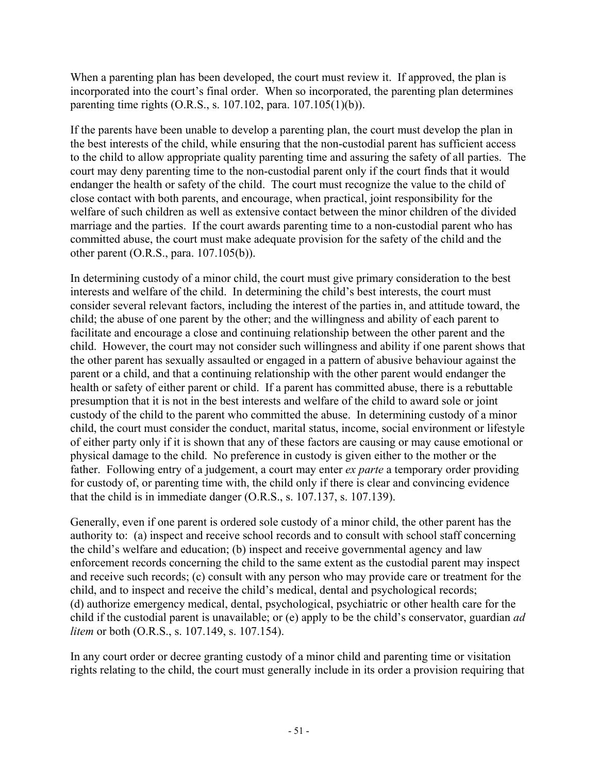When a parenting plan has been developed, the court must review it. If approved, the plan is incorporated into the court's final order. When so incorporated, the parenting plan determines parenting time rights (O.R.S., s. 107.102, para. 107.105(1)(b)).

If the parents have been unable to develop a parenting plan, the court must develop the plan in the best interests of the child, while ensuring that the non-custodial parent has sufficient access to the child to allow appropriate quality parenting time and assuring the safety of all parties. The court may deny parenting time to the non-custodial parent only if the court finds that it would endanger the health or safety of the child. The court must recognize the value to the child of close contact with both parents, and encourage, when practical, joint responsibility for the welfare of such children as well as extensive contact between the minor children of the divided marriage and the parties. If the court awards parenting time to a non-custodial parent who has committed abuse, the court must make adequate provision for the safety of the child and the other parent (O.R.S., para. 107.105(b)).

In determining custody of a minor child, the court must give primary consideration to the best interests and welfare of the child. In determining the child's best interests, the court must consider several relevant factors, including the interest of the parties in, and attitude toward, the child; the abuse of one parent by the other; and the willingness and ability of each parent to facilitate and encourage a close and continuing relationship between the other parent and the child. However, the court may not consider such willingness and ability if one parent shows that the other parent has sexually assaulted or engaged in a pattern of abusive behaviour against the parent or a child, and that a continuing relationship with the other parent would endanger the health or safety of either parent or child. If a parent has committed abuse, there is a rebuttable presumption that it is not in the best interests and welfare of the child to award sole or joint custody of the child to the parent who committed the abuse. In determining custody of a minor child, the court must consider the conduct, marital status, income, social environment or lifestyle of either party only if it is shown that any of these factors are causing or may cause emotional or physical damage to the child. No preference in custody is given either to the mother or the father. Following entry of a judgement, a court may enter *ex parte* a temporary order providing for custody of, or parenting time with, the child only if there is clear and convincing evidence that the child is in immediate danger (O.R.S., s. 107.137, s. 107.139).

Generally, even if one parent is ordered sole custody of a minor child, the other parent has the authority to: (a) inspect and receive school records and to consult with school staff concerning the child's welfare and education; (b) inspect and receive governmental agency and law enforcement records concerning the child to the same extent as the custodial parent may inspect and receive such records; (c) consult with any person who may provide care or treatment for the child, and to inspect and receive the child's medical, dental and psychological records; (d) authorize emergency medical, dental, psychological, psychiatric or other health care for the child if the custodial parent is unavailable; or (e) apply to be the child's conservator, guardian *ad litem* or both (O.R.S., s. 107.149, s. 107.154).

In any court order or decree granting custody of a minor child and parenting time or visitation rights relating to the child, the court must generally include in its order a provision requiring that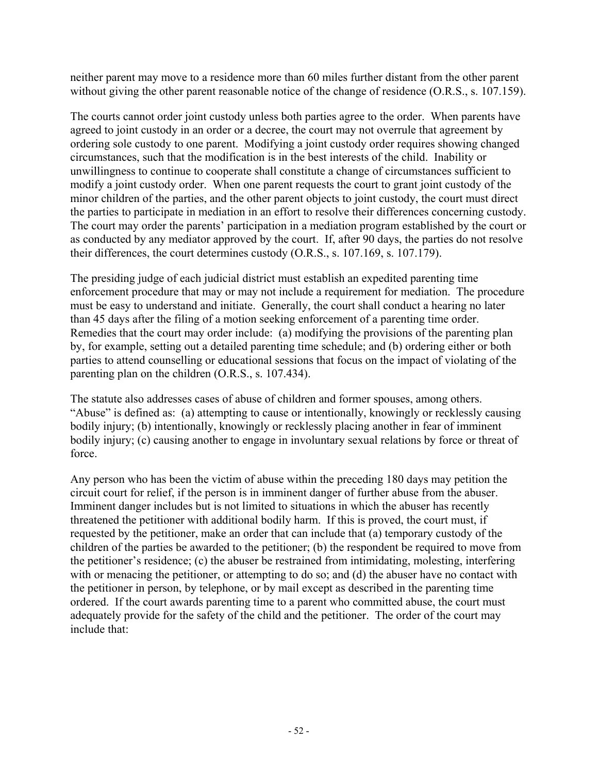neither parent may move to a residence more than 60 miles further distant from the other parent without giving the other parent reasonable notice of the change of residence (O.R.S., s. 107.159).

The courts cannot order joint custody unless both parties agree to the order. When parents have agreed to joint custody in an order or a decree, the court may not overrule that agreement by ordering sole custody to one parent. Modifying a joint custody order requires showing changed circumstances, such that the modification is in the best interests of the child. Inability or unwillingness to continue to cooperate shall constitute a change of circumstances sufficient to modify a joint custody order. When one parent requests the court to grant joint custody of the minor children of the parties, and the other parent objects to joint custody, the court must direct the parties to participate in mediation in an effort to resolve their differences concerning custody. The court may order the parents' participation in a mediation program established by the court or as conducted by any mediator approved by the court. If, after 90 days, the parties do not resolve their differences, the court determines custody (O.R.S., s. 107.169, s. 107.179).

The presiding judge of each judicial district must establish an expedited parenting time enforcement procedure that may or may not include a requirement for mediation. The procedure must be easy to understand and initiate. Generally, the court shall conduct a hearing no later than 45 days after the filing of a motion seeking enforcement of a parenting time order. Remedies that the court may order include: (a) modifying the provisions of the parenting plan by, for example, setting out a detailed parenting time schedule; and (b) ordering either or both parties to attend counselling or educational sessions that focus on the impact of violating of the parenting plan on the children (O.R.S., s. 107.434).

The statute also addresses cases of abuse of children and former spouses, among others. "Abuse" is defined as: (a) attempting to cause or intentionally, knowingly or recklessly causing bodily injury; (b) intentionally, knowingly or recklessly placing another in fear of imminent bodily injury; (c) causing another to engage in involuntary sexual relations by force or threat of force.

Any person who has been the victim of abuse within the preceding 180 days may petition the circuit court for relief, if the person is in imminent danger of further abuse from the abuser. Imminent danger includes but is not limited to situations in which the abuser has recently threatened the petitioner with additional bodily harm. If this is proved, the court must, if requested by the petitioner, make an order that can include that (a) temporary custody of the children of the parties be awarded to the petitioner; (b) the respondent be required to move from the petitioner's residence; (c) the abuser be restrained from intimidating, molesting, interfering with or menacing the petitioner, or attempting to do so; and (d) the abuser have no contact with the petitioner in person, by telephone, or by mail except as described in the parenting time ordered. If the court awards parenting time to a parent who committed abuse, the court must adequately provide for the safety of the child and the petitioner. The order of the court may include that: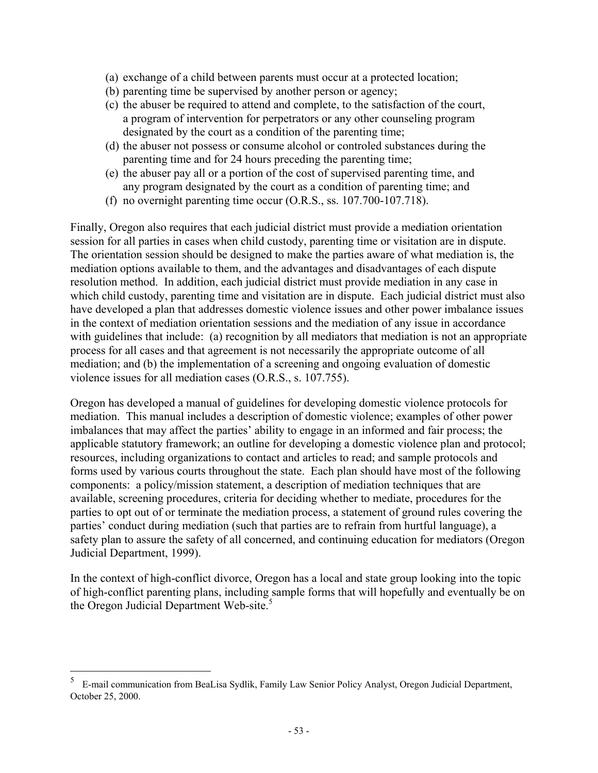- (a) exchange of a child between parents must occur at a protected location;
- (b) parenting time be supervised by another person or agency;
- (c) the abuser be required to attend and complete, to the satisfaction of the court, a program of intervention for perpetrators or any other counseling program designated by the court as a condition of the parenting time;
- (d) the abuser not possess or consume alcohol or controled substances during the parenting time and for 24 hours preceding the parenting time;
- (e) the abuser pay all or a portion of the cost of supervised parenting time, and any program designated by the court as a condition of parenting time; and
- (f) no overnight parenting time occur (O.R.S., ss. 107.700-107.718).

Finally, Oregon also requires that each judicial district must provide a mediation orientation session for all parties in cases when child custody, parenting time or visitation are in dispute. The orientation session should be designed to make the parties aware of what mediation is, the mediation options available to them, and the advantages and disadvantages of each dispute resolution method. In addition, each judicial district must provide mediation in any case in which child custody, parenting time and visitation are in dispute. Each judicial district must also have developed a plan that addresses domestic violence issues and other power imbalance issues in the context of mediation orientation sessions and the mediation of any issue in accordance with guidelines that include: (a) recognition by all mediators that mediation is not an appropriate process for all cases and that agreement is not necessarily the appropriate outcome of all mediation; and (b) the implementation of a screening and ongoing evaluation of domestic violence issues for all mediation cases (O.R.S., s. 107.755).

Oregon has developed a manual of guidelines for developing domestic violence protocols for mediation. This manual includes a description of domestic violence; examples of other power imbalances that may affect the parties' ability to engage in an informed and fair process; the applicable statutory framework; an outline for developing a domestic violence plan and protocol; resources, including organizations to contact and articles to read; and sample protocols and forms used by various courts throughout the state. Each plan should have most of the following components: a policy/mission statement, a description of mediation techniques that are available, screening procedures, criteria for deciding whether to mediate, procedures for the parties to opt out of or terminate the mediation process, a statement of ground rules covering the parties' conduct during mediation (such that parties are to refrain from hurtful language), a safety plan to assure the safety of all concerned, and continuing education for mediators (Oregon Judicial Department, 1999).

In the context of high-conflict divorce, Oregon has a local and state group looking into the topic of high-conflict parenting plans, including sample forms that will hopefully and eventually be on the Oregon Judicial Department Web-site.<sup>5</sup>

 $\overline{a}$ 

<sup>5</sup> E-mail communication from BeaLisa Sydlik, Family Law Senior Policy Analyst, Oregon Judicial Department, October 25, 2000.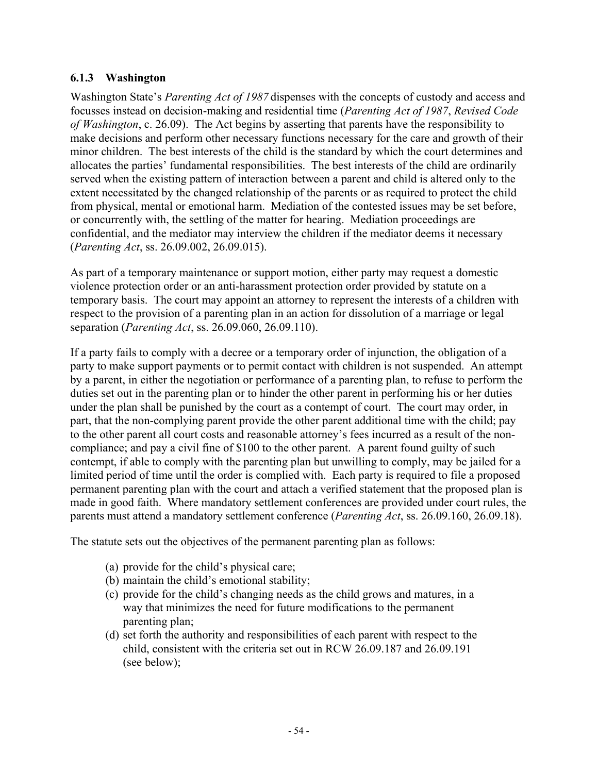#### **6.1.3 Washington**

Washington State's *Parenting Act of 1987* dispenses with the concepts of custody and access and focusses instead on decision-making and residential time (*Parenting Act of 1987*, *Revised Code of Washington*, c. 26.09). The Act begins by asserting that parents have the responsibility to make decisions and perform other necessary functions necessary for the care and growth of their minor children. The best interests of the child is the standard by which the court determines and allocates the parties' fundamental responsibilities. The best interests of the child are ordinarily served when the existing pattern of interaction between a parent and child is altered only to the extent necessitated by the changed relationship of the parents or as required to protect the child from physical, mental or emotional harm. Mediation of the contested issues may be set before, or concurrently with, the settling of the matter for hearing. Mediation proceedings are confidential, and the mediator may interview the children if the mediator deems it necessary (*Parenting Act*, ss. 26.09.002, 26.09.015).

As part of a temporary maintenance or support motion, either party may request a domestic violence protection order or an anti-harassment protection order provided by statute on a temporary basis. The court may appoint an attorney to represent the interests of a children with respect to the provision of a parenting plan in an action for dissolution of a marriage or legal separation (*Parenting Act*, ss. 26.09.060, 26.09.110).

If a party fails to comply with a decree or a temporary order of injunction, the obligation of a party to make support payments or to permit contact with children is not suspended. An attempt by a parent, in either the negotiation or performance of a parenting plan, to refuse to perform the duties set out in the parenting plan or to hinder the other parent in performing his or her duties under the plan shall be punished by the court as a contempt of court. The court may order, in part, that the non-complying parent provide the other parent additional time with the child; pay to the other parent all court costs and reasonable attorney's fees incurred as a result of the noncompliance; and pay a civil fine of \$100 to the other parent. A parent found guilty of such contempt, if able to comply with the parenting plan but unwilling to comply, may be jailed for a limited period of time until the order is complied with. Each party is required to file a proposed permanent parenting plan with the court and attach a verified statement that the proposed plan is made in good faith. Where mandatory settlement conferences are provided under court rules, the parents must attend a mandatory settlement conference (*Parenting Act*, ss. 26.09.160, 26.09.18).

The statute sets out the objectives of the permanent parenting plan as follows:

- (a) provide for the child's physical care;
- (b) maintain the child's emotional stability;
- (c) provide for the child's changing needs as the child grows and matures, in a way that minimizes the need for future modifications to the permanent parenting plan;
- (d) set forth the authority and responsibilities of each parent with respect to the child, consistent with the criteria set out in RCW 26.09.187 and 26.09.191 (see below);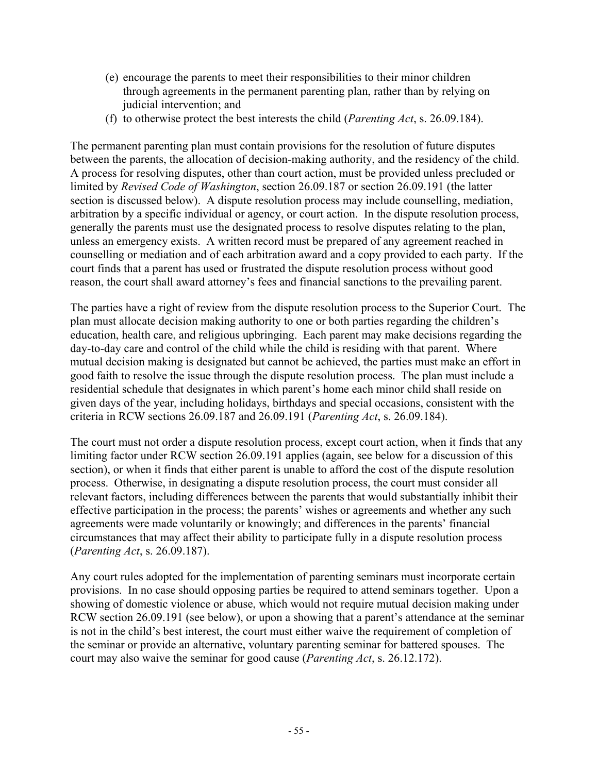- (e) encourage the parents to meet their responsibilities to their minor children through agreements in the permanent parenting plan, rather than by relying on judicial intervention; and
- (f) to otherwise protect the best interests the child (*Parenting Act*, s. 26.09.184).

The permanent parenting plan must contain provisions for the resolution of future disputes between the parents, the allocation of decision-making authority, and the residency of the child. A process for resolving disputes, other than court action, must be provided unless precluded or limited by *Revised Code of Washington*, section 26.09.187 or section 26.09.191 (the latter section is discussed below). A dispute resolution process may include counselling, mediation, arbitration by a specific individual or agency, or court action. In the dispute resolution process, generally the parents must use the designated process to resolve disputes relating to the plan, unless an emergency exists. A written record must be prepared of any agreement reached in counselling or mediation and of each arbitration award and a copy provided to each party. If the court finds that a parent has used or frustrated the dispute resolution process without good reason, the court shall award attorney's fees and financial sanctions to the prevailing parent.

The parties have a right of review from the dispute resolution process to the Superior Court. The plan must allocate decision making authority to one or both parties regarding the children's education, health care, and religious upbringing. Each parent may make decisions regarding the day-to-day care and control of the child while the child is residing with that parent. Where mutual decision making is designated but cannot be achieved, the parties must make an effort in good faith to resolve the issue through the dispute resolution process. The plan must include a residential schedule that designates in which parent's home each minor child shall reside on given days of the year, including holidays, birthdays and special occasions, consistent with the criteria in RCW sections 26.09.187 and 26.09.191 (*Parenting Act*, s. 26.09.184).

The court must not order a dispute resolution process, except court action, when it finds that any limiting factor under RCW section 26.09.191 applies (again, see below for a discussion of this section), or when it finds that either parent is unable to afford the cost of the dispute resolution process. Otherwise, in designating a dispute resolution process, the court must consider all relevant factors, including differences between the parents that would substantially inhibit their effective participation in the process; the parents' wishes or agreements and whether any such agreements were made voluntarily or knowingly; and differences in the parents' financial circumstances that may affect their ability to participate fully in a dispute resolution process (*Parenting Act*, s. 26.09.187).

Any court rules adopted for the implementation of parenting seminars must incorporate certain provisions. In no case should opposing parties be required to attend seminars together. Upon a showing of domestic violence or abuse, which would not require mutual decision making under RCW section 26.09.191 (see below), or upon a showing that a parent's attendance at the seminar is not in the child's best interest, the court must either waive the requirement of completion of the seminar or provide an alternative, voluntary parenting seminar for battered spouses. The court may also waive the seminar for good cause (*Parenting Act*, s. 26.12.172).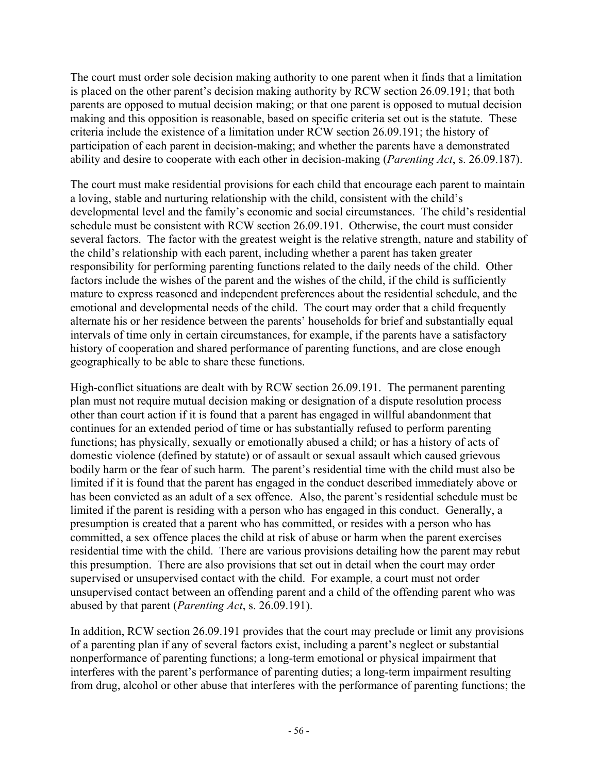The court must order sole decision making authority to one parent when it finds that a limitation is placed on the other parent's decision making authority by RCW section 26.09.191; that both parents are opposed to mutual decision making; or that one parent is opposed to mutual decision making and this opposition is reasonable, based on specific criteria set out is the statute. These criteria include the existence of a limitation under RCW section 26.09.191; the history of participation of each parent in decision-making; and whether the parents have a demonstrated ability and desire to cooperate with each other in decision-making (*Parenting Act*, s. 26.09.187).

The court must make residential provisions for each child that encourage each parent to maintain a loving, stable and nurturing relationship with the child, consistent with the child's developmental level and the family's economic and social circumstances. The child's residential schedule must be consistent with RCW section 26.09.191. Otherwise, the court must consider several factors. The factor with the greatest weight is the relative strength, nature and stability of the child's relationship with each parent, including whether a parent has taken greater responsibility for performing parenting functions related to the daily needs of the child. Other factors include the wishes of the parent and the wishes of the child, if the child is sufficiently mature to express reasoned and independent preferences about the residential schedule, and the emotional and developmental needs of the child. The court may order that a child frequently alternate his or her residence between the parents' households for brief and substantially equal intervals of time only in certain circumstances, for example, if the parents have a satisfactory history of cooperation and shared performance of parenting functions, and are close enough geographically to be able to share these functions.

High-conflict situations are dealt with by RCW section 26.09.191. The permanent parenting plan must not require mutual decision making or designation of a dispute resolution process other than court action if it is found that a parent has engaged in willful abandonment that continues for an extended period of time or has substantially refused to perform parenting functions; has physically, sexually or emotionally abused a child; or has a history of acts of domestic violence (defined by statute) or of assault or sexual assault which caused grievous bodily harm or the fear of such harm. The parent's residential time with the child must also be limited if it is found that the parent has engaged in the conduct described immediately above or has been convicted as an adult of a sex offence. Also, the parent's residential schedule must be limited if the parent is residing with a person who has engaged in this conduct. Generally, a presumption is created that a parent who has committed, or resides with a person who has committed, a sex offence places the child at risk of abuse or harm when the parent exercises residential time with the child. There are various provisions detailing how the parent may rebut this presumption. There are also provisions that set out in detail when the court may order supervised or unsupervised contact with the child. For example, a court must not order unsupervised contact between an offending parent and a child of the offending parent who was abused by that parent (*Parenting Act*, s. 26.09.191).

In addition, RCW section 26.09.191 provides that the court may preclude or limit any provisions of a parenting plan if any of several factors exist, including a parent's neglect or substantial nonperformance of parenting functions; a long-term emotional or physical impairment that interferes with the parent's performance of parenting duties; a long-term impairment resulting from drug, alcohol or other abuse that interferes with the performance of parenting functions; the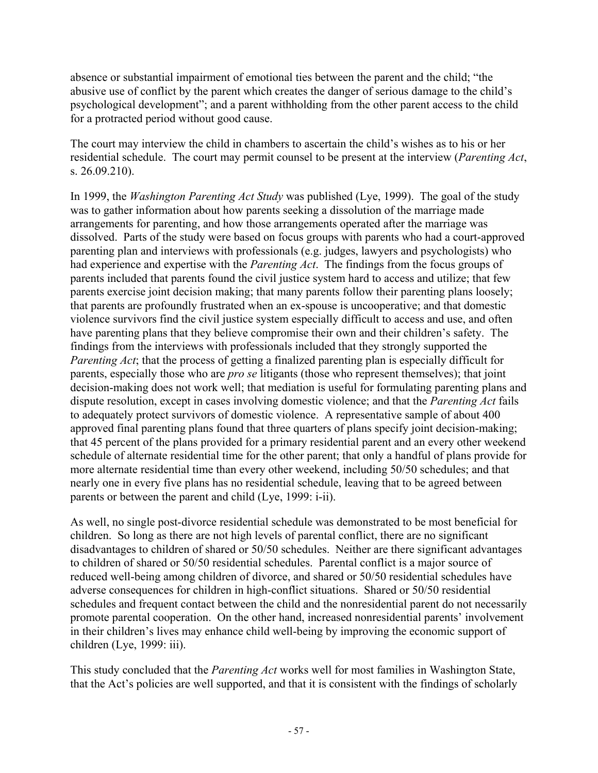absence or substantial impairment of emotional ties between the parent and the child; "the abusive use of conflict by the parent which creates the danger of serious damage to the child's psychological development"; and a parent withholding from the other parent access to the child for a protracted period without good cause.

The court may interview the child in chambers to ascertain the child's wishes as to his or her residential schedule. The court may permit counsel to be present at the interview (*Parenting Act*, s. 26.09.210).

In 1999, the *Washington Parenting Act Study* was published (Lye, 1999). The goal of the study was to gather information about how parents seeking a dissolution of the marriage made arrangements for parenting, and how those arrangements operated after the marriage was dissolved. Parts of the study were based on focus groups with parents who had a court-approved parenting plan and interviews with professionals (e.g. judges, lawyers and psychologists) who had experience and expertise with the *Parenting Act*. The findings from the focus groups of parents included that parents found the civil justice system hard to access and utilize; that few parents exercise joint decision making; that many parents follow their parenting plans loosely; that parents are profoundly frustrated when an ex-spouse is uncooperative; and that domestic violence survivors find the civil justice system especially difficult to access and use, and often have parenting plans that they believe compromise their own and their children's safety. The findings from the interviews with professionals included that they strongly supported the *Parenting Act*; that the process of getting a finalized parenting plan is especially difficult for parents, especially those who are *pro se* litigants (those who represent themselves); that joint decision-making does not work well; that mediation is useful for formulating parenting plans and dispute resolution, except in cases involving domestic violence; and that the *Parenting Act* fails to adequately protect survivors of domestic violence. A representative sample of about 400 approved final parenting plans found that three quarters of plans specify joint decision-making; that 45 percent of the plans provided for a primary residential parent and an every other weekend schedule of alternate residential time for the other parent; that only a handful of plans provide for more alternate residential time than every other weekend, including 50/50 schedules; and that nearly one in every five plans has no residential schedule, leaving that to be agreed between parents or between the parent and child (Lye, 1999: i-ii).

As well, no single post-divorce residential schedule was demonstrated to be most beneficial for children. So long as there are not high levels of parental conflict, there are no significant disadvantages to children of shared or 50/50 schedules. Neither are there significant advantages to children of shared or 50/50 residential schedules. Parental conflict is a major source of reduced well-being among children of divorce, and shared or 50/50 residential schedules have adverse consequences for children in high-conflict situations. Shared or 50/50 residential schedules and frequent contact between the child and the nonresidential parent do not necessarily promote parental cooperation. On the other hand, increased nonresidential parents' involvement in their children's lives may enhance child well-being by improving the economic support of children (Lye, 1999: iii).

This study concluded that the *Parenting Act* works well for most families in Washington State, that the Act's policies are well supported, and that it is consistent with the findings of scholarly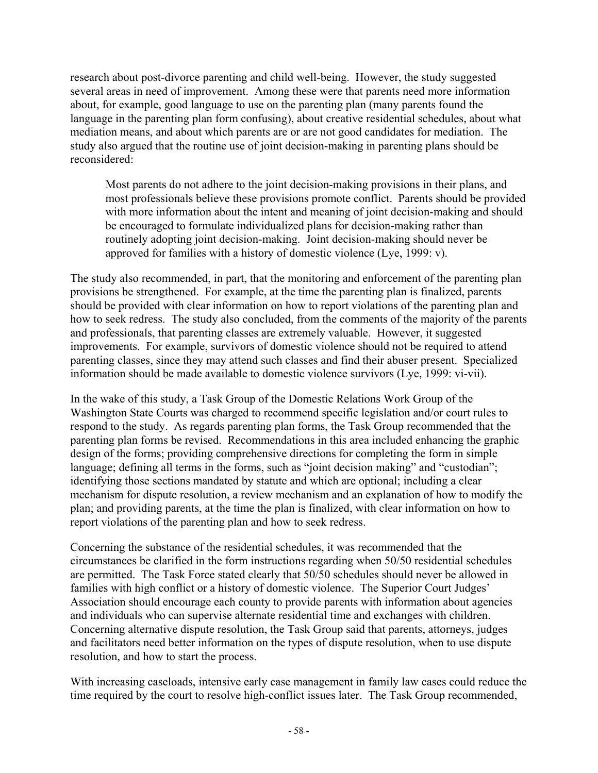research about post-divorce parenting and child well-being. However, the study suggested several areas in need of improvement. Among these were that parents need more information about, for example, good language to use on the parenting plan (many parents found the language in the parenting plan form confusing), about creative residential schedules, about what mediation means, and about which parents are or are not good candidates for mediation. The study also argued that the routine use of joint decision-making in parenting plans should be reconsidered:

Most parents do not adhere to the joint decision-making provisions in their plans, and most professionals believe these provisions promote conflict. Parents should be provided with more information about the intent and meaning of joint decision-making and should be encouraged to formulate individualized plans for decision-making rather than routinely adopting joint decision-making. Joint decision-making should never be approved for families with a history of domestic violence (Lye, 1999: v).

The study also recommended, in part, that the monitoring and enforcement of the parenting plan provisions be strengthened. For example, at the time the parenting plan is finalized, parents should be provided with clear information on how to report violations of the parenting plan and how to seek redress. The study also concluded, from the comments of the majority of the parents and professionals, that parenting classes are extremely valuable. However, it suggested improvements. For example, survivors of domestic violence should not be required to attend parenting classes, since they may attend such classes and find their abuser present. Specialized information should be made available to domestic violence survivors (Lye, 1999: vi-vii).

In the wake of this study, a Task Group of the Domestic Relations Work Group of the Washington State Courts was charged to recommend specific legislation and/or court rules to respond to the study. As regards parenting plan forms, the Task Group recommended that the parenting plan forms be revised. Recommendations in this area included enhancing the graphic design of the forms; providing comprehensive directions for completing the form in simple language; defining all terms in the forms, such as "joint decision making" and "custodian"; identifying those sections mandated by statute and which are optional; including a clear mechanism for dispute resolution, a review mechanism and an explanation of how to modify the plan; and providing parents, at the time the plan is finalized, with clear information on how to report violations of the parenting plan and how to seek redress.

Concerning the substance of the residential schedules, it was recommended that the circumstances be clarified in the form instructions regarding when 50/50 residential schedules are permitted. The Task Force stated clearly that 50/50 schedules should never be allowed in families with high conflict or a history of domestic violence. The Superior Court Judges' Association should encourage each county to provide parents with information about agencies and individuals who can supervise alternate residential time and exchanges with children. Concerning alternative dispute resolution, the Task Group said that parents, attorneys, judges and facilitators need better information on the types of dispute resolution, when to use dispute resolution, and how to start the process.

With increasing caseloads, intensive early case management in family law cases could reduce the time required by the court to resolve high-conflict issues later. The Task Group recommended,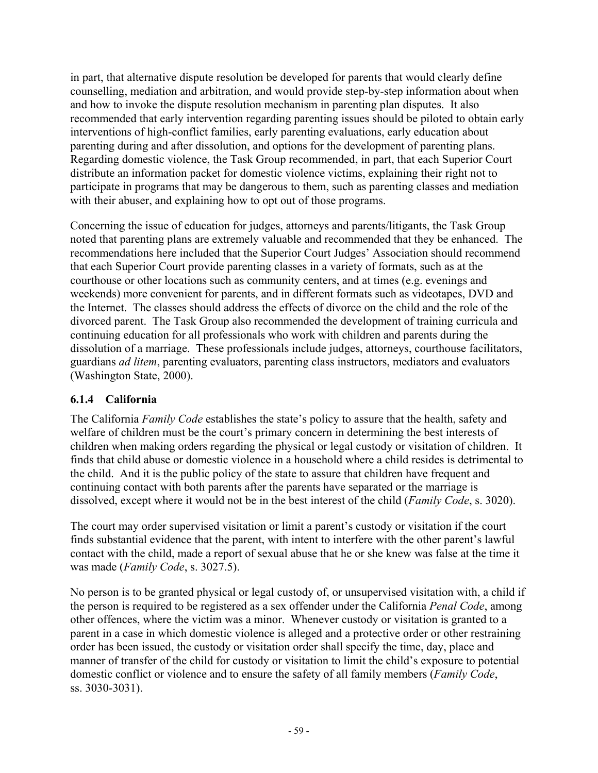in part, that alternative dispute resolution be developed for parents that would clearly define counselling, mediation and arbitration, and would provide step-by-step information about when and how to invoke the dispute resolution mechanism in parenting plan disputes. It also recommended that early intervention regarding parenting issues should be piloted to obtain early interventions of high-conflict families, early parenting evaluations, early education about parenting during and after dissolution, and options for the development of parenting plans. Regarding domestic violence, the Task Group recommended, in part, that each Superior Court distribute an information packet for domestic violence victims, explaining their right not to participate in programs that may be dangerous to them, such as parenting classes and mediation with their abuser, and explaining how to opt out of those programs.

Concerning the issue of education for judges, attorneys and parents/litigants, the Task Group noted that parenting plans are extremely valuable and recommended that they be enhanced. The recommendations here included that the Superior Court Judges' Association should recommend that each Superior Court provide parenting classes in a variety of formats, such as at the courthouse or other locations such as community centers, and at times (e.g. evenings and weekends) more convenient for parents, and in different formats such as videotapes, DVD and the Internet. The classes should address the effects of divorce on the child and the role of the divorced parent. The Task Group also recommended the development of training curricula and continuing education for all professionals who work with children and parents during the dissolution of a marriage. These professionals include judges, attorneys, courthouse facilitators, guardians *ad litem*, parenting evaluators, parenting class instructors, mediators and evaluators (Washington State, 2000).

### **6.1.4 California**

The California *Family Code* establishes the state's policy to assure that the health, safety and welfare of children must be the court's primary concern in determining the best interests of children when making orders regarding the physical or legal custody or visitation of children. It finds that child abuse or domestic violence in a household where a child resides is detrimental to the child. And it is the public policy of the state to assure that children have frequent and continuing contact with both parents after the parents have separated or the marriage is dissolved, except where it would not be in the best interest of the child (*Family Code*, s. 3020).

The court may order supervised visitation or limit a parent's custody or visitation if the court finds substantial evidence that the parent, with intent to interfere with the other parent's lawful contact with the child, made a report of sexual abuse that he or she knew was false at the time it was made (*Family Code*, s. 3027.5).

No person is to be granted physical or legal custody of, or unsupervised visitation with, a child if the person is required to be registered as a sex offender under the California *Penal Code*, among other offences, where the victim was a minor. Whenever custody or visitation is granted to a parent in a case in which domestic violence is alleged and a protective order or other restraining order has been issued, the custody or visitation order shall specify the time, day, place and manner of transfer of the child for custody or visitation to limit the child's exposure to potential domestic conflict or violence and to ensure the safety of all family members (*Family Code*, ss. 3030-3031).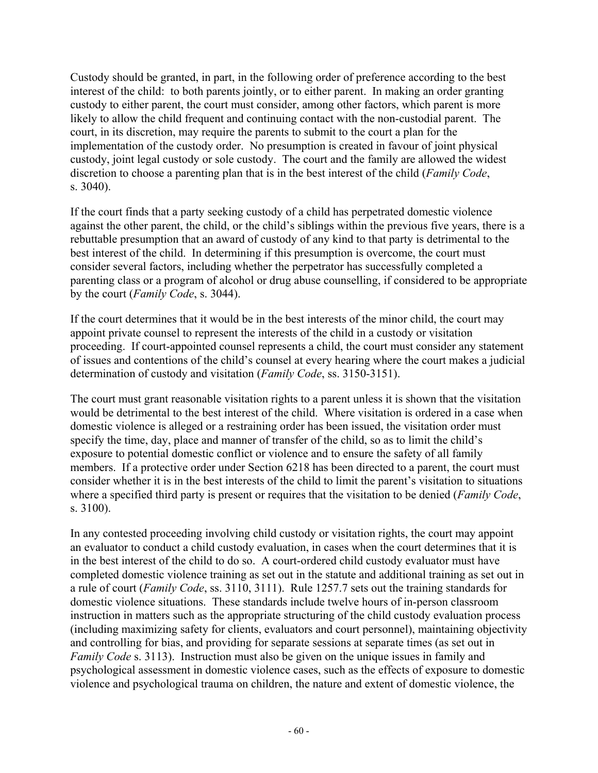Custody should be granted, in part, in the following order of preference according to the best interest of the child: to both parents jointly, or to either parent. In making an order granting custody to either parent, the court must consider, among other factors, which parent is more likely to allow the child frequent and continuing contact with the non-custodial parent. The court, in its discretion, may require the parents to submit to the court a plan for the implementation of the custody order. No presumption is created in favour of joint physical custody, joint legal custody or sole custody. The court and the family are allowed the widest discretion to choose a parenting plan that is in the best interest of the child (*Family Code*, s. 3040).

If the court finds that a party seeking custody of a child has perpetrated domestic violence against the other parent, the child, or the child's siblings within the previous five years, there is a rebuttable presumption that an award of custody of any kind to that party is detrimental to the best interest of the child. In determining if this presumption is overcome, the court must consider several factors, including whether the perpetrator has successfully completed a parenting class or a program of alcohol or drug abuse counselling, if considered to be appropriate by the court (*Family Code*, s. 3044).

If the court determines that it would be in the best interests of the minor child, the court may appoint private counsel to represent the interests of the child in a custody or visitation proceeding. If court-appointed counsel represents a child, the court must consider any statement of issues and contentions of the child's counsel at every hearing where the court makes a judicial determination of custody and visitation (*Family Code*, ss. 3150-3151).

The court must grant reasonable visitation rights to a parent unless it is shown that the visitation would be detrimental to the best interest of the child. Where visitation is ordered in a case when domestic violence is alleged or a restraining order has been issued, the visitation order must specify the time, day, place and manner of transfer of the child, so as to limit the child's exposure to potential domestic conflict or violence and to ensure the safety of all family members. If a protective order under Section 6218 has been directed to a parent, the court must consider whether it is in the best interests of the child to limit the parent's visitation to situations where a specified third party is present or requires that the visitation to be denied (*Family Code*, s. 3100).

In any contested proceeding involving child custody or visitation rights, the court may appoint an evaluator to conduct a child custody evaluation, in cases when the court determines that it is in the best interest of the child to do so. A court-ordered child custody evaluator must have completed domestic violence training as set out in the statute and additional training as set out in a rule of court (*Family Code*, ss. 3110, 3111). Rule 1257.7 sets out the training standards for domestic violence situations. These standards include twelve hours of in-person classroom instruction in matters such as the appropriate structuring of the child custody evaluation process (including maximizing safety for clients, evaluators and court personnel), maintaining objectivity and controlling for bias, and providing for separate sessions at separate times (as set out in *Family Code* s. 3113). Instruction must also be given on the unique issues in family and psychological assessment in domestic violence cases, such as the effects of exposure to domestic violence and psychological trauma on children, the nature and extent of domestic violence, the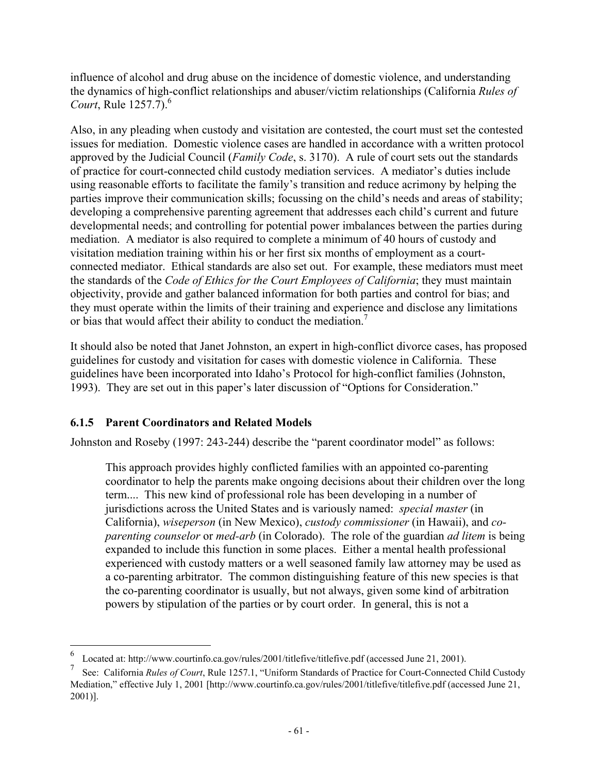influence of alcohol and drug abuse on the incidence of domestic violence, and understanding the dynamics of high-conflict relationships and abuser/victim relationships (California *Rules of Court*, Rule 1257.7).<sup>6</sup>

Also, in any pleading when custody and visitation are contested, the court must set the contested issues for mediation. Domestic violence cases are handled in accordance with a written protocol approved by the Judicial Council (*Family Code*, s. 3170). A rule of court sets out the standards of practice for court-connected child custody mediation services. A mediator's duties include using reasonable efforts to facilitate the family's transition and reduce acrimony by helping the parties improve their communication skills; focussing on the child's needs and areas of stability; developing a comprehensive parenting agreement that addresses each child's current and future developmental needs; and controlling for potential power imbalances between the parties during mediation. A mediator is also required to complete a minimum of 40 hours of custody and visitation mediation training within his or her first six months of employment as a courtconnected mediator. Ethical standards are also set out. For example, these mediators must meet the standards of the *Code of Ethics for the Court Employees of California*; they must maintain objectivity, provide and gather balanced information for both parties and control for bias; and they must operate within the limits of their training and experience and disclose any limitations or bias that would affect their ability to conduct the mediation.<sup>7</sup>

It should also be noted that Janet Johnston, an expert in high-conflict divorce cases, has proposed guidelines for custody and visitation for cases with domestic violence in California. These guidelines have been incorporated into Idaho's Protocol for high-conflict families (Johnston, 1993). They are set out in this paper's later discussion of "Options for Consideration."

### **6.1.5 Parent Coordinators and Related Models**

1

Johnston and Roseby (1997: 243-244) describe the "parent coordinator model" as follows:

This approach provides highly conflicted families with an appointed co-parenting coordinator to help the parents make ongoing decisions about their children over the long term.... This new kind of professional role has been developing in a number of jurisdictions across the United States and is variously named: *special master* (in California), *wiseperson* (in New Mexico), *custody commissioner* (in Hawaii), and *coparenting counselor* or *med-arb* (in Colorado). The role of the guardian *ad litem* is being expanded to include this function in some places. Either a mental health professional experienced with custody matters or a well seasoned family law attorney may be used as a co-parenting arbitrator. The common distinguishing feature of this new species is that the co-parenting coordinator is usually, but not always, given some kind of arbitration powers by stipulation of the parties or by court order. In general, this is not a

<sup>6</sup> Located at: http://www.courtinfo.ca.gov/rules/2001/titlefive/titlefive.pdf (accessed June 21, 2001).

<sup>7</sup> See: California *Rules of Court*, Rule 1257.1, "Uniform Standards of Practice for Court-Connected Child Custody Mediation," effective July 1, 2001 [http://www.courtinfo.ca.gov/rules/2001/titlefive/titlefive.pdf (accessed June 21, 2001)].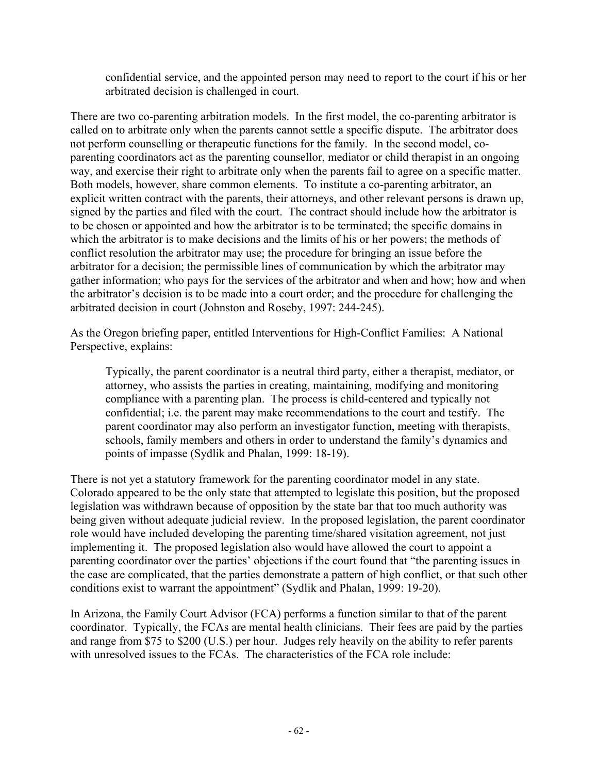confidential service, and the appointed person may need to report to the court if his or her arbitrated decision is challenged in court.

There are two co-parenting arbitration models. In the first model, the co-parenting arbitrator is called on to arbitrate only when the parents cannot settle a specific dispute. The arbitrator does not perform counselling or therapeutic functions for the family. In the second model, coparenting coordinators act as the parenting counsellor, mediator or child therapist in an ongoing way, and exercise their right to arbitrate only when the parents fail to agree on a specific matter. Both models, however, share common elements. To institute a co-parenting arbitrator, an explicit written contract with the parents, their attorneys, and other relevant persons is drawn up, signed by the parties and filed with the court. The contract should include how the arbitrator is to be chosen or appointed and how the arbitrator is to be terminated; the specific domains in which the arbitrator is to make decisions and the limits of his or her powers; the methods of conflict resolution the arbitrator may use; the procedure for bringing an issue before the arbitrator for a decision; the permissible lines of communication by which the arbitrator may gather information; who pays for the services of the arbitrator and when and how; how and when the arbitrator's decision is to be made into a court order; and the procedure for challenging the arbitrated decision in court (Johnston and Roseby, 1997: 244-245).

As the Oregon briefing paper, entitled Interventions for High-Conflict Families: A National Perspective, explains:

Typically, the parent coordinator is a neutral third party, either a therapist, mediator, or attorney, who assists the parties in creating, maintaining, modifying and monitoring compliance with a parenting plan. The process is child-centered and typically not confidential; i.e. the parent may make recommendations to the court and testify. The parent coordinator may also perform an investigator function, meeting with therapists, schools, family members and others in order to understand the family's dynamics and points of impasse (Sydlik and Phalan, 1999: 18-19).

There is not yet a statutory framework for the parenting coordinator model in any state. Colorado appeared to be the only state that attempted to legislate this position, but the proposed legislation was withdrawn because of opposition by the state bar that too much authority was being given without adequate judicial review. In the proposed legislation, the parent coordinator role would have included developing the parenting time/shared visitation agreement, not just implementing it. The proposed legislation also would have allowed the court to appoint a parenting coordinator over the parties' objections if the court found that "the parenting issues in the case are complicated, that the parties demonstrate a pattern of high conflict, or that such other conditions exist to warrant the appointment" (Sydlik and Phalan, 1999: 19-20).

In Arizona, the Family Court Advisor (FCA) performs a function similar to that of the parent coordinator. Typically, the FCAs are mental health clinicians. Their fees are paid by the parties and range from \$75 to \$200 (U.S.) per hour. Judges rely heavily on the ability to refer parents with unresolved issues to the FCAs. The characteristics of the FCA role include: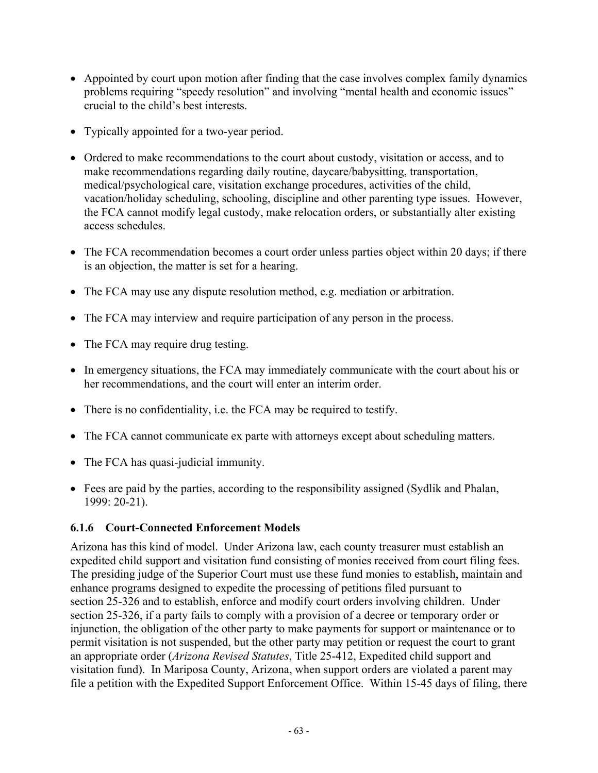- Appointed by court upon motion after finding that the case involves complex family dynamics problems requiring "speedy resolution" and involving "mental health and economic issues" crucial to the child's best interests.
- Typically appointed for a two-year period.
- Ordered to make recommendations to the court about custody, visitation or access, and to make recommendations regarding daily routine, daycare/babysitting, transportation, medical/psychological care, visitation exchange procedures, activities of the child, vacation/holiday scheduling, schooling, discipline and other parenting type issues. However, the FCA cannot modify legal custody, make relocation orders, or substantially alter existing access schedules.
- The FCA recommendation becomes a court order unless parties object within 20 days; if there is an objection, the matter is set for a hearing.
- The FCA may use any dispute resolution method, e.g. mediation or arbitration.
- The FCA may interview and require participation of any person in the process.
- The FCA may require drug testing.
- In emergency situations, the FCA may immediately communicate with the court about his or her recommendations, and the court will enter an interim order.
- There is no confidentiality, i.e. the FCA may be required to testify.
- The FCA cannot communicate ex parte with attorneys except about scheduling matters.
- The FCA has quasi-judicial immunity.
- Fees are paid by the parties, according to the responsibility assigned (Sydlik and Phalan, 1999: 20-21).

### **6.1.6 Court-Connected Enforcement Models**

Arizona has this kind of model. Under Arizona law, each county treasurer must establish an expedited child support and visitation fund consisting of monies received from court filing fees. The presiding judge of the Superior Court must use these fund monies to establish, maintain and enhance programs designed to expedite the processing of petitions filed pursuant to section 25-326 and to establish, enforce and modify court orders involving children. Under section 25-326, if a party fails to comply with a provision of a decree or temporary order or injunction, the obligation of the other party to make payments for support or maintenance or to permit visitation is not suspended, but the other party may petition or request the court to grant an appropriate order (*Arizona Revised Statutes*, Title 25-412, Expedited child support and visitation fund). In Mariposa County, Arizona, when support orders are violated a parent may file a petition with the Expedited Support Enforcement Office. Within 15-45 days of filing, there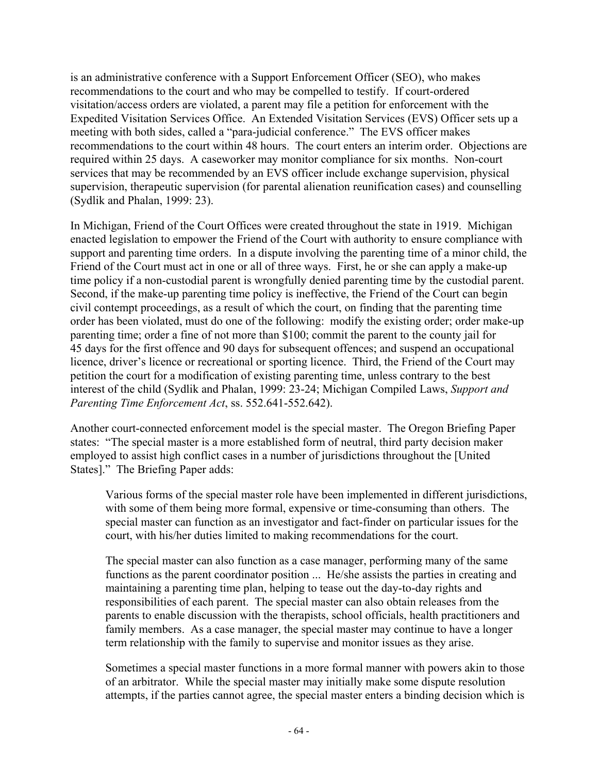is an administrative conference with a Support Enforcement Officer (SEO), who makes recommendations to the court and who may be compelled to testify. If court-ordered visitation/access orders are violated, a parent may file a petition for enforcement with the Expedited Visitation Services Office. An Extended Visitation Services (EVS) Officer sets up a meeting with both sides, called a "para-judicial conference." The EVS officer makes recommendations to the court within 48 hours. The court enters an interim order. Objections are required within 25 days. A caseworker may monitor compliance for six months. Non-court services that may be recommended by an EVS officer include exchange supervision, physical supervision, therapeutic supervision (for parental alienation reunification cases) and counselling (Sydlik and Phalan, 1999: 23).

In Michigan, Friend of the Court Offices were created throughout the state in 1919. Michigan enacted legislation to empower the Friend of the Court with authority to ensure compliance with support and parenting time orders. In a dispute involving the parenting time of a minor child, the Friend of the Court must act in one or all of three ways. First, he or she can apply a make-up time policy if a non-custodial parent is wrongfully denied parenting time by the custodial parent. Second, if the make-up parenting time policy is ineffective, the Friend of the Court can begin civil contempt proceedings, as a result of which the court, on finding that the parenting time order has been violated, must do one of the following: modify the existing order; order make-up parenting time; order a fine of not more than \$100; commit the parent to the county jail for 45 days for the first offence and 90 days for subsequent offences; and suspend an occupational licence, driver's licence or recreational or sporting licence. Third, the Friend of the Court may petition the court for a modification of existing parenting time, unless contrary to the best interest of the child (Sydlik and Phalan, 1999: 23-24; Michigan Compiled Laws, *Support and Parenting Time Enforcement Act*, ss. 552.641-552.642).

Another court-connected enforcement model is the special master. The Oregon Briefing Paper states: "The special master is a more established form of neutral, third party decision maker employed to assist high conflict cases in a number of jurisdictions throughout the [United States]." The Briefing Paper adds:

Various forms of the special master role have been implemented in different jurisdictions, with some of them being more formal, expensive or time-consuming than others. The special master can function as an investigator and fact-finder on particular issues for the court, with his/her duties limited to making recommendations for the court.

The special master can also function as a case manager, performing many of the same functions as the parent coordinator position ... He/she assists the parties in creating and maintaining a parenting time plan, helping to tease out the day-to-day rights and responsibilities of each parent. The special master can also obtain releases from the parents to enable discussion with the therapists, school officials, health practitioners and family members. As a case manager, the special master may continue to have a longer term relationship with the family to supervise and monitor issues as they arise.

Sometimes a special master functions in a more formal manner with powers akin to those of an arbitrator. While the special master may initially make some dispute resolution attempts, if the parties cannot agree, the special master enters a binding decision which is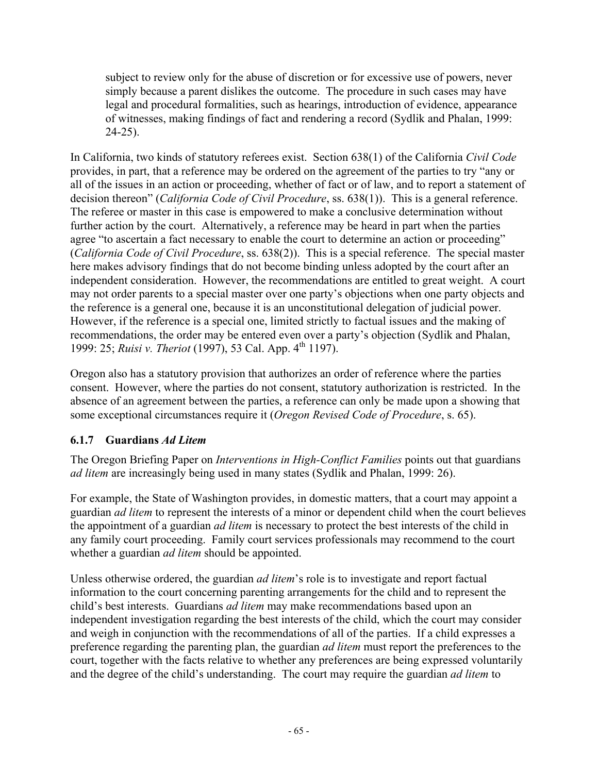subject to review only for the abuse of discretion or for excessive use of powers, never simply because a parent dislikes the outcome. The procedure in such cases may have legal and procedural formalities, such as hearings, introduction of evidence, appearance of witnesses, making findings of fact and rendering a record (Sydlik and Phalan, 1999: 24-25).

In California, two kinds of statutory referees exist. Section 638(1) of the California *Civil Code* provides, in part, that a reference may be ordered on the agreement of the parties to try "any or all of the issues in an action or proceeding, whether of fact or of law, and to report a statement of decision thereon" (*California Code of Civil Procedure*, ss. 638(1)). This is a general reference. The referee or master in this case is empowered to make a conclusive determination without further action by the court. Alternatively, a reference may be heard in part when the parties agree "to ascertain a fact necessary to enable the court to determine an action or proceeding" (*California Code of Civil Procedure*, ss. 638(2)). This is a special reference. The special master here makes advisory findings that do not become binding unless adopted by the court after an independent consideration. However, the recommendations are entitled to great weight. A court may not order parents to a special master over one party's objections when one party objects and the reference is a general one, because it is an unconstitutional delegation of judicial power. However, if the reference is a special one, limited strictly to factual issues and the making of recommendations, the order may be entered even over a party's objection (Sydlik and Phalan, 1999: 25; *Ruisi v. Theriot* (1997), 53 Cal. App. 4<sup>th</sup> 1197).

Oregon also has a statutory provision that authorizes an order of reference where the parties consent. However, where the parties do not consent, statutory authorization is restricted. In the absence of an agreement between the parties, a reference can only be made upon a showing that some exceptional circumstances require it (*Oregon Revised Code of Procedure*, s. 65).

## **6.1.7 Guardians** *Ad Litem*

The Oregon Briefing Paper on *Interventions in High-Conflict Families* points out that guardians *ad litem* are increasingly being used in many states (Sydlik and Phalan, 1999: 26).

For example, the State of Washington provides, in domestic matters, that a court may appoint a guardian *ad litem* to represent the interests of a minor or dependent child when the court believes the appointment of a guardian *ad litem* is necessary to protect the best interests of the child in any family court proceeding. Family court services professionals may recommend to the court whether a guardian *ad litem* should be appointed.

Unless otherwise ordered, the guardian *ad litem*'s role is to investigate and report factual information to the court concerning parenting arrangements for the child and to represent the child's best interests. Guardians *ad litem* may make recommendations based upon an independent investigation regarding the best interests of the child, which the court may consider and weigh in conjunction with the recommendations of all of the parties. If a child expresses a preference regarding the parenting plan, the guardian *ad litem* must report the preferences to the court, together with the facts relative to whether any preferences are being expressed voluntarily and the degree of the child's understanding. The court may require the guardian *ad litem* to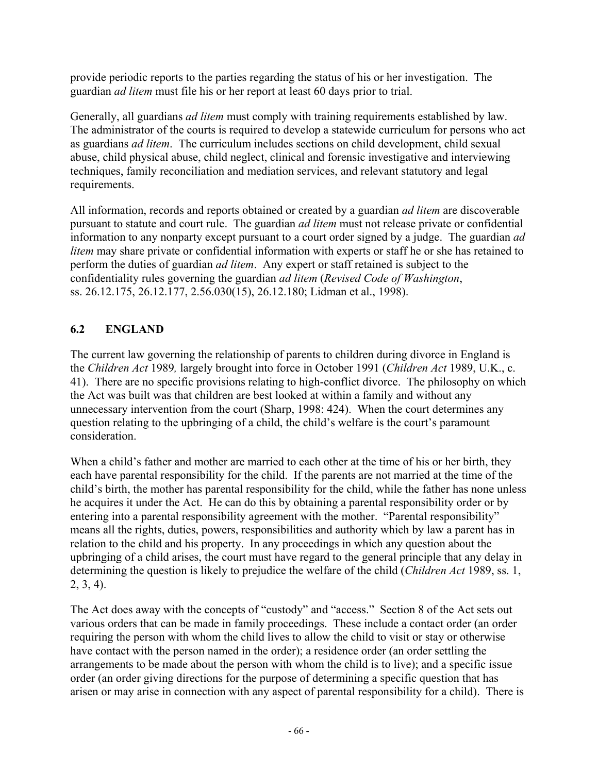provide periodic reports to the parties regarding the status of his or her investigation. The guardian *ad litem* must file his or her report at least 60 days prior to trial.

Generally, all guardians *ad litem* must comply with training requirements established by law. The administrator of the courts is required to develop a statewide curriculum for persons who act as guardians *ad litem*. The curriculum includes sections on child development, child sexual abuse, child physical abuse, child neglect, clinical and forensic investigative and interviewing techniques, family reconciliation and mediation services, and relevant statutory and legal requirements.

All information, records and reports obtained or created by a guardian *ad litem* are discoverable pursuant to statute and court rule. The guardian *ad litem* must not release private or confidential information to any nonparty except pursuant to a court order signed by a judge. The guardian *ad litem* may share private or confidential information with experts or staff he or she has retained to perform the duties of guardian *ad litem*. Any expert or staff retained is subject to the confidentiality rules governing the guardian *ad litem* (*Revised Code of Washington*, ss. 26.12.175, 26.12.177, 2.56.030(15), 26.12.180; Lidman et al., 1998).

## **6.2 ENGLAND**

The current law governing the relationship of parents to children during divorce in England is the *Children Act* 1989*,* largely brought into force in October 1991 (*Children Act* 1989, U.K., c. 41). There are no specific provisions relating to high-conflict divorce. The philosophy on which the Act was built was that children are best looked at within a family and without any unnecessary intervention from the court (Sharp, 1998: 424). When the court determines any question relating to the upbringing of a child, the child's welfare is the court's paramount consideration.

When a child's father and mother are married to each other at the time of his or her birth, they each have parental responsibility for the child. If the parents are not married at the time of the child's birth, the mother has parental responsibility for the child, while the father has none unless he acquires it under the Act. He can do this by obtaining a parental responsibility order or by entering into a parental responsibility agreement with the mother. "Parental responsibility" means all the rights, duties, powers, responsibilities and authority which by law a parent has in relation to the child and his property. In any proceedings in which any question about the upbringing of a child arises, the court must have regard to the general principle that any delay in determining the question is likely to prejudice the welfare of the child (*Children Act* 1989, ss. 1, 2, 3, 4).

The Act does away with the concepts of "custody" and "access." Section 8 of the Act sets out various orders that can be made in family proceedings. These include a contact order (an order requiring the person with whom the child lives to allow the child to visit or stay or otherwise have contact with the person named in the order); a residence order (an order settling the arrangements to be made about the person with whom the child is to live); and a specific issue order (an order giving directions for the purpose of determining a specific question that has arisen or may arise in connection with any aspect of parental responsibility for a child). There is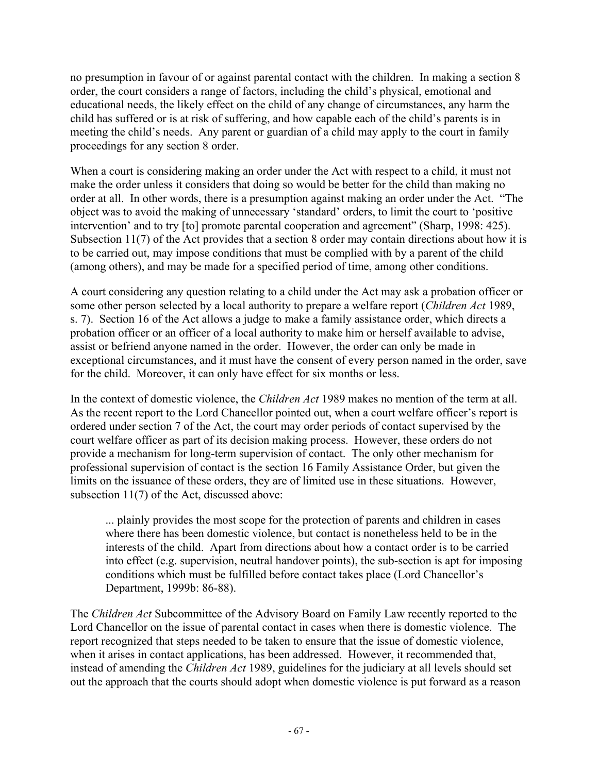no presumption in favour of or against parental contact with the children. In making a section 8 order, the court considers a range of factors, including the child's physical, emotional and educational needs, the likely effect on the child of any change of circumstances, any harm the child has suffered or is at risk of suffering, and how capable each of the child's parents is in meeting the child's needs. Any parent or guardian of a child may apply to the court in family proceedings for any section 8 order.

When a court is considering making an order under the Act with respect to a child, it must not make the order unless it considers that doing so would be better for the child than making no order at all. In other words, there is a presumption against making an order under the Act. "The object was to avoid the making of unnecessary 'standard' orders, to limit the court to 'positive intervention' and to try [to] promote parental cooperation and agreement" (Sharp, 1998: 425). Subsection 11(7) of the Act provides that a section 8 order may contain directions about how it is to be carried out, may impose conditions that must be complied with by a parent of the child (among others), and may be made for a specified period of time, among other conditions.

A court considering any question relating to a child under the Act may ask a probation officer or some other person selected by a local authority to prepare a welfare report (*Children Act* 1989, s. 7). Section 16 of the Act allows a judge to make a family assistance order, which directs a probation officer or an officer of a local authority to make him or herself available to advise, assist or befriend anyone named in the order. However, the order can only be made in exceptional circumstances, and it must have the consent of every person named in the order, save for the child. Moreover, it can only have effect for six months or less.

In the context of domestic violence, the *Children Act* 1989 makes no mention of the term at all. As the recent report to the Lord Chancellor pointed out, when a court welfare officer's report is ordered under section 7 of the Act, the court may order periods of contact supervised by the court welfare officer as part of its decision making process. However, these orders do not provide a mechanism for long-term supervision of contact. The only other mechanism for professional supervision of contact is the section 16 Family Assistance Order, but given the limits on the issuance of these orders, they are of limited use in these situations. However, subsection 11(7) of the Act, discussed above:

... plainly provides the most scope for the protection of parents and children in cases where there has been domestic violence, but contact is nonetheless held to be in the interests of the child. Apart from directions about how a contact order is to be carried into effect (e.g. supervision, neutral handover points), the sub-section is apt for imposing conditions which must be fulfilled before contact takes place (Lord Chancellor's Department, 1999b: 86-88).

The *Children Act* Subcommittee of the Advisory Board on Family Law recently reported to the Lord Chancellor on the issue of parental contact in cases when there is domestic violence. The report recognized that steps needed to be taken to ensure that the issue of domestic violence, when it arises in contact applications, has been addressed. However, it recommended that, instead of amending the *Children Act* 1989, guidelines for the judiciary at all levels should set out the approach that the courts should adopt when domestic violence is put forward as a reason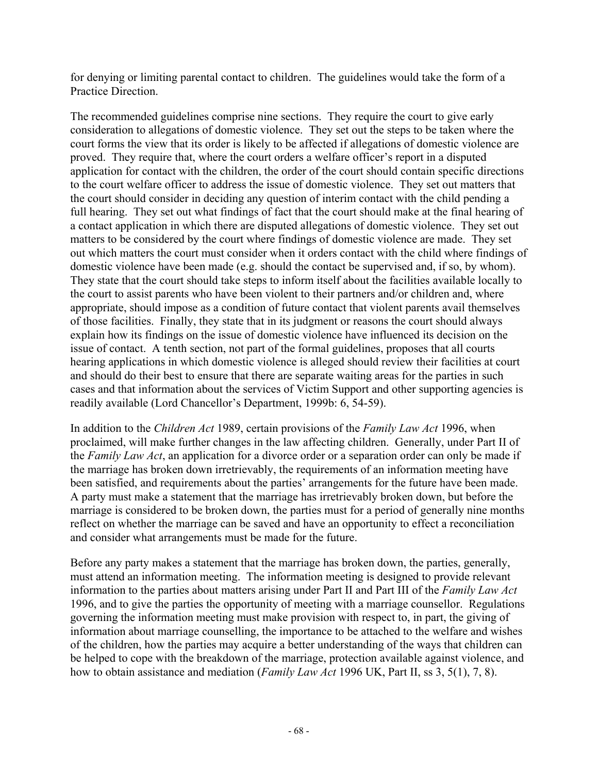for denying or limiting parental contact to children. The guidelines would take the form of a Practice Direction.

The recommended guidelines comprise nine sections. They require the court to give early consideration to allegations of domestic violence. They set out the steps to be taken where the court forms the view that its order is likely to be affected if allegations of domestic violence are proved. They require that, where the court orders a welfare officer's report in a disputed application for contact with the children, the order of the court should contain specific directions to the court welfare officer to address the issue of domestic violence. They set out matters that the court should consider in deciding any question of interim contact with the child pending a full hearing. They set out what findings of fact that the court should make at the final hearing of a contact application in which there are disputed allegations of domestic violence. They set out matters to be considered by the court where findings of domestic violence are made. They set out which matters the court must consider when it orders contact with the child where findings of domestic violence have been made (e.g. should the contact be supervised and, if so, by whom). They state that the court should take steps to inform itself about the facilities available locally to the court to assist parents who have been violent to their partners and/or children and, where appropriate, should impose as a condition of future contact that violent parents avail themselves of those facilities. Finally, they state that in its judgment or reasons the court should always explain how its findings on the issue of domestic violence have influenced its decision on the issue of contact. A tenth section, not part of the formal guidelines, proposes that all courts hearing applications in which domestic violence is alleged should review their facilities at court and should do their best to ensure that there are separate waiting areas for the parties in such cases and that information about the services of Victim Support and other supporting agencies is readily available (Lord Chancellor's Department, 1999b: 6, 54-59).

In addition to the *Children Act* 1989, certain provisions of the *Family Law Act* 1996, when proclaimed, will make further changes in the law affecting children. Generally, under Part II of the *Family Law Act*, an application for a divorce order or a separation order can only be made if the marriage has broken down irretrievably, the requirements of an information meeting have been satisfied, and requirements about the parties' arrangements for the future have been made. A party must make a statement that the marriage has irretrievably broken down, but before the marriage is considered to be broken down, the parties must for a period of generally nine months reflect on whether the marriage can be saved and have an opportunity to effect a reconciliation and consider what arrangements must be made for the future.

Before any party makes a statement that the marriage has broken down, the parties, generally, must attend an information meeting. The information meeting is designed to provide relevant information to the parties about matters arising under Part II and Part III of the *Family Law Act*  1996, and to give the parties the opportunity of meeting with a marriage counsellor. Regulations governing the information meeting must make provision with respect to, in part, the giving of information about marriage counselling, the importance to be attached to the welfare and wishes of the children, how the parties may acquire a better understanding of the ways that children can be helped to cope with the breakdown of the marriage, protection available against violence, and how to obtain assistance and mediation (*Family Law Act* 1996 UK, Part II, ss 3, 5(1), 7, 8).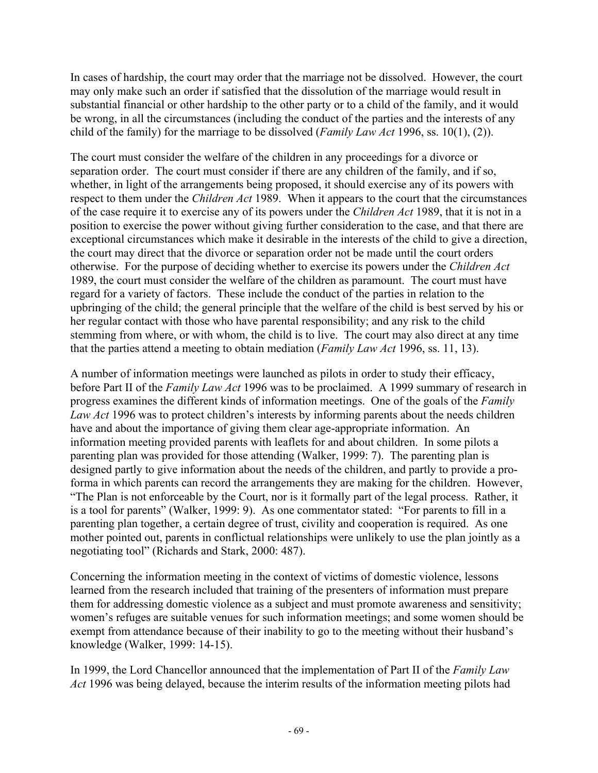In cases of hardship, the court may order that the marriage not be dissolved. However, the court may only make such an order if satisfied that the dissolution of the marriage would result in substantial financial or other hardship to the other party or to a child of the family, and it would be wrong, in all the circumstances (including the conduct of the parties and the interests of any child of the family) for the marriage to be dissolved (*Family Law Act* 1996, ss. 10(1), (2)).

The court must consider the welfare of the children in any proceedings for a divorce or separation order. The court must consider if there are any children of the family, and if so, whether, in light of the arrangements being proposed, it should exercise any of its powers with respect to them under the *Children Act* 1989. When it appears to the court that the circumstances of the case require it to exercise any of its powers under the *Children Act* 1989, that it is not in a position to exercise the power without giving further consideration to the case, and that there are exceptional circumstances which make it desirable in the interests of the child to give a direction, the court may direct that the divorce or separation order not be made until the court orders otherwise. For the purpose of deciding whether to exercise its powers under the *Children Act*  1989, the court must consider the welfare of the children as paramount. The court must have regard for a variety of factors. These include the conduct of the parties in relation to the upbringing of the child; the general principle that the welfare of the child is best served by his or her regular contact with those who have parental responsibility; and any risk to the child stemming from where, or with whom, the child is to live. The court may also direct at any time that the parties attend a meeting to obtain mediation (*Family Law Act* 1996, ss. 11, 13).

A number of information meetings were launched as pilots in order to study their efficacy, before Part II of the *Family Law Act* 1996 was to be proclaimed. A 1999 summary of research in progress examines the different kinds of information meetings. One of the goals of the *Family Law Act* 1996 was to protect children's interests by informing parents about the needs children have and about the importance of giving them clear age-appropriate information. An information meeting provided parents with leaflets for and about children. In some pilots a parenting plan was provided for those attending (Walker, 1999: 7). The parenting plan is designed partly to give information about the needs of the children, and partly to provide a proforma in which parents can record the arrangements they are making for the children. However, "The Plan is not enforceable by the Court, nor is it formally part of the legal process. Rather, it is a tool for parents" (Walker, 1999: 9). As one commentator stated: "For parents to fill in a parenting plan together, a certain degree of trust, civility and cooperation is required. As one mother pointed out, parents in conflictual relationships were unlikely to use the plan jointly as a negotiating tool" (Richards and Stark, 2000: 487).

Concerning the information meeting in the context of victims of domestic violence, lessons learned from the research included that training of the presenters of information must prepare them for addressing domestic violence as a subject and must promote awareness and sensitivity; women's refuges are suitable venues for such information meetings; and some women should be exempt from attendance because of their inability to go to the meeting without their husband's knowledge (Walker, 1999: 14-15).

In 1999, the Lord Chancellor announced that the implementation of Part II of the *Family Law Act* 1996 was being delayed, because the interim results of the information meeting pilots had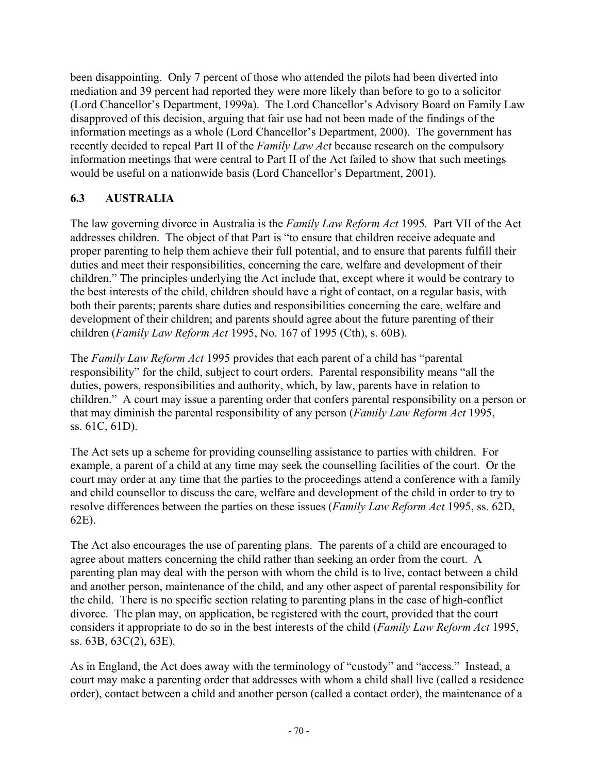been disappointing. Only 7 percent of those who attended the pilots had been diverted into mediation and 39 percent had reported they were more likely than before to go to a solicitor (Lord Chancellor's Department, 1999a). The Lord Chancellor's Advisory Board on Family Law disapproved of this decision, arguing that fair use had not been made of the findings of the information meetings as a whole (Lord Chancellor's Department, 2000). The government has recently decided to repeal Part II of the *Family Law Act* because research on the compulsory information meetings that were central to Part II of the Act failed to show that such meetings would be useful on a nationwide basis (Lord Chancellor's Department, 2001).

### **6.3 AUSTRALIA**

The law governing divorce in Australia is the *Family Law Reform Act* 1995*.* Part VII of the Act addresses children. The object of that Part is "to ensure that children receive adequate and proper parenting to help them achieve their full potential, and to ensure that parents fulfill their duties and meet their responsibilities, concerning the care, welfare and development of their children." The principles underlying the Act include that, except where it would be contrary to the best interests of the child, children should have a right of contact, on a regular basis, with both their parents; parents share duties and responsibilities concerning the care, welfare and development of their children; and parents should agree about the future parenting of their children (*Family Law Reform Act* 1995, No. 167 of 1995 (Cth), s. 60B).

The *Family Law Reform Act* 1995 provides that each parent of a child has "parental responsibility" for the child, subject to court orders. Parental responsibility means "all the duties, powers, responsibilities and authority, which, by law, parents have in relation to children." A court may issue a parenting order that confers parental responsibility on a person or that may diminish the parental responsibility of any person (*Family Law Reform Act* 1995, ss. 61C, 61D).

The Act sets up a scheme for providing counselling assistance to parties with children. For example, a parent of a child at any time may seek the counselling facilities of the court. Or the court may order at any time that the parties to the proceedings attend a conference with a family and child counsellor to discuss the care, welfare and development of the child in order to try to resolve differences between the parties on these issues (*Family Law Reform Act* 1995, ss. 62D, 62E).

The Act also encourages the use of parenting plans. The parents of a child are encouraged to agree about matters concerning the child rather than seeking an order from the court. A parenting plan may deal with the person with whom the child is to live, contact between a child and another person, maintenance of the child, and any other aspect of parental responsibility for the child. There is no specific section relating to parenting plans in the case of high-conflict divorce. The plan may, on application, be registered with the court, provided that the court considers it appropriate to do so in the best interests of the child (*Family Law Reform Act* 1995, ss. 63B, 63C(2), 63E).

As in England, the Act does away with the terminology of "custody" and "access." Instead, a court may make a parenting order that addresses with whom a child shall live (called a residence order), contact between a child and another person (called a contact order), the maintenance of a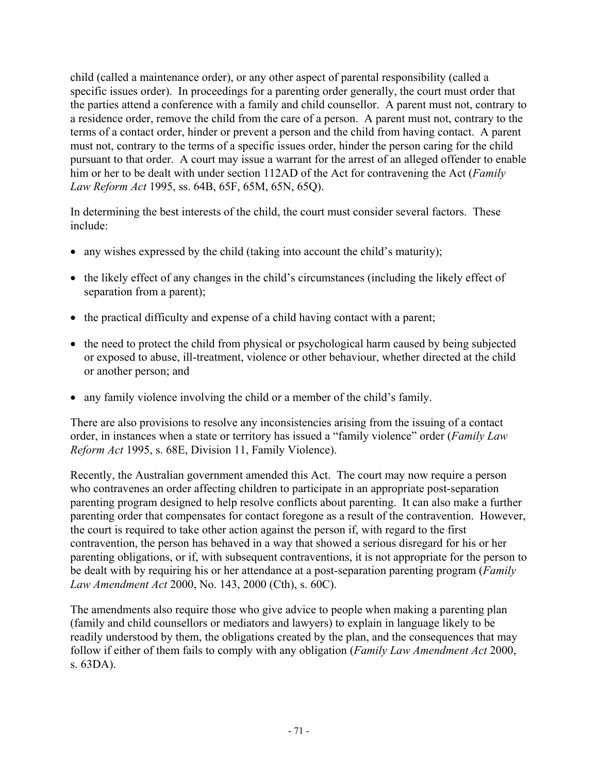child (called a maintenance order), or any other aspect of parental responsibility (called a specific issues order). In proceedings for a parenting order generally, the court must order that the parties attend a conference with a family and child counsellor. A parent must not, contrary to a residence order, remove the child from the care of a person. A parent must not, contrary to the terms of a contact order, hinder or prevent a person and the child from having contact. A parent must not, contrary to the terms of a specific issues order, hinder the person caring for the child pursuant to that order. A court may issue a warrant for the arrest of an alleged offender to enable him or her to be dealt with under section 112AD of the Act for contravening the Act (*Family Law Reform Act* 1995, ss. 64B, 65F, 65M, 65N, 65Q).

In determining the best interests of the child, the court must consider several factors. These include:

- any wishes expressed by the child (taking into account the child's maturity);
- the likely effect of any changes in the child's circumstances (including the likely effect of separation from a parent);
- the practical difficulty and expense of a child having contact with a parent;
- the need to protect the child from physical or psychological harm caused by being subjected or exposed to abuse, ill-treatment, violence or other behaviour, whether directed at the child or another person; and
- any family violence involving the child or a member of the child's family.

There are also provisions to resolve any inconsistencies arising from the issuing of a contact order, in instances when a state or territory has issued a "family violence" order (*Family Law Reform Act* 1995, s. 68E, Division 11, Family Violence).

Recently, the Australian government amended this Act. The court may now require a person who contravenes an order affecting children to participate in an appropriate post-separation parenting program designed to help resolve conflicts about parenting. It can also make a further parenting order that compensates for contact foregone as a result of the contravention. However, the court is required to take other action against the person if, with regard to the first contravention, the person has behaved in a way that showed a serious disregard for his or her parenting obligations, or if, with subsequent contraventions, it is not appropriate for the person to be dealt with by requiring his or her attendance at a post-separation parenting program (*Family Law Amendment Act* 2000, No. 143, 2000 (Cth), s. 60C).

The amendments also require those who give advice to people when making a parenting plan (family and child counsellors or mediators and lawyers) to explain in language likely to be readily understood by them, the obligations created by the plan, and the consequences that may follow if either of them fails to comply with any obligation (*Family Law Amendment Act* 2000, s. 63DA).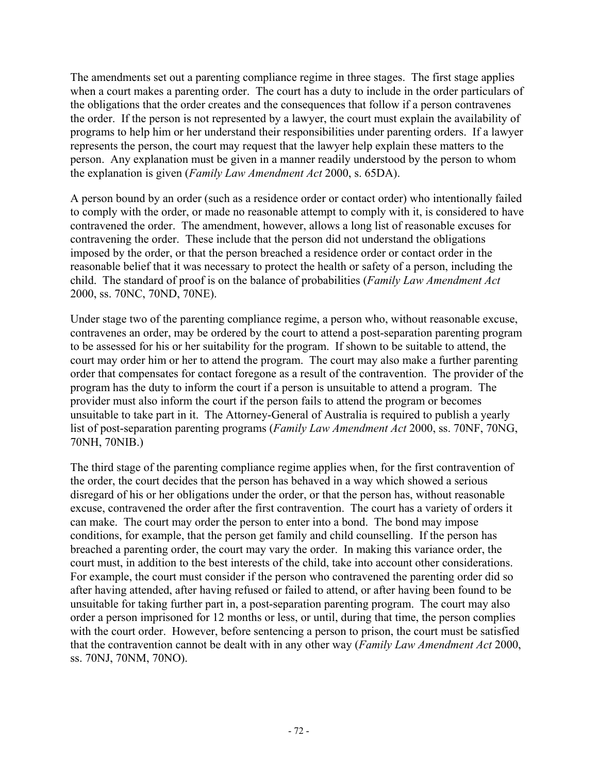The amendments set out a parenting compliance regime in three stages. The first stage applies when a court makes a parenting order. The court has a duty to include in the order particulars of the obligations that the order creates and the consequences that follow if a person contravenes the order. If the person is not represented by a lawyer, the court must explain the availability of programs to help him or her understand their responsibilities under parenting orders. If a lawyer represents the person, the court may request that the lawyer help explain these matters to the person. Any explanation must be given in a manner readily understood by the person to whom the explanation is given (*Family Law Amendment Act* 2000, s. 65DA).

A person bound by an order (such as a residence order or contact order) who intentionally failed to comply with the order, or made no reasonable attempt to comply with it, is considered to have contravened the order. The amendment, however, allows a long list of reasonable excuses for contravening the order. These include that the person did not understand the obligations imposed by the order, or that the person breached a residence order or contact order in the reasonable belief that it was necessary to protect the health or safety of a person, including the child. The standard of proof is on the balance of probabilities (*Family Law Amendment Act*  2000, ss. 70NC, 70ND, 70NE).

Under stage two of the parenting compliance regime, a person who, without reasonable excuse, contravenes an order, may be ordered by the court to attend a post-separation parenting program to be assessed for his or her suitability for the program. If shown to be suitable to attend, the court may order him or her to attend the program. The court may also make a further parenting order that compensates for contact foregone as a result of the contravention. The provider of the program has the duty to inform the court if a person is unsuitable to attend a program. The provider must also inform the court if the person fails to attend the program or becomes unsuitable to take part in it. The Attorney-General of Australia is required to publish a yearly list of post-separation parenting programs (*Family Law Amendment Act* 2000, ss. 70NF, 70NG, 70NH, 70NIB.)

The third stage of the parenting compliance regime applies when, for the first contravention of the order, the court decides that the person has behaved in a way which showed a serious disregard of his or her obligations under the order, or that the person has, without reasonable excuse, contravened the order after the first contravention. The court has a variety of orders it can make. The court may order the person to enter into a bond. The bond may impose conditions, for example, that the person get family and child counselling. If the person has breached a parenting order, the court may vary the order. In making this variance order, the court must, in addition to the best interests of the child, take into account other considerations. For example, the court must consider if the person who contravened the parenting order did so after having attended, after having refused or failed to attend, or after having been found to be unsuitable for taking further part in, a post-separation parenting program. The court may also order a person imprisoned for 12 months or less, or until, during that time, the person complies with the court order. However, before sentencing a person to prison, the court must be satisfied that the contravention cannot be dealt with in any other way (*Family Law Amendment Act* 2000, ss. 70NJ, 70NM, 70NO).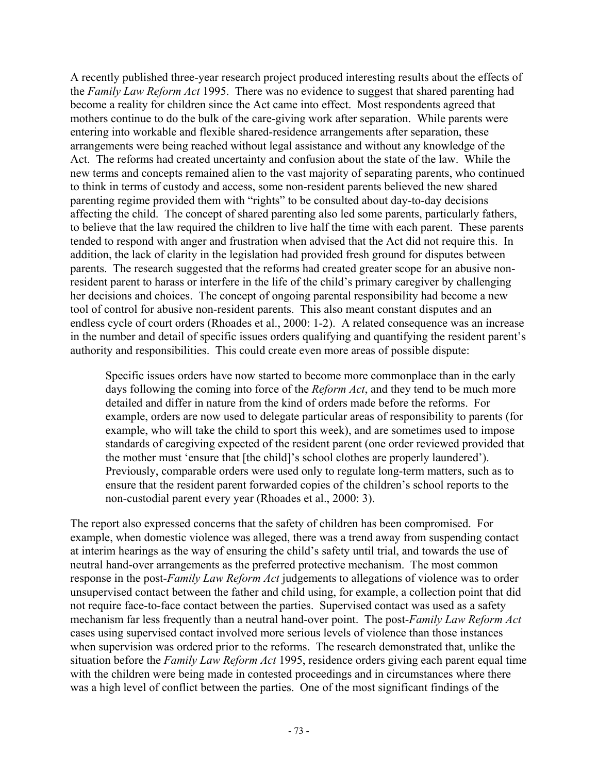A recently published three-year research project produced interesting results about the effects of the *Family Law Reform Act* 1995. There was no evidence to suggest that shared parenting had become a reality for children since the Act came into effect. Most respondents agreed that mothers continue to do the bulk of the care-giving work after separation. While parents were entering into workable and flexible shared-residence arrangements after separation, these arrangements were being reached without legal assistance and without any knowledge of the Act. The reforms had created uncertainty and confusion about the state of the law. While the new terms and concepts remained alien to the vast majority of separating parents, who continued to think in terms of custody and access, some non-resident parents believed the new shared parenting regime provided them with "rights" to be consulted about day-to-day decisions affecting the child. The concept of shared parenting also led some parents, particularly fathers, to believe that the law required the children to live half the time with each parent. These parents tended to respond with anger and frustration when advised that the Act did not require this. In addition, the lack of clarity in the legislation had provided fresh ground for disputes between parents. The research suggested that the reforms had created greater scope for an abusive nonresident parent to harass or interfere in the life of the child's primary caregiver by challenging her decisions and choices. The concept of ongoing parental responsibility had become a new tool of control for abusive non-resident parents. This also meant constant disputes and an endless cycle of court orders (Rhoades et al., 2000: 1-2). A related consequence was an increase in the number and detail of specific issues orders qualifying and quantifying the resident parent's authority and responsibilities. This could create even more areas of possible dispute:

Specific issues orders have now started to become more commonplace than in the early days following the coming into force of the *Reform Act*, and they tend to be much more detailed and differ in nature from the kind of orders made before the reforms. For example, orders are now used to delegate particular areas of responsibility to parents (for example, who will take the child to sport this week), and are sometimes used to impose standards of caregiving expected of the resident parent (one order reviewed provided that the mother must 'ensure that [the child]'s school clothes are properly laundered'). Previously, comparable orders were used only to regulate long-term matters, such as to ensure that the resident parent forwarded copies of the children's school reports to the non-custodial parent every year (Rhoades et al., 2000: 3).

The report also expressed concerns that the safety of children has been compromised. For example, when domestic violence was alleged, there was a trend away from suspending contact at interim hearings as the way of ensuring the child's safety until trial, and towards the use of neutral hand-over arrangements as the preferred protective mechanism. The most common response in the post*-Family Law Reform Act* judgements to allegations of violence was to order unsupervised contact between the father and child using, for example, a collection point that did not require face-to-face contact between the parties. Supervised contact was used as a safety mechanism far less frequently than a neutral hand-over point. The post-*Family Law Reform Act* cases using supervised contact involved more serious levels of violence than those instances when supervision was ordered prior to the reforms. The research demonstrated that, unlike the situation before the *Family Law Reform Act* 1995, residence orders giving each parent equal time with the children were being made in contested proceedings and in circumstances where there was a high level of conflict between the parties. One of the most significant findings of the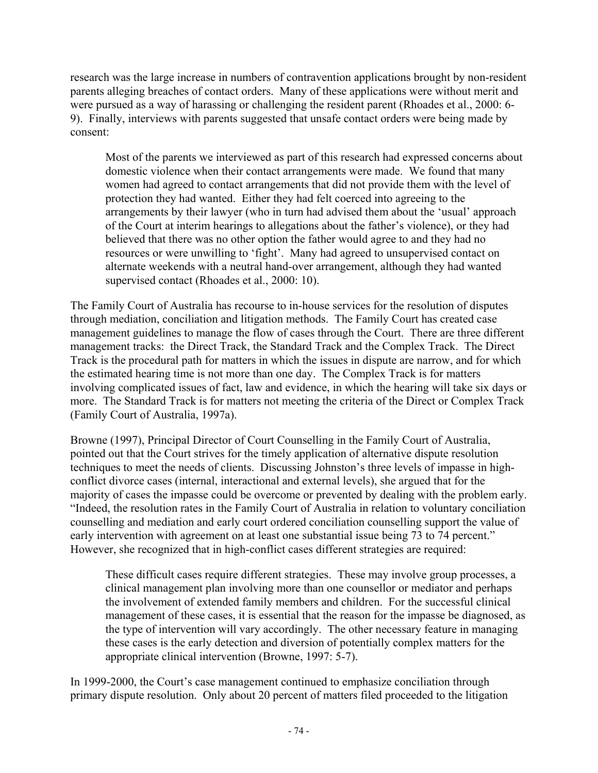research was the large increase in numbers of contravention applications brought by non-resident parents alleging breaches of contact orders. Many of these applications were without merit and were pursued as a way of harassing or challenging the resident parent (Rhoades et al., 2000: 6- 9). Finally, interviews with parents suggested that unsafe contact orders were being made by consent:

Most of the parents we interviewed as part of this research had expressed concerns about domestic violence when their contact arrangements were made. We found that many women had agreed to contact arrangements that did not provide them with the level of protection they had wanted. Either they had felt coerced into agreeing to the arrangements by their lawyer (who in turn had advised them about the 'usual' approach of the Court at interim hearings to allegations about the father's violence), or they had believed that there was no other option the father would agree to and they had no resources or were unwilling to 'fight'. Many had agreed to unsupervised contact on alternate weekends with a neutral hand-over arrangement, although they had wanted supervised contact (Rhoades et al., 2000: 10).

The Family Court of Australia has recourse to in-house services for the resolution of disputes through mediation, conciliation and litigation methods. The Family Court has created case management guidelines to manage the flow of cases through the Court. There are three different management tracks: the Direct Track, the Standard Track and the Complex Track. The Direct Track is the procedural path for matters in which the issues in dispute are narrow, and for which the estimated hearing time is not more than one day. The Complex Track is for matters involving complicated issues of fact, law and evidence, in which the hearing will take six days or more. The Standard Track is for matters not meeting the criteria of the Direct or Complex Track (Family Court of Australia, 1997a).

Browne (1997), Principal Director of Court Counselling in the Family Court of Australia, pointed out that the Court strives for the timely application of alternative dispute resolution techniques to meet the needs of clients. Discussing Johnston's three levels of impasse in highconflict divorce cases (internal, interactional and external levels), she argued that for the majority of cases the impasse could be overcome or prevented by dealing with the problem early. "Indeed, the resolution rates in the Family Court of Australia in relation to voluntary conciliation counselling and mediation and early court ordered conciliation counselling support the value of early intervention with agreement on at least one substantial issue being 73 to 74 percent." However, she recognized that in high-conflict cases different strategies are required:

These difficult cases require different strategies. These may involve group processes, a clinical management plan involving more than one counsellor or mediator and perhaps the involvement of extended family members and children. For the successful clinical management of these cases, it is essential that the reason for the impasse be diagnosed, as the type of intervention will vary accordingly. The other necessary feature in managing these cases is the early detection and diversion of potentially complex matters for the appropriate clinical intervention (Browne, 1997: 5-7).

In 1999-2000, the Court's case management continued to emphasize conciliation through primary dispute resolution. Only about 20 percent of matters filed proceeded to the litigation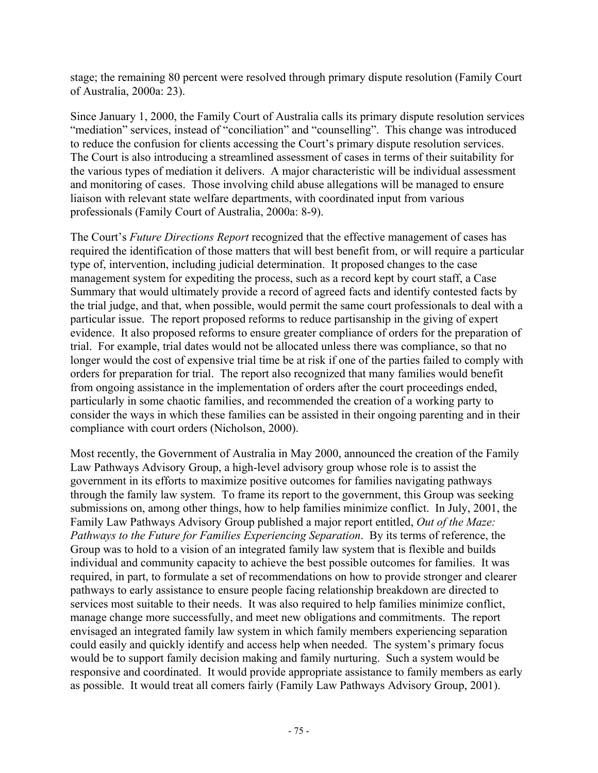stage; the remaining 80 percent were resolved through primary dispute resolution (Family Court of Australia, 2000a: 23).

Since January 1, 2000, the Family Court of Australia calls its primary dispute resolution services "mediation" services, instead of "conciliation" and "counselling". This change was introduced to reduce the confusion for clients accessing the Court's primary dispute resolution services. The Court is also introducing a streamlined assessment of cases in terms of their suitability for the various types of mediation it delivers. A major characteristic will be individual assessment and monitoring of cases. Those involving child abuse allegations will be managed to ensure liaison with relevant state welfare departments, with coordinated input from various professionals (Family Court of Australia, 2000a: 8-9).

The Court's *Future Directions Report* recognized that the effective management of cases has required the identification of those matters that will best benefit from, or will require a particular type of, intervention, including judicial determination. It proposed changes to the case management system for expediting the process, such as a record kept by court staff, a Case Summary that would ultimately provide a record of agreed facts and identify contested facts by the trial judge, and that, when possible, would permit the same court professionals to deal with a particular issue. The report proposed reforms to reduce partisanship in the giving of expert evidence. It also proposed reforms to ensure greater compliance of orders for the preparation of trial. For example, trial dates would not be allocated unless there was compliance, so that no longer would the cost of expensive trial time be at risk if one of the parties failed to comply with orders for preparation for trial. The report also recognized that many families would benefit from ongoing assistance in the implementation of orders after the court proceedings ended, particularly in some chaotic families, and recommended the creation of a working party to consider the ways in which these families can be assisted in their ongoing parenting and in their compliance with court orders (Nicholson, 2000).

Most recently, the Government of Australia in May 2000, announced the creation of the Family Law Pathways Advisory Group, a high-level advisory group whose role is to assist the government in its efforts to maximize positive outcomes for families navigating pathways through the family law system. To frame its report to the government, this Group was seeking submissions on, among other things, how to help families minimize conflict. In July, 2001, the Family Law Pathways Advisory Group published a major report entitled, *Out of the Maze: Pathways to the Future for Families Experiencing Separation*. By its terms of reference, the Group was to hold to a vision of an integrated family law system that is flexible and builds individual and community capacity to achieve the best possible outcomes for families. It was required, in part, to formulate a set of recommendations on how to provide stronger and clearer pathways to early assistance to ensure people facing relationship breakdown are directed to services most suitable to their needs. It was also required to help families minimize conflict, manage change more successfully, and meet new obligations and commitments. The report envisaged an integrated family law system in which family members experiencing separation could easily and quickly identify and access help when needed. The system's primary focus would be to support family decision making and family nurturing. Such a system would be responsive and coordinated. It would provide appropriate assistance to family members as early as possible. It would treat all comers fairly (Family Law Pathways Advisory Group, 2001).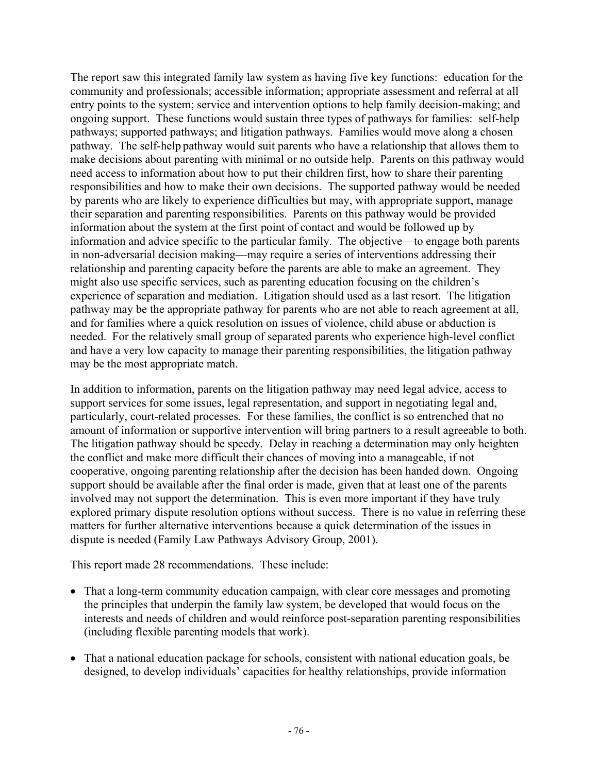The report saw this integrated family law system as having five key functions: education for the community and professionals; accessible information; appropriate assessment and referral at all entry points to the system; service and intervention options to help family decision-making; and ongoing support. These functions would sustain three types of pathways for families: self-help pathways; supported pathways; and litigation pathways. Families would move along a chosen pathway. The self-help pathway would suit parents who have a relationship that allows them to make decisions about parenting with minimal or no outside help. Parents on this pathway would need access to information about how to put their children first, how to share their parenting responsibilities and how to make their own decisions. The supported pathway would be needed by parents who are likely to experience difficulties but may, with appropriate support, manage their separation and parenting responsibilities. Parents on this pathway would be provided information about the system at the first point of contact and would be followed up by information and advice specific to the particular family. The objective—to engage both parents in non-adversarial decision making—may require a series of interventions addressing their relationship and parenting capacity before the parents are able to make an agreement. They might also use specific services, such as parenting education focusing on the children's experience of separation and mediation. Litigation should used as a last resort. The litigation pathway may be the appropriate pathway for parents who are not able to reach agreement at all, and for families where a quick resolution on issues of violence, child abuse or abduction is needed. For the relatively small group of separated parents who experience high-level conflict and have a very low capacity to manage their parenting responsibilities, the litigation pathway may be the most appropriate match.

In addition to information, parents on the litigation pathway may need legal advice, access to support services for some issues, legal representation, and support in negotiating legal and, particularly, court-related processes. For these families, the conflict is so entrenched that no amount of information or supportive intervention will bring partners to a result agreeable to both. The litigation pathway should be speedy. Delay in reaching a determination may only heighten the conflict and make more difficult their chances of moving into a manageable, if not cooperative, ongoing parenting relationship after the decision has been handed down. Ongoing support should be available after the final order is made, given that at least one of the parents involved may not support the determination. This is even more important if they have truly explored primary dispute resolution options without success. There is no value in referring these matters for further alternative interventions because a quick determination of the issues in dispute is needed (Family Law Pathways Advisory Group, 2001).

This report made 28 recommendations. These include:

- That a long-term community education campaign, with clear core messages and promoting the principles that underpin the family law system, be developed that would focus on the interests and needs of children and would reinforce post-separation parenting responsibilities (including flexible parenting models that work).
- That a national education package for schools, consistent with national education goals, be designed, to develop individuals' capacities for healthy relationships, provide information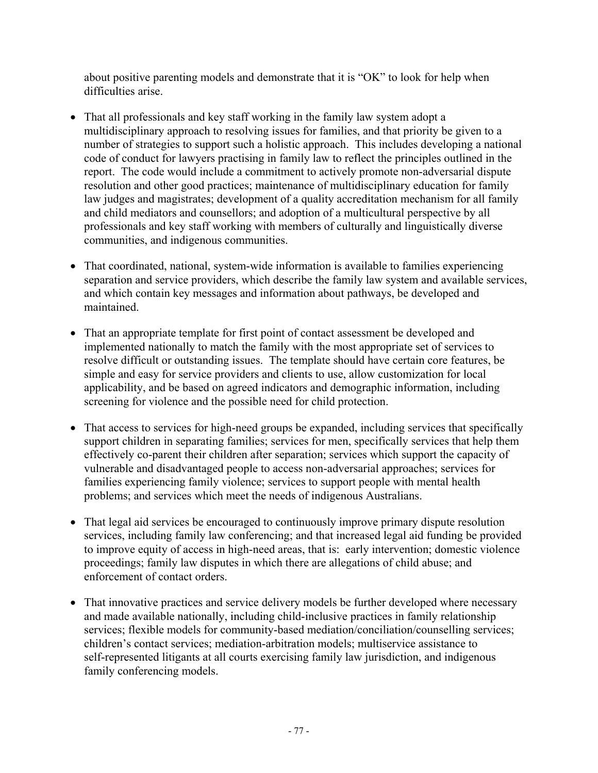about positive parenting models and demonstrate that it is "OK" to look for help when difficulties arise.

- That all professionals and key staff working in the family law system adopt a multidisciplinary approach to resolving issues for families, and that priority be given to a number of strategies to support such a holistic approach. This includes developing a national code of conduct for lawyers practising in family law to reflect the principles outlined in the report. The code would include a commitment to actively promote non-adversarial dispute resolution and other good practices; maintenance of multidisciplinary education for family law judges and magistrates; development of a quality accreditation mechanism for all family and child mediators and counsellors; and adoption of a multicultural perspective by all professionals and key staff working with members of culturally and linguistically diverse communities, and indigenous communities.
- That coordinated, national, system-wide information is available to families experiencing separation and service providers, which describe the family law system and available services, and which contain key messages and information about pathways, be developed and maintained.
- That an appropriate template for first point of contact assessment be developed and implemented nationally to match the family with the most appropriate set of services to resolve difficult or outstanding issues. The template should have certain core features, be simple and easy for service providers and clients to use, allow customization for local applicability, and be based on agreed indicators and demographic information, including screening for violence and the possible need for child protection.
- That access to services for high-need groups be expanded, including services that specifically support children in separating families; services for men, specifically services that help them effectively co-parent their children after separation; services which support the capacity of vulnerable and disadvantaged people to access non-adversarial approaches; services for families experiencing family violence; services to support people with mental health problems; and services which meet the needs of indigenous Australians.
- That legal aid services be encouraged to continuously improve primary dispute resolution services, including family law conferencing; and that increased legal aid funding be provided to improve equity of access in high-need areas, that is: early intervention; domestic violence proceedings; family law disputes in which there are allegations of child abuse; and enforcement of contact orders.
- That innovative practices and service delivery models be further developed where necessary and made available nationally, including child-inclusive practices in family relationship services; flexible models for community-based mediation/conciliation/counselling services; children's contact services; mediation-arbitration models; multiservice assistance to self-represented litigants at all courts exercising family law jurisdiction, and indigenous family conferencing models.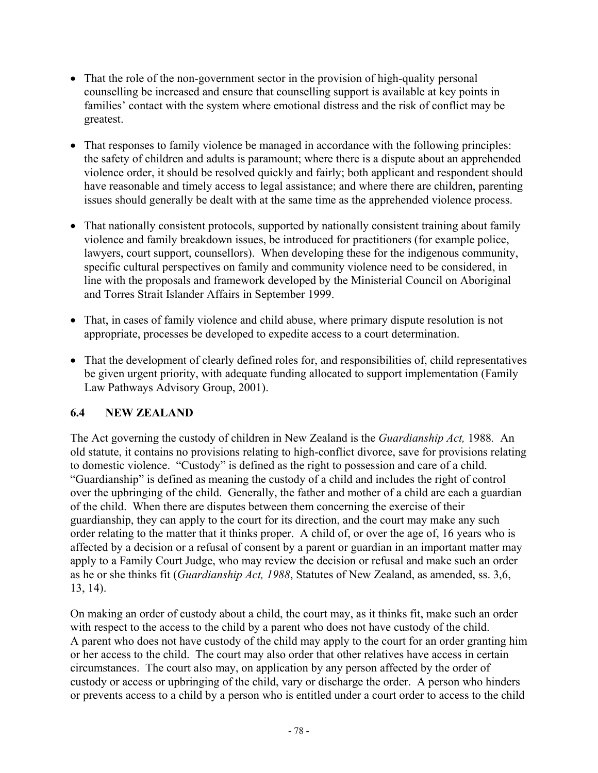- That the role of the non-government sector in the provision of high-quality personal counselling be increased and ensure that counselling support is available at key points in families' contact with the system where emotional distress and the risk of conflict may be greatest.
- That responses to family violence be managed in accordance with the following principles: the safety of children and adults is paramount; where there is a dispute about an apprehended violence order, it should be resolved quickly and fairly; both applicant and respondent should have reasonable and timely access to legal assistance; and where there are children, parenting issues should generally be dealt with at the same time as the apprehended violence process.
- That nationally consistent protocols, supported by nationally consistent training about family violence and family breakdown issues, be introduced for practitioners (for example police, lawyers, court support, counsellors). When developing these for the indigenous community, specific cultural perspectives on family and community violence need to be considered, in line with the proposals and framework developed by the Ministerial Council on Aboriginal and Torres Strait Islander Affairs in September 1999.
- That, in cases of family violence and child abuse, where primary dispute resolution is not appropriate, processes be developed to expedite access to a court determination.
- That the development of clearly defined roles for, and responsibilities of, child representatives be given urgent priority, with adequate funding allocated to support implementation (Family Law Pathways Advisory Group, 2001).

## **6.4 NEW ZEALAND**

The Act governing the custody of children in New Zealand is the *Guardianship Act,* 1988*.* An old statute, it contains no provisions relating to high-conflict divorce, save for provisions relating to domestic violence. "Custody" is defined as the right to possession and care of a child. "Guardianship" is defined as meaning the custody of a child and includes the right of control over the upbringing of the child. Generally, the father and mother of a child are each a guardian of the child. When there are disputes between them concerning the exercise of their guardianship, they can apply to the court for its direction, and the court may make any such order relating to the matter that it thinks proper. A child of, or over the age of, 16 years who is affected by a decision or a refusal of consent by a parent or guardian in an important matter may apply to a Family Court Judge, who may review the decision or refusal and make such an order as he or she thinks fit (*Guardianship Act, 1988*, Statutes of New Zealand, as amended, ss. 3,6, 13, 14).

On making an order of custody about a child, the court may, as it thinks fit, make such an order with respect to the access to the child by a parent who does not have custody of the child. A parent who does not have custody of the child may apply to the court for an order granting him or her access to the child. The court may also order that other relatives have access in certain circumstances. The court also may, on application by any person affected by the order of custody or access or upbringing of the child, vary or discharge the order. A person who hinders or prevents access to a child by a person who is entitled under a court order to access to the child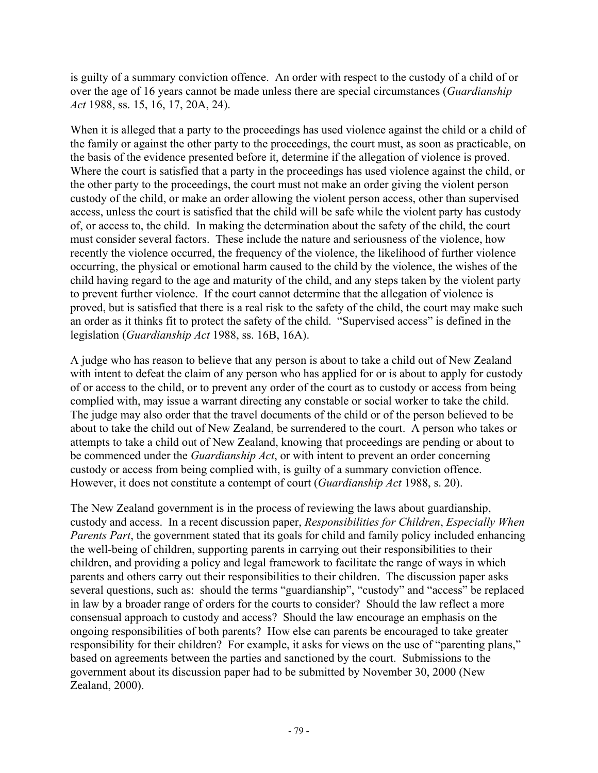is guilty of a summary conviction offence. An order with respect to the custody of a child of or over the age of 16 years cannot be made unless there are special circumstances (*Guardianship Act* 1988, ss. 15, 16, 17, 20A, 24).

When it is alleged that a party to the proceedings has used violence against the child or a child of the family or against the other party to the proceedings, the court must, as soon as practicable, on the basis of the evidence presented before it, determine if the allegation of violence is proved. Where the court is satisfied that a party in the proceedings has used violence against the child, or the other party to the proceedings, the court must not make an order giving the violent person custody of the child, or make an order allowing the violent person access, other than supervised access, unless the court is satisfied that the child will be safe while the violent party has custody of, or access to, the child. In making the determination about the safety of the child, the court must consider several factors. These include the nature and seriousness of the violence, how recently the violence occurred, the frequency of the violence, the likelihood of further violence occurring, the physical or emotional harm caused to the child by the violence, the wishes of the child having regard to the age and maturity of the child, and any steps taken by the violent party to prevent further violence. If the court cannot determine that the allegation of violence is proved, but is satisfied that there is a real risk to the safety of the child, the court may make such an order as it thinks fit to protect the safety of the child. "Supervised access" is defined in the legislation (*Guardianship Act* 1988, ss. 16B, 16A).

A judge who has reason to believe that any person is about to take a child out of New Zealand with intent to defeat the claim of any person who has applied for or is about to apply for custody of or access to the child, or to prevent any order of the court as to custody or access from being complied with, may issue a warrant directing any constable or social worker to take the child. The judge may also order that the travel documents of the child or of the person believed to be about to take the child out of New Zealand, be surrendered to the court. A person who takes or attempts to take a child out of New Zealand, knowing that proceedings are pending or about to be commenced under the *Guardianship Act*, or with intent to prevent an order concerning custody or access from being complied with, is guilty of a summary conviction offence. However, it does not constitute a contempt of court (*Guardianship Act* 1988, s. 20).

The New Zealand government is in the process of reviewing the laws about guardianship, custody and access. In a recent discussion paper, *Responsibilities for Children*, *Especially When Parents Part*, the government stated that its goals for child and family policy included enhancing the well-being of children, supporting parents in carrying out their responsibilities to their children, and providing a policy and legal framework to facilitate the range of ways in which parents and others carry out their responsibilities to their children. The discussion paper asks several questions, such as: should the terms "guardianship", "custody" and "access" be replaced in law by a broader range of orders for the courts to consider? Should the law reflect a more consensual approach to custody and access? Should the law encourage an emphasis on the ongoing responsibilities of both parents? How else can parents be encouraged to take greater responsibility for their children? For example, it asks for views on the use of "parenting plans," based on agreements between the parties and sanctioned by the court. Submissions to the government about its discussion paper had to be submitted by November 30, 2000 (New Zealand, 2000).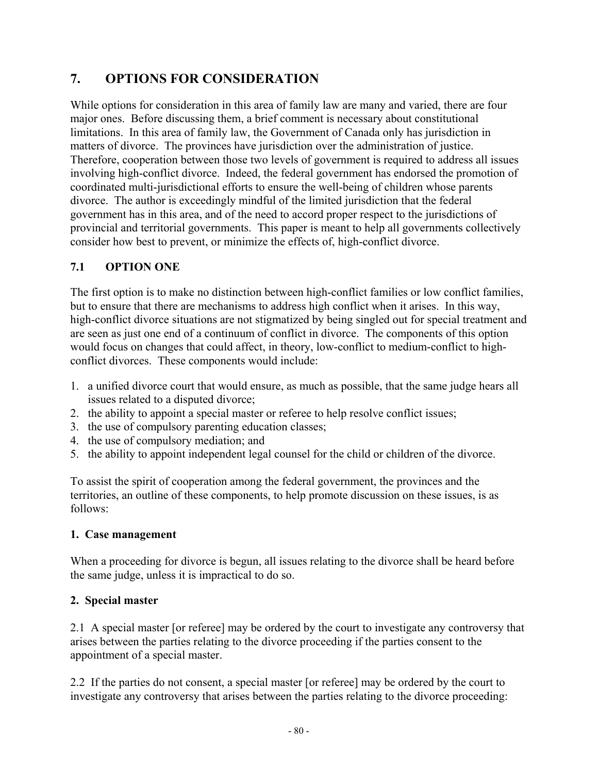# **7. OPTIONS FOR CONSIDERATION**

While options for consideration in this area of family law are many and varied, there are four major ones. Before discussing them, a brief comment is necessary about constitutional limitations. In this area of family law, the Government of Canada only has jurisdiction in matters of divorce. The provinces have jurisdiction over the administration of justice. Therefore, cooperation between those two levels of government is required to address all issues involving high-conflict divorce. Indeed, the federal government has endorsed the promotion of coordinated multi-jurisdictional efforts to ensure the well-being of children whose parents divorce. The author is exceedingly mindful of the limited jurisdiction that the federal government has in this area, and of the need to accord proper respect to the jurisdictions of provincial and territorial governments. This paper is meant to help all governments collectively consider how best to prevent, or minimize the effects of, high-conflict divorce.

### **7.1 OPTION ONE**

The first option is to make no distinction between high-conflict families or low conflict families, but to ensure that there are mechanisms to address high conflict when it arises. In this way, high-conflict divorce situations are not stigmatized by being singled out for special treatment and are seen as just one end of a continuum of conflict in divorce. The components of this option would focus on changes that could affect, in theory, low-conflict to medium-conflict to highconflict divorces. These components would include:

- 1. a unified divorce court that would ensure, as much as possible, that the same judge hears all issues related to a disputed divorce;
- 2. the ability to appoint a special master or referee to help resolve conflict issues;
- 3. the use of compulsory parenting education classes;
- 4. the use of compulsory mediation; and
- 5. the ability to appoint independent legal counsel for the child or children of the divorce.

To assist the spirit of cooperation among the federal government, the provinces and the territories, an outline of these components, to help promote discussion on these issues, is as follows:

### **1. Case management**

When a proceeding for divorce is begun, all issues relating to the divorce shall be heard before the same judge, unless it is impractical to do so.

### **2. Special master**

2.1 A special master [or referee] may be ordered by the court to investigate any controversy that arises between the parties relating to the divorce proceeding if the parties consent to the appointment of a special master.

2.2 If the parties do not consent, a special master [or referee] may be ordered by the court to investigate any controversy that arises between the parties relating to the divorce proceeding: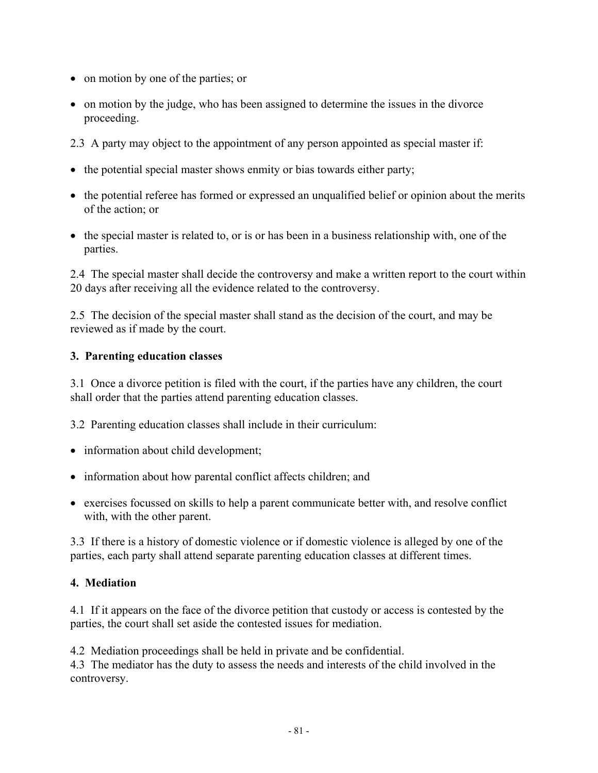- on motion by one of the parties; or
- on motion by the judge, who has been assigned to determine the issues in the divorce proceeding.
- 2.3 A party may object to the appointment of any person appointed as special master if:
- the potential special master shows enmity or bias towards either party;
- the potential referee has formed or expressed an unqualified belief or opinion about the merits of the action; or
- the special master is related to, or is or has been in a business relationship with, one of the parties.

2.4 The special master shall decide the controversy and make a written report to the court within 20 days after receiving all the evidence related to the controversy.

2.5 The decision of the special master shall stand as the decision of the court, and may be reviewed as if made by the court.

#### **3. Parenting education classes**

3.1 Once a divorce petition is filed with the court, if the parties have any children, the court shall order that the parties attend parenting education classes.

3.2 Parenting education classes shall include in their curriculum:

- information about child development;
- information about how parental conflict affects children; and
- exercises focussed on skills to help a parent communicate better with, and resolve conflict with, with the other parent.

3.3 If there is a history of domestic violence or if domestic violence is alleged by one of the parties, each party shall attend separate parenting education classes at different times.

#### **4. Mediation**

4.1 If it appears on the face of the divorce petition that custody or access is contested by the parties, the court shall set aside the contested issues for mediation.

4.2 Mediation proceedings shall be held in private and be confidential.

4.3 The mediator has the duty to assess the needs and interests of the child involved in the controversy.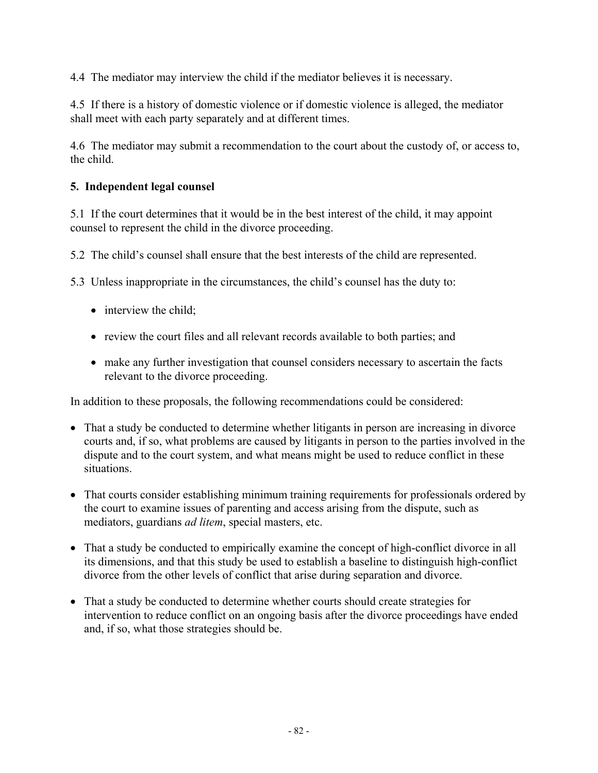4.4 The mediator may interview the child if the mediator believes it is necessary.

4.5 If there is a history of domestic violence or if domestic violence is alleged, the mediator shall meet with each party separately and at different times.

4.6 The mediator may submit a recommendation to the court about the custody of, or access to, the child.

#### **5. Independent legal counsel**

5.1 If the court determines that it would be in the best interest of the child, it may appoint counsel to represent the child in the divorce proceeding.

5.2 The child's counsel shall ensure that the best interests of the child are represented.

5.3 Unless inappropriate in the circumstances, the child's counsel has the duty to:

- interview the child;
- review the court files and all relevant records available to both parties; and
- make any further investigation that counsel considers necessary to ascertain the facts relevant to the divorce proceeding.

In addition to these proposals, the following recommendations could be considered:

- That a study be conducted to determine whether litigants in person are increasing in divorce courts and, if so, what problems are caused by litigants in person to the parties involved in the dispute and to the court system, and what means might be used to reduce conflict in these situations.
- That courts consider establishing minimum training requirements for professionals ordered by the court to examine issues of parenting and access arising from the dispute, such as mediators, guardians *ad litem*, special masters, etc.
- That a study be conducted to empirically examine the concept of high-conflict divorce in all its dimensions, and that this study be used to establish a baseline to distinguish high-conflict divorce from the other levels of conflict that arise during separation and divorce.
- That a study be conducted to determine whether courts should create strategies for intervention to reduce conflict on an ongoing basis after the divorce proceedings have ended and, if so, what those strategies should be.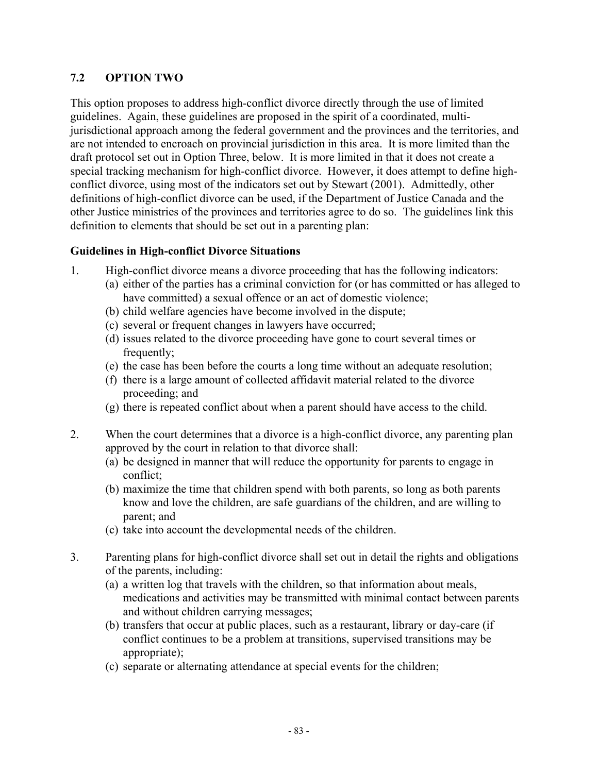#### **7.2 OPTION TWO**

This option proposes to address high-conflict divorce directly through the use of limited guidelines. Again, these guidelines are proposed in the spirit of a coordinated, multijurisdictional approach among the federal government and the provinces and the territories, and are not intended to encroach on provincial jurisdiction in this area. It is more limited than the draft protocol set out in Option Three, below. It is more limited in that it does not create a special tracking mechanism for high-conflict divorce. However, it does attempt to define highconflict divorce, using most of the indicators set out by Stewart (2001). Admittedly, other definitions of high-conflict divorce can be used, if the Department of Justice Canada and the other Justice ministries of the provinces and territories agree to do so. The guidelines link this definition to elements that should be set out in a parenting plan:

#### **Guidelines in High-conflict Divorce Situations**

- 1. High-conflict divorce means a divorce proceeding that has the following indicators:
	- (a) either of the parties has a criminal conviction for (or has committed or has alleged to have committed) a sexual offence or an act of domestic violence;
	- (b) child welfare agencies have become involved in the dispute;
	- (c) several or frequent changes in lawyers have occurred;
	- (d) issues related to the divorce proceeding have gone to court several times or frequently;
	- (e) the case has been before the courts a long time without an adequate resolution;
	- (f) there is a large amount of collected affidavit material related to the divorce proceeding; and
	- (g) there is repeated conflict about when a parent should have access to the child.
- 2. When the court determines that a divorce is a high-conflict divorce, any parenting plan approved by the court in relation to that divorce shall:
	- (a) be designed in manner that will reduce the opportunity for parents to engage in conflict;
	- (b) maximize the time that children spend with both parents, so long as both parents know and love the children, are safe guardians of the children, and are willing to parent; and
	- (c) take into account the developmental needs of the children.
- 3. Parenting plans for high-conflict divorce shall set out in detail the rights and obligations of the parents, including:
	- (a) a written log that travels with the children, so that information about meals, medications and activities may be transmitted with minimal contact between parents and without children carrying messages;
	- (b) transfers that occur at public places, such as a restaurant, library or day-care (if conflict continues to be a problem at transitions, supervised transitions may be appropriate);
	- (c) separate or alternating attendance at special events for the children;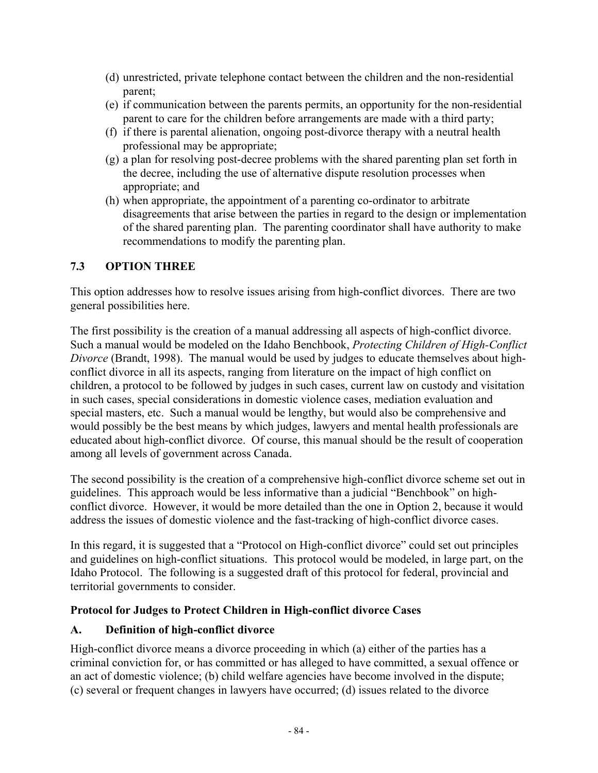- (d) unrestricted, private telephone contact between the children and the non-residential parent;
- (e) if communication between the parents permits, an opportunity for the non-residential parent to care for the children before arrangements are made with a third party;
- (f) if there is parental alienation, ongoing post-divorce therapy with a neutral health professional may be appropriate;
- (g) a plan for resolving post-decree problems with the shared parenting plan set forth in the decree, including the use of alternative dispute resolution processes when appropriate; and
- (h) when appropriate, the appointment of a parenting co-ordinator to arbitrate disagreements that arise between the parties in regard to the design or implementation of the shared parenting plan. The parenting coordinator shall have authority to make recommendations to modify the parenting plan.

### **7.3 OPTION THREE**

This option addresses how to resolve issues arising from high-conflict divorces. There are two general possibilities here.

The first possibility is the creation of a manual addressing all aspects of high-conflict divorce. Such a manual would be modeled on the Idaho Benchbook, *Protecting Children of High-Conflict Divorce* (Brandt, 1998). The manual would be used by judges to educate themselves about highconflict divorce in all its aspects, ranging from literature on the impact of high conflict on children, a protocol to be followed by judges in such cases, current law on custody and visitation in such cases, special considerations in domestic violence cases, mediation evaluation and special masters, etc. Such a manual would be lengthy, but would also be comprehensive and would possibly be the best means by which judges, lawyers and mental health professionals are educated about high-conflict divorce. Of course, this manual should be the result of cooperation among all levels of government across Canada.

The second possibility is the creation of a comprehensive high-conflict divorce scheme set out in guidelines. This approach would be less informative than a judicial "Benchbook" on highconflict divorce. However, it would be more detailed than the one in Option 2, because it would address the issues of domestic violence and the fast-tracking of high-conflict divorce cases.

In this regard, it is suggested that a "Protocol on High-conflict divorce" could set out principles and guidelines on high-conflict situations. This protocol would be modeled, in large part, on the Idaho Protocol. The following is a suggested draft of this protocol for federal, provincial and territorial governments to consider.

### **Protocol for Judges to Protect Children in High-conflict divorce Cases**

## **A. Definition of high-conflict divorce**

High-conflict divorce means a divorce proceeding in which (a) either of the parties has a criminal conviction for, or has committed or has alleged to have committed, a sexual offence or an act of domestic violence; (b) child welfare agencies have become involved in the dispute; (c) several or frequent changes in lawyers have occurred; (d) issues related to the divorce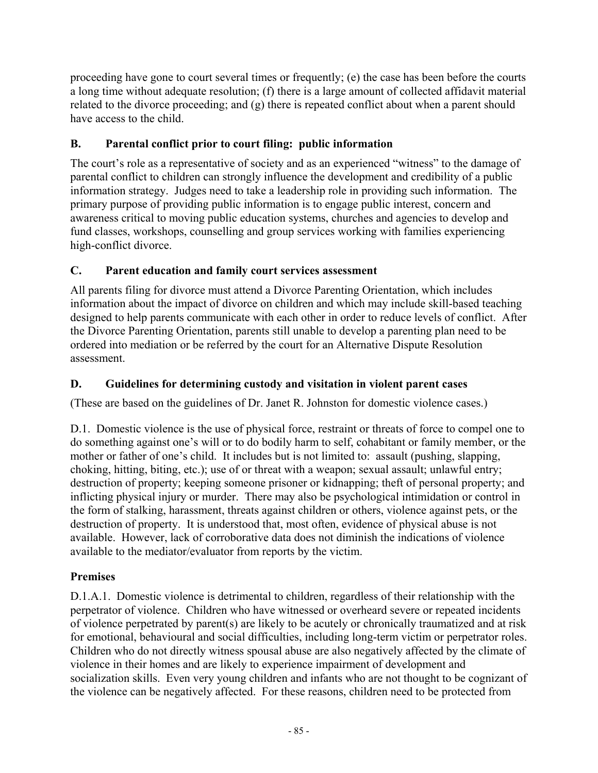proceeding have gone to court several times or frequently; (e) the case has been before the courts a long time without adequate resolution; (f) there is a large amount of collected affidavit material related to the divorce proceeding; and (g) there is repeated conflict about when a parent should have access to the child.

## **B. Parental conflict prior to court filing: public information**

The court's role as a representative of society and as an experienced "witness" to the damage of parental conflict to children can strongly influence the development and credibility of a public information strategy. Judges need to take a leadership role in providing such information. The primary purpose of providing public information is to engage public interest, concern and awareness critical to moving public education systems, churches and agencies to develop and fund classes, workshops, counselling and group services working with families experiencing high-conflict divorce.

## **C. Parent education and family court services assessment**

All parents filing for divorce must attend a Divorce Parenting Orientation, which includes information about the impact of divorce on children and which may include skill-based teaching designed to help parents communicate with each other in order to reduce levels of conflict. After the Divorce Parenting Orientation, parents still unable to develop a parenting plan need to be ordered into mediation or be referred by the court for an Alternative Dispute Resolution assessment.

## **D. Guidelines for determining custody and visitation in violent parent cases**

(These are based on the guidelines of Dr. Janet R. Johnston for domestic violence cases.)

D.1. Domestic violence is the use of physical force, restraint or threats of force to compel one to do something against one's will or to do bodily harm to self, cohabitant or family member, or the mother or father of one's child. It includes but is not limited to: assault (pushing, slapping, choking, hitting, biting, etc.); use of or threat with a weapon; sexual assault; unlawful entry; destruction of property; keeping someone prisoner or kidnapping; theft of personal property; and inflicting physical injury or murder. There may also be psychological intimidation or control in the form of stalking, harassment, threats against children or others, violence against pets, or the destruction of property. It is understood that, most often, evidence of physical abuse is not available. However, lack of corroborative data does not diminish the indications of violence available to the mediator/evaluator from reports by the victim.

## **Premises**

D.1.A.1. Domestic violence is detrimental to children, regardless of their relationship with the perpetrator of violence. Children who have witnessed or overheard severe or repeated incidents of violence perpetrated by parent(s) are likely to be acutely or chronically traumatized and at risk for emotional, behavioural and social difficulties, including long-term victim or perpetrator roles. Children who do not directly witness spousal abuse are also negatively affected by the climate of violence in their homes and are likely to experience impairment of development and socialization skills. Even very young children and infants who are not thought to be cognizant of the violence can be negatively affected. For these reasons, children need to be protected from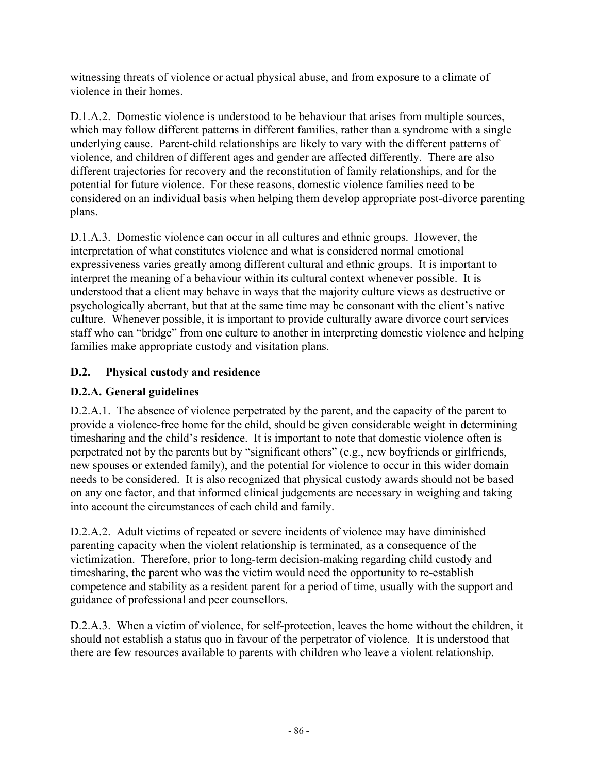witnessing threats of violence or actual physical abuse, and from exposure to a climate of violence in their homes.

D.1.A.2. Domestic violence is understood to be behaviour that arises from multiple sources, which may follow different patterns in different families, rather than a syndrome with a single underlying cause. Parent-child relationships are likely to vary with the different patterns of violence, and children of different ages and gender are affected differently. There are also different trajectories for recovery and the reconstitution of family relationships, and for the potential for future violence. For these reasons, domestic violence families need to be considered on an individual basis when helping them develop appropriate post-divorce parenting plans.

D.1.A.3. Domestic violence can occur in all cultures and ethnic groups. However, the interpretation of what constitutes violence and what is considered normal emotional expressiveness varies greatly among different cultural and ethnic groups. It is important to interpret the meaning of a behaviour within its cultural context whenever possible. It is understood that a client may behave in ways that the majority culture views as destructive or psychologically aberrant, but that at the same time may be consonant with the client's native culture. Whenever possible, it is important to provide culturally aware divorce court services staff who can "bridge" from one culture to another in interpreting domestic violence and helping families make appropriate custody and visitation plans.

## **D.2. Physical custody and residence**

## **D.2.A. General guidelines**

D.2.A.1. The absence of violence perpetrated by the parent, and the capacity of the parent to provide a violence-free home for the child, should be given considerable weight in determining timesharing and the child's residence. It is important to note that domestic violence often is perpetrated not by the parents but by "significant others" (e.g., new boyfriends or girlfriends, new spouses or extended family), and the potential for violence to occur in this wider domain needs to be considered. It is also recognized that physical custody awards should not be based on any one factor, and that informed clinical judgements are necessary in weighing and taking into account the circumstances of each child and family.

D.2.A.2. Adult victims of repeated or severe incidents of violence may have diminished parenting capacity when the violent relationship is terminated, as a consequence of the victimization. Therefore, prior to long-term decision-making regarding child custody and timesharing, the parent who was the victim would need the opportunity to re-establish competence and stability as a resident parent for a period of time, usually with the support and guidance of professional and peer counsellors.

D.2.A.3. When a victim of violence, for self-protection, leaves the home without the children, it should not establish a status quo in favour of the perpetrator of violence. It is understood that there are few resources available to parents with children who leave a violent relationship.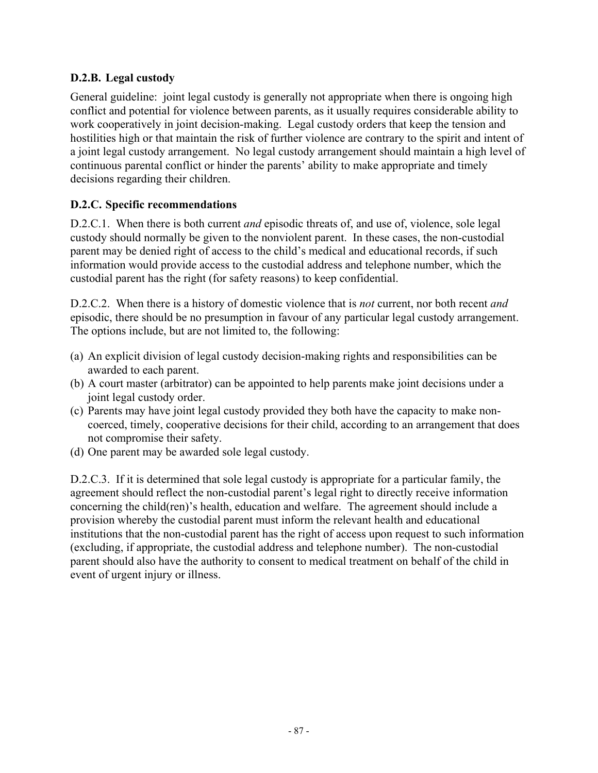### **D.2.B. Legal custody**

General guideline: joint legal custody is generally not appropriate when there is ongoing high conflict and potential for violence between parents, as it usually requires considerable ability to work cooperatively in joint decision-making. Legal custody orders that keep the tension and hostilities high or that maintain the risk of further violence are contrary to the spirit and intent of a joint legal custody arrangement. No legal custody arrangement should maintain a high level of continuous parental conflict or hinder the parents' ability to make appropriate and timely decisions regarding their children.

### **D.2.C. Specific recommendations**

D.2.C.1. When there is both current *and* episodic threats of, and use of, violence, sole legal custody should normally be given to the nonviolent parent. In these cases, the non-custodial parent may be denied right of access to the child's medical and educational records, if such information would provide access to the custodial address and telephone number, which the custodial parent has the right (for safety reasons) to keep confidential.

D.2.C.2. When there is a history of domestic violence that is *not* current, nor both recent *and* episodic, there should be no presumption in favour of any particular legal custody arrangement. The options include, but are not limited to, the following:

- (a) An explicit division of legal custody decision-making rights and responsibilities can be awarded to each parent.
- (b) A court master (arbitrator) can be appointed to help parents make joint decisions under a joint legal custody order.
- (c) Parents may have joint legal custody provided they both have the capacity to make noncoerced, timely, cooperative decisions for their child, according to an arrangement that does not compromise their safety.
- (d) One parent may be awarded sole legal custody.

D.2.C.3. If it is determined that sole legal custody is appropriate for a particular family, the agreement should reflect the non-custodial parent's legal right to directly receive information concerning the child(ren)'s health, education and welfare. The agreement should include a provision whereby the custodial parent must inform the relevant health and educational institutions that the non-custodial parent has the right of access upon request to such information (excluding, if appropriate, the custodial address and telephone number). The non-custodial parent should also have the authority to consent to medical treatment on behalf of the child in event of urgent injury or illness.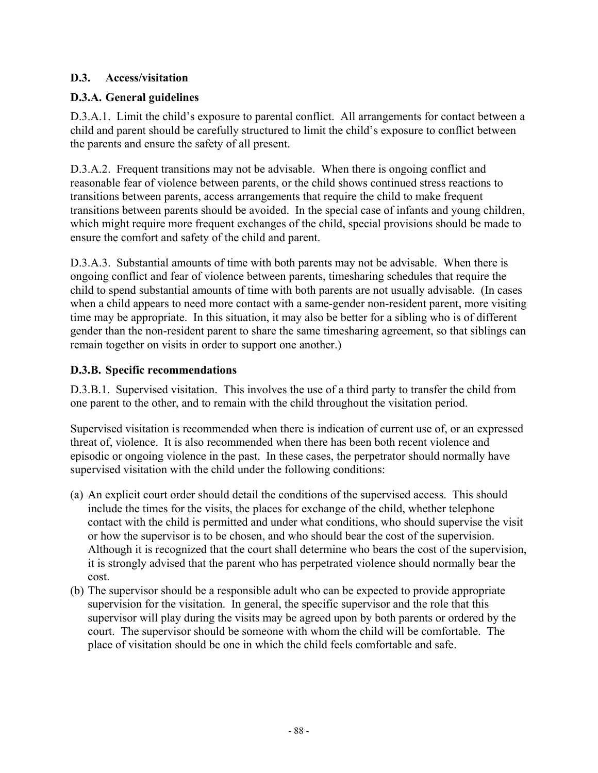### **D.3. Access/visitation**

### **D.3.A. General guidelines**

D.3.A.1. Limit the child's exposure to parental conflict. All arrangements for contact between a child and parent should be carefully structured to limit the child's exposure to conflict between the parents and ensure the safety of all present.

D.3.A.2. Frequent transitions may not be advisable. When there is ongoing conflict and reasonable fear of violence between parents, or the child shows continued stress reactions to transitions between parents, access arrangements that require the child to make frequent transitions between parents should be avoided. In the special case of infants and young children, which might require more frequent exchanges of the child, special provisions should be made to ensure the comfort and safety of the child and parent.

D.3.A.3. Substantial amounts of time with both parents may not be advisable. When there is ongoing conflict and fear of violence between parents, timesharing schedules that require the child to spend substantial amounts of time with both parents are not usually advisable. (In cases when a child appears to need more contact with a same-gender non-resident parent, more visiting time may be appropriate. In this situation, it may also be better for a sibling who is of different gender than the non-resident parent to share the same timesharing agreement, so that siblings can remain together on visits in order to support one another.)

#### **D.3.B. Specific recommendations**

D.3.B.1. Supervised visitation. This involves the use of a third party to transfer the child from one parent to the other, and to remain with the child throughout the visitation period.

Supervised visitation is recommended when there is indication of current use of, or an expressed threat of, violence. It is also recommended when there has been both recent violence and episodic or ongoing violence in the past. In these cases, the perpetrator should normally have supervised visitation with the child under the following conditions:

- (a) An explicit court order should detail the conditions of the supervised access. This should include the times for the visits, the places for exchange of the child, whether telephone contact with the child is permitted and under what conditions, who should supervise the visit or how the supervisor is to be chosen, and who should bear the cost of the supervision. Although it is recognized that the court shall determine who bears the cost of the supervision, it is strongly advised that the parent who has perpetrated violence should normally bear the cost.
- (b) The supervisor should be a responsible adult who can be expected to provide appropriate supervision for the visitation. In general, the specific supervisor and the role that this supervisor will play during the visits may be agreed upon by both parents or ordered by the court. The supervisor should be someone with whom the child will be comfortable. The place of visitation should be one in which the child feels comfortable and safe.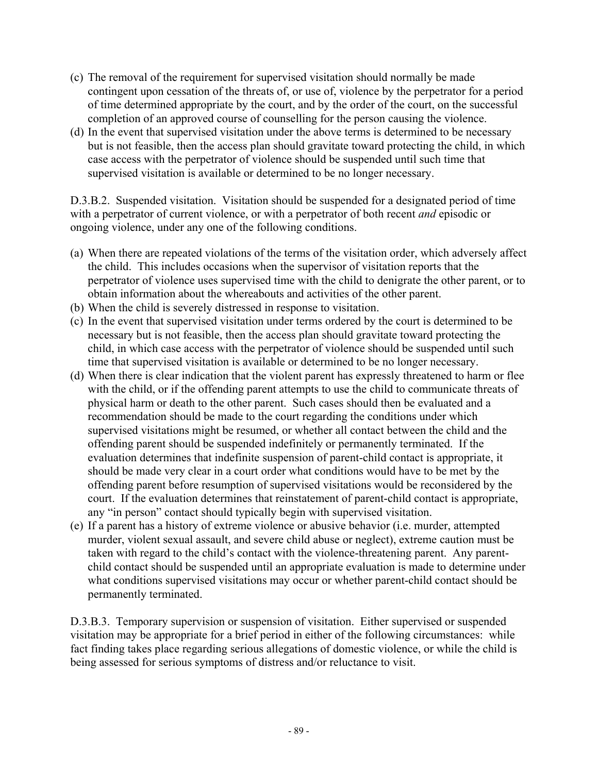- (c) The removal of the requirement for supervised visitation should normally be made contingent upon cessation of the threats of, or use of, violence by the perpetrator for a period of time determined appropriate by the court, and by the order of the court, on the successful completion of an approved course of counselling for the person causing the violence.
- (d) In the event that supervised visitation under the above terms is determined to be necessary but is not feasible, then the access plan should gravitate toward protecting the child, in which case access with the perpetrator of violence should be suspended until such time that supervised visitation is available or determined to be no longer necessary.

D.3.B.2. Suspended visitation. Visitation should be suspended for a designated period of time with a perpetrator of current violence, or with a perpetrator of both recent *and* episodic or ongoing violence, under any one of the following conditions.

- (a) When there are repeated violations of the terms of the visitation order, which adversely affect the child. This includes occasions when the supervisor of visitation reports that the perpetrator of violence uses supervised time with the child to denigrate the other parent, or to obtain information about the whereabouts and activities of the other parent.
- (b) When the child is severely distressed in response to visitation.
- (c) In the event that supervised visitation under terms ordered by the court is determined to be necessary but is not feasible, then the access plan should gravitate toward protecting the child, in which case access with the perpetrator of violence should be suspended until such time that supervised visitation is available or determined to be no longer necessary.
- (d) When there is clear indication that the violent parent has expressly threatened to harm or flee with the child, or if the offending parent attempts to use the child to communicate threats of physical harm or death to the other parent. Such cases should then be evaluated and a recommendation should be made to the court regarding the conditions under which supervised visitations might be resumed, or whether all contact between the child and the offending parent should be suspended indefinitely or permanently terminated. If the evaluation determines that indefinite suspension of parent-child contact is appropriate, it should be made very clear in a court order what conditions would have to be met by the offending parent before resumption of supervised visitations would be reconsidered by the court. If the evaluation determines that reinstatement of parent-child contact is appropriate, any "in person" contact should typically begin with supervised visitation.
- (e) If a parent has a history of extreme violence or abusive behavior (i.e. murder, attempted murder, violent sexual assault, and severe child abuse or neglect), extreme caution must be taken with regard to the child's contact with the violence-threatening parent. Any parentchild contact should be suspended until an appropriate evaluation is made to determine under what conditions supervised visitations may occur or whether parent-child contact should be permanently terminated.

D.3.B.3. Temporary supervision or suspension of visitation. Either supervised or suspended visitation may be appropriate for a brief period in either of the following circumstances: while fact finding takes place regarding serious allegations of domestic violence, or while the child is being assessed for serious symptoms of distress and/or reluctance to visit.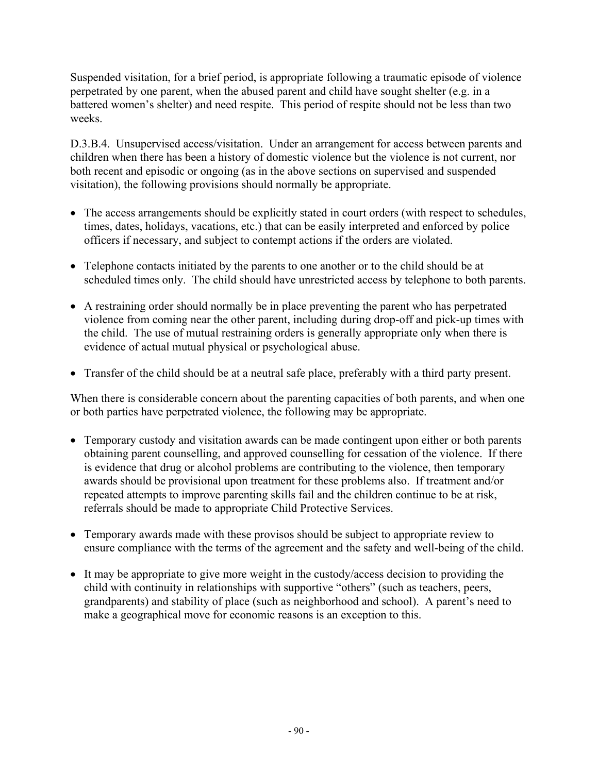Suspended visitation, for a brief period, is appropriate following a traumatic episode of violence perpetrated by one parent, when the abused parent and child have sought shelter (e.g. in a battered women's shelter) and need respite. This period of respite should not be less than two weeks.

D.3.B.4. Unsupervised access/visitation. Under an arrangement for access between parents and children when there has been a history of domestic violence but the violence is not current, nor both recent and episodic or ongoing (as in the above sections on supervised and suspended visitation), the following provisions should normally be appropriate.

- The access arrangements should be explicitly stated in court orders (with respect to schedules, times, dates, holidays, vacations, etc.) that can be easily interpreted and enforced by police officers if necessary, and subject to contempt actions if the orders are violated.
- Telephone contacts initiated by the parents to one another or to the child should be at scheduled times only. The child should have unrestricted access by telephone to both parents.
- A restraining order should normally be in place preventing the parent who has perpetrated violence from coming near the other parent, including during drop-off and pick-up times with the child. The use of mutual restraining orders is generally appropriate only when there is evidence of actual mutual physical or psychological abuse.
- Transfer of the child should be at a neutral safe place, preferably with a third party present.

When there is considerable concern about the parenting capacities of both parents, and when one or both parties have perpetrated violence, the following may be appropriate.

- Temporary custody and visitation awards can be made contingent upon either or both parents obtaining parent counselling, and approved counselling for cessation of the violence. If there is evidence that drug or alcohol problems are contributing to the violence, then temporary awards should be provisional upon treatment for these problems also. If treatment and/or repeated attempts to improve parenting skills fail and the children continue to be at risk, referrals should be made to appropriate Child Protective Services.
- Temporary awards made with these provisos should be subject to appropriate review to ensure compliance with the terms of the agreement and the safety and well-being of the child.
- It may be appropriate to give more weight in the custody/access decision to providing the child with continuity in relationships with supportive "others" (such as teachers, peers, grandparents) and stability of place (such as neighborhood and school). A parent's need to make a geographical move for economic reasons is an exception to this.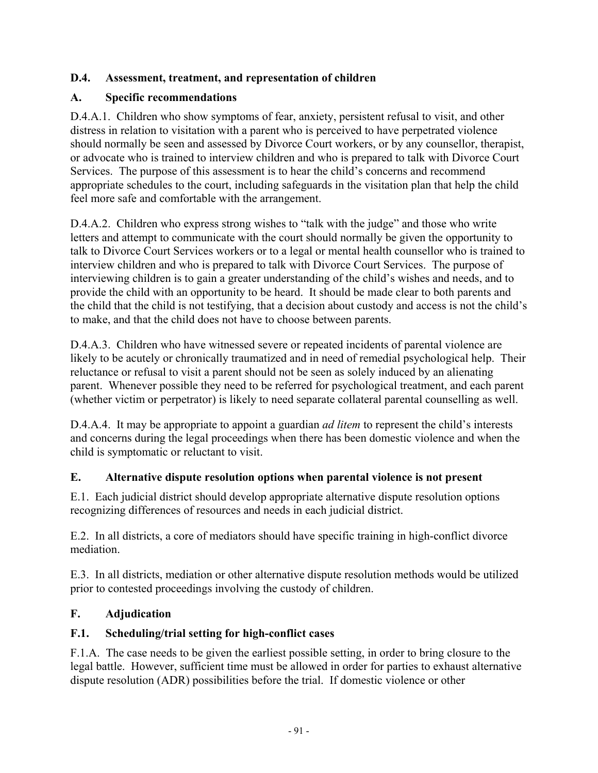### **D.4. Assessment, treatment, and representation of children**

### **A. Specific recommendations**

D.4.A.1. Children who show symptoms of fear, anxiety, persistent refusal to visit, and other distress in relation to visitation with a parent who is perceived to have perpetrated violence should normally be seen and assessed by Divorce Court workers, or by any counsellor, therapist, or advocate who is trained to interview children and who is prepared to talk with Divorce Court Services. The purpose of this assessment is to hear the child's concerns and recommend appropriate schedules to the court, including safeguards in the visitation plan that help the child feel more safe and comfortable with the arrangement.

D.4.A.2. Children who express strong wishes to "talk with the judge" and those who write letters and attempt to communicate with the court should normally be given the opportunity to talk to Divorce Court Services workers or to a legal or mental health counsellor who is trained to interview children and who is prepared to talk with Divorce Court Services. The purpose of interviewing children is to gain a greater understanding of the child's wishes and needs, and to provide the child with an opportunity to be heard. It should be made clear to both parents and the child that the child is not testifying, that a decision about custody and access is not the child's to make, and that the child does not have to choose between parents.

D.4.A.3. Children who have witnessed severe or repeated incidents of parental violence are likely to be acutely or chronically traumatized and in need of remedial psychological help. Their reluctance or refusal to visit a parent should not be seen as solely induced by an alienating parent. Whenever possible they need to be referred for psychological treatment, and each parent (whether victim or perpetrator) is likely to need separate collateral parental counselling as well.

D.4.A.4. It may be appropriate to appoint a guardian *ad litem* to represent the child's interests and concerns during the legal proceedings when there has been domestic violence and when the child is symptomatic or reluctant to visit.

## **E. Alternative dispute resolution options when parental violence is not present**

E.1. Each judicial district should develop appropriate alternative dispute resolution options recognizing differences of resources and needs in each judicial district.

E.2. In all districts, a core of mediators should have specific training in high-conflict divorce mediation.

E.3. In all districts, mediation or other alternative dispute resolution methods would be utilized prior to contested proceedings involving the custody of children.

## **F. Adjudication**

## **F.1. Scheduling/trial setting for high-conflict cases**

F.1.A. The case needs to be given the earliest possible setting, in order to bring closure to the legal battle. However, sufficient time must be allowed in order for parties to exhaust alternative dispute resolution (ADR) possibilities before the trial. If domestic violence or other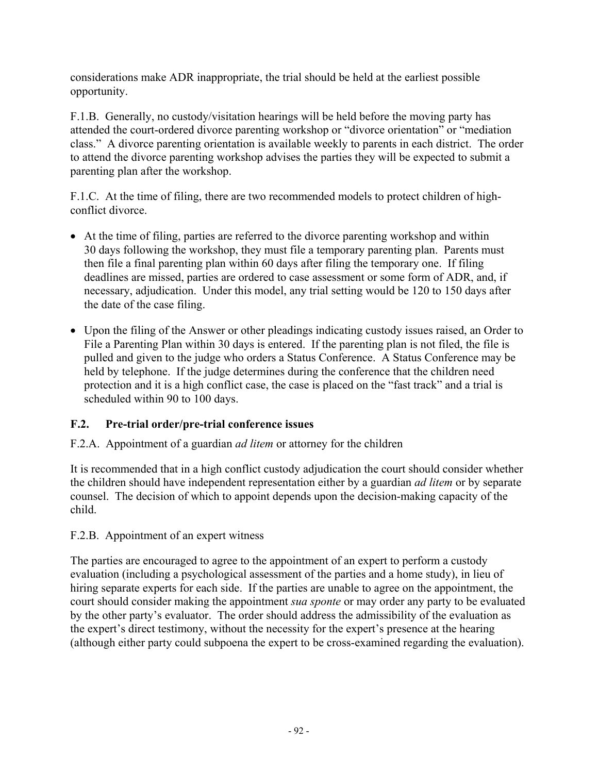considerations make ADR inappropriate, the trial should be held at the earliest possible opportunity.

F.1.B. Generally, no custody/visitation hearings will be held before the moving party has attended the court-ordered divorce parenting workshop or "divorce orientation" or "mediation class." A divorce parenting orientation is available weekly to parents in each district. The order to attend the divorce parenting workshop advises the parties they will be expected to submit a parenting plan after the workshop.

F.1.C. At the time of filing, there are two recommended models to protect children of highconflict divorce.

- At the time of filing, parties are referred to the divorce parenting workshop and within 30 days following the workshop, they must file a temporary parenting plan. Parents must then file a final parenting plan within 60 days after filing the temporary one. If filing deadlines are missed, parties are ordered to case assessment or some form of ADR, and, if necessary, adjudication. Under this model, any trial setting would be 120 to 150 days after the date of the case filing.
- Upon the filing of the Answer or other pleadings indicating custody issues raised, an Order to File a Parenting Plan within 30 days is entered. If the parenting plan is not filed, the file is pulled and given to the judge who orders a Status Conference. A Status Conference may be held by telephone. If the judge determines during the conference that the children need protection and it is a high conflict case, the case is placed on the "fast track" and a trial is scheduled within 90 to 100 days.

## **F.2. Pre-trial order/pre-trial conference issues**

### F.2.A. Appointment of a guardian *ad litem* or attorney for the children

It is recommended that in a high conflict custody adjudication the court should consider whether the children should have independent representation either by a guardian *ad litem* or by separate counsel. The decision of which to appoint depends upon the decision-making capacity of the child.

### F.2.B. Appointment of an expert witness

The parties are encouraged to agree to the appointment of an expert to perform a custody evaluation (including a psychological assessment of the parties and a home study), in lieu of hiring separate experts for each side. If the parties are unable to agree on the appointment, the court should consider making the appointment *sua sponte* or may order any party to be evaluated by the other party's evaluator. The order should address the admissibility of the evaluation as the expert's direct testimony, without the necessity for the expert's presence at the hearing (although either party could subpoena the expert to be cross-examined regarding the evaluation).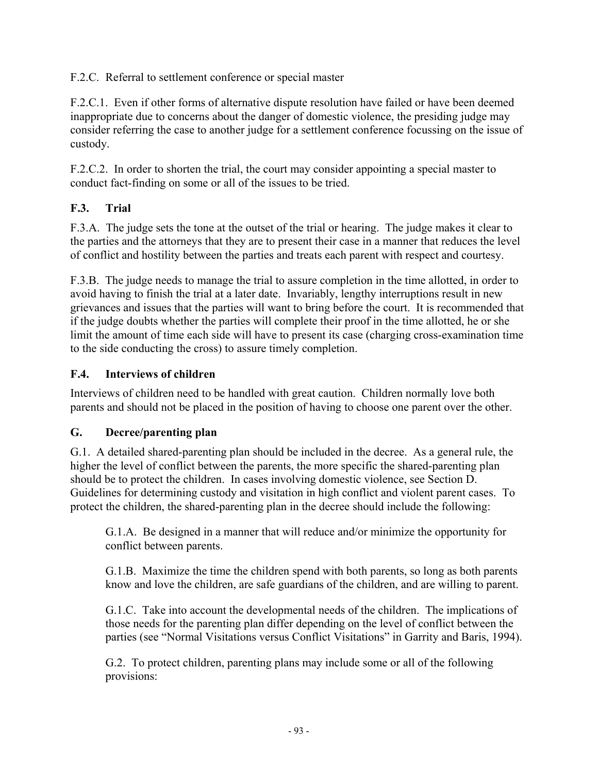F.2.C. Referral to settlement conference or special master

F.2.C.1. Even if other forms of alternative dispute resolution have failed or have been deemed inappropriate due to concerns about the danger of domestic violence, the presiding judge may consider referring the case to another judge for a settlement conference focussing on the issue of custody.

F.2.C.2. In order to shorten the trial, the court may consider appointing a special master to conduct fact-finding on some or all of the issues to be tried.

## **F.3. Trial**

F.3.A. The judge sets the tone at the outset of the trial or hearing. The judge makes it clear to the parties and the attorneys that they are to present their case in a manner that reduces the level of conflict and hostility between the parties and treats each parent with respect and courtesy.

F.3.B. The judge needs to manage the trial to assure completion in the time allotted, in order to avoid having to finish the trial at a later date. Invariably, lengthy interruptions result in new grievances and issues that the parties will want to bring before the court. It is recommended that if the judge doubts whether the parties will complete their proof in the time allotted, he or she limit the amount of time each side will have to present its case (charging cross-examination time to the side conducting the cross) to assure timely completion.

## **F.4. Interviews of children**

Interviews of children need to be handled with great caution. Children normally love both parents and should not be placed in the position of having to choose one parent over the other.

## **G. Decree/parenting plan**

G.1. A detailed shared-parenting plan should be included in the decree. As a general rule, the higher the level of conflict between the parents, the more specific the shared-parenting plan should be to protect the children. In cases involving domestic violence, see Section D. Guidelines for determining custody and visitation in high conflict and violent parent cases. To protect the children, the shared-parenting plan in the decree should include the following:

G.1.A. Be designed in a manner that will reduce and/or minimize the opportunity for conflict between parents.

G.1.B. Maximize the time the children spend with both parents, so long as both parents know and love the children, are safe guardians of the children, and are willing to parent.

G.1.C. Take into account the developmental needs of the children. The implications of those needs for the parenting plan differ depending on the level of conflict between the parties (see "Normal Visitations versus Conflict Visitations" in Garrity and Baris, 1994).

G.2. To protect children, parenting plans may include some or all of the following provisions: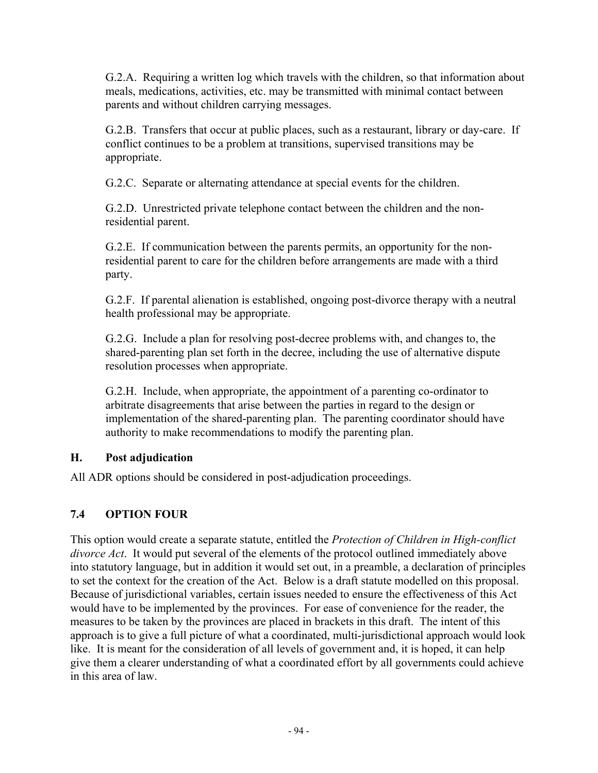G.2.A. Requiring a written log which travels with the children, so that information about meals, medications, activities, etc. may be transmitted with minimal contact between parents and without children carrying messages.

G.2.B. Transfers that occur at public places, such as a restaurant, library or day-care. If conflict continues to be a problem at transitions, supervised transitions may be appropriate.

G.2.C. Separate or alternating attendance at special events for the children.

G.2.D. Unrestricted private telephone contact between the children and the nonresidential parent.

G.2.E. If communication between the parents permits, an opportunity for the nonresidential parent to care for the children before arrangements are made with a third party.

G.2.F. If parental alienation is established, ongoing post-divorce therapy with a neutral health professional may be appropriate.

G.2.G. Include a plan for resolving post-decree problems with, and changes to, the shared-parenting plan set forth in the decree, including the use of alternative dispute resolution processes when appropriate.

G.2.H. Include, when appropriate, the appointment of a parenting co-ordinator to arbitrate disagreements that arise between the parties in regard to the design or implementation of the shared-parenting plan. The parenting coordinator should have authority to make recommendations to modify the parenting plan.

## **H. Post adjudication**

All ADR options should be considered in post-adjudication proceedings.

## **7.4 OPTION FOUR**

This option would create a separate statute, entitled the *Protection of Children in High-conflict divorce Act*. It would put several of the elements of the protocol outlined immediately above into statutory language, but in addition it would set out, in a preamble, a declaration of principles to set the context for the creation of the Act. Below is a draft statute modelled on this proposal. Because of jurisdictional variables, certain issues needed to ensure the effectiveness of this Act would have to be implemented by the provinces. For ease of convenience for the reader, the measures to be taken by the provinces are placed in brackets in this draft. The intent of this approach is to give a full picture of what a coordinated, multi-jurisdictional approach would look like. It is meant for the consideration of all levels of government and, it is hoped, it can help give them a clearer understanding of what a coordinated effort by all governments could achieve in this area of law.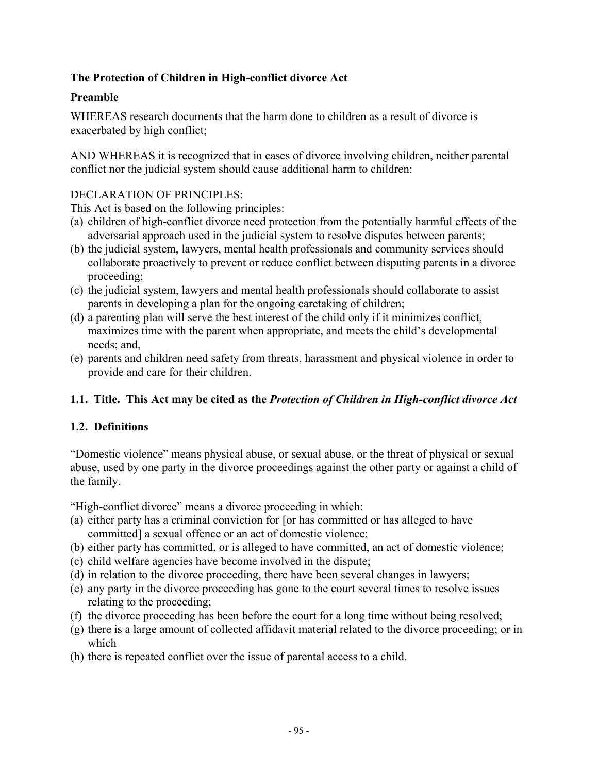### **The Protection of Children in High-conflict divorce Act**

#### **Preamble**

WHEREAS research documents that the harm done to children as a result of divorce is exacerbated by high conflict;

AND WHEREAS it is recognized that in cases of divorce involving children, neither parental conflict nor the judicial system should cause additional harm to children:

#### DECLARATION OF PRINCIPLES:

This Act is based on the following principles:

- (a) children of high-conflict divorce need protection from the potentially harmful effects of the adversarial approach used in the judicial system to resolve disputes between parents;
- (b) the judicial system, lawyers, mental health professionals and community services should collaborate proactively to prevent or reduce conflict between disputing parents in a divorce proceeding;
- (c) the judicial system, lawyers and mental health professionals should collaborate to assist parents in developing a plan for the ongoing caretaking of children;
- (d) a parenting plan will serve the best interest of the child only if it minimizes conflict, maximizes time with the parent when appropriate, and meets the child's developmental needs; and,
- (e) parents and children need safety from threats, harassment and physical violence in order to provide and care for their children.

### **1.1. Title. This Act may be cited as the** *Protection of Children in High-conflict divorce Act*

### **1.2. Definitions**

"Domestic violence" means physical abuse, or sexual abuse, or the threat of physical or sexual abuse, used by one party in the divorce proceedings against the other party or against a child of the family.

"High-conflict divorce" means a divorce proceeding in which:

- (a) either party has a criminal conviction for [or has committed or has alleged to have committed] a sexual offence or an act of domestic violence;
- (b) either party has committed, or is alleged to have committed, an act of domestic violence;
- (c) child welfare agencies have become involved in the dispute;
- (d) in relation to the divorce proceeding, there have been several changes in lawyers;
- (e) any party in the divorce proceeding has gone to the court several times to resolve issues relating to the proceeding;
- (f) the divorce proceeding has been before the court for a long time without being resolved;
- (g) there is a large amount of collected affidavit material related to the divorce proceeding; or in which
- (h) there is repeated conflict over the issue of parental access to a child.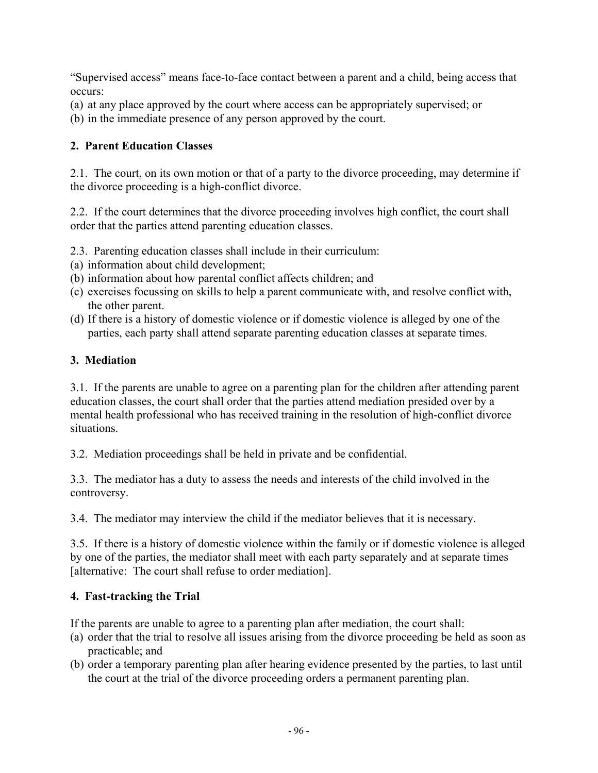"Supervised access" means face-to-face contact between a parent and a child, being access that occurs:

- (a) at any place approved by the court where access can be appropriately supervised; or
- (b) in the immediate presence of any person approved by the court.

### **2. Parent Education Classes**

2.1. The court, on its own motion or that of a party to the divorce proceeding, may determine if the divorce proceeding is a high-conflict divorce.

2.2. If the court determines that the divorce proceeding involves high conflict, the court shall order that the parties attend parenting education classes.

- 2.3. Parenting education classes shall include in their curriculum:
- (a) information about child development;
- (b) information about how parental conflict affects children; and
- (c) exercises focussing on skills to help a parent communicate with, and resolve conflict with, the other parent.
- (d) If there is a history of domestic violence or if domestic violence is alleged by one of the parties, each party shall attend separate parenting education classes at separate times.

### **3. Mediation**

3.1. If the parents are unable to agree on a parenting plan for the children after attending parent education classes, the court shall order that the parties attend mediation presided over by a mental health professional who has received training in the resolution of high-conflict divorce situations.

3.2. Mediation proceedings shall be held in private and be confidential.

3.3. The mediator has a duty to assess the needs and interests of the child involved in the controversy.

3.4. The mediator may interview the child if the mediator believes that it is necessary.

3.5. If there is a history of domestic violence within the family or if domestic violence is alleged by one of the parties, the mediator shall meet with each party separately and at separate times [alternative: The court shall refuse to order mediation].

## **4. Fast-tracking the Trial**

If the parents are unable to agree to a parenting plan after mediation, the court shall:

- (a) order that the trial to resolve all issues arising from the divorce proceeding be held as soon as practicable; and
- (b) order a temporary parenting plan after hearing evidence presented by the parties, to last until the court at the trial of the divorce proceeding orders a permanent parenting plan.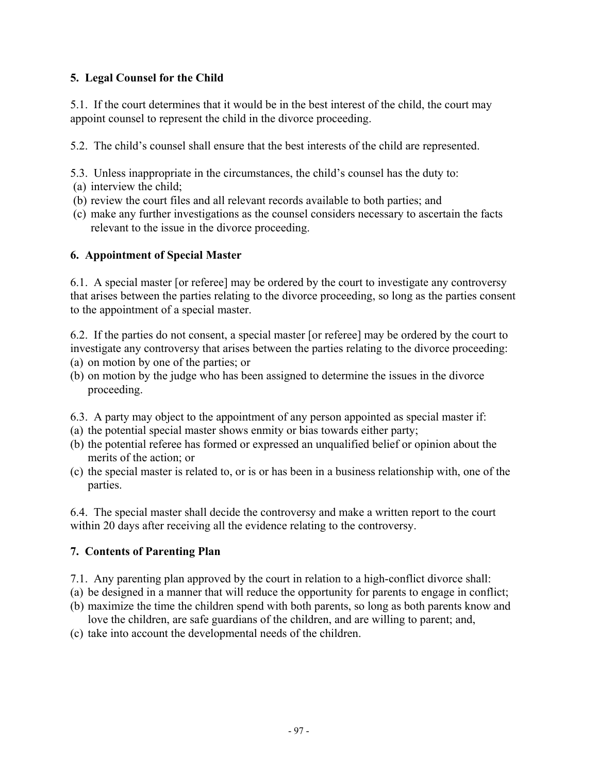### **5. Legal Counsel for the Child**

5.1. If the court determines that it would be in the best interest of the child, the court may appoint counsel to represent the child in the divorce proceeding.

5.2. The child's counsel shall ensure that the best interests of the child are represented.

- 5.3. Unless inappropriate in the circumstances, the child's counsel has the duty to:
- (a) interview the child;
- (b) review the court files and all relevant records available to both parties; and
- (c) make any further investigations as the counsel considers necessary to ascertain the facts relevant to the issue in the divorce proceeding.

#### **6. Appointment of Special Master**

6.1. A special master [or referee] may be ordered by the court to investigate any controversy that arises between the parties relating to the divorce proceeding, so long as the parties consent to the appointment of a special master.

6.2. If the parties do not consent, a special master [or referee] may be ordered by the court to investigate any controversy that arises between the parties relating to the divorce proceeding:

- (a) on motion by one of the parties; or
- (b) on motion by the judge who has been assigned to determine the issues in the divorce proceeding.
- 6.3. A party may object to the appointment of any person appointed as special master if:
- (a) the potential special master shows enmity or bias towards either party;
- (b) the potential referee has formed or expressed an unqualified belief or opinion about the merits of the action; or
- (c) the special master is related to, or is or has been in a business relationship with, one of the parties.

6.4. The special master shall decide the controversy and make a written report to the court within 20 days after receiving all the evidence relating to the controversy.

#### **7. Contents of Parenting Plan**

- 7.1. Any parenting plan approved by the court in relation to a high-conflict divorce shall:
- (a) be designed in a manner that will reduce the opportunity for parents to engage in conflict;
- (b) maximize the time the children spend with both parents, so long as both parents know and love the children, are safe guardians of the children, and are willing to parent; and,
- (c) take into account the developmental needs of the children.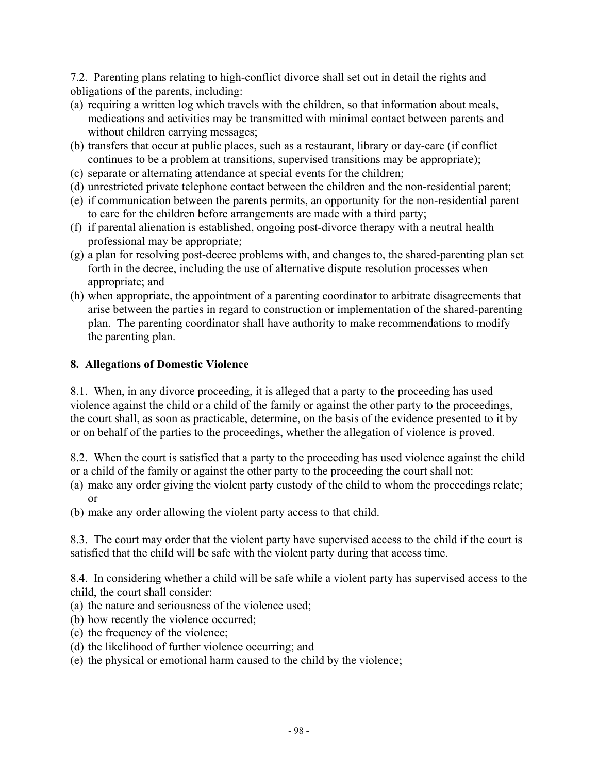7.2. Parenting plans relating to high-conflict divorce shall set out in detail the rights and obligations of the parents, including:

- (a) requiring a written log which travels with the children, so that information about meals, medications and activities may be transmitted with minimal contact between parents and without children carrying messages;
- (b) transfers that occur at public places, such as a restaurant, library or day-care (if conflict continues to be a problem at transitions, supervised transitions may be appropriate);
- (c) separate or alternating attendance at special events for the children;
- (d) unrestricted private telephone contact between the children and the non-residential parent;
- (e) if communication between the parents permits, an opportunity for the non-residential parent to care for the children before arrangements are made with a third party;
- (f) if parental alienation is established, ongoing post-divorce therapy with a neutral health professional may be appropriate;
- (g) a plan for resolving post-decree problems with, and changes to, the shared-parenting plan set forth in the decree, including the use of alternative dispute resolution processes when appropriate; and
- (h) when appropriate, the appointment of a parenting coordinator to arbitrate disagreements that arise between the parties in regard to construction or implementation of the shared-parenting plan. The parenting coordinator shall have authority to make recommendations to modify the parenting plan.

### **8. Allegations of Domestic Violence**

8.1. When, in any divorce proceeding, it is alleged that a party to the proceeding has used violence against the child or a child of the family or against the other party to the proceedings, the court shall, as soon as practicable, determine, on the basis of the evidence presented to it by or on behalf of the parties to the proceedings, whether the allegation of violence is proved.

8.2. When the court is satisfied that a party to the proceeding has used violence against the child or a child of the family or against the other party to the proceeding the court shall not:

- (a) make any order giving the violent party custody of the child to whom the proceedings relate; or
- (b) make any order allowing the violent party access to that child.

8.3. The court may order that the violent party have supervised access to the child if the court is satisfied that the child will be safe with the violent party during that access time.

8.4. In considering whether a child will be safe while a violent party has supervised access to the child, the court shall consider:

- (a) the nature and seriousness of the violence used;
- (b) how recently the violence occurred;
- (c) the frequency of the violence;
- (d) the likelihood of further violence occurring; and
- (e) the physical or emotional harm caused to the child by the violence;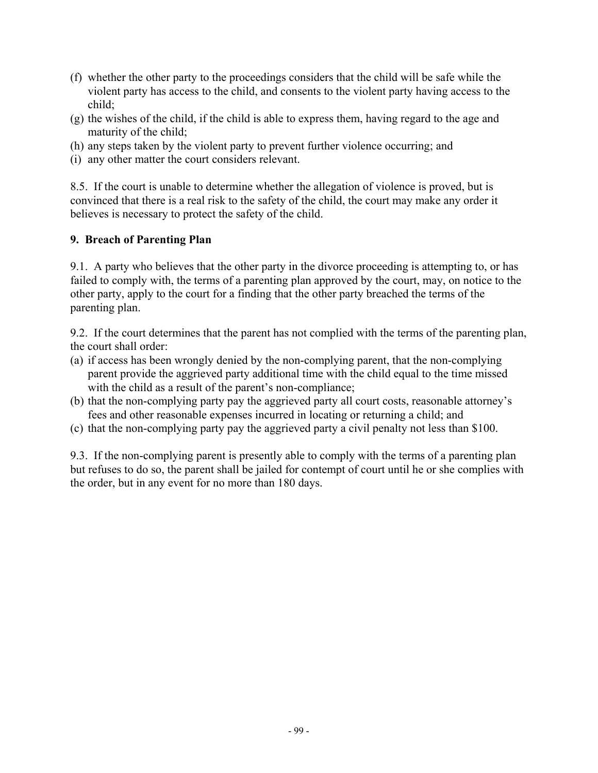- (f) whether the other party to the proceedings considers that the child will be safe while the violent party has access to the child, and consents to the violent party having access to the child;
- (g) the wishes of the child, if the child is able to express them, having regard to the age and maturity of the child;
- (h) any steps taken by the violent party to prevent further violence occurring; and
- (i) any other matter the court considers relevant.

8.5. If the court is unable to determine whether the allegation of violence is proved, but is convinced that there is a real risk to the safety of the child, the court may make any order it believes is necessary to protect the safety of the child.

# **9. Breach of Parenting Plan**

9.1. A party who believes that the other party in the divorce proceeding is attempting to, or has failed to comply with, the terms of a parenting plan approved by the court, may, on notice to the other party, apply to the court for a finding that the other party breached the terms of the parenting plan.

9.2. If the court determines that the parent has not complied with the terms of the parenting plan, the court shall order:

- (a) if access has been wrongly denied by the non-complying parent, that the non-complying parent provide the aggrieved party additional time with the child equal to the time missed with the child as a result of the parent's non-compliance;
- (b) that the non-complying party pay the aggrieved party all court costs, reasonable attorney's fees and other reasonable expenses incurred in locating or returning a child; and
- (c) that the non-complying party pay the aggrieved party a civil penalty not less than \$100.

9.3. If the non-complying parent is presently able to comply with the terms of a parenting plan but refuses to do so, the parent shall be jailed for contempt of court until he or she complies with the order, but in any event for no more than 180 days.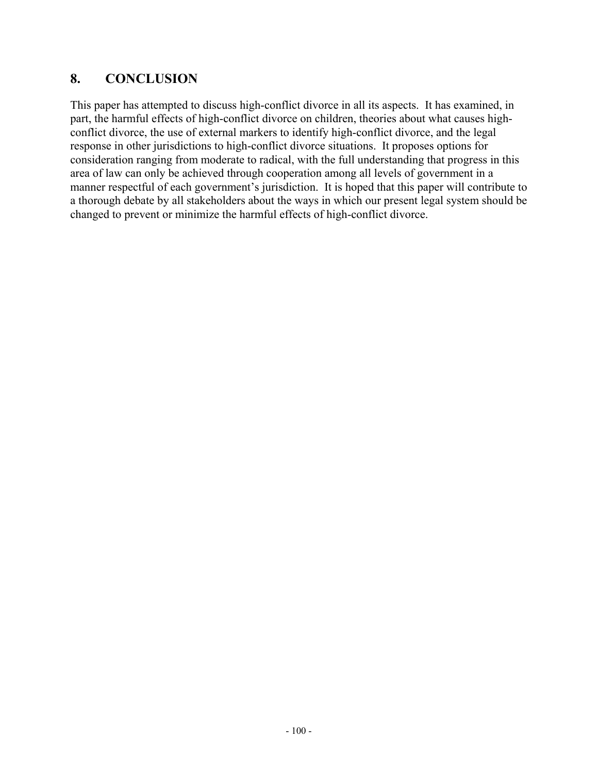# **8. CONCLUSION**

This paper has attempted to discuss high-conflict divorce in all its aspects. It has examined, in part, the harmful effects of high-conflict divorce on children, theories about what causes highconflict divorce, the use of external markers to identify high-conflict divorce, and the legal response in other jurisdictions to high-conflict divorce situations. It proposes options for consideration ranging from moderate to radical, with the full understanding that progress in this area of law can only be achieved through cooperation among all levels of government in a manner respectful of each government's jurisdiction. It is hoped that this paper will contribute to a thorough debate by all stakeholders about the ways in which our present legal system should be changed to prevent or minimize the harmful effects of high-conflict divorce.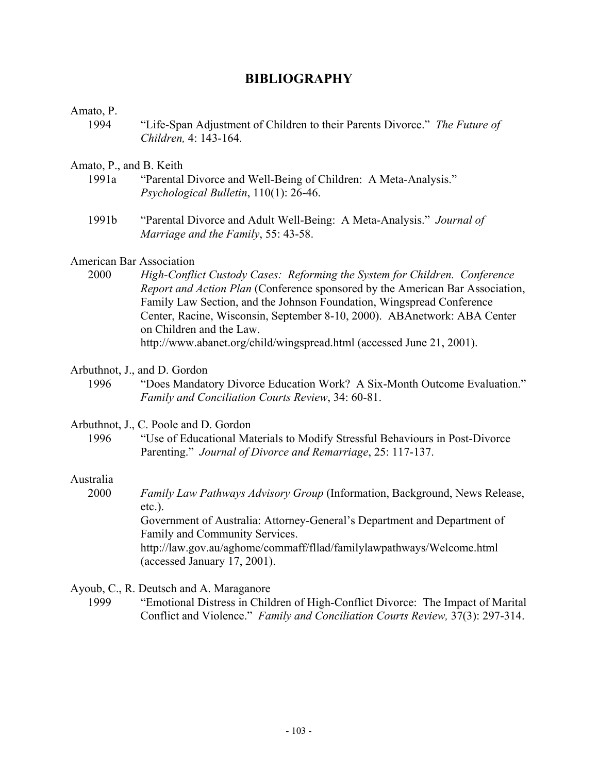# **BIBLIOGRAPHY**

# Amato, P.

1994 "Life-Span Adjustment of Children to their Parents Divorce." *The Future of Children,* 4: 143-164.

# Amato, P., and B. Keith

- 1991a "Parental Divorce and Well-Being of Children: A Meta-Analysis." *Psychological Bulletin*, 110(1): 26-46.
- 1991b "Parental Divorce and Adult Well-Being: A Meta-Analysis." *Journal of Marriage and the Family*, 55: 43-58.

# American Bar Association

- 2000 *High-Conflict Custody Cases: Reforming the System for Children. Conference Report and Action Plan* (Conference sponsored by the American Bar Association, Family Law Section, and the Johnson Foundation, Wingspread Conference Center, Racine, Wisconsin, September 8-10, 2000). ABAnetwork: ABA Center on Children and the Law. http://www.abanet.org/child/wingspread.html (accessed June 21, 2001).
- Arbuthnot, J., and D. Gordon
	- 1996 "Does Mandatory Divorce Education Work? A Six-Month Outcome Evaluation." *Family and Conciliation Courts Review*, 34: 60-81.

# Arbuthnot, J., C. Poole and D. Gordon

1996 "Use of Educational Materials to Modify Stressful Behaviours in Post-Divorce Parenting." *Journal of Divorce and Remarriage*, 25: 117-137.

# Australia

2000 *Family Law Pathways Advisory Group* (Information, Background, News Release, etc.). Government of Australia: Attorney-General's Department and Department of Family and Community Services. http://law.gov.au/aghome/commaff/fllad/familylawpathways/Welcome.html (accessed January 17, 2001).

# Ayoub, C., R. Deutsch and A. Maraganore

1999 "Emotional Distress in Children of High-Conflict Divorce: The Impact of Marital Conflict and Violence." *Family and Conciliation Courts Review,* 37(3): 297-314.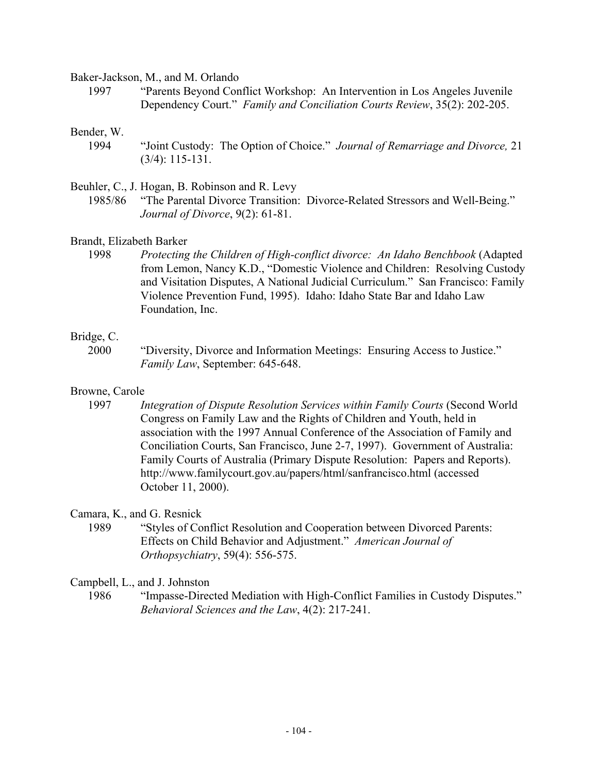Baker-Jackson, M., and M. Orlando

1997 "Parents Beyond Conflict Workshop: An Intervention in Los Angeles Juvenile Dependency Court." *Family and Conciliation Courts Review*, 35(2): 202-205.

#### Bender, W.

1994 "Joint Custody: The Option of Choice." *Journal of Remarriage and Divorce,* 21 (3/4): 115-131.

Beuhler, C., J. Hogan, B. Robinson and R. Levy

1985/86 "The Parental Divorce Transition: Divorce-Related Stressors and Well-Being." *Journal of Divorce*, 9(2): 61-81.

Brandt, Elizabeth Barker

1998 *Protecting the Children of High-conflict divorce: An Idaho Benchbook* (Adapted from Lemon, Nancy K.D., "Domestic Violence and Children: Resolving Custody and Visitation Disputes, A National Judicial Curriculum." San Francisco: Family Violence Prevention Fund, 1995). Idaho: Idaho State Bar and Idaho Law Foundation, Inc.

#### Bridge, C.

2000 "Diversity, Divorce and Information Meetings: Ensuring Access to Justice." *Family Law*, September: 645-648.

#### Browne, Carole

1997 *Integration of Dispute Resolution Services within Family Courts* (Second World Congress on Family Law and the Rights of Children and Youth, held in association with the 1997 Annual Conference of the Association of Family and Conciliation Courts, San Francisco, June 2-7, 1997). Government of Australia: Family Courts of Australia (Primary Dispute Resolution: Papers and Reports). http://www.familycourt.gov.au/papers/html/sanfrancisco.html (accessed October 11, 2000).

Camara, K., and G. Resnick

1989 "Styles of Conflict Resolution and Cooperation between Divorced Parents: Effects on Child Behavior and Adjustment." *American Journal of Orthopsychiatry*, 59(4): 556-575.

Campbell, L., and J. Johnston

1986 "Impasse-Directed Mediation with High-Conflict Families in Custody Disputes." *Behavioral Sciences and the Law*, 4(2): 217-241.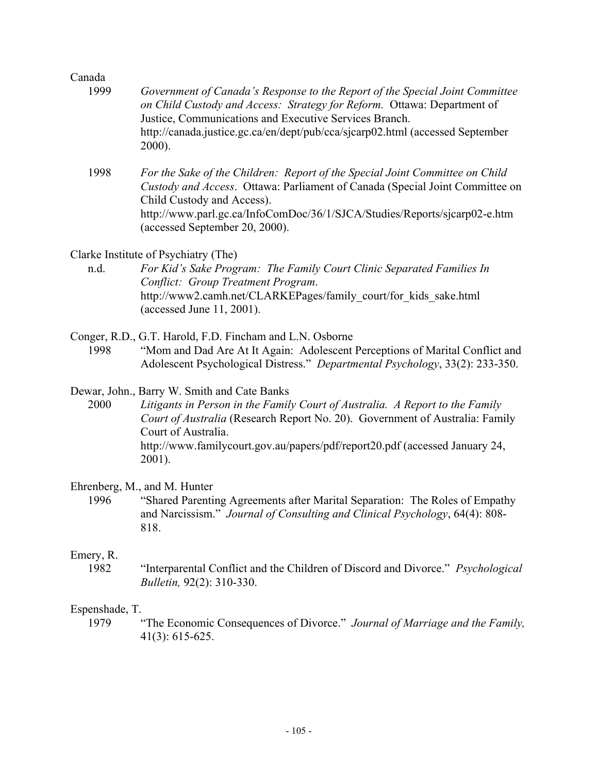| Canada                 |                                                                                                                                                                                                                                                                                                                             |
|------------------------|-----------------------------------------------------------------------------------------------------------------------------------------------------------------------------------------------------------------------------------------------------------------------------------------------------------------------------|
| 1999                   | Government of Canada's Response to the Report of the Special Joint Committee<br>on Child Custody and Access: Strategy for Reform. Ottawa: Department of<br>Justice, Communications and Executive Services Branch.<br>http://canada.justice.gc.ca/en/dept/pub/cca/sjcarp02.html (accessed September<br>$2000$ ).             |
| 1998                   | For the Sake of the Children: Report of the Special Joint Committee on Child<br>Custody and Access. Ottawa: Parliament of Canada (Special Joint Committee on<br>Child Custody and Access).<br>http://www.parl.gc.ca/InfoComDoc/36/1/SJCA/Studies/Reports/sjcarp02-e.htm<br>(accessed September 20, 2000).                   |
|                        | Clarke Institute of Psychiatry (The)                                                                                                                                                                                                                                                                                        |
| n.d.                   | For Kid's Sake Program: The Family Court Clinic Separated Families In<br>Conflict: Group Treatment Program.<br>http://www2.camh.net/CLARKEPages/family court/for kids sake.html<br>(accessed June 11, 2001).                                                                                                                |
| 1998                   | Conger, R.D., G.T. Harold, F.D. Fincham and L.N. Osborne<br>"Mom and Dad Are At It Again: Adolescent Perceptions of Marital Conflict and<br>Adolescent Psychological Distress." Departmental Psychology, 33(2): 233-350.                                                                                                    |
| 2000                   | Dewar, John., Barry W. Smith and Cate Banks<br>Litigants in Person in the Family Court of Australia. A Report to the Family<br>Court of Australia (Research Report No. 20). Government of Australia: Family<br>Court of Australia.<br>http://www.familycourt.gov.au/papers/pdf/report20.pdf (accessed January 24,<br>2001). |
| 1996                   | Ehrenberg, M., and M. Hunter<br>"Shared Parenting Agreements after Marital Separation: The Roles of Empathy<br>and Narcissism." Journal of Consulting and Clinical Psychology, 64(4): 808-<br>818.                                                                                                                          |
| Emery, R.<br>1982      | "Interparental Conflict and the Children of Discord and Divorce." Psychological<br>Bulletin, 92(2): 310-330.                                                                                                                                                                                                                |
| Espenshade, T.<br>1979 | "The Economic Consequences of Divorce." Journal of Marriage and the Family,<br>$41(3): 615-625.$                                                                                                                                                                                                                            |
|                        |                                                                                                                                                                                                                                                                                                                             |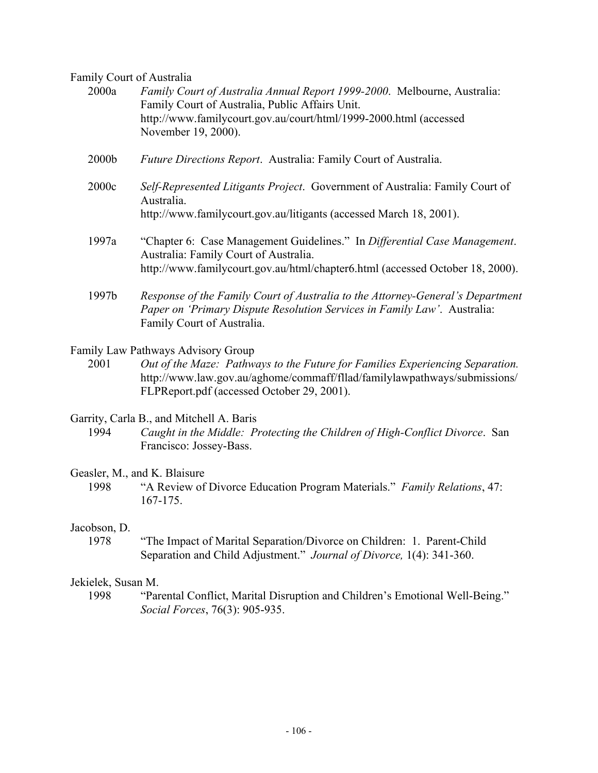Family Court of Australia

| 2000a             | Family Court of Australia Annual Report 1999-2000. Melbourne, Australia:<br>Family Court of Australia, Public Affairs Unit.<br>http://www.familycourt.gov.au/court/html/1999-2000.html (accessed<br>November 19, 2000). |
|-------------------|-------------------------------------------------------------------------------------------------------------------------------------------------------------------------------------------------------------------------|
| 2000 <sub>b</sub> | Future Directions Report. Australia: Family Court of Australia.                                                                                                                                                         |
| 2000c             | Self-Represented Litigants Project. Government of Australia: Family Court of<br>Australia.<br>http://www.familycourt.gov.au/litigants (accessed March 18, 2001).                                                        |
| 1997a             | "Chapter 6: Case Management Guidelines." In Differential Case Management.<br>Australia: Family Court of Australia.<br>http://www.familycourt.gov.au/html/chapter6.html (accessed October 18, 2000).                     |
| 1997b             | Response of the Family Court of Australia to the Attorney-General's Department<br>Paper on 'Primary Dispute Resolution Services in Family Law'. Australia:<br>Family Court of Australia.                                |
|                   | $\sim$ $\sim$ $\sim$ $\sim$ $\sim$                                                                                                                                                                                      |

Family Law Pathways Advisory Group 2001 *Out of the Maze: Pathways to the Future for Families Experiencing Separation.* http://www.law.gov.au/aghome/commaff/fllad/familylawpathways/submissions/ FLPReport.pdf (accessed October 29, 2001).

Garrity, Carla B., and Mitchell A. Baris

1994 *Caught in the Middle: Protecting the Children of High-Conflict Divorce*. San Francisco: Jossey-Bass.

# Geasler, M., and K. Blaisure

1998 "A Review of Divorce Education Program Materials." *Family Relations*, 47: 167-175.

#### Jacobson, D.

1978 "The Impact of Marital Separation/Divorce on Children: 1. Parent-Child Separation and Child Adjustment." *Journal of Divorce,* 1(4): 341-360.

# Jekielek, Susan M.

1998 "Parental Conflict, Marital Disruption and Children's Emotional Well-Being." *Social Forces*, 76(3): 905-935.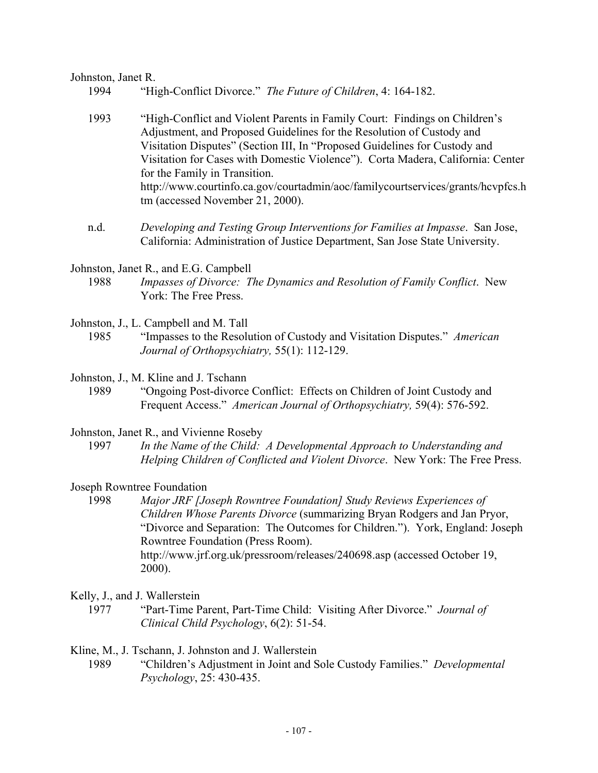#### Johnston, Janet R.

- 1994 "High-Conflict Divorce." *The Future of Children*, 4: 164-182.
- 1993 "High-Conflict and Violent Parents in Family Court: Findings on Children's Adjustment, and Proposed Guidelines for the Resolution of Custody and Visitation Disputes" (Section III, In "Proposed Guidelines for Custody and Visitation for Cases with Domestic Violence"). Corta Madera, California: Center for the Family in Transition. http://www.courtinfo.ca.gov/courtadmin/aoc/familycourtservices/grants/hcvpfcs.h tm (accessed November 21, 2000).
- n.d. *Developing and Testing Group Interventions for Families at Impasse*. San Jose, California: Administration of Justice Department, San Jose State University.
- Johnston, Janet R., and E.G. Campbell
	- 1988 *Impasses of Divorce: The Dynamics and Resolution of Family Conflict*. New York: The Free Press.
- Johnston, J., L. Campbell and M. Tall
	- 1985 "Impasses to the Resolution of Custody and Visitation Disputes." *American Journal of Orthopsychiatry,* 55(1): 112-129.
- Johnston, J., M. Kline and J. Tschann
	- 1989 "Ongoing Post-divorce Conflict: Effects on Children of Joint Custody and Frequent Access." *American Journal of Orthopsychiatry,* 59(4): 576-592.
- Johnston, Janet R., and Vivienne Roseby
	- 1997 *In the Name of the Child: A Developmental Approach to Understanding and Helping Children of Conflicted and Violent Divorce*. New York: The Free Press.
- Joseph Rowntree Foundation
	- 1998 *Major JRF [Joseph Rowntree Foundation] Study Reviews Experiences of Children Whose Parents Divorce* (summarizing Bryan Rodgers and Jan Pryor, "Divorce and Separation: The Outcomes for Children."). York, England: Joseph Rowntree Foundation (Press Room). http://www.jrf.org.uk/pressroom/releases/240698.asp (accessed October 19, 2000).
- Kelly, J., and J. Wallerstein
	- 1977 "Part-Time Parent, Part-Time Child: Visiting After Divorce." *Journal of Clinical Child Psychology*, 6(2): 51-54.

Kline, M., J. Tschann, J. Johnston and J. Wallerstein

1989 "Children's Adjustment in Joint and Sole Custody Families." *Developmental Psychology*, 25: 430-435.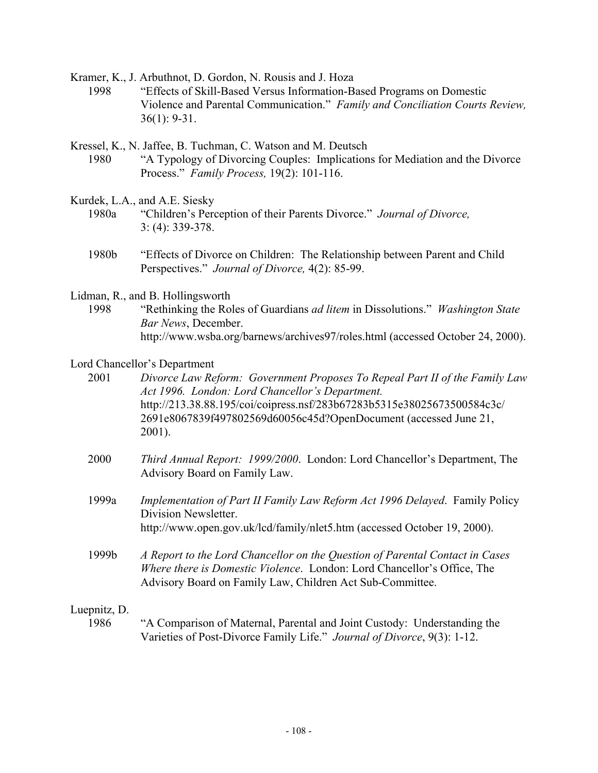Kramer, K., J. Arbuthnot, D. Gordon, N. Rousis and J. Hoza

- 1998 "Effects of Skill-Based Versus Information-Based Programs on Domestic Violence and Parental Communication." *Family and Conciliation Courts Review,*  36(1): 9-31.
- Kressel, K., N. Jaffee, B. Tuchman, C. Watson and M. Deutsch 1980 "A Typology of Divorcing Couples: Implications for Mediation and the Divorce Process." *Family Process,* 19(2): 101-116.
- Kurdek, L.A., and A.E. Siesky
	- 1980a "Children's Perception of their Parents Divorce." *Journal of Divorce,*  3: (4): 339-378.
	- 1980b "Effects of Divorce on Children: The Relationship between Parent and Child Perspectives." *Journal of Divorce,* 4(2): 85-99.
- Lidman, R., and B. Hollingsworth
	- 1998 "Rethinking the Roles of Guardians *ad litem* in Dissolutions." *Washington State Bar News*, December. http://www.wsba.org/barnews/archives97/roles.html (accessed October 24, 2000).

#### Lord Chancellor's Department

2001 *Divorce Law Reform: Government Proposes To Repeal Part II of the Family Law Act 1996. London: Lord Chancellor's Department.*  http://213.38.88.195/coi/coipress.nsf/283b67283b5315e38025673500584c3c/ 2691e8067839f497802569d60056c45d?OpenDocument (accessed June 21, 2001).

- 2000 *Third Annual Report: 1999/2000*. London: Lord Chancellor's Department, The Advisory Board on Family Law.
- 1999a *Implementation of Part II Family Law Reform Act 1996 Delayed*. Family Policy Division Newsletter. http://www.open.gov.uk/lcd/family/nlet5.htm (accessed October 19, 2000).
- 1999b *A Report to the Lord Chancellor on the Question of Parental Contact in Cases Where there is Domestic Violence*. London: Lord Chancellor's Office, The Advisory Board on Family Law, Children Act Sub-Committee.

#### Luepnitz, D.

1986 "A Comparison of Maternal, Parental and Joint Custody: Understanding the Varieties of Post-Divorce Family Life." *Journal of Divorce*, 9(3): 1-12.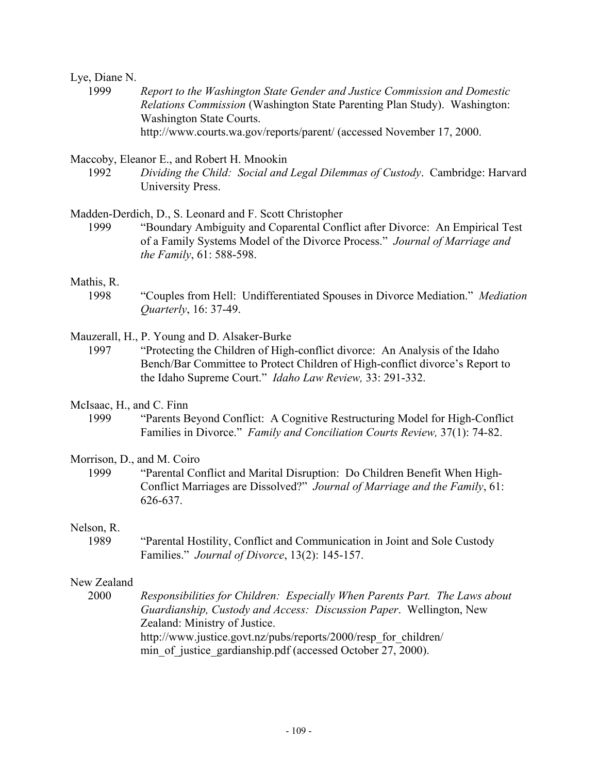#### Lye, Diane N.

1999 *Report to the Washington State Gender and Justice Commission and Domestic Relations Commission* (Washington State Parenting Plan Study). Washington: Washington State Courts. http://www.courts.wa.gov/reports/parent/ (accessed November 17, 2000.

Maccoby, Eleanor E., and Robert H. Mnookin

1992 *Dividing the Child: Social and Legal Dilemmas of Custody*. Cambridge: Harvard University Press.

Madden-Derdich, D., S. Leonard and F. Scott Christopher

1999 "Boundary Ambiguity and Coparental Conflict after Divorce: An Empirical Test of a Family Systems Model of the Divorce Process." *Journal of Marriage and the Family*, 61: 588-598.

#### Mathis, R.

1998 "Couples from Hell: Undifferentiated Spouses in Divorce Mediation." *Mediation Quarterly*, 16: 37-49.

Mauzerall, H., P. Young and D. Alsaker-Burke

- 1997 "Protecting the Children of High-conflict divorce: An Analysis of the Idaho Bench/Bar Committee to Protect Children of High-conflict divorce's Report to the Idaho Supreme Court." *Idaho Law Review,* 33: 291-332.
- McIsaac, H., and C. Finn
	- 1999 "Parents Beyond Conflict: A Cognitive Restructuring Model for High-Conflict Families in Divorce." *Family and Conciliation Courts Review,* 37(1): 74-82.

#### Morrison, D., and M. Coiro

1999 "Parental Conflict and Marital Disruption: Do Children Benefit When High-Conflict Marriages are Dissolved?" *Journal of Marriage and the Family*, 61: 626-637.

#### Nelson, R.

1989 "Parental Hostility, Conflict and Communication in Joint and Sole Custody Families." *Journal of Divorce*, 13(2): 145-157.

## New Zealand

2000 *Responsibilities for Children: Especially When Parents Part. The Laws about Guardianship, Custody and Access: Discussion Paper*. Wellington, New Zealand: Ministry of Justice. http://www.justice.govt.nz/pubs/reports/2000/resp\_for\_children/ min of justice gardianship.pdf (accessed October 27, 2000).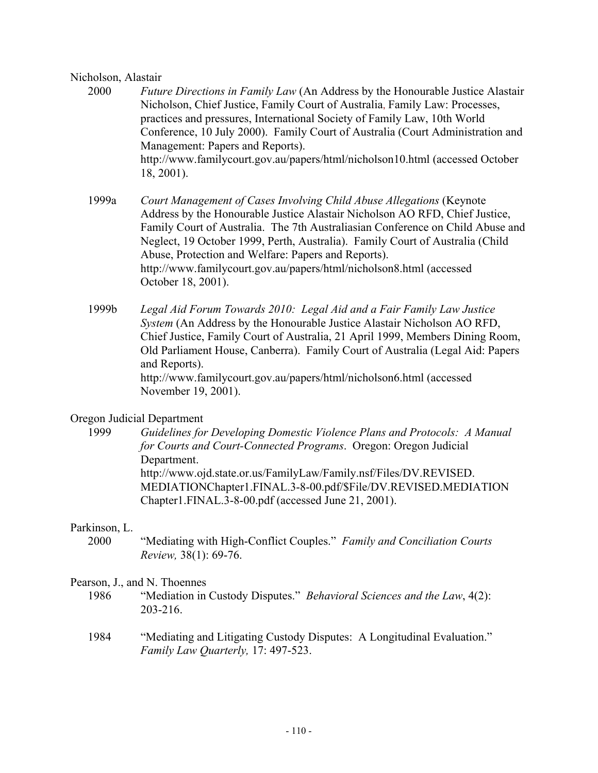# Nicholson, Alastair

- 2000 *Future Directions in Family Law* (An Address by the Honourable Justice Alastair Nicholson, Chief Justice, Family Court of Australia, Family Law: Processes, practices and pressures, International Society of Family Law, 10th World Conference, 10 July 2000). Family Court of Australia (Court Administration and Management: Papers and Reports). http://www.familycourt.gov.au/papers/html/nicholson10.html (accessed October 18, 2001).
	- 1999a *Court Management of Cases Involving Child Abuse Allegations* (Keynote Address by the Honourable Justice Alastair Nicholson AO RFD, Chief Justice, Family Court of Australia. The 7th Australiasian Conference on Child Abuse and Neglect, 19 October 1999, Perth, Australia). Family Court of Australia (Child Abuse, Protection and Welfare: Papers and Reports). http://www.familycourt.gov.au/papers/html/nicholson8.html (accessed October 18, 2001).
	- 1999b *Legal Aid Forum Towards 2010: Legal Aid and a Fair Family Law Justice System* (An Address by the Honourable Justice Alastair Nicholson AO RFD, Chief Justice, Family Court of Australia, 21 April 1999, Members Dining Room, Old Parliament House, Canberra). Family Court of Australia (Legal Aid: Papers and Reports). http://www.familycourt.gov.au/papers/html/nicholson6.html (accessed November 19, 2001).

# Oregon Judicial Department

1999 *Guidelines for Developing Domestic Violence Plans and Protocols: A Manual for Courts and Court-Connected Programs*. Oregon: Oregon Judicial Department. http://www.ojd.state.or.us/FamilyLaw/Family.nsf/Files/DV.REVISED. MEDIATIONChapter1.FINAL.3-8-00.pdf/\$File/DV.REVISED.MEDIATION Chapter1.FINAL.3-8-00.pdf (accessed June 21, 2001).

# Parkinson, L.

2000 "Mediating with High-Conflict Couples." *Family and Conciliation Courts Review,* 38(1): 69-76.

#### Pearson, J., and N. Thoennes

- 1986 "Mediation in Custody Disputes." *Behavioral Sciences and the Law*, 4(2): 203-216.
- 1984 "Mediating and Litigating Custody Disputes: A Longitudinal Evaluation." *Family Law Quarterly,* 17: 497-523.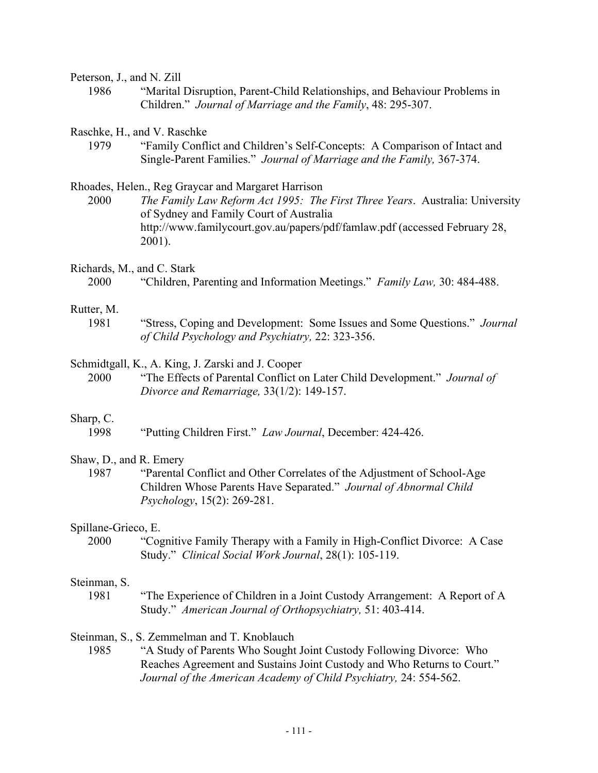Peterson, J., and N. Zill 1986 "Marital Disruption, Parent-Child Relationships, and Behaviour Problems in Children." *Journal of Marriage and the Family*, 48: 295-307. Raschke, H., and V. Raschke 1979 "Family Conflict and Children's Self-Concepts: A Comparison of Intact and Single-Parent Families." *Journal of Marriage and the Family,* 367-374. Rhoades, Helen., Reg Graycar and Margaret Harrison 2000 *The Family Law Reform Act 1995: The First Three Years*. Australia: University of Sydney and Family Court of Australia http://www.familycourt.gov.au/papers/pdf/famlaw.pdf (accessed February 28, 2001). Richards, M., and C. Stark 2000 "Children, Parenting and Information Meetings." *Family Law,* 30: 484-488. Rutter, M. 1981 "Stress, Coping and Development: Some Issues and Some Questions." *Journal of Child Psychology and Psychiatry,* 22: 323-356. Schmidtgall, K., A. King, J. Zarski and J. Cooper 2000 "The Effects of Parental Conflict on Later Child Development." *Journal of Divorce and Remarriage,* 33(1/2): 149-157. Sharp, C. 1998 "Putting Children First." *Law Journal*, December: 424-426. Shaw, D., and R. Emery 1987 "Parental Conflict and Other Correlates of the Adjustment of School-Age Children Whose Parents Have Separated." *Journal of Abnormal Child Psychology*, 15(2): 269-281. Spillane-Grieco, E. 2000 "Cognitive Family Therapy with a Family in High-Conflict Divorce: A Case Study." *Clinical Social Work Journal*, 28(1): 105-119. Steinman, S. 1981 "The Experience of Children in a Joint Custody Arrangement: A Report of A Study." *American Journal of Orthopsychiatry,* 51: 403-414.

Steinman, S., S. Zemmelman and T. Knoblauch

1985 "A Study of Parents Who Sought Joint Custody Following Divorce: Who Reaches Agreement and Sustains Joint Custody and Who Returns to Court." *Journal of the American Academy of Child Psychiatry,* 24: 554-562.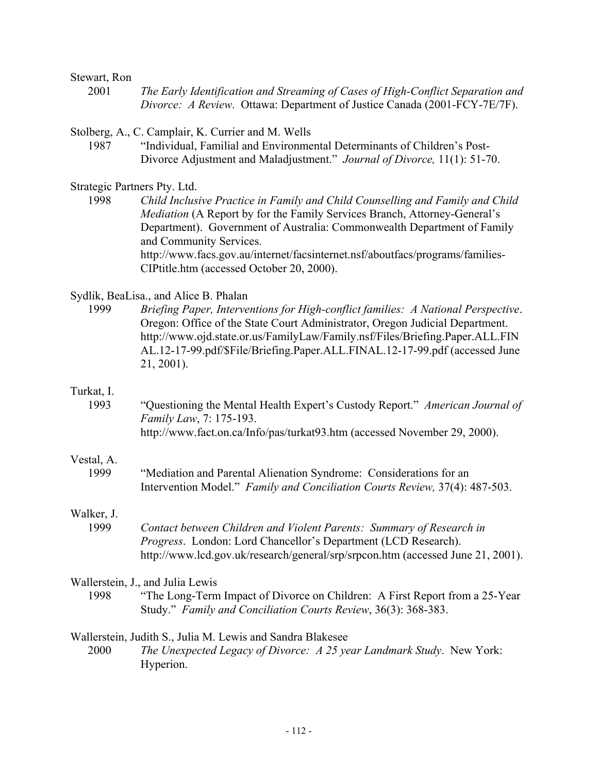#### Stewart, Ron

2001 *The Early Identification and Streaming of Cases of High-Conflict Separation and Divorce: A Review*. Ottawa: Department of Justice Canada (2001-FCY-7E/7F).

Stolberg, A., C. Camplair, K. Currier and M. Wells

1987 "Individual, Familial and Environmental Determinants of Children's Post-Divorce Adjustment and Maladjustment." *Journal of Divorce,* 11(1): 51-70.

Strategic Partners Pty. Ltd.

1998 *Child Inclusive Practice in Family and Child Counselling and Family and Child Mediation* (A Report by for the Family Services Branch, Attorney-General's Department). Government of Australia: Commonwealth Department of Family and Community Services. http://www.facs.gov.au/internet/facsinternet.nsf/aboutfacs/programs/families-CIPtitle.htm (accessed October 20, 2000).

#### Sydlik, BeaLisa., and Alice B. Phalan

1999 *Briefing Paper, Interventions for High-conflict families: A National Perspective*. Oregon: Office of the State Court Administrator, Oregon Judicial Department. http://www.ojd.state.or.us/FamilyLaw/Family.nsf/Files/Briefing.Paper.ALL.FIN AL.12-17-99.pdf/\$File/Briefing.Paper.ALL.FINAL.12-17-99.pdf (accessed June 21, 2001).

#### Turkat, I.

1993 "Questioning the Mental Health Expert's Custody Report." *American Journal of Family Law*, 7: 175-193. http://www.fact.on.ca/Info/pas/turkat93.htm (accessed November 29, 2000).

### Vestal, A.

1999 "Mediation and Parental Alienation Syndrome: Considerations for an Intervention Model." *Family and Conciliation Courts Review,* 37(4): 487-503.

#### Walker, J.

1999 *Contact between Children and Violent Parents: Summary of Research in Progress*. London: Lord Chancellor's Department (LCD Research). http://www.lcd.gov.uk/research/general/srp/srpcon.htm (accessed June 21, 2001).

#### Wallerstein, J., and Julia Lewis

1998 "The Long-Term Impact of Divorce on Children: A First Report from a 25-Year Study." *Family and Conciliation Courts Review*, 36(3): 368-383.

## Wallerstein, Judith S., Julia M. Lewis and Sandra Blakesee

2000 *The Unexpected Legacy of Divorce: A 25 year Landmark Study*. New York: Hyperion.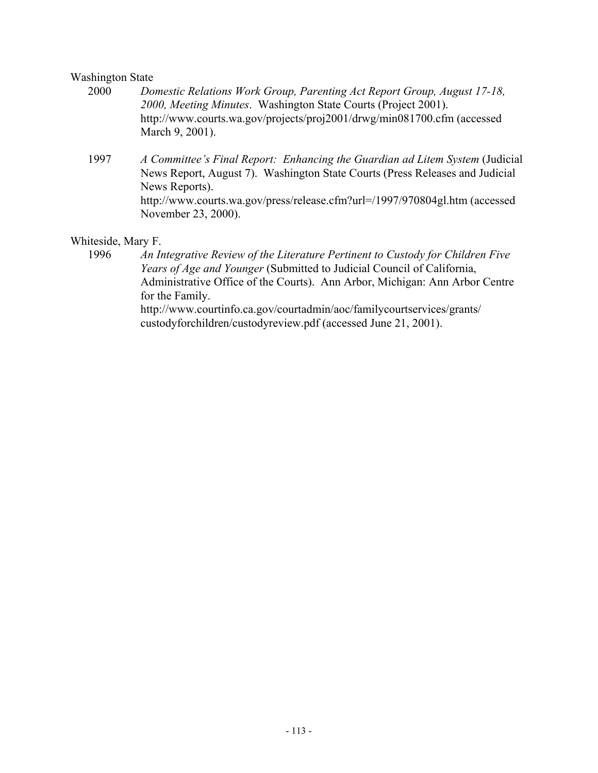## Washington State

- 2000 *Domestic Relations Work Group, Parenting Act Report Group, August 17-18, 2000, Meeting Minutes*. Washington State Courts (Project 2001). http://www.courts.wa.gov/projects/proj2001/drwg/min081700.cfm (accessed March 9, 2001).
- 1997 *A Committee's Final Report: Enhancing the Guardian ad Litem System* (Judicial News Report, August 7). Washington State Courts (Press Releases and Judicial News Reports). http://www.courts.wa.gov/press/release.cfm?url=/1997/970804gl.htm (accessed November 23, 2000).

# Whiteside, Mary F.

1996 *An Integrative Review of the Literature Pertinent to Custody for Children Five Years of Age and Younger* (Submitted to Judicial Council of California, Administrative Office of the Courts). Ann Arbor, Michigan: Ann Arbor Centre for the Family. http://www.courtinfo.ca.gov/courtadmin/aoc/familycourtservices/grants/ custodyforchildren/custodyreview.pdf (accessed June 21, 2001).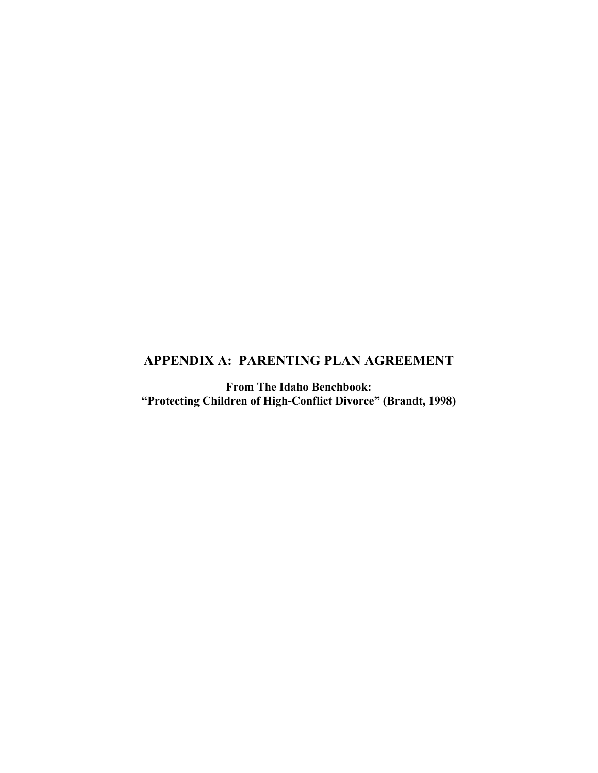# **APPENDIX A: PARENTING PLAN AGREEMENT**

**From The Idaho Benchbook: "Protecting Children of High-Conflict Divorce" (Brandt, 1998)**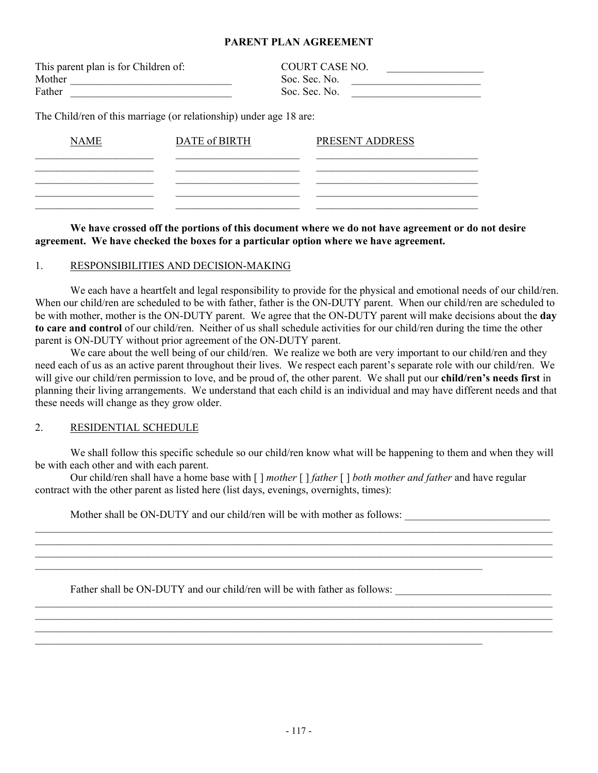#### **PARENT PLAN AGREEMENT**

| This parent plan is for Children of: | <b>COURT CASE NO.</b> |
|--------------------------------------|-----------------------|
| Mother                               | Soc. Sec. No.         |
| Father                               | Soc. Sec. No.         |

The Child/ren of this marriage (or relationship) under age 18 are:

| <b>NAME</b> | DATE of BIRTH | PRESENT ADDRESS |
|-------------|---------------|-----------------|
|             |               |                 |
|             |               |                 |
|             |               |                 |

 **We have crossed off the portions of this document where we do not have agreement or do not desire agreement. We have checked the boxes for a particular option where we have agreement.** 

#### 1. RESPONSIBILITIES AND DECISION-MAKING

We each have a heartfelt and legal responsibility to provide for the physical and emotional needs of our child/ren. When our child/ren are scheduled to be with father, father is the ON-DUTY parent. When our child/ren are scheduled to be with mother, mother is the ON-DUTY parent. We agree that the ON-DUTY parent will make decisions about the **day to care and control** of our child/ren. Neither of us shall schedule activities for our child/ren during the time the other parent is ON-DUTY without prior agreement of the ON-DUTY parent.

We care about the well being of our child/ren. We realize we both are very important to our child/ren and they need each of us as an active parent throughout their lives. We respect each parent's separate role with our child/ren. We will give our child/ren permission to love, and be proud of, the other parent. We shall put our **child/ren's needs first** in planning their living arrangements. We understand that each child is an individual and may have different needs and that these needs will change as they grow older.

#### 2. RESIDENTIAL SCHEDULE

We shall follow this specific schedule so our child/ren know what will be happening to them and when they will be with each other and with each parent.

 $\_$ 

 $\mathcal{L}_\mathcal{L} = \mathcal{L}_\mathcal{L} = \mathcal{L}_\mathcal{L} = \mathcal{L}_\mathcal{L} = \mathcal{L}_\mathcal{L} = \mathcal{L}_\mathcal{L} = \mathcal{L}_\mathcal{L} = \mathcal{L}_\mathcal{L} = \mathcal{L}_\mathcal{L} = \mathcal{L}_\mathcal{L} = \mathcal{L}_\mathcal{L} = \mathcal{L}_\mathcal{L} = \mathcal{L}_\mathcal{L} = \mathcal{L}_\mathcal{L} = \mathcal{L}_\mathcal{L} = \mathcal{L}_\mathcal{L} = \mathcal{L}_\mathcal{L}$ 

 $\_$ 

 Our child/ren shall have a home base with [ ] *mother* [ ] *father* [ ] *both mother and father* and have regular contract with the other parent as listed here (list days, evenings, overnights, times):

Mother shall be ON-DUTY and our child/ren will be with mother as follows:

 $\_$ 

 $\mathcal{L}_\mathcal{L} = \{ \mathcal{L}_\mathcal{L} = \{ \mathcal{L}_\mathcal{L} = \{ \mathcal{L}_\mathcal{L} = \{ \mathcal{L}_\mathcal{L} = \{ \mathcal{L}_\mathcal{L} = \{ \mathcal{L}_\mathcal{L} = \{ \mathcal{L}_\mathcal{L} = \{ \mathcal{L}_\mathcal{L} = \{ \mathcal{L}_\mathcal{L} = \{ \mathcal{L}_\mathcal{L} = \{ \mathcal{L}_\mathcal{L} = \{ \mathcal{L}_\mathcal{L} = \{ \mathcal{L}_\mathcal{L} = \{ \mathcal{L}_\mathcal{$ 

Father shall be ON-DUTY and our child/ren will be with father as follows: \_\_\_\_\_\_\_\_\_\_\_\_\_\_\_\_\_\_\_\_\_\_\_\_\_\_\_\_\_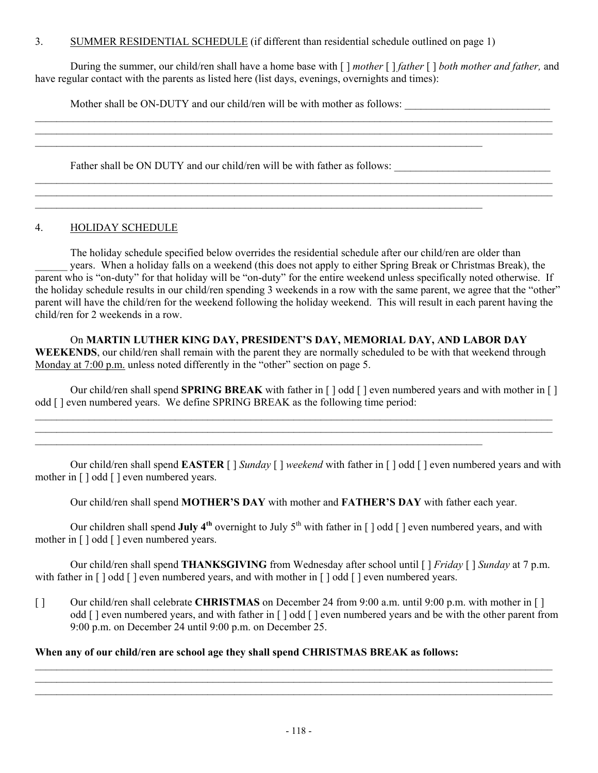# 3. SUMMER RESIDENTIAL SCHEDULE (if different than residential schedule outlined on page 1)

 $\mathcal{L}_\mathcal{L} = \{ \mathcal{L}_\mathcal{L} = \{ \mathcal{L}_\mathcal{L} = \{ \mathcal{L}_\mathcal{L} = \{ \mathcal{L}_\mathcal{L} = \{ \mathcal{L}_\mathcal{L} = \{ \mathcal{L}_\mathcal{L} = \{ \mathcal{L}_\mathcal{L} = \{ \mathcal{L}_\mathcal{L} = \{ \mathcal{L}_\mathcal{L} = \{ \mathcal{L}_\mathcal{L} = \{ \mathcal{L}_\mathcal{L} = \{ \mathcal{L}_\mathcal{L} = \{ \mathcal{L}_\mathcal{L} = \{ \mathcal{L}_\mathcal{$ 

 $\_$  , and the set of the set of the set of the set of the set of the set of the set of the set of the set of the set of the set of the set of the set of the set of the set of the set of the set of the set of the set of th

 During the summer, our child/ren shall have a home base with [ ] *mother* [ ] *father* [ ] *both mother and father,* and have regular contact with the parents as listed here (list days, evenings, overnights and times):

 $\mathcal{L}_\mathcal{L} = \mathcal{L}_\mathcal{L} = \mathcal{L}_\mathcal{L} = \mathcal{L}_\mathcal{L} = \mathcal{L}_\mathcal{L} = \mathcal{L}_\mathcal{L} = \mathcal{L}_\mathcal{L} = \mathcal{L}_\mathcal{L} = \mathcal{L}_\mathcal{L} = \mathcal{L}_\mathcal{L} = \mathcal{L}_\mathcal{L} = \mathcal{L}_\mathcal{L} = \mathcal{L}_\mathcal{L} = \mathcal{L}_\mathcal{L} = \mathcal{L}_\mathcal{L} = \mathcal{L}_\mathcal{L} = \mathcal{L}_\mathcal{L}$  $\mathcal{L}_\mathcal{L} = \mathcal{L}_\mathcal{L} = \mathcal{L}_\mathcal{L} = \mathcal{L}_\mathcal{L} = \mathcal{L}_\mathcal{L} = \mathcal{L}_\mathcal{L} = \mathcal{L}_\mathcal{L} = \mathcal{L}_\mathcal{L} = \mathcal{L}_\mathcal{L} = \mathcal{L}_\mathcal{L} = \mathcal{L}_\mathcal{L} = \mathcal{L}_\mathcal{L} = \mathcal{L}_\mathcal{L} = \mathcal{L}_\mathcal{L} = \mathcal{L}_\mathcal{L} = \mathcal{L}_\mathcal{L} = \mathcal{L}_\mathcal{L}$ 

\_\_\_\_\_\_\_\_\_\_\_\_\_\_\_\_\_\_\_\_\_\_\_\_\_\_\_\_\_\_\_\_\_\_\_\_\_\_\_\_\_\_\_\_\_\_\_\_\_\_\_\_\_\_\_\_\_\_\_\_\_\_\_\_\_\_\_\_\_\_\_\_\_\_\_\_\_\_\_\_\_\_\_\_\_\_\_\_\_\_\_\_\_\_\_\_

Mother shall be ON-DUTY and our child/ren will be with mother as follows:

Father shall be ON DUTY and our child/ren will be with father as follows:

\_\_\_\_\_\_\_\_\_\_\_\_\_\_\_\_\_\_\_\_\_\_\_\_\_\_\_\_\_\_\_\_\_\_\_\_\_\_\_\_\_\_\_\_\_\_\_\_\_\_\_\_\_\_\_\_\_\_\_\_\_\_\_\_\_\_\_\_\_\_\_\_\_\_\_\_\_\_\_\_\_\_\_\_\_\_\_\_\_\_\_\_\_\_\_\_

## 4. HOLIDAY SCHEDULE

 The holiday schedule specified below overrides the residential schedule after our child/ren are older than years. When a holiday falls on a weekend (this does not apply to either Spring Break or Christmas Break), the parent who is "on-duty" for that holiday will be "on-duty" for the entire weekend unless specifically noted otherwise. If the holiday schedule results in our child/ren spending 3 weekends in a row with the same parent, we agree that the "other" parent will have the child/ren for the weekend following the holiday weekend. This will result in each parent having the child/ren for 2 weekends in a row.

# On **MARTIN LUTHER KING DAY, PRESIDENT'S DAY, MEMORIAL DAY, AND LABOR DAY**

**WEEKENDS**, our child/ren shall remain with the parent they are normally scheduled to be with that weekend through Monday at 7:00 p.m. unless noted differently in the "other" section on page 5.

 Our child/ren shall spend **SPRING BREAK** with father in [ ] odd [ ] even numbered years and with mother in [ ] odd [ ] even numbered years. We define SPRING BREAK as the following time period:

 $\mathcal{L}_\mathcal{L} = \mathcal{L}_\mathcal{L} = \mathcal{L}_\mathcal{L} = \mathcal{L}_\mathcal{L} = \mathcal{L}_\mathcal{L} = \mathcal{L}_\mathcal{L} = \mathcal{L}_\mathcal{L} = \mathcal{L}_\mathcal{L} = \mathcal{L}_\mathcal{L} = \mathcal{L}_\mathcal{L} = \mathcal{L}_\mathcal{L} = \mathcal{L}_\mathcal{L} = \mathcal{L}_\mathcal{L} = \mathcal{L}_\mathcal{L} = \mathcal{L}_\mathcal{L} = \mathcal{L}_\mathcal{L} = \mathcal{L}_\mathcal{L}$ 

 $\mathcal{L}_\mathcal{L} = \{ \mathcal{L}_\mathcal{L} = \{ \mathcal{L}_\mathcal{L} = \{ \mathcal{L}_\mathcal{L} = \{ \mathcal{L}_\mathcal{L} = \{ \mathcal{L}_\mathcal{L} = \{ \mathcal{L}_\mathcal{L} = \{ \mathcal{L}_\mathcal{L} = \{ \mathcal{L}_\mathcal{L} = \{ \mathcal{L}_\mathcal{L} = \{ \mathcal{L}_\mathcal{L} = \{ \mathcal{L}_\mathcal{L} = \{ \mathcal{L}_\mathcal{L} = \{ \mathcal{L}_\mathcal{L} = \{ \mathcal{L}_\mathcal{$ 

 Our child/ren shall spend **EASTER** [ ] *Sunday* [ ] *weekend* with father in [ ] odd [ ] even numbered years and with mother in [ ] odd [ ] even numbered years.

Our child/ren shall spend **MOTHER'S DAY** with mother and **FATHER'S DAY** with father each year.

Our children shall spend **July 4<sup>th</sup>** overnight to July 5<sup>th</sup> with father in  $\lceil \cdot \rceil$  odd  $\lceil \cdot \rceil$  even numbered years, and with mother in [ ] odd [ ] even numbered years.

 Our child/ren shall spend **THANKSGIVING** from Wednesday after school until [ ] *Friday* [ ] *Sunday* at 7 p.m. with father in  $\lceil \cdot \rceil$  odd  $\lceil \cdot \rceil$  even numbered years, and with mother in  $\lceil \cdot \rceil$  odd  $\lceil \cdot \rceil$  even numbered years.

[ ] Our child/ren shall celebrate **CHRISTMAS** on December 24 from 9:00 a.m. until 9:00 p.m. with mother in [ ] odd [ ] even numbered years, and with father in [ ] odd [ ] even numbered years and be with the other parent from 9:00 p.m. on December 24 until 9:00 p.m. on December 25.

 $\_$  $\_$  $\_$ 

# **When any of our child/ren are school age they shall spend CHRISTMAS BREAK as follows:**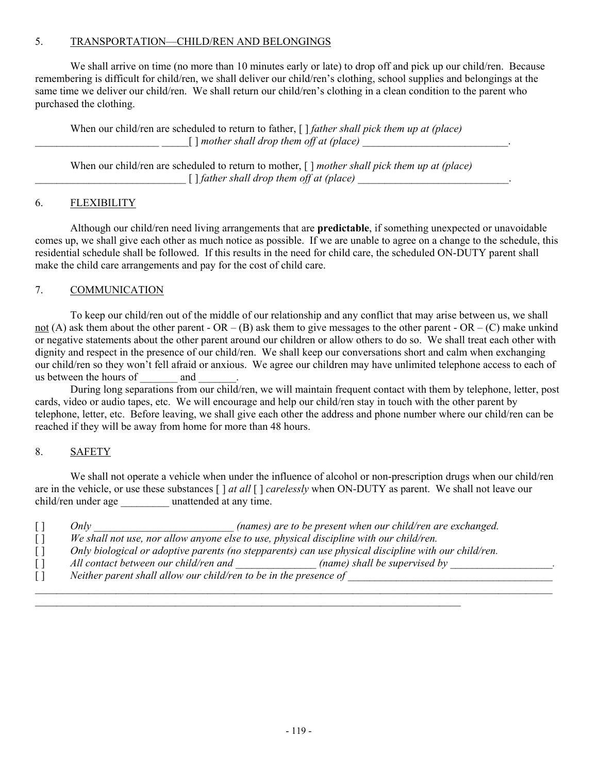# 5. TRANSPORTATION—CHILD/REN AND BELONGINGS

We shall arrive on time (no more than 10 minutes early or late) to drop off and pick up our child/ren. Because remembering is difficult for child/ren, we shall deliver our child/ren's clothing, school supplies and belongings at the same time we deliver our child/ren. We shall return our child/ren's clothing in a clean condition to the parent who purchased the clothing.

 When our child/ren are scheduled to return to father, [ ] *father shall pick them up at (place)*  $\frac{1}{\sqrt{1-\frac{1}{2}}}$  mother shall drop them off at (place)

 When our child/ren are scheduled to return to mother, [ ] *mother shall pick them up at (place)*  $\lceil$  *] father shall drop them off at (place)*  $\lceil$   $\lceil$   $\lceil$   $\lceil$   $\lceil$   $\lceil$   $\lceil$   $\lceil$   $\lceil$   $\lceil$   $\lceil$   $\lceil$   $\lceil$   $\lceil$   $\lceil$   $\lceil$   $\lceil$   $\lceil$   $\lceil$   $\lceil$   $\lceil$   $\lceil$   $\lceil$   $\lceil$   $\lceil$   $\lceil$   $\lceil$   $\lceil$   $\lceil$ 

## 6. FLEXIBILITY

 Although our child/ren need living arrangements that are **predictable**, if something unexpected or unavoidable comes up, we shall give each other as much notice as possible. If we are unable to agree on a change to the schedule, this residential schedule shall be followed. If this results in the need for child care, the scheduled ON-DUTY parent shall make the child care arrangements and pay for the cost of child care.

## 7. COMMUNICATION

 To keep our child/ren out of the middle of our relationship and any conflict that may arise between us, we shall not (A) ask them about the other parent - OR – (B) ask them to give messages to the other parent - OR – (C) make unkind or negative statements about the other parent around our children or allow others to do so. We shall treat each other with dignity and respect in the presence of our child/ren. We shall keep our conversations short and calm when exchanging our child/ren so they won't fell afraid or anxious. We agree our children may have unlimited telephone access to each of us between the hours of and

 During long separations from our child/ren, we will maintain frequent contact with them by telephone, letter, post cards, video or audio tapes, etc. We will encourage and help our child/ren stay in touch with the other parent by telephone, letter, etc. Before leaving, we shall give each other the address and phone number where our child/ren can be reached if they will be away from home for more than 48 hours.

#### 8. SAFETY

 We shall not operate a vehicle when under the influence of alcohol or non-prescription drugs when our child/ren are in the vehicle, or use these substances [ ] *at all* [ ] *carelessly* when ON-DUTY as parent. We shall not leave our child/ren under age \_\_\_\_\_\_\_\_\_ unattended at any time.

| (names) are to be present when our child/ren are exchanged.<br>Onlv                                  |  |
|------------------------------------------------------------------------------------------------------|--|
| We shall not use, nor allow anyone else to use, physical discipline with our child/ren.              |  |
| Only biological or adoptive parents (no stepparents) can use physical discipline with our child/ren. |  |
| All contact between our child/ren and<br>(name) shall be supervised by                               |  |
| Neither parent shall allow our child/ren to be in the presence of                                    |  |
|                                                                                                      |  |

 $\_$  , and the set of the set of the set of the set of the set of the set of the set of the set of the set of the set of the set of the set of the set of the set of the set of the set of the set of the set of the set of th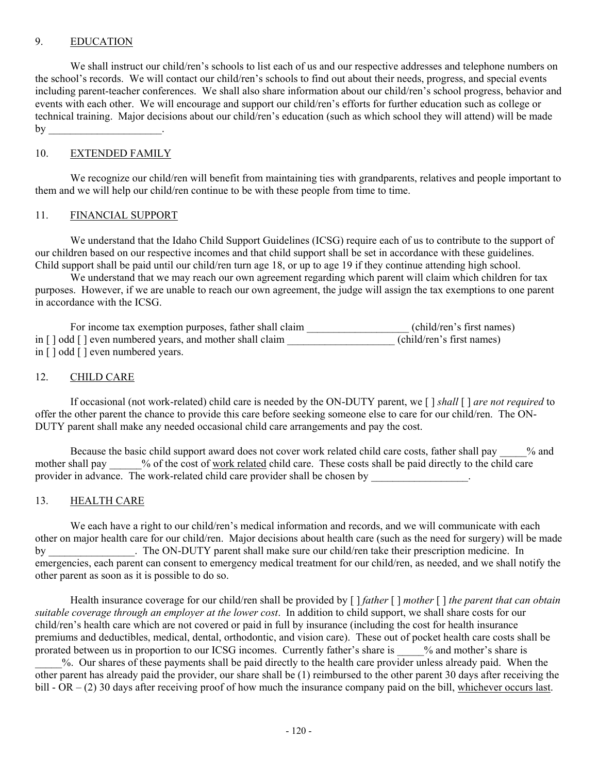## 9. EDUCATION

We shall instruct our child/ren's schools to list each of us and our respective addresses and telephone numbers on the school's records. We will contact our child/ren's schools to find out about their needs, progress, and special events including parent-teacher conferences. We shall also share information about our child/ren's school progress, behavior and events with each other. We will encourage and support our child/ren's efforts for further education such as college or technical training. Major decisions about our child/ren's education (such as which school they will attend) will be made  $by$ 

#### 10. EXTENDED FAMILY

We recognize our child/ren will benefit from maintaining ties with grandparents, relatives and people important to them and we will help our child/ren continue to be with these people from time to time.

#### 11. FINANCIAL SUPPORT

 We understand that the Idaho Child Support Guidelines (ICSG) require each of us to contribute to the support of our children based on our respective incomes and that child support shall be set in accordance with these guidelines. Child support shall be paid until our child/ren turn age 18, or up to age 19 if they continue attending high school.

We understand that we may reach our own agreement regarding which parent will claim which children for tax purposes. However, if we are unable to reach our own agreement, the judge will assign the tax exemptions to one parent in accordance with the ICSG.

| For income tax exemption purposes, father shall claim    | (child/ren's first names) |
|----------------------------------------------------------|---------------------------|
| in [] odd [] even numbered years, and mother shall claim | (child/ren's first names) |
| in $\lceil$ odd $\lceil$ even numbered years.            |                           |

#### 12. CHILD CARE

 If occasional (not work-related) child care is needed by the ON-DUTY parent, we [ ] *shall* [ ] *are not required* to offer the other parent the chance to provide this care before seeking someone else to care for our child/ren. The ON-DUTY parent shall make any needed occasional child care arrangements and pay the cost.

Because the basic child support award does not cover work related child care costs, father shall pay  $\%$  and mother shall pay  $\%$  of the cost of work related child care. These costs shall be paid directly to the child care provider in advance. The work-related child care provider shall be chosen by

## 13. HEALTH CARE

We each have a right to our child/ren's medical information and records, and we will communicate with each other on major health care for our child/ren. Major decisions about health care (such as the need for surgery) will be made by The ON-DUTY parent shall make sure our child/ren take their prescription medicine. In emergencies, each parent can consent to emergency medical treatment for our child/ren, as needed, and we shall notify the other parent as soon as it is possible to do so.

 Health insurance coverage for our child/ren shall be provided by [ ] *father* [ ] *mother* [ ] *the parent that can obtain suitable coverage through an employer at the lower cost*. In addition to child support, we shall share costs for our child/ren's health care which are not covered or paid in full by insurance (including the cost for health insurance premiums and deductibles, medical, dental, orthodontic, and vision care). These out of pocket health care costs shall be prorated between us in proportion to our ICSG incomes. Currently father's share is \_\_\_\_\_% and mother's share is \_\_\_\_\_%. Our shares of these payments shall be paid directly to the health care provider unless already paid. When the other parent has already paid the provider, our share shall be (1) reimbursed to the other parent 30 days after receiving the bill - OR – (2) 30 days after receiving proof of how much the insurance company paid on the bill, whichever occurs last.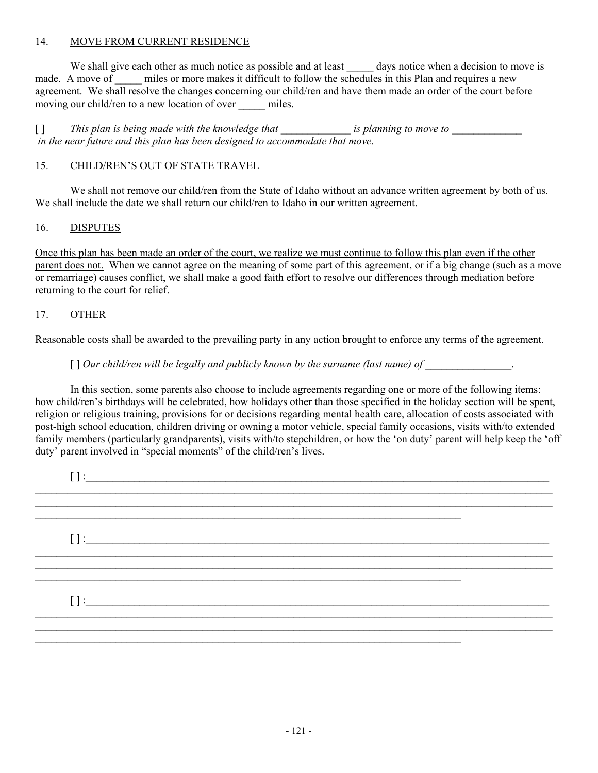# 14. MOVE FROM CURRENT RESIDENCE

We shall give each other as much notice as possible and at least \_\_\_\_\_\_ days notice when a decision to move is made. A move of miles or more makes it difficult to follow the schedules in this Plan and requires a new agreement. We shall resolve the changes concerning our child/ren and have them made an order of the court before moving our child/ren to a new location of over miles.

[ ] *This plan is being made with the knowledge that is planning to move to*  $\blacksquare$  *in the near future and this plan has been designed to accommodate that move*.

#### 15. CHILD/REN'S OUT OF STATE TRAVEL

We shall not remove our child/ren from the State of Idaho without an advance written agreement by both of us. We shall include the date we shall return our child/ren to Idaho in our written agreement.

#### 16. DISPUTES

Once this plan has been made an order of the court, we realize we must continue to follow this plan even if the other parent does not. When we cannot agree on the meaning of some part of this agreement, or if a big change (such as a move or remarriage) causes conflict, we shall make a good faith effort to resolve our differences through mediation before returning to the court for relief.

# 17. OTHER

Reasonable costs shall be awarded to the prevailing party in any action brought to enforce any terms of the agreement.

# [ ] Our child/ren will be legally and publicly known by the surname (last name) of \_\_\_\_\_\_\_\_\_\_\_\_\_\_\_\_.

 In this section, some parents also choose to include agreements regarding one or more of the following items: how child/ren's birthdays will be celebrated, how holidays other than those specified in the holiday section will be spent, religion or religious training, provisions for or decisions regarding mental health care, allocation of costs associated with post-high school education, children driving or owning a motor vehicle, special family occasions, visits with/to extended family members (particularly grandparents), visits with/to stepchildren, or how the 'on duty' parent will help keep the 'off duty' parent involved in "special moments" of the child/ren's lives.